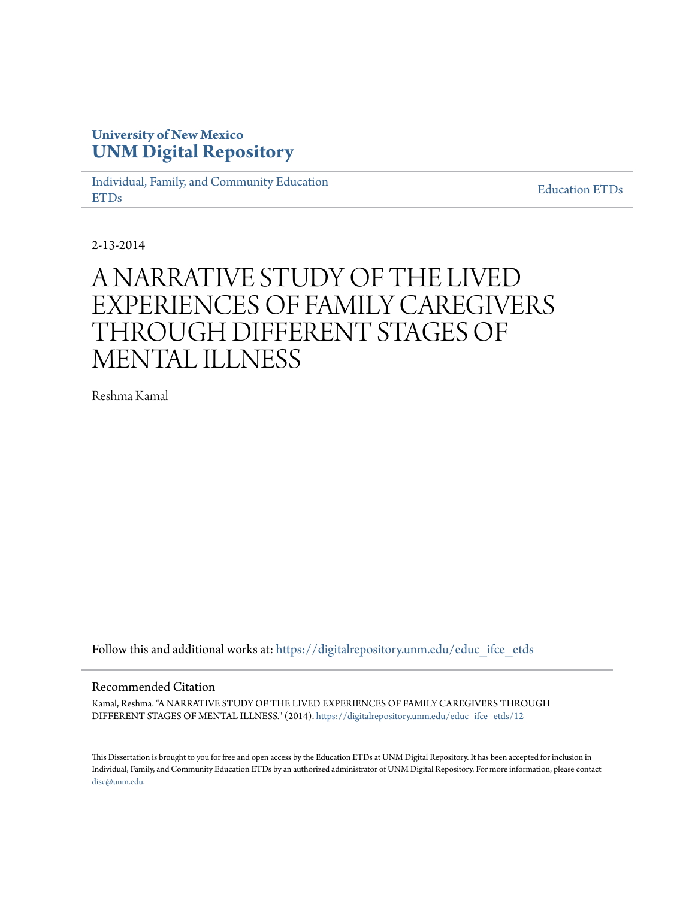# **University of New Mexico [UNM Digital Repository](https://digitalrepository.unm.edu?utm_source=digitalrepository.unm.edu%2Feduc_ifce_etds%2F12&utm_medium=PDF&utm_campaign=PDFCoverPages)**

[Individual, Family, and Community Education](https://digitalrepository.unm.edu/educ_ifce_etds?utm_source=digitalrepository.unm.edu%2Feduc_ifce_etds%2F12&utm_medium=PDF&utm_campaign=PDFCoverPages) [ETDs](https://digitalrepository.unm.edu/educ_ifce_etds?utm_source=digitalrepository.unm.edu%2Feduc_ifce_etds%2F12&utm_medium=PDF&utm_campaign=PDFCoverPages)

[Education ETDs](https://digitalrepository.unm.edu/educ_etds?utm_source=digitalrepository.unm.edu%2Feduc_ifce_etds%2F12&utm_medium=PDF&utm_campaign=PDFCoverPages)

2-13-2014

# A NARRATIVE STUDY OF THE LIVED EXPERIENCES OF FAMILY CAREGIVERS THROUGH DIFFERENT STAGES OF MENTAL ILLNESS

Reshma Kamal

Follow this and additional works at: [https://digitalrepository.unm.edu/educ\\_ifce\\_etds](https://digitalrepository.unm.edu/educ_ifce_etds?utm_source=digitalrepository.unm.edu%2Feduc_ifce_etds%2F12&utm_medium=PDF&utm_campaign=PDFCoverPages)

#### Recommended Citation

Kamal, Reshma. "A NARRATIVE STUDY OF THE LIVED EXPERIENCES OF FAMILY CAREGIVERS THROUGH DIFFERENT STAGES OF MENTAL ILLNESS." (2014). [https://digitalrepository.unm.edu/educ\\_ifce\\_etds/12](https://digitalrepository.unm.edu/educ_ifce_etds/12?utm_source=digitalrepository.unm.edu%2Feduc_ifce_etds%2F12&utm_medium=PDF&utm_campaign=PDFCoverPages)

This Dissertation is brought to you for free and open access by the Education ETDs at UNM Digital Repository. It has been accepted for inclusion in Individual, Family, and Community Education ETDs by an authorized administrator of UNM Digital Repository. For more information, please contact [disc@unm.edu](mailto:disc@unm.edu).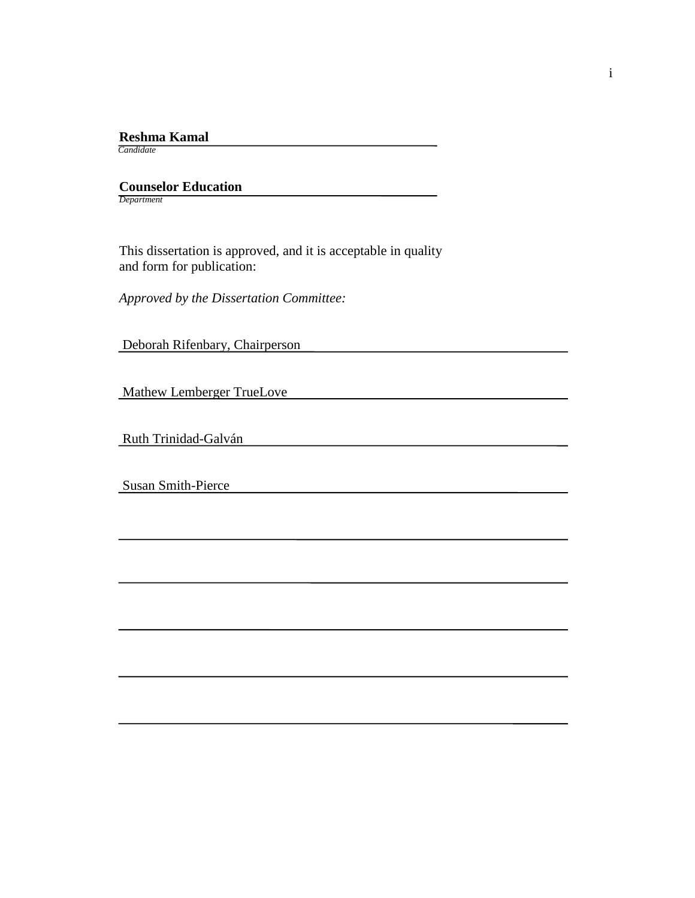# **Reshma Kamal**

 *Candidate*

 **Counselor Education** *Department*

 This dissertation is approved, and it is acceptable in quality and form for publication:

*Approved by the Dissertation Committee:*

Deborah Rifenbary, Chairperson

Mathew Lemberger TrueLove

Ruth Trinidad-Galván

Susan Smith-Pierce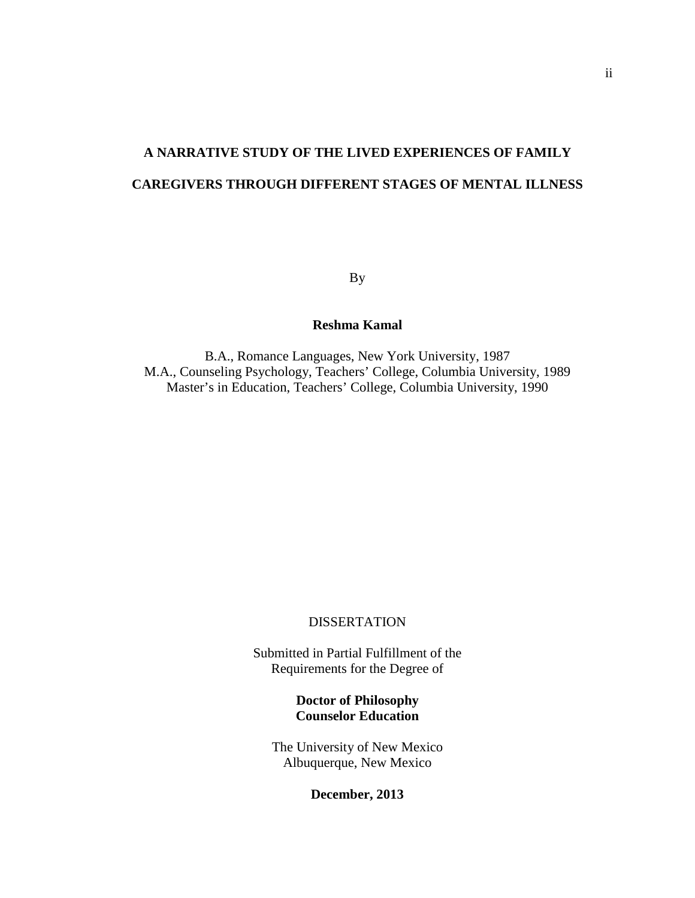# **A NARRATIVE STUDY OF THE LIVED EXPERIENCES OF FAMILY CAREGIVERS THROUGH DIFFERENT STAGES OF MENTAL ILLNESS**

By

## **Reshma Kamal**

B.A., Romance Languages, New York University, 1987 M.A., Counseling Psychology, Teachers' College, Columbia University, 1989 Master's in Education, Teachers' College, Columbia University, 1990

#### **DISSERTATION**

Submitted in Partial Fulfillment of the Requirements for the Degree of

## **Doctor of Philosophy Counselor Education**

The University of New Mexico Albuquerque, New Mexico

**December, 2013**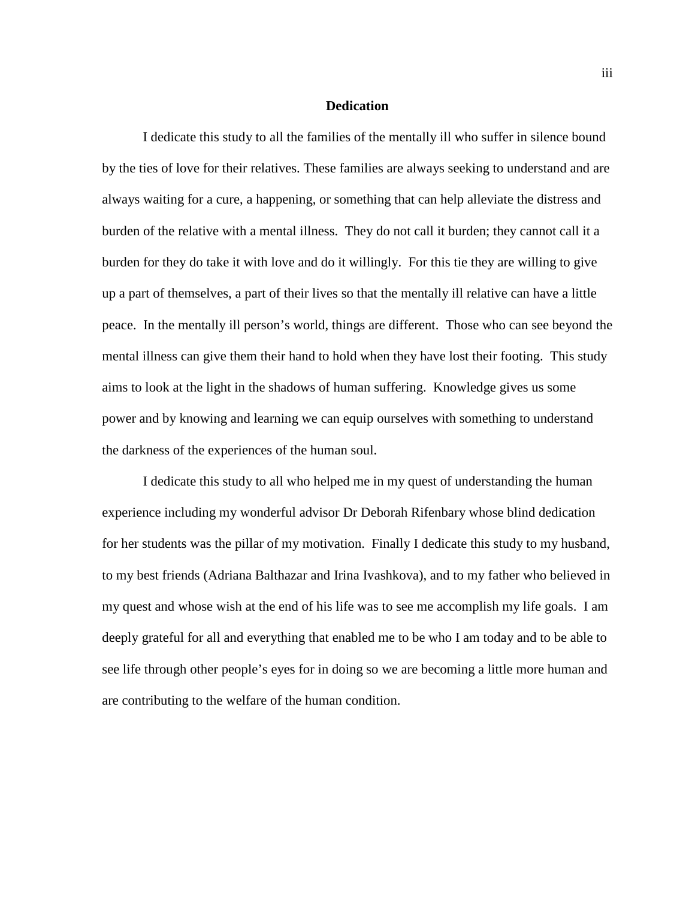#### **Dedication**

I dedicate this study to all the families of the mentally ill who suffer in silence bound by the ties of love for their relatives. These families are always seeking to understand and are always waiting for a cure, a happening, or something that can help alleviate the distress and burden of the relative with a mental illness. They do not call it burden; they cannot call it a burden for they do take it with love and do it willingly. For this tie they are willing to give up a part of themselves, a part of their lives so that the mentally ill relative can have a little peace. In the mentally ill person's world, things are different. Those who can see beyond the mental illness can give them their hand to hold when they have lost their footing. This study aims to look at the light in the shadows of human suffering. Knowledge gives us some power and by knowing and learning we can equip ourselves with something to understand the darkness of the experiences of the human soul.

I dedicate this study to all who helped me in my quest of understanding the human experience including my wonderful advisor Dr Deborah Rifenbary whose blind dedication for her students was the pillar of my motivation. Finally I dedicate this study to my husband, to my best friends (Adriana Balthazar and Irina Ivashkova), and to my father who believed in my quest and whose wish at the end of his life was to see me accomplish my life goals. I am deeply grateful for all and everything that enabled me to be who I am today and to be able to see life through other people's eyes for in doing so we are becoming a little more human and are contributing to the welfare of the human condition.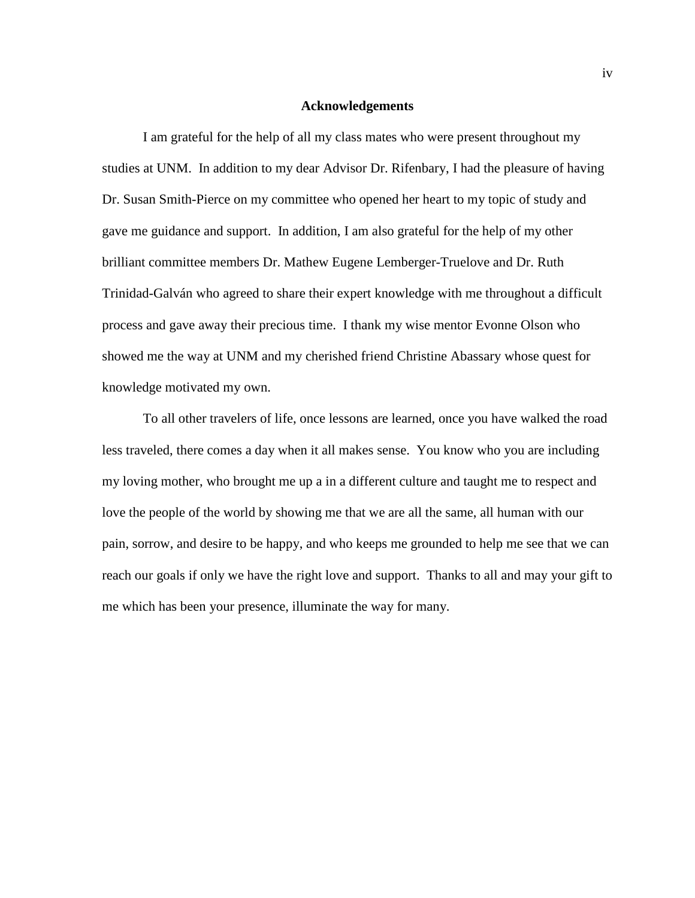#### **Acknowledgements**

I am grateful for the help of all my class mates who were present throughout my studies at UNM. In addition to my dear Advisor Dr. Rifenbary, I had the pleasure of having Dr. Susan Smith-Pierce on my committee who opened her heart to my topic of study and gave me guidance and support. In addition, I am also grateful for the help of my other brilliant committee members Dr. Mathew Eugene Lemberger-Truelove and Dr. Ruth Trinidad-Galván who agreed to share their expert knowledge with me throughout a difficult process and gave away their precious time. I thank my wise mentor Evonne Olson who showed me the way at UNM and my cherished friend Christine Abassary whose quest for knowledge motivated my own.

To all other travelers of life, once lessons are learned, once you have walked the road less traveled, there comes a day when it all makes sense. You know who you are including my loving mother, who brought me up a in a different culture and taught me to respect and love the people of the world by showing me that we are all the same, all human with our pain, sorrow, and desire to be happy, and who keeps me grounded to help me see that we can reach our goals if only we have the right love and support. Thanks to all and may your gift to me which has been your presence, illuminate the way for many.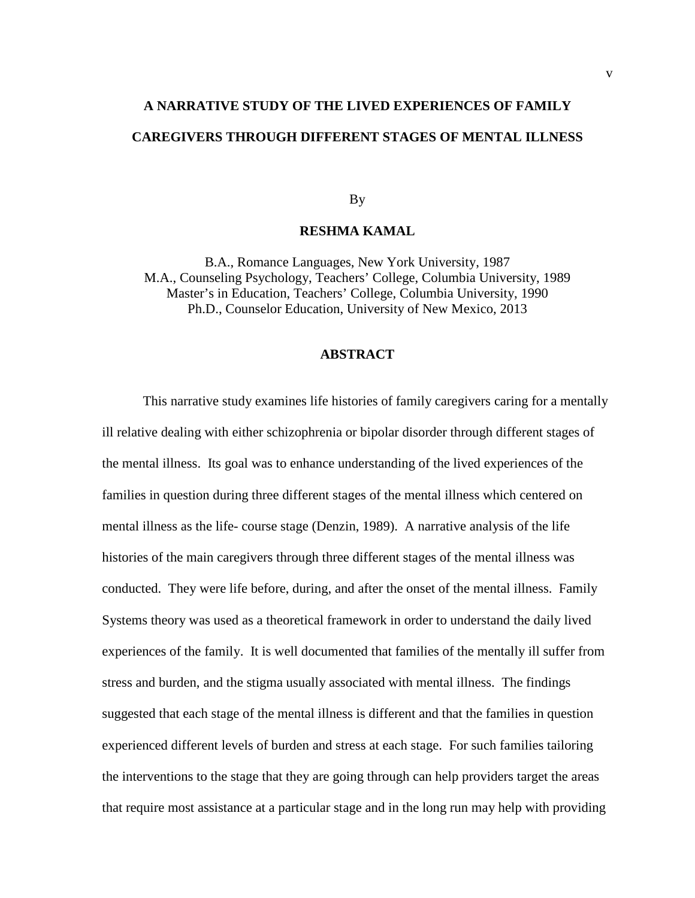# **A NARRATIVE STUDY OF THE LIVED EXPERIENCES OF FAMILY CAREGIVERS THROUGH DIFFERENT STAGES OF MENTAL ILLNESS**

By

#### **RESHMA KAMAL**

B.A., Romance Languages, New York University, 1987 M.A., Counseling Psychology, Teachers' College, Columbia University, 1989 Master's in Education, Teachers' College, Columbia University, 1990 Ph.D., Counselor Education, University of New Mexico, 2013

#### **ABSTRACT**

This narrative study examines life histories of family caregivers caring for a mentally ill relative dealing with either schizophrenia or bipolar disorder through different stages of the mental illness. Its goal was to enhance understanding of the lived experiences of the families in question during three different stages of the mental illness which centered on mental illness as the life- course stage (Denzin, 1989). A narrative analysis of the life histories of the main caregivers through three different stages of the mental illness was conducted. They were life before, during, and after the onset of the mental illness. Family Systems theory was used as a theoretical framework in order to understand the daily lived experiences of the family. It is well documented that families of the mentally ill suffer from stress and burden, and the stigma usually associated with mental illness. The findings suggested that each stage of the mental illness is different and that the families in question experienced different levels of burden and stress at each stage. For such families tailoring the interventions to the stage that they are going through can help providers target the areas that require most assistance at a particular stage and in the long run may help with providing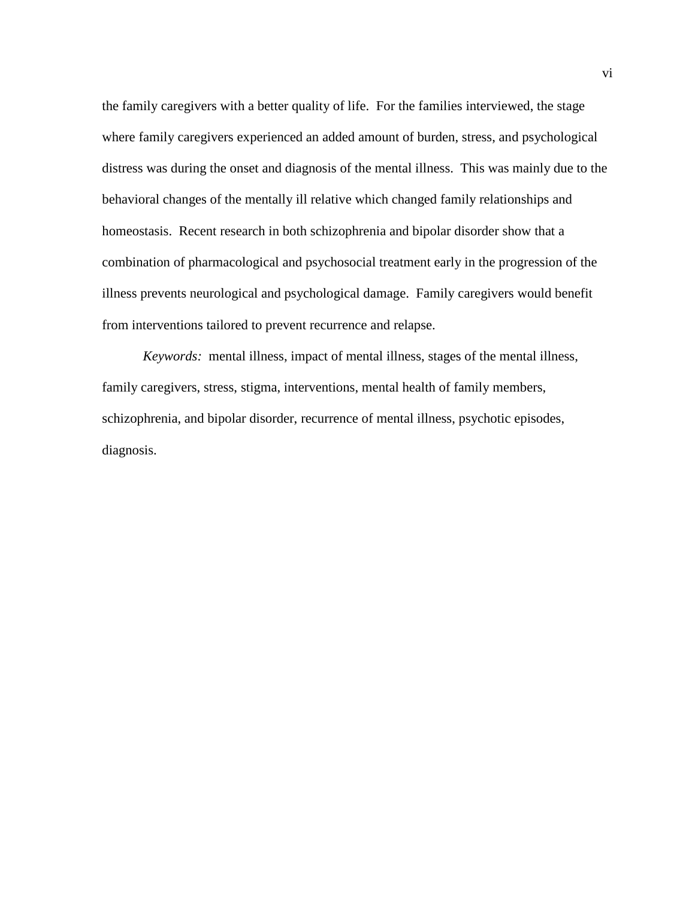the family caregivers with a better quality of life. For the families interviewed, the stage where family caregivers experienced an added amount of burden, stress, and psychological distress was during the onset and diagnosis of the mental illness. This was mainly due to the behavioral changes of the mentally ill relative which changed family relationships and homeostasis.Recent research in both schizophrenia and bipolar disorder show that a combination of pharmacological and psychosocial treatment early in the progression of the illness prevents neurological and psychological damage. Family caregivers would benefit from interventions tailored to prevent recurrence and relapse.

*Keywords:* mental illness, impact of mental illness, stages of the mental illness, family caregivers, stress, stigma, interventions, mental health of family members, schizophrenia, and bipolar disorder, recurrence of mental illness, psychotic episodes, diagnosis.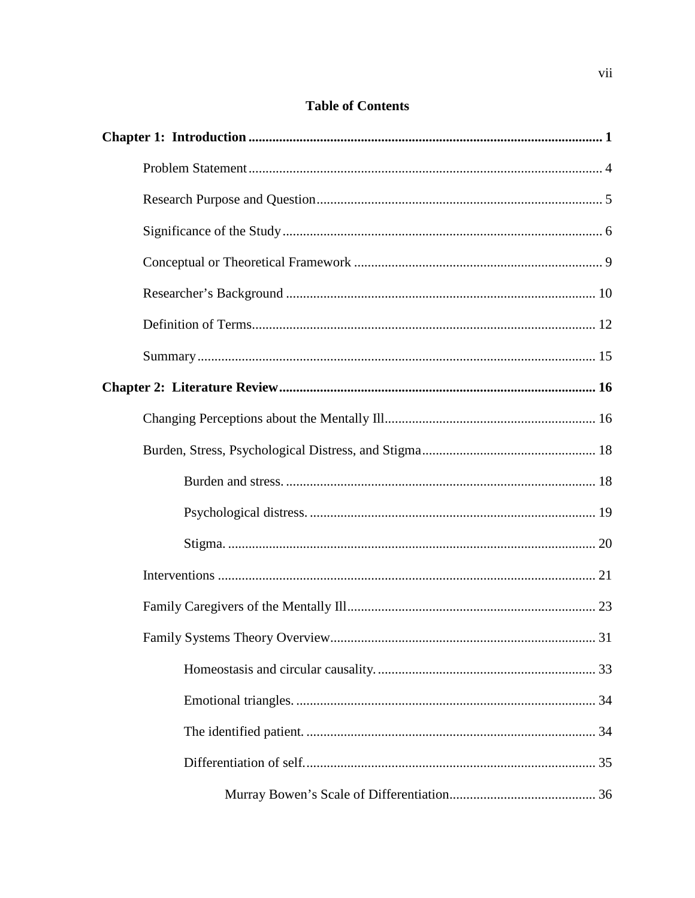# **Table of Contents**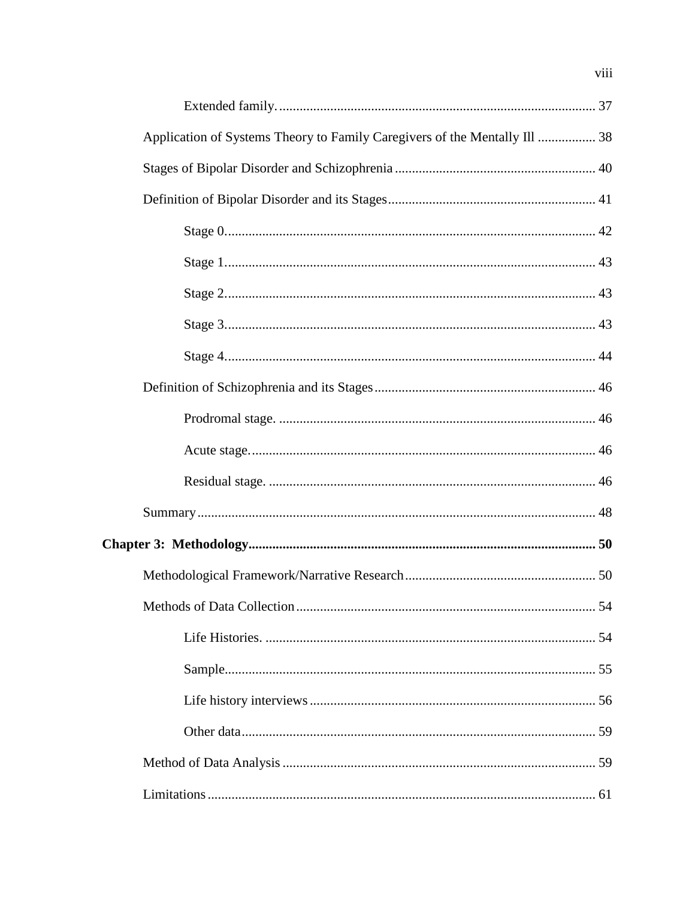| Application of Systems Theory to Family Caregivers of the Mentally Ill  38 |  |
|----------------------------------------------------------------------------|--|
|                                                                            |  |
|                                                                            |  |
|                                                                            |  |
|                                                                            |  |
|                                                                            |  |
|                                                                            |  |
|                                                                            |  |
|                                                                            |  |
|                                                                            |  |
|                                                                            |  |
|                                                                            |  |
|                                                                            |  |
|                                                                            |  |
|                                                                            |  |
|                                                                            |  |
|                                                                            |  |
|                                                                            |  |
|                                                                            |  |
|                                                                            |  |
|                                                                            |  |
|                                                                            |  |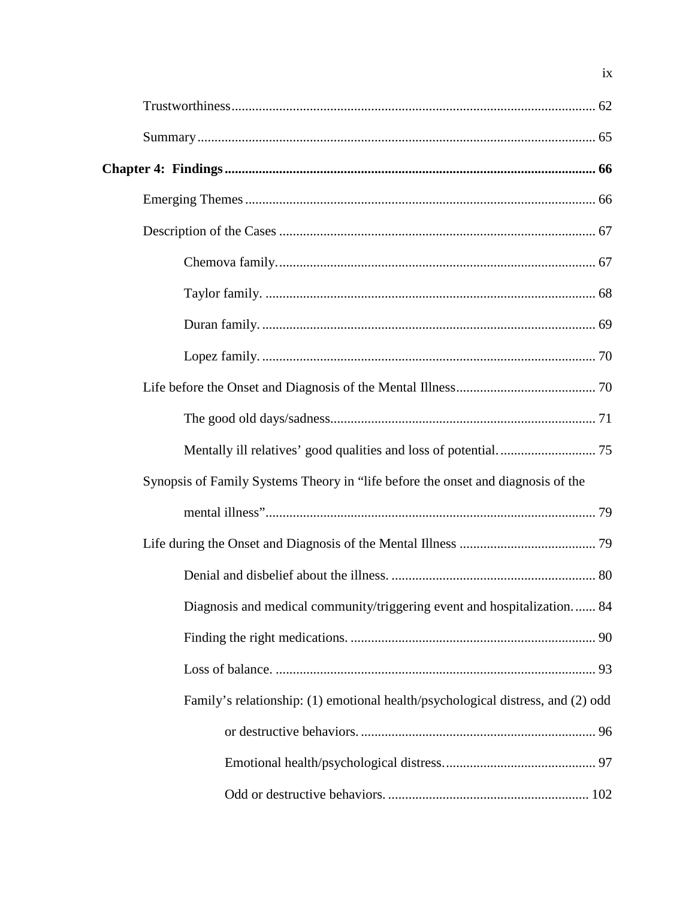| Synopsis of Family Systems Theory in "life before the onset and diagnosis of the |  |
|----------------------------------------------------------------------------------|--|
|                                                                                  |  |
|                                                                                  |  |
|                                                                                  |  |
| Diagnosis and medical community/triggering event and hospitalization 84          |  |
|                                                                                  |  |
|                                                                                  |  |
| Family's relationship: (1) emotional health/psychological distress, and (2) odd  |  |
|                                                                                  |  |
|                                                                                  |  |
|                                                                                  |  |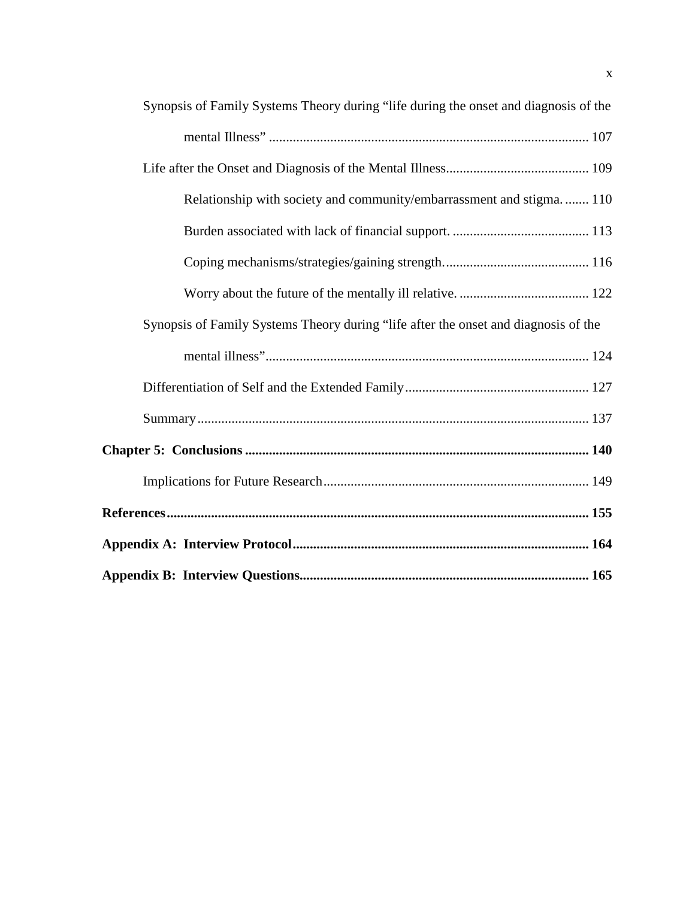| Synopsis of Family Systems Theory during "life during the onset and diagnosis of the |  |
|--------------------------------------------------------------------------------------|--|
|                                                                                      |  |
|                                                                                      |  |
| Relationship with society and community/embarrassment and stigma.  110               |  |
|                                                                                      |  |
|                                                                                      |  |
|                                                                                      |  |
| Synopsis of Family Systems Theory during "life after the onset and diagnosis of the  |  |
|                                                                                      |  |
|                                                                                      |  |
|                                                                                      |  |
|                                                                                      |  |
|                                                                                      |  |
|                                                                                      |  |
|                                                                                      |  |
|                                                                                      |  |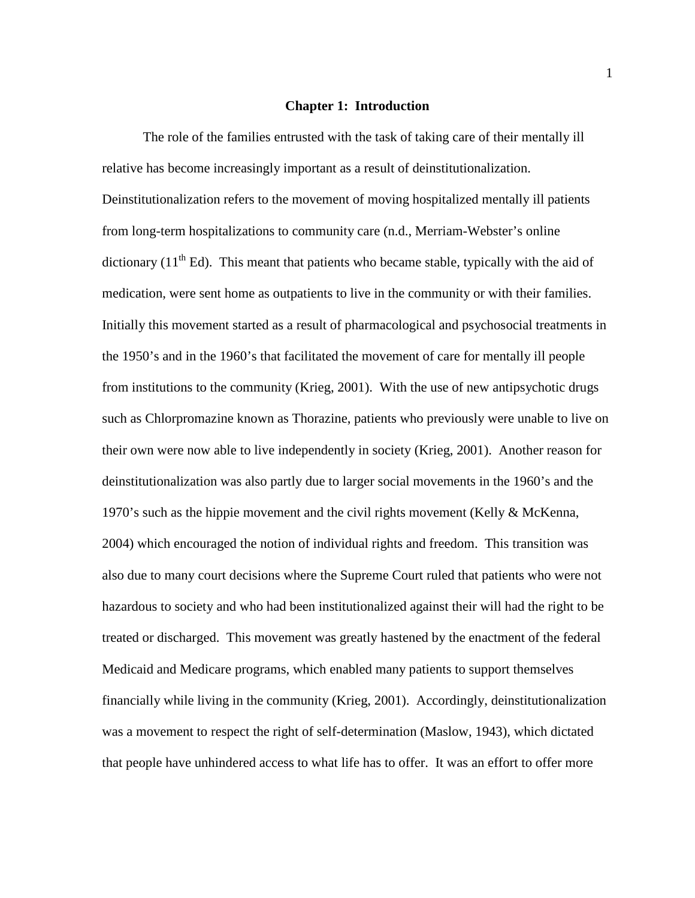#### **Chapter 1: Introduction**

<span id="page-11-0"></span>The role of the families entrusted with the task of taking care of their mentally ill relative has become increasingly important as a result of deinstitutionalization. Deinstitutionalization refers to the movement of moving hospitalized mentally ill patients from long-term hospitalizations to community care (n.d., Merriam-Webster's online dictionary  $(11<sup>th</sup> Ed)$ . This meant that patients who became stable, typically with the aid of medication, were sent home as outpatients to live in the community or with their families. Initially this movement started as a result of pharmacological and psychosocial treatments in the 1950's and in the 1960's that facilitated the movement of care for mentally ill people from institutions to the community (Krieg, 2001). With the use of new antipsychotic drugs such as Chlorpromazine known as Thorazine, patients who previously were unable to live on their own were now able to live independently in society (Krieg, 2001). Another reason for deinstitutionalization was also partly due to larger social movements in the 1960's and the 1970's such as the hippie movement and the civil rights movement (Kelly & McKenna, 2004) which encouraged the notion of individual rights and freedom. This transition was also due to many court decisions where the Supreme Court ruled that patients who were not hazardous to society and who had been institutionalized against their will had the right to be treated or discharged. This movement was greatly hastened by the enactment of the federal Medicaid and Medicare programs, which enabled many patients to support themselves financially while living in the community (Krieg, 2001). Accordingly, deinstitutionalization was a movement to respect the right of self-determination (Maslow, 1943), which dictated that people have unhindered access to what life has to offer. It was an effort to offer more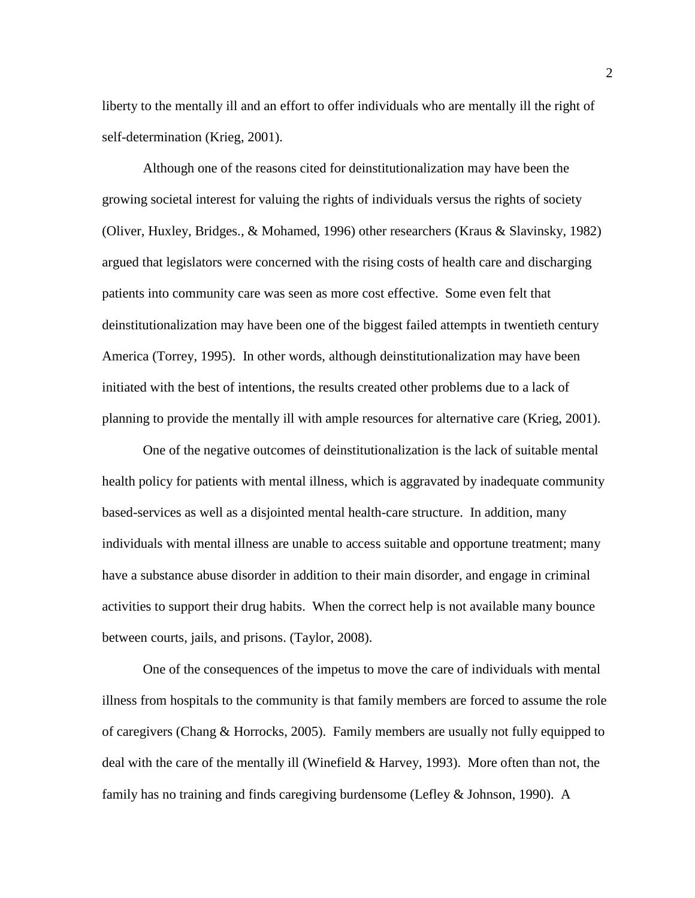liberty to the mentally ill and an effort to offer individuals who are mentally ill the right of self-determination (Krieg, 2001).

Although one of the reasons cited for deinstitutionalization may have been the growing societal interest for valuing the rights of individuals versus the rights of society (Oliver, Huxley, Bridges., & Mohamed, 1996) other researchers (Kraus & Slavinsky, 1982) argued that legislators were concerned with the rising costs of health care and discharging patients into community care was seen as more cost effective. Some even felt that deinstitutionalization may have been one of the biggest failed attempts in twentieth century America (Torrey, 1995). In other words, although deinstitutionalization may have been initiated with the best of intentions, the results created other problems due to a lack of planning to provide the mentally ill with ample resources for alternative care (Krieg, 2001).

One of the negative outcomes of deinstitutionalization is the lack of suitable mental health policy for patients with mental illness, which is aggravated by inadequate community based-services as well as a disjointed mental health-care structure. In addition, many individuals with mental illness are unable to access suitable and opportune treatment; many have a substance abuse disorder in addition to their main disorder, and engage in criminal activities to support their drug habits. When the correct help is not available many bounce between courts, jails, and prisons. (Taylor, 2008).

One of the consequences of the impetus to move the care of individuals with mental illness from hospitals to the community is that family members are forced to assume the role of caregivers (Chang & Horrocks, 2005). Family members are usually not fully equipped to deal with the care of the mentally ill (Winefield & Harvey, 1993). More often than not, the family has no training and finds caregiving burdensome (Lefley & Johnson, 1990). A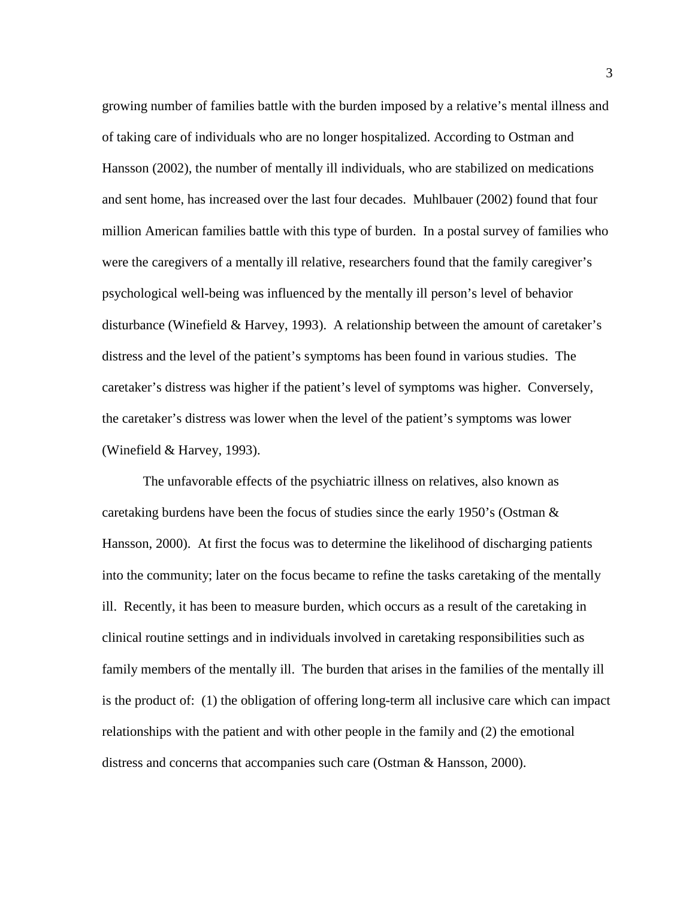growing number of families battle with the burden imposed by a relative's mental illness and of taking care of individuals who are no longer hospitalized. According to Ostman and Hansson (2002), the number of mentally ill individuals, who are stabilized on medications and sent home, has increased over the last four decades. Muhlbauer (2002) found that four million American families battle with this type of burden. In a postal survey of families who were the caregivers of a mentally ill relative, researchers found that the family caregiver's psychological well-being was influenced by the mentally ill person's level of behavior disturbance (Winefield & Harvey, 1993). A relationship between the amount of caretaker's distress and the level of the patient's symptoms has been found in various studies. The caretaker's distress was higher if the patient's level of symptoms was higher. Conversely, the caretaker's distress was lower when the level of the patient's symptoms was lower (Winefield & Harvey, 1993).

The unfavorable effects of the psychiatric illness on relatives, also known as caretaking burdens have been the focus of studies since the early 1950's (Ostman  $\&$ Hansson, 2000). At first the focus was to determine the likelihood of discharging patients into the community; later on the focus became to refine the tasks caretaking of the mentally ill. Recently, it has been to measure burden, which occurs as a result of the caretaking in clinical routine settings and in individuals involved in caretaking responsibilities such as family members of the mentally ill. The burden that arises in the families of the mentally ill is the product of: (1) the obligation of offering long-term all inclusive care which can impact relationships with the patient and with other people in the family and (2) the emotional distress and concerns that accompanies such care (Ostman & Hansson, 2000).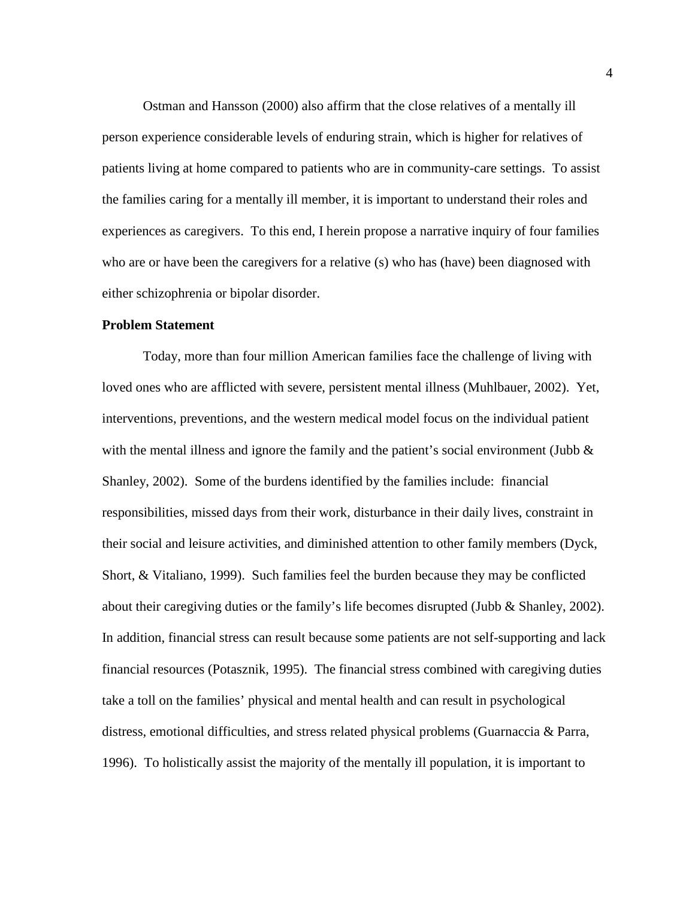Ostman and Hansson (2000) also affirm that the close relatives of a mentally ill person experience considerable levels of enduring strain, which is higher for relatives of patients living at home compared to patients who are in community-care settings. To assist the families caring for a mentally ill member, it is important to understand their roles and experiences as caregivers. To this end, I herein propose a narrative inquiry of four families who are or have been the caregivers for a relative (s) who has (have) been diagnosed with either schizophrenia or bipolar disorder.

#### <span id="page-14-0"></span>**Problem Statement**

Today, more than four million American families face the challenge of living with loved ones who are afflicted with severe, persistent mental illness (Muhlbauer, 2002). Yet, interventions, preventions, and the western medical model focus on the individual patient with the mental illness and ignore the family and the patient's social environment (Jubb  $\&$ Shanley, 2002). Some of the burdens identified by the families include: financial responsibilities, missed days from their work, disturbance in their daily lives, constraint in their social and leisure activities, and diminished attention to other family members (Dyck, Short, & Vitaliano, 1999). Such families feel the burden because they may be conflicted about their caregiving duties or the family's life becomes disrupted (Jubb & Shanley, 2002). In addition, financial stress can result because some patients are not self-supporting and lack financial resources (Potasznik, 1995). The financial stress combined with caregiving duties take a toll on the families' physical and mental health and can result in psychological distress, emotional difficulties, and stress related physical problems (Guarnaccia & Parra, 1996). To holistically assist the majority of the mentally ill population, it is important to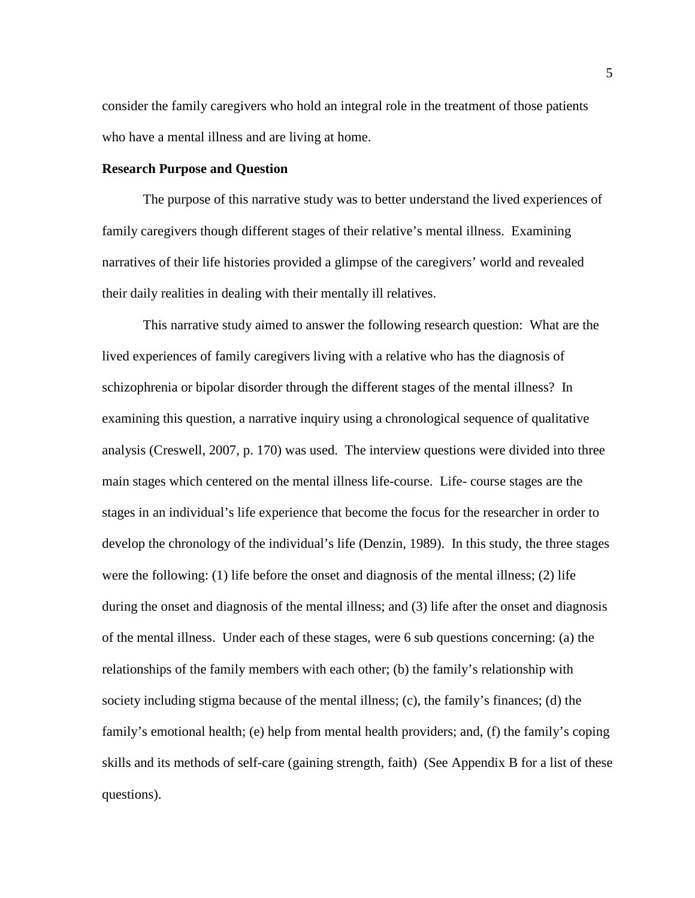consider the family caregivers who hold an integral role in the treatment of those patients who have a mental illness and are living at home.

#### <span id="page-15-0"></span>**Research Purpose and Question**

The purpose of this narrative study was to better understand the lived experiences of family caregivers though different stages of their relative's mental illness. Examining narratives of their life histories provided a glimpse of the caregivers' world and revealed their daily realities in dealing with their mentally ill relatives.

This narrative study aimed to answer the following research question: What are the lived experiences of family caregivers living with a relative who has the diagnosis of schizophrenia or bipolar disorder through the different stages of the mental illness? In examining this question, a narrative inquiry using a chronological sequence of qualitative analysis (Creswell, 2007, p. 170) was used. The interview questions were divided into three main stages which centered on the mental illness life-course. Life- course stages are the stages in an individual's life experience that become the focus for the researcher in order to develop the chronology of the individual's life (Denzin, 1989). In this study, the three stages were the following:  $(1)$  life before the onset and diagnosis of the mental illness;  $(2)$  life during the onset and diagnosis of the mental illness; and (3) life after the onset and diagnosis of the mental illness. Under each of these stages, were 6 sub questions concerning: (a) the relationships of the family members with each other; (b) the family's relationship with society including stigma because of the mental illness; (c), the family's finances; (d) the family's emotional health; (e) help from mental health providers; and, (f) the family's coping skills and its methods of self-care (gaining strength, faith) (See Appendix B for a list of these questions).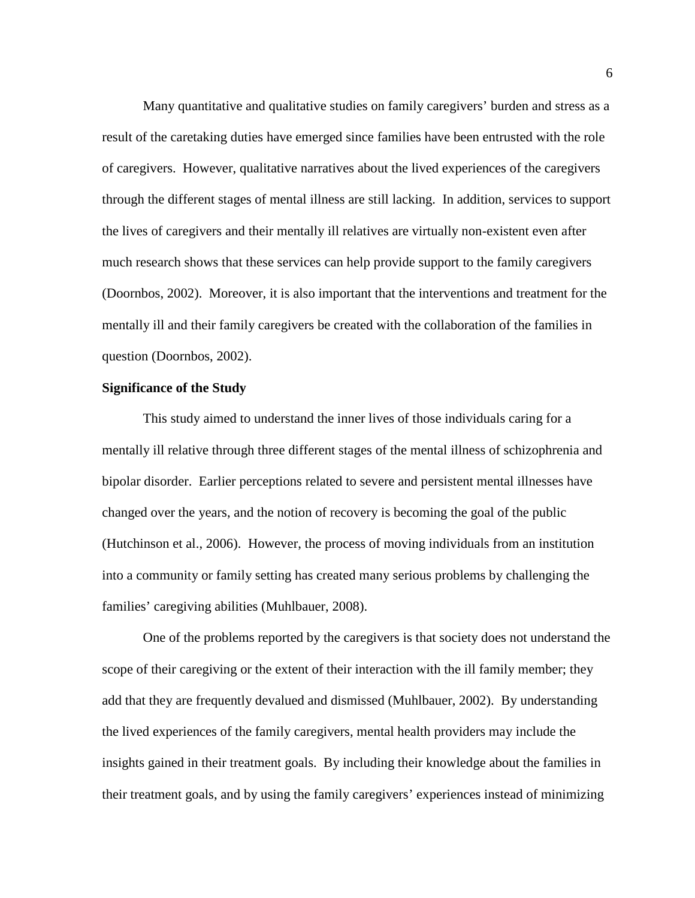Many quantitative and qualitative studies on family caregivers' burden and stress as a result of the caretaking duties have emerged since families have been entrusted with the role of caregivers. However, qualitative narratives about the lived experiences of the caregivers through the different stages of mental illness are still lacking. In addition, services to support the lives of caregivers and their mentally ill relatives are virtually non-existent even after much research shows that these services can help provide support to the family caregivers (Doornbos, 2002). Moreover, it is also important that the interventions and treatment for the mentally ill and their family caregivers be created with the collaboration of the families in question (Doornbos, 2002).

#### <span id="page-16-0"></span>**Significance of the Study**

This study aimed to understand the inner lives of those individuals caring for a mentally ill relative through three different stages of the mental illness of schizophrenia and bipolar disorder. Earlier perceptions related to severe and persistent mental illnesses have changed over the years, and the notion of recovery is becoming the goal of the public (Hutchinson et al., 2006). However, the process of moving individuals from an institution into a community or family setting has created many serious problems by challenging the families' caregiving abilities (Muhlbauer, 2008).

One of the problems reported by the caregivers is that society does not understand the scope of their caregiving or the extent of their interaction with the ill family member; they add that they are frequently devalued and dismissed (Muhlbauer, 2002). By understanding the lived experiences of the family caregivers, mental health providers may include the insights gained in their treatment goals. By including their knowledge about the families in their treatment goals, and by using the family caregivers' experiences instead of minimizing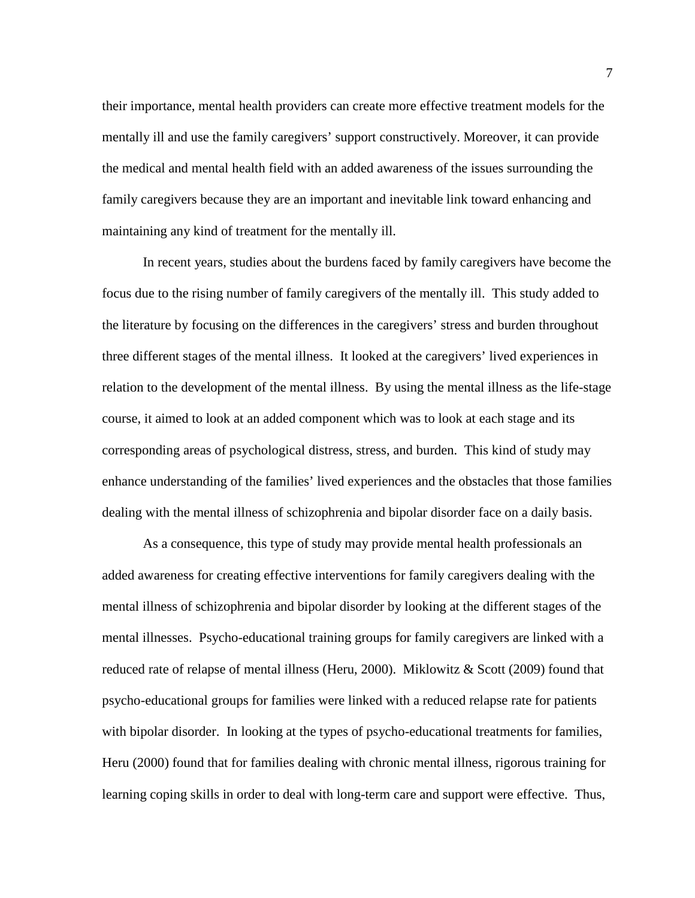their importance, mental health providers can create more effective treatment models for the mentally ill and use the family caregivers' support constructively. Moreover, it can provide the medical and mental health field with an added awareness of the issues surrounding the family caregivers because they are an important and inevitable link toward enhancing and maintaining any kind of treatment for the mentally ill.

In recent years, studies about the burdens faced by family caregivers have become the focus due to the rising number of family caregivers of the mentally ill. This study added to the literature by focusing on the differences in the caregivers' stress and burden throughout three different stages of the mental illness. It looked at the caregivers' lived experiences in relation to the development of the mental illness. By using the mental illness as the life-stage course, it aimed to look at an added component which was to look at each stage and its corresponding areas of psychological distress, stress, and burden. This kind of study may enhance understanding of the families' lived experiences and the obstacles that those families dealing with the mental illness of schizophrenia and bipolar disorder face on a daily basis.

As a consequence, this type of study may provide mental health professionals an added awareness for creating effective interventions for family caregivers dealing with the mental illness of schizophrenia and bipolar disorder by looking at the different stages of the mental illnesses. Psycho-educational training groups for family caregivers are linked with a reduced rate of relapse of mental illness (Heru, 2000). Miklowitz & Scott (2009) found that psycho-educational groups for families were linked with a reduced relapse rate for patients with bipolar disorder. In looking at the types of psycho-educational treatments for families, Heru (2000) found that for families dealing with chronic mental illness, rigorous training for learning coping skills in order to deal with long-term care and support were effective. Thus,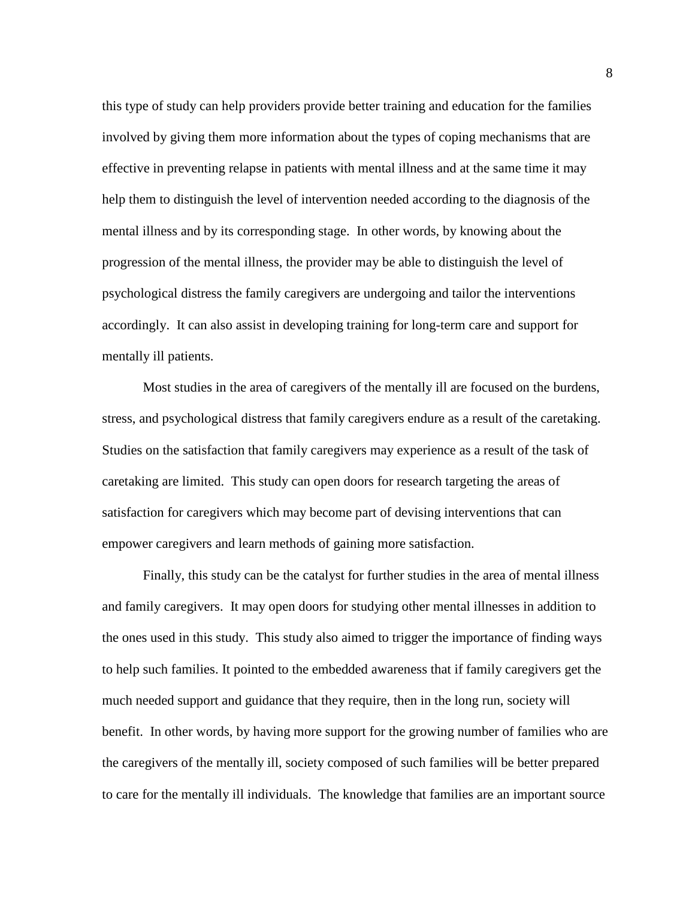this type of study can help providers provide better training and education for the families involved by giving them more information about the types of coping mechanisms that are effective in preventing relapse in patients with mental illness and at the same time it may help them to distinguish the level of intervention needed according to the diagnosis of the mental illness and by its corresponding stage. In other words, by knowing about the progression of the mental illness, the provider may be able to distinguish the level of psychological distress the family caregivers are undergoing and tailor the interventions accordingly. It can also assist in developing training for long-term care and support for mentally ill patients.

Most studies in the area of caregivers of the mentally ill are focused on the burdens, stress, and psychological distress that family caregivers endure as a result of the caretaking. Studies on the satisfaction that family caregivers may experience as a result of the task of caretaking are limited. This study can open doors for research targeting the areas of satisfaction for caregivers which may become part of devising interventions that can empower caregivers and learn methods of gaining more satisfaction.

Finally, this study can be the catalyst for further studies in the area of mental illness and family caregivers. It may open doors for studying other mental illnesses in addition to the ones used in this study. This study also aimed to trigger the importance of finding ways to help such families. It pointed to the embedded awareness that if family caregivers get the much needed support and guidance that they require, then in the long run, society will benefit. In other words, by having more support for the growing number of families who are the caregivers of the mentally ill, society composed of such families will be better prepared to care for the mentally ill individuals. The knowledge that families are an important source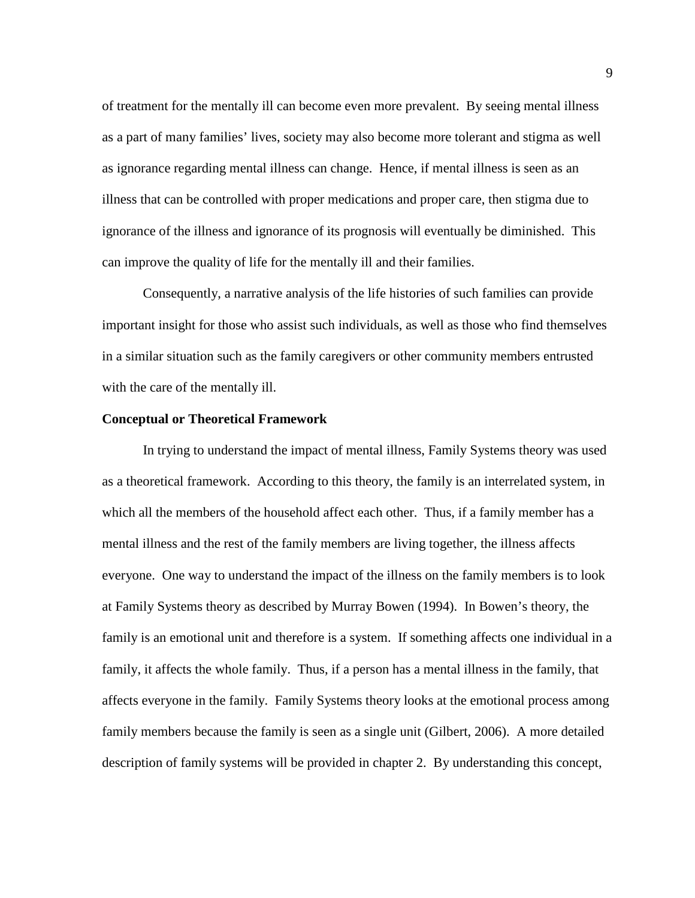of treatment for the mentally ill can become even more prevalent. By seeing mental illness as a part of many families' lives, society may also become more tolerant and stigma as well as ignorance regarding mental illness can change. Hence, if mental illness is seen as an illness that can be controlled with proper medications and proper care, then stigma due to ignorance of the illness and ignorance of its prognosis will eventually be diminished. This can improve the quality of life for the mentally ill and their families.

Consequently, a narrative analysis of the life histories of such families can provide important insight for those who assist such individuals, as well as those who find themselves in a similar situation such as the family caregivers or other community members entrusted with the care of the mentally ill.

#### <span id="page-19-0"></span>**Conceptual or Theoretical Framework**

In trying to understand the impact of mental illness, Family Systems theory was used as a theoretical framework. According to this theory, the family is an interrelated system, in which all the members of the household affect each other. Thus, if a family member has a mental illness and the rest of the family members are living together, the illness affects everyone. One way to understand the impact of the illness on the family members is to look at Family Systems theory as described by Murray Bowen (1994). In Bowen's theory, the family is an emotional unit and therefore is a system. If something affects one individual in a family, it affects the whole family. Thus, if a person has a mental illness in the family, that affects everyone in the family. Family Systems theory looks at the emotional process among family members because the family is seen as a single unit (Gilbert, 2006). A more detailed description of family systems will be provided in chapter 2. By understanding this concept,

9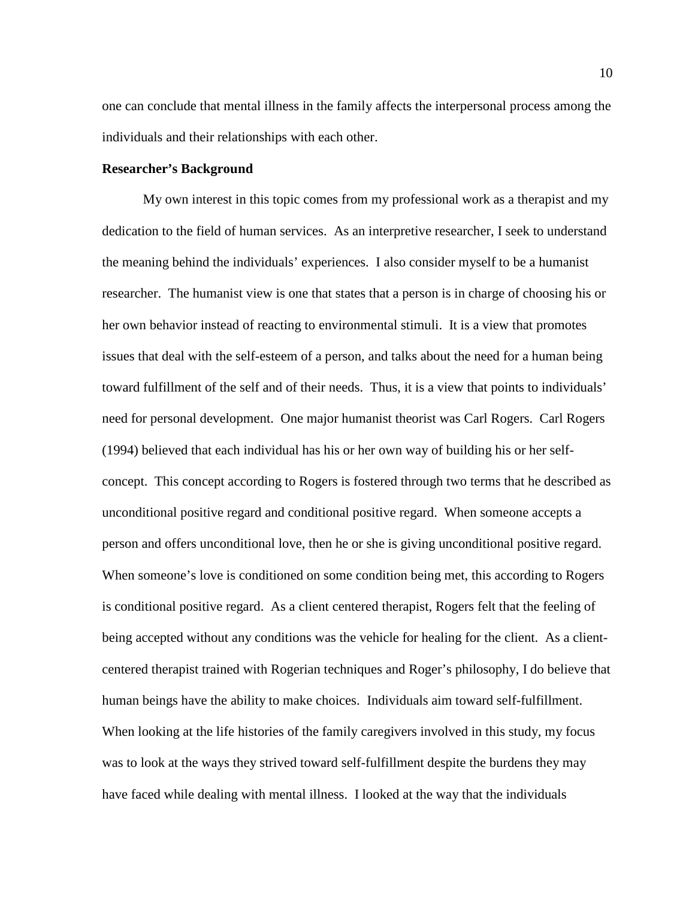one can conclude that mental illness in the family affects the interpersonal process among the individuals and their relationships with each other.

#### <span id="page-20-0"></span>**Researcher's Background**

My own interest in this topic comes from my professional work as a therapist and my dedication to the field of human services. As an interpretive researcher, I seek to understand the meaning behind the individuals' experiences. I also consider myself to be a humanist researcher. The humanist view is one that states that a person is in charge of choosing his or her own behavior instead of reacting to environmental stimuli. It is a view that promotes issues that deal with the self-esteem of a person, and talks about the need for a human being toward fulfillment of the self and of their needs. Thus, it is a view that points to individuals' need for personal development. One major humanist theorist was Carl Rogers. Carl Rogers (1994) believed that each individual has his or her own way of building his or her selfconcept. This concept according to Rogers is fostered through two terms that he described as unconditional positive regard and conditional positive regard. When someone accepts a person and offers unconditional love, then he or she is giving unconditional positive regard. When someone's love is conditioned on some condition being met, this according to Rogers is conditional positive regard. As a client centered therapist, Rogers felt that the feeling of being accepted without any conditions was the vehicle for healing for the client. As a clientcentered therapist trained with Rogerian techniques and Roger's philosophy, I do believe that human beings have the ability to make choices. Individuals aim toward self-fulfillment. When looking at the life histories of the family caregivers involved in this study, my focus was to look at the ways they strived toward self-fulfillment despite the burdens they may have faced while dealing with mental illness. I looked at the way that the individuals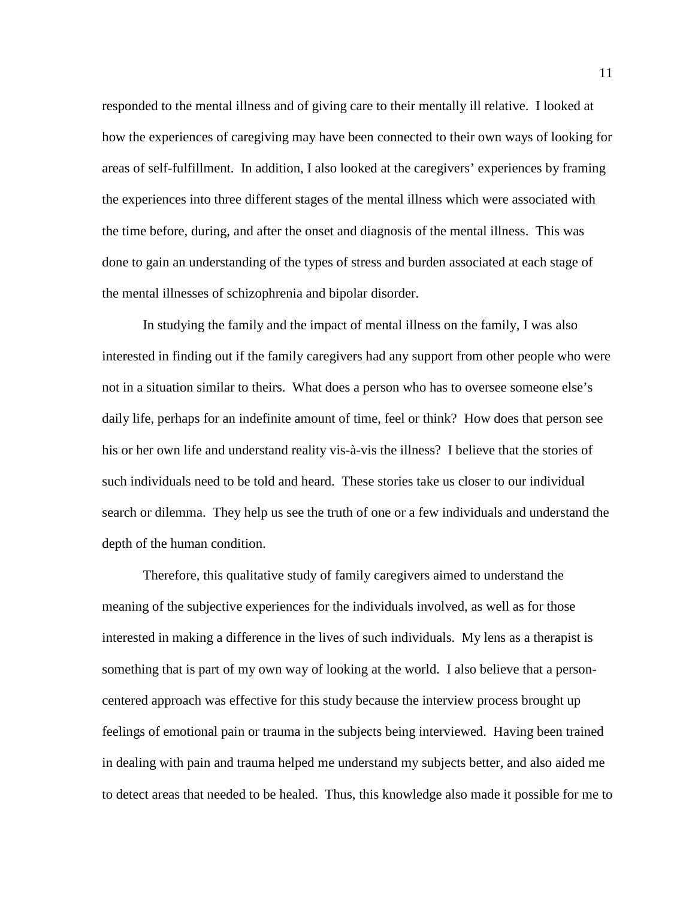responded to the mental illness and of giving care to their mentally ill relative. I looked at how the experiences of caregiving may have been connected to their own ways of looking for areas of self-fulfillment. In addition, I also looked at the caregivers' experiences by framing the experiences into three different stages of the mental illness which were associated with the time before, during, and after the onset and diagnosis of the mental illness. This was done to gain an understanding of the types of stress and burden associated at each stage of the mental illnesses of schizophrenia and bipolar disorder.

In studying the family and the impact of mental illness on the family, I was also interested in finding out if the family caregivers had any support from other people who were not in a situation similar to theirs. What does a person who has to oversee someone else's daily life, perhaps for an indefinite amount of time, feel or think? How does that person see his or her own life and understand reality vis-à-vis the illness? I believe that the stories of such individuals need to be told and heard. These stories take us closer to our individual search or dilemma. They help us see the truth of one or a few individuals and understand the depth of the human condition.

Therefore, this qualitative study of family caregivers aimed to understand the meaning of the subjective experiences for the individuals involved, as well as for those interested in making a difference in the lives of such individuals. My lens as a therapist is something that is part of my own way of looking at the world. I also believe that a personcentered approach was effective for this study because the interview process brought up feelings of emotional pain or trauma in the subjects being interviewed. Having been trained in dealing with pain and trauma helped me understand my subjects better, and also aided me to detect areas that needed to be healed. Thus, this knowledge also made it possible for me to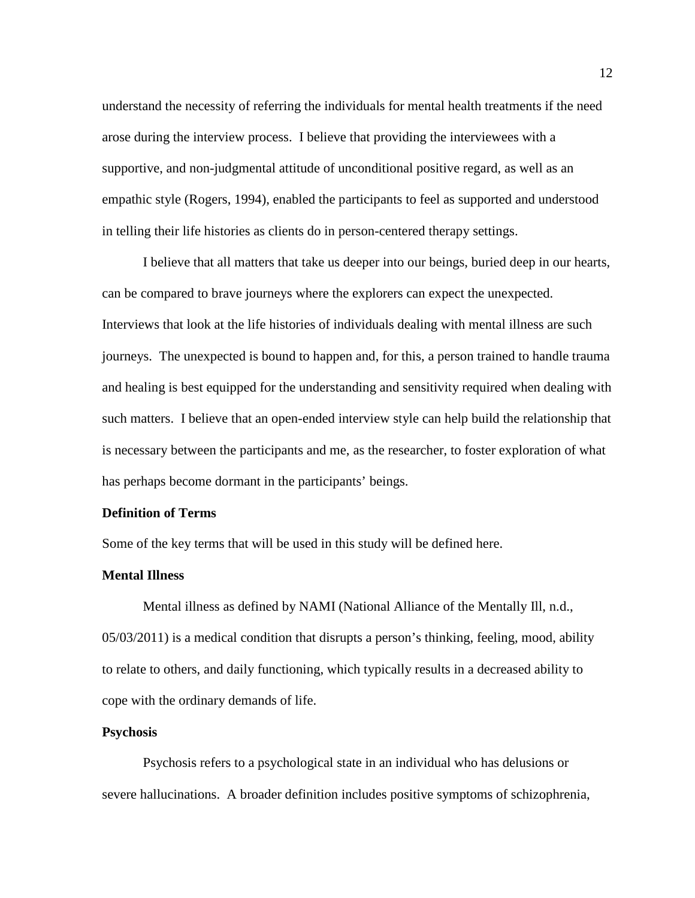understand the necessity of referring the individuals for mental health treatments if the need arose during the interview process. I believe that providing the interviewees with a supportive, and non-judgmental attitude of unconditional positive regard, as well as an empathic style (Rogers, 1994), enabled the participants to feel as supported and understood in telling their life histories as clients do in person-centered therapy settings.

I believe that all matters that take us deeper into our beings, buried deep in our hearts, can be compared to brave journeys where the explorers can expect the unexpected. Interviews that look at the life histories of individuals dealing with mental illness are such journeys. The unexpected is bound to happen and, for this, a person trained to handle trauma and healing is best equipped for the understanding and sensitivity required when dealing with such matters. I believe that an open-ended interview style can help build the relationship that is necessary between the participants and me, as the researcher, to foster exploration of what has perhaps become dormant in the participants' beings.

### <span id="page-22-0"></span>**Definition of Terms**

Some of the key terms that will be used in this study will be defined here.

#### **Mental Illness**

Mental illness as defined by NAMI (National Alliance of the Mentally Ill, n.d., 05/03/2011) is a medical condition that disrupts a person's thinking, feeling, mood, ability to relate to others, and daily functioning, which typically results in a decreased ability to cope with the ordinary demands of life.

#### **Psychosis**

Psychosis refers to a psychological state in an individual who has delusions or severe hallucinations. A broader definition includes positive symptoms of schizophrenia,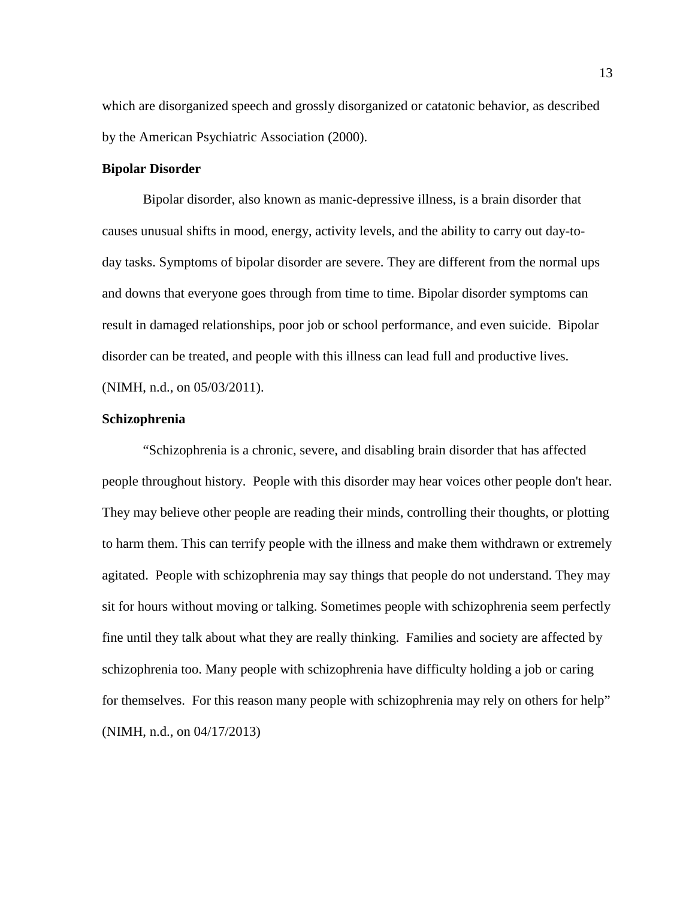which are disorganized speech and grossly disorganized or catatonic behavior, as described by the American Psychiatric Association (2000).

#### **Bipolar Disorder**

Bipolar disorder, also known as manic-depressive illness, is a brain disorder that causes unusual shifts in mood, energy, activity levels, and the ability to carry out day-today tasks. Symptoms of bipolar disorder are severe. They are different from the normal ups and downs that everyone goes through from time to time. Bipolar disorder symptoms can result in damaged relationships, poor job or school performance, and even suicide. Bipolar disorder can be treated, and people with this illness can lead full and productive lives. (NIMH, n.d., on 05/03/2011).

#### **Schizophrenia**

"Schizophrenia is a chronic, severe, and disabling brain disorder that has affected people throughout history. People with this disorder may hear voices other people don't hear. They may believe other people are reading their minds, controlling their thoughts, or plotting to harm them. This can terrify people with the illness and make them withdrawn or extremely agitated. People with schizophrenia may say things that people do not understand. They may sit for hours without moving or talking. Sometimes people with schizophrenia seem perfectly fine until they talk about what they are really thinking. Families and society are affected by schizophrenia too. Many people with schizophrenia have difficulty holding a job or caring for themselves. For this reason many people with schizophrenia may rely on others for help" (NIMH, n.d., on 04/17/2013)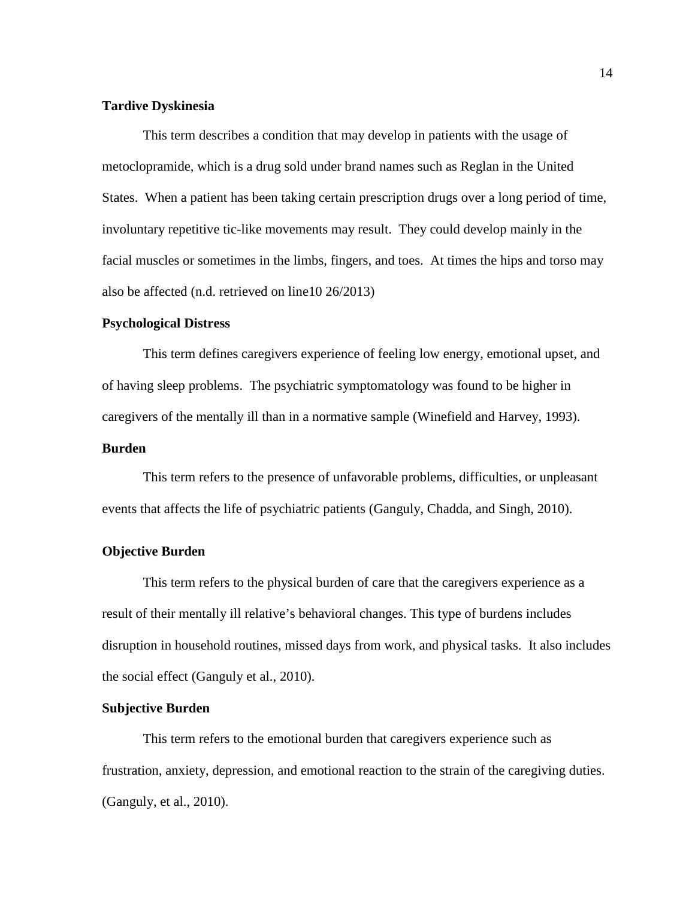### **Tardive Dyskinesia**

This term describes a condition that may develop in patients with the usage of metoclopramide, which is a drug sold under brand names such as Reglan in the United States. When a patient has been taking certain prescription drugs over a long period of time, involuntary repetitive tic-like movements may result. They could develop mainly in the facial muscles or sometimes in the limbs, fingers, and toes. At times the hips and torso may also be affected (n.d. retrieved on line10 26/2013)

#### **Psychological Distress**

This term defines caregivers experience of feeling low energy, emotional upset, and of having sleep problems. The psychiatric symptomatology was found to be higher in caregivers of the mentally ill than in a normative sample (Winefield and Harvey, 1993).

#### **Burden**

This term refers to the presence of unfavorable problems, difficulties, or unpleasant events that affects the life of psychiatric patients (Ganguly, Chadda, and Singh, 2010).

#### **Objective Burden**

This term refers to the physical burden of care that the caregivers experience as a result of their mentally ill relative's behavioral changes. This type of burdens includes disruption in household routines, missed days from work, and physical tasks. It also includes the social effect (Ganguly et al., 2010).

#### **Subjective Burden**

This term refers to the emotional burden that caregivers experience such as frustration, anxiety, depression, and emotional reaction to the strain of the caregiving duties. (Ganguly, et al., 2010).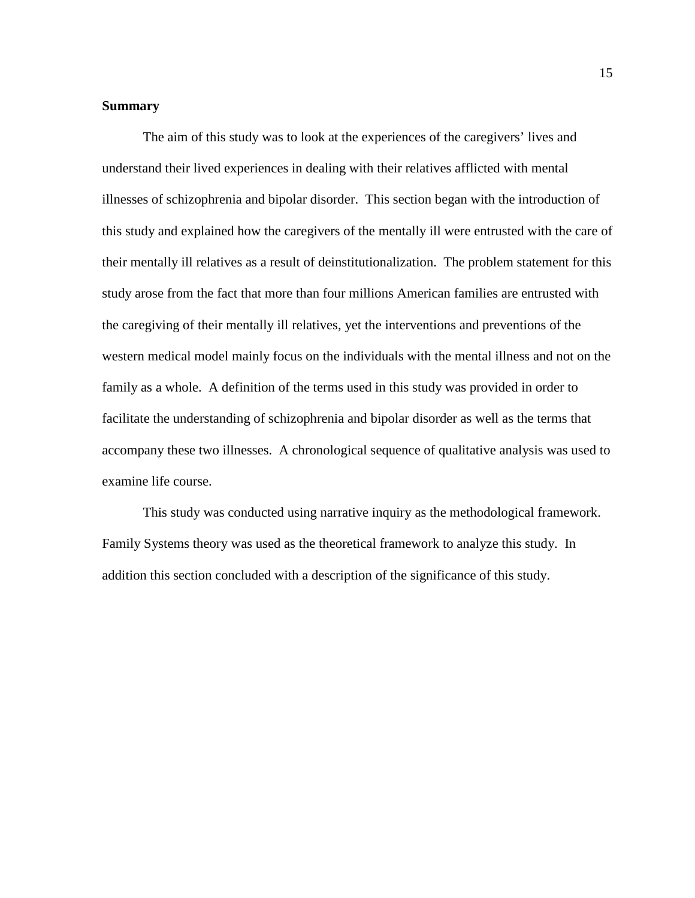### <span id="page-25-0"></span>**Summary**

The aim of this study was to look at the experiences of the caregivers' lives and understand their lived experiences in dealing with their relatives afflicted with mental illnesses of schizophrenia and bipolar disorder. This section began with the introduction of this study and explained how the caregivers of the mentally ill were entrusted with the care of their mentally ill relatives as a result of deinstitutionalization. The problem statement for this study arose from the fact that more than four millions American families are entrusted with the caregiving of their mentally ill relatives, yet the interventions and preventions of the western medical model mainly focus on the individuals with the mental illness and not on the family as a whole. A definition of the terms used in this study was provided in order to facilitate the understanding of schizophrenia and bipolar disorder as well as the terms that accompany these two illnesses. A chronological sequence of qualitative analysis was used to examine life course.

This study was conducted using narrative inquiry as the methodological framework. Family Systems theory was used as the theoretical framework to analyze this study. In addition this section concluded with a description of the significance of this study.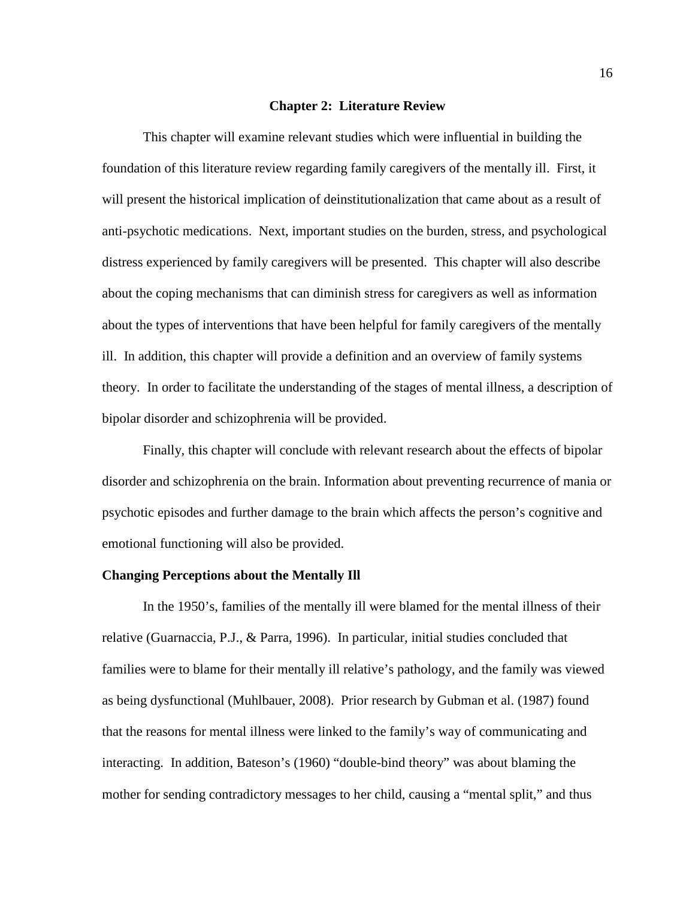#### **Chapter 2: Literature Review**

<span id="page-26-0"></span>This chapter will examine relevant studies which were influential in building the foundation of this literature review regarding family caregivers of the mentally ill. First, it will present the historical implication of deinstitutionalization that came about as a result of anti-psychotic medications. Next, important studies on the burden, stress, and psychological distress experienced by family caregivers will be presented. This chapter will also describe about the coping mechanisms that can diminish stress for caregivers as well as information about the types of interventions that have been helpful for family caregivers of the mentally ill. In addition, this chapter will provide a definition and an overview of family systems theory. In order to facilitate the understanding of the stages of mental illness, a description of bipolar disorder and schizophrenia will be provided.

Finally, this chapter will conclude with relevant research about the effects of bipolar disorder and schizophrenia on the brain. Information about preventing recurrence of mania or psychotic episodes and further damage to the brain which affects the person's cognitive and emotional functioning will also be provided.

#### <span id="page-26-1"></span>**Changing Perceptions about the Mentally Ill**

In the 1950's, families of the mentally ill were blamed for the mental illness of their relative (Guarnaccia, P.J., & Parra, 1996). In particular, initial studies concluded that families were to blame for their mentally ill relative's pathology, and the family was viewed as being dysfunctional (Muhlbauer, 2008). Prior research by Gubman et al. (1987) found that the reasons for mental illness were linked to the family's way of communicating and interacting. In addition, Bateson's (1960) "double-bind theory" was about blaming the mother for sending contradictory messages to her child, causing a "mental split," and thus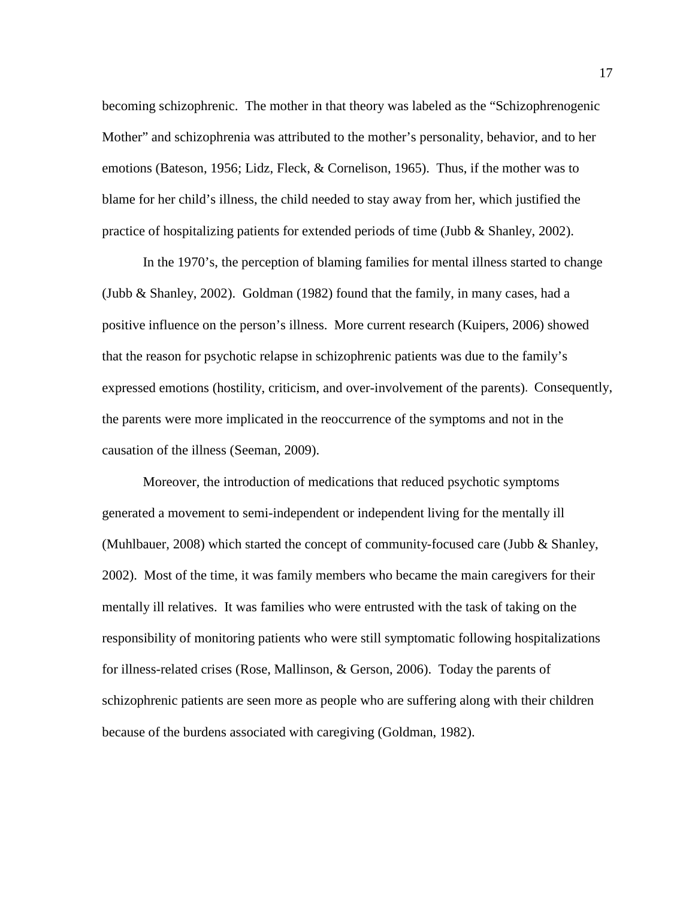becoming schizophrenic. The mother in that theory was labeled as the "Schizophrenogenic Mother" and schizophrenia was attributed to the mother's personality, behavior, and to her emotions (Bateson, 1956; Lidz, Fleck, & Cornelison, 1965). Thus, if the mother was to blame for her child's illness, the child needed to stay away from her, which justified the practice of hospitalizing patients for extended periods of time (Jubb & Shanley, 2002).

In the 1970's, the perception of blaming families for mental illness started to change (Jubb & Shanley, 2002). Goldman (1982) found that the family, in many cases, had a positive influence on the person's illness. More current research (Kuipers, 2006) showed that the reason for psychotic relapse in schizophrenic patients was due to the family's expressed emotions (hostility, criticism, and over-involvement of the parents). Consequently, the parents were more implicated in the reoccurrence of the symptoms and not in the causation of the illness (Seeman, 2009).

Moreover, the introduction of medications that reduced psychotic symptoms generated a movement to semi-independent or independent living for the mentally ill (Muhlbauer, 2008) which started the concept of community-focused care (Jubb & Shanley, 2002). Most of the time, it was family members who became the main caregivers for their mentally ill relatives. It was families who were entrusted with the task of taking on the responsibility of monitoring patients who were still symptomatic following hospitalizations for illness-related crises (Rose, Mallinson, & Gerson, 2006). Today the parents of schizophrenic patients are seen more as people who are suffering along with their children because of the burdens associated with caregiving (Goldman, 1982).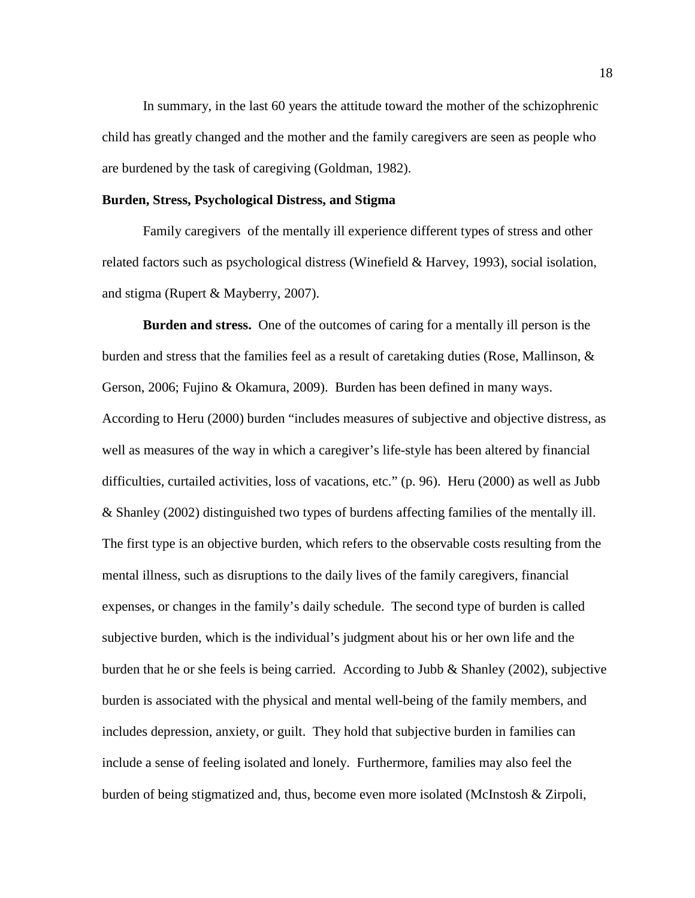In summary, in the last 60 years the attitude toward the mother of the schizophrenic child has greatly changed and the mother and the family caregivers are seen as people who are burdened by the task of caregiving (Goldman, 1982).

#### <span id="page-28-0"></span>**Burden, Stress, Psychological Distress, and Stigma**

Family caregivers of the mentally ill experience different types of stress and other related factors such as psychological distress (Winefield & Harvey, 1993), social isolation, and stigma (Rupert & Mayberry, 2007).

<span id="page-28-1"></span>**Burden and stress.** One of the outcomes of caring for a mentally ill person is the burden and stress that the families feel as a result of caretaking duties (Rose, Mallinson,  $\&$ Gerson, 2006; Fujino & Okamura, 2009). Burden has been defined in many ways. According to Heru (2000) burden "includes measures of subjective and objective distress, as well as measures of the way in which a caregiver's life-style has been altered by financial difficulties, curtailed activities, loss of vacations, etc." (p. 96). Heru (2000) as well as Jubb & Shanley (2002) distinguished two types of burdens affecting families of the mentally ill. The first type is an objective burden, which refers to the observable costs resulting from the mental illness, such as disruptions to the daily lives of the family caregivers, financial expenses, or changes in the family's daily schedule. The second type of burden is called subjective burden, which is the individual's judgment about his or her own life and the burden that he or she feels is being carried. According to Jubb & Shanley (2002), subjective burden is associated with the physical and mental well-being of the family members, and includes depression, anxiety, or guilt. They hold that subjective burden in families can include a sense of feeling isolated and lonely. Furthermore, families may also feel the burden of being stigmatized and, thus, become even more isolated (McInstosh & Zirpoli,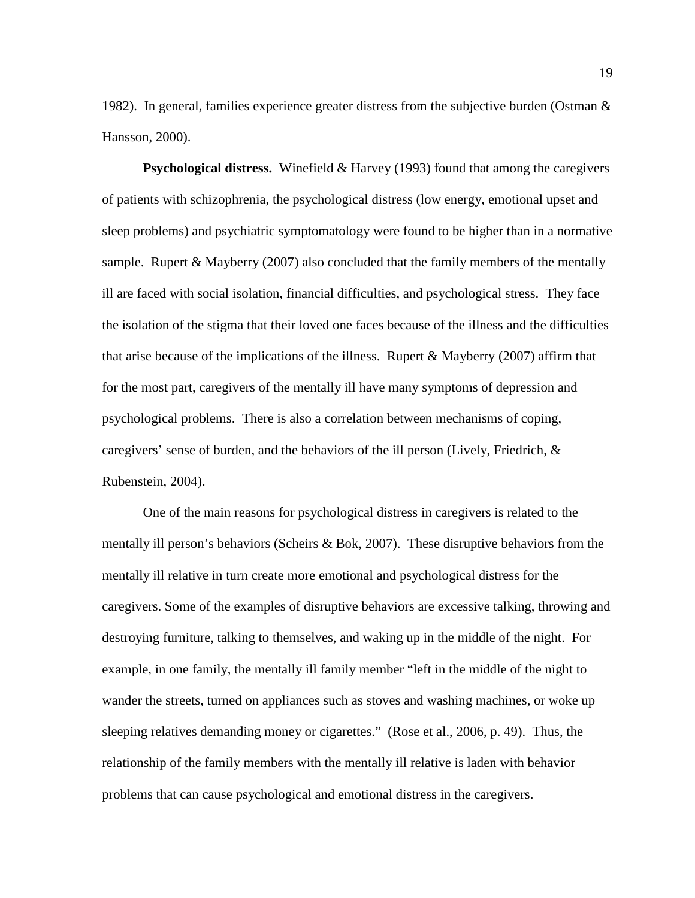1982). In general, families experience greater distress from the subjective burden (Ostman & Hansson, 2000).

<span id="page-29-0"></span>**Psychological distress.** Winefield & Harvey (1993) found that among the caregivers of patients with schizophrenia, the psychological distress (low energy, emotional upset and sleep problems) and psychiatric symptomatology were found to be higher than in a normative sample. Rupert  $&$  Mayberry (2007) also concluded that the family members of the mentally ill are faced with social isolation, financial difficulties, and psychological stress. They face the isolation of the stigma that their loved one faces because of the illness and the difficulties that arise because of the implications of the illness. Rupert  $\&$  Mayberry (2007) affirm that for the most part, caregivers of the mentally ill have many symptoms of depression and psychological problems. There is also a correlation between mechanisms of coping, caregivers' sense of burden, and the behaviors of the ill person (Lively, Friedrich, & Rubenstein, 2004).

One of the main reasons for psychological distress in caregivers is related to the mentally ill person's behaviors (Scheirs & Bok, 2007). These disruptive behaviors from the mentally ill relative in turn create more emotional and psychological distress for the caregivers. Some of the examples of disruptive behaviors are excessive talking, throwing and destroying furniture, talking to themselves, and waking up in the middle of the night. For example, in one family, the mentally ill family member "left in the middle of the night to wander the streets, turned on appliances such as stoves and washing machines, or woke up sleeping relatives demanding money or cigarettes." (Rose et al., 2006, p. 49). Thus, the relationship of the family members with the mentally ill relative is laden with behavior problems that can cause psychological and emotional distress in the caregivers.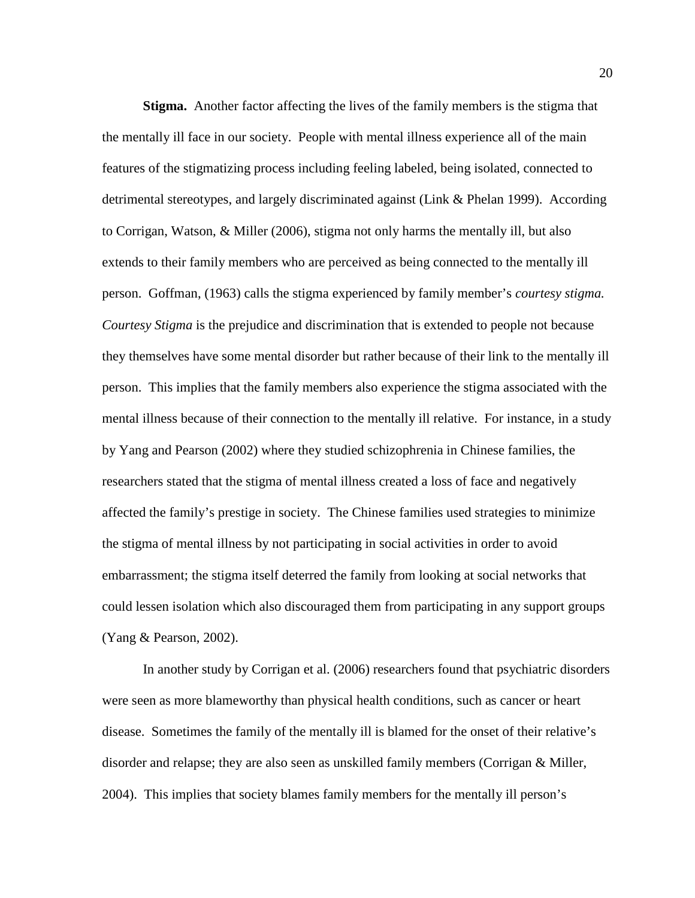<span id="page-30-0"></span>**Stigma.** Another factor affecting the lives of the family members is the stigma that the mentally ill face in our society. People with mental illness experience all of the main features of the stigmatizing process including feeling labeled, being isolated, connected to detrimental stereotypes, and largely discriminated against (Link & Phelan 1999). According to Corrigan, Watson, & Miller (2006), stigma not only harms the mentally ill, but also extends to their family members who are perceived as being connected to the mentally ill person. Goffman, (1963) calls the stigma experienced by family member's *courtesy stigma. Courtesy Stigma* is the prejudice and discrimination that is extended to people not because they themselves have some mental disorder but rather because of their link to the mentally ill person. This implies that the family members also experience the stigma associated with the mental illness because of their connection to the mentally ill relative. For instance, in a study by Yang and Pearson (2002) where they studied schizophrenia in Chinese families, the researchers stated that the stigma of mental illness created a loss of face and negatively affected the family's prestige in society. The Chinese families used strategies to minimize the stigma of mental illness by not participating in social activities in order to avoid embarrassment; the stigma itself deterred the family from looking at social networks that could lessen isolation which also discouraged them from participating in any support groups (Yang & Pearson, 2002).

In another study by Corrigan et al. (2006) researchers found that psychiatric disorders were seen as more blameworthy than physical health conditions, such as cancer or heart disease. Sometimes the family of the mentally ill is blamed for the onset of their relative's disorder and relapse; they are also seen as unskilled family members (Corrigan & Miller, 2004). This implies that society blames family members for the mentally ill person's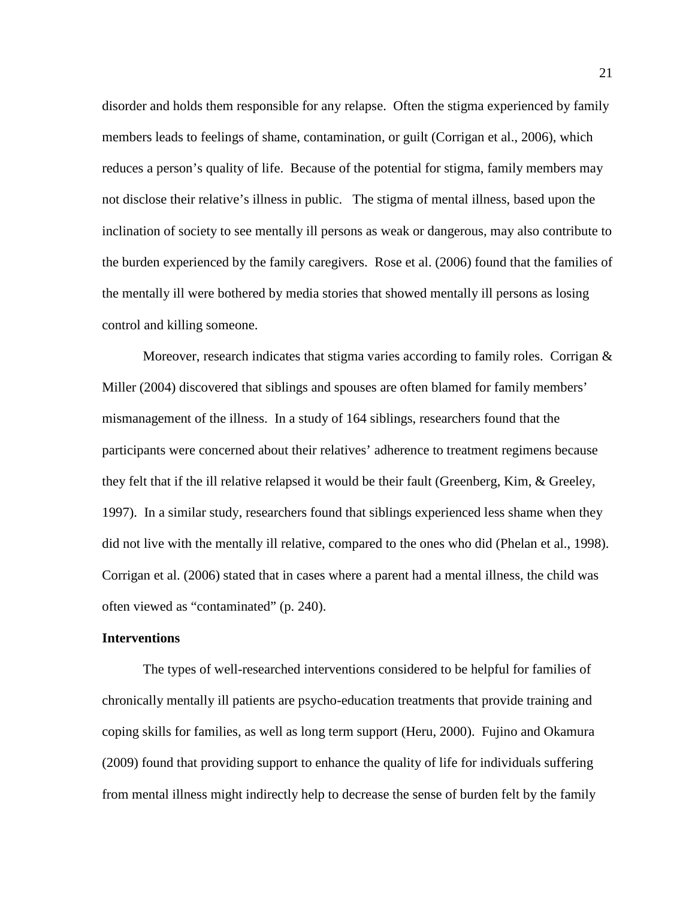disorder and holds them responsible for any relapse. Often the stigma experienced by family members leads to feelings of shame, contamination, or guilt (Corrigan et al., 2006), which reduces a person's quality of life. Because of the potential for stigma, family members may not disclose their relative's illness in public. The stigma of mental illness, based upon the inclination of society to see mentally ill persons as weak or dangerous, may also contribute to the burden experienced by the family caregivers. Rose et al. (2006) found that the families of the mentally ill were bothered by media stories that showed mentally ill persons as losing control and killing someone.

Moreover, research indicates that stigma varies according to family roles. Corrigan  $\&$ Miller (2004) discovered that siblings and spouses are often blamed for family members' mismanagement of the illness. In a study of 164 siblings, researchers found that the participants were concerned about their relatives' adherence to treatment regimens because they felt that if the ill relative relapsed it would be their fault (Greenberg, Kim, & Greeley, 1997). In a similar study, researchers found that siblings experienced less shame when they did not live with the mentally ill relative, compared to the ones who did (Phelan et al., 1998). Corrigan et al. (2006) stated that in cases where a parent had a mental illness, the child was often viewed as "contaminated" (p. 240).

#### <span id="page-31-0"></span>**Interventions**

The types of well-researched interventions considered to be helpful for families of chronically mentally ill patients are psycho-education treatments that provide training and coping skills for families, as well as long term support (Heru, 2000). Fujino and Okamura (2009) found that providing support to enhance the quality of life for individuals suffering from mental illness might indirectly help to decrease the sense of burden felt by the family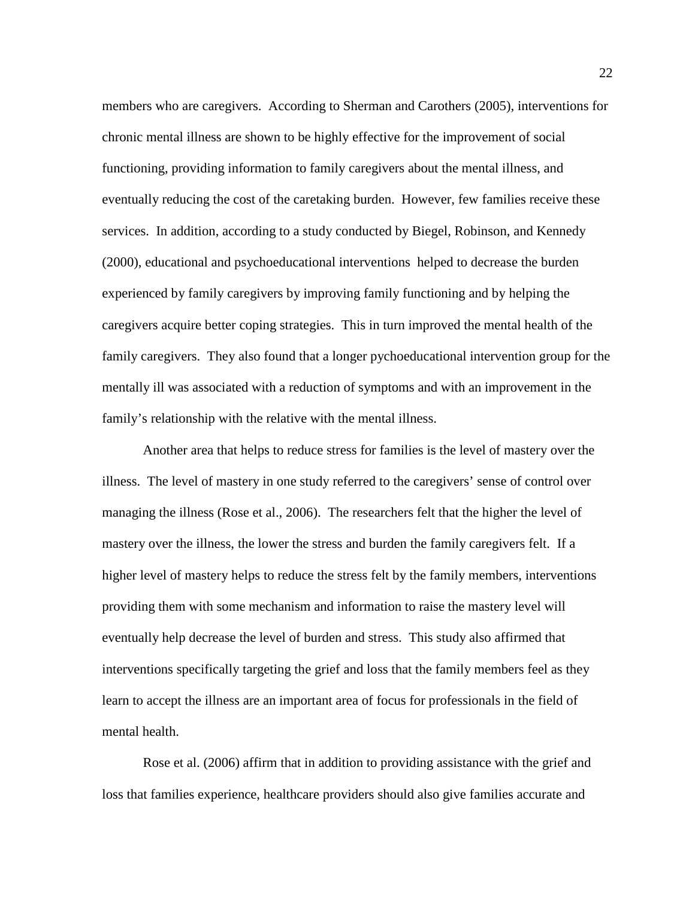members who are caregivers. According to Sherman and Carothers (2005), interventions for chronic mental illness are shown to be highly effective for the improvement of social functioning, providing information to family caregivers about the mental illness, and eventually reducing the cost of the caretaking burden. However, few families receive these services. In addition, according to a study conducted by Biegel, Robinson, and Kennedy (2000), educational and psychoeducational interventions helped to decrease the burden experienced by family caregivers by improving family functioning and by helping the caregivers acquire better coping strategies. This in turn improved the mental health of the family caregivers. They also found that a longer pychoeducational intervention group for the mentally ill was associated with a reduction of symptoms and with an improvement in the family's relationship with the relative with the mental illness.

Another area that helps to reduce stress for families is the level of mastery over the illness. The level of mastery in one study referred to the caregivers' sense of control over managing the illness (Rose et al., 2006). The researchers felt that the higher the level of mastery over the illness, the lower the stress and burden the family caregivers felt. If a higher level of mastery helps to reduce the stress felt by the family members, interventions providing them with some mechanism and information to raise the mastery level will eventually help decrease the level of burden and stress. This study also affirmed that interventions specifically targeting the grief and loss that the family members feel as they learn to accept the illness are an important area of focus for professionals in the field of mental health.

Rose et al. (2006) affirm that in addition to providing assistance with the grief and loss that families experience, healthcare providers should also give families accurate and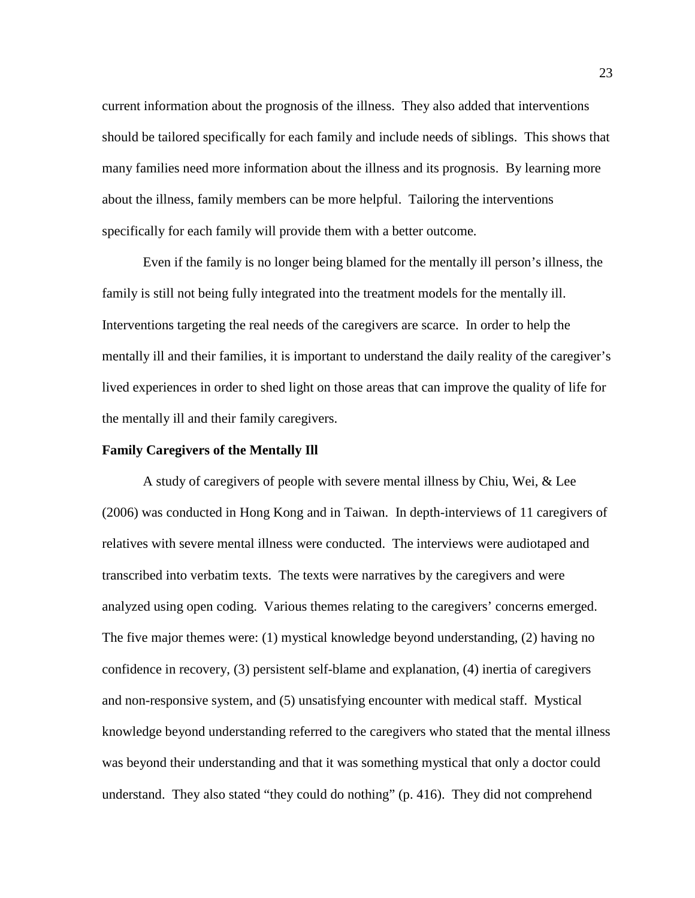current information about the prognosis of the illness. They also added that interventions should be tailored specifically for each family and include needs of siblings. This shows that many families need more information about the illness and its prognosis. By learning more about the illness, family members can be more helpful. Tailoring the interventions specifically for each family will provide them with a better outcome.

Even if the family is no longer being blamed for the mentally ill person's illness, the family is still not being fully integrated into the treatment models for the mentally ill. Interventions targeting the real needs of the caregivers are scarce. In order to help the mentally ill and their families, it is important to understand the daily reality of the caregiver's lived experiences in order to shed light on those areas that can improve the quality of life for the mentally ill and their family caregivers.

#### <span id="page-33-0"></span>**Family Caregivers of the Mentally Ill**

A study of caregivers of people with severe mental illness by Chiu, Wei, & Lee (2006) was conducted in Hong Kong and in Taiwan. In depth-interviews of 11 caregivers of relatives with severe mental illness were conducted. The interviews were audiotaped and transcribed into verbatim texts. The texts were narratives by the caregivers and were analyzed using open coding. Various themes relating to the caregivers' concerns emerged. The five major themes were: (1) mystical knowledge beyond understanding, (2) having no confidence in recovery, (3) persistent self-blame and explanation, (4) inertia of caregivers and non-responsive system, and (5) unsatisfying encounter with medical staff. Mystical knowledge beyond understanding referred to the caregivers who stated that the mental illness was beyond their understanding and that it was something mystical that only a doctor could understand. They also stated "they could do nothing" (p. 416). They did not comprehend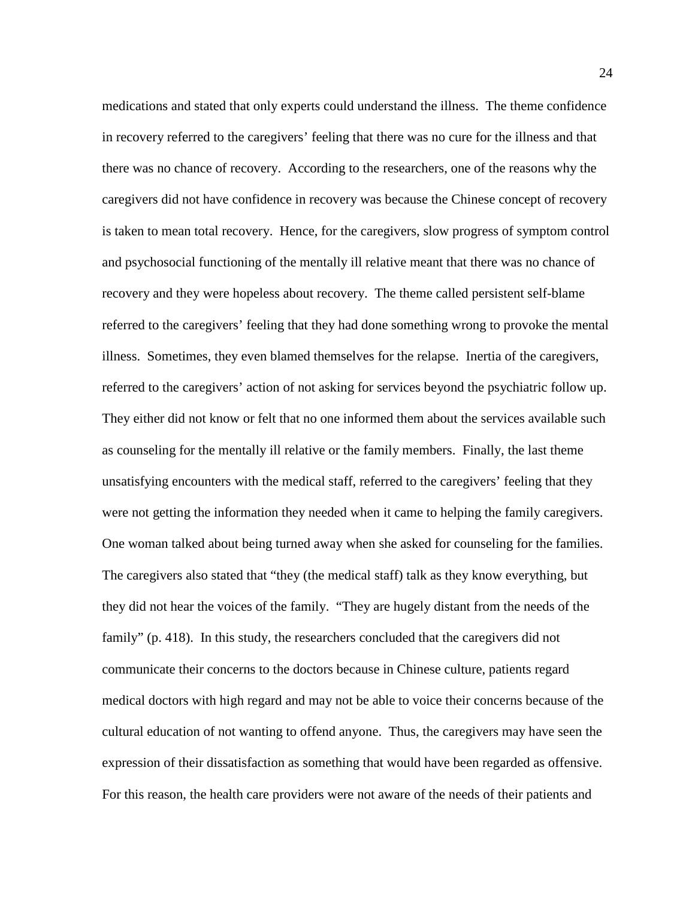medications and stated that only experts could understand the illness. The theme confidence in recovery referred to the caregivers' feeling that there was no cure for the illness and that there was no chance of recovery. According to the researchers, one of the reasons why the caregivers did not have confidence in recovery was because the Chinese concept of recovery is taken to mean total recovery. Hence, for the caregivers, slow progress of symptom control and psychosocial functioning of the mentally ill relative meant that there was no chance of recovery and they were hopeless about recovery. The theme called persistent self-blame referred to the caregivers' feeling that they had done something wrong to provoke the mental illness. Sometimes, they even blamed themselves for the relapse. Inertia of the caregivers, referred to the caregivers' action of not asking for services beyond the psychiatric follow up. They either did not know or felt that no one informed them about the services available such as counseling for the mentally ill relative or the family members. Finally, the last theme unsatisfying encounters with the medical staff, referred to the caregivers' feeling that they were not getting the information they needed when it came to helping the family caregivers. One woman talked about being turned away when she asked for counseling for the families. The caregivers also stated that "they (the medical staff) talk as they know everything, but they did not hear the voices of the family. "They are hugely distant from the needs of the family" (p. 418). In this study, the researchers concluded that the caregivers did not communicate their concerns to the doctors because in Chinese culture, patients regard medical doctors with high regard and may not be able to voice their concerns because of the cultural education of not wanting to offend anyone. Thus, the caregivers may have seen the expression of their dissatisfaction as something that would have been regarded as offensive. For this reason, the health care providers were not aware of the needs of their patients and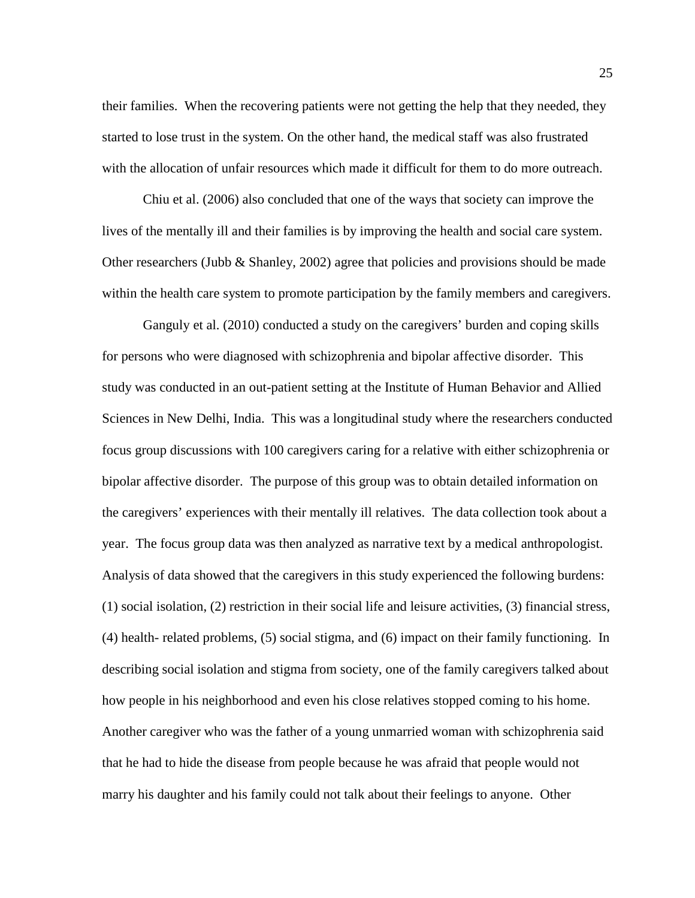their families. When the recovering patients were not getting the help that they needed, they started to lose trust in the system. On the other hand, the medical staff was also frustrated with the allocation of unfair resources which made it difficult for them to do more outreach.

Chiu et al. (2006) also concluded that one of the ways that society can improve the lives of the mentally ill and their families is by improving the health and social care system. Other researchers (Jubb & Shanley, 2002) agree that policies and provisions should be made within the health care system to promote participation by the family members and caregivers.

Ganguly et al. (2010) conducted a study on the caregivers' burden and coping skills for persons who were diagnosed with schizophrenia and bipolar affective disorder. This study was conducted in an out-patient setting at the Institute of Human Behavior and Allied Sciences in New Delhi, India. This was a longitudinal study where the researchers conducted focus group discussions with 100 caregivers caring for a relative with either schizophrenia or bipolar affective disorder. The purpose of this group was to obtain detailed information on the caregivers' experiences with their mentally ill relatives. The data collection took about a year. The focus group data was then analyzed as narrative text by a medical anthropologist. Analysis of data showed that the caregivers in this study experienced the following burdens: (1) social isolation, (2) restriction in their social life and leisure activities, (3) financial stress, (4) health- related problems, (5) social stigma, and (6) impact on their family functioning. In describing social isolation and stigma from society, one of the family caregivers talked about how people in his neighborhood and even his close relatives stopped coming to his home. Another caregiver who was the father of a young unmarried woman with schizophrenia said that he had to hide the disease from people because he was afraid that people would not marry his daughter and his family could not talk about their feelings to anyone. Other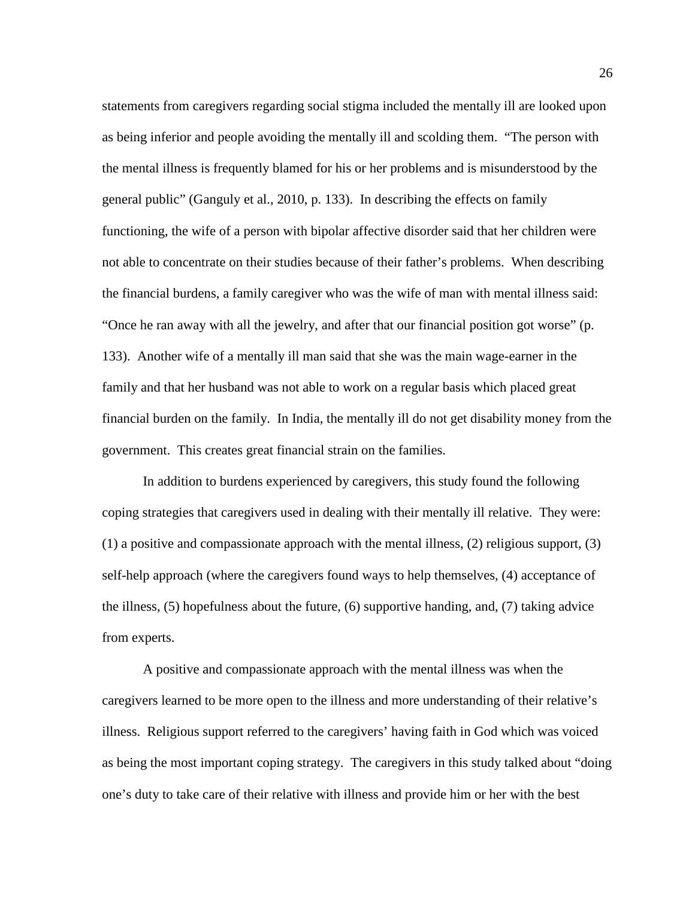statements from caregivers regarding social stigma included the mentally ill are looked upon as being inferior and people avoiding the mentally ill and scolding them. "The person with the mental illness is frequently blamed for his or her problems and is misunderstood by the general public" (Ganguly et al., 2010, p. 133). In describing the effects on family functioning, the wife of a person with bipolar affective disorder said that her children were not able to concentrate on their studies because of their father's problems. When describing the financial burdens, a family caregiver who was the wife of man with mental illness said: "Once he ran away with all the jewelry, and after that our financial position got worse" (p. 133). Another wife of a mentally ill man said that she was the main wage-earner in the family and that her husband was not able to work on a regular basis which placed great financial burden on the family. In India, the mentally ill do not get disability money from the government. This creates great financial strain on the families.

In addition to burdens experienced by caregivers, this study found the following coping strategies that caregivers used in dealing with their mentally ill relative. They were: (1) a positive and compassionate approach with the mental illness, (2) religious support, (3) self-help approach (where the caregivers found ways to help themselves, (4) acceptance of the illness, (5) hopefulness about the future, (6) supportive handing, and, (7) taking advice from experts.

A positive and compassionate approach with the mental illness was when the caregivers learned to be more open to the illness and more understanding of their relative's illness. Religious support referred to the caregivers' having faith in God which was voiced as being the most important coping strategy. The caregivers in this study talked about "doing one's duty to take care of their relative with illness and provide him or her with the best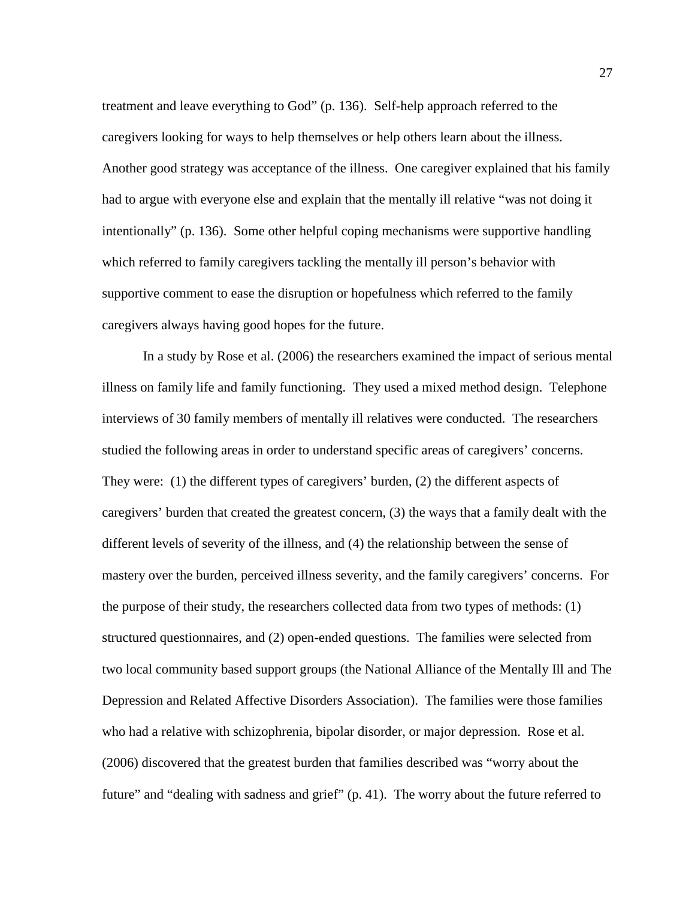treatment and leave everything to God" (p. 136). Self-help approach referred to the caregivers looking for ways to help themselves or help others learn about the illness. Another good strategy was acceptance of the illness. One caregiver explained that his family had to argue with everyone else and explain that the mentally ill relative "was not doing it intentionally" (p. 136). Some other helpful coping mechanisms were supportive handling which referred to family caregivers tackling the mentally ill person's behavior with supportive comment to ease the disruption or hopefulness which referred to the family caregivers always having good hopes for the future.

In a study by Rose et al. (2006) the researchers examined the impact of serious mental illness on family life and family functioning. They used a mixed method design. Telephone interviews of 30 family members of mentally ill relatives were conducted. The researchers studied the following areas in order to understand specific areas of caregivers' concerns. They were: (1) the different types of caregivers' burden, (2) the different aspects of caregivers' burden that created the greatest concern, (3) the ways that a family dealt with the different levels of severity of the illness, and (4) the relationship between the sense of mastery over the burden, perceived illness severity, and the family caregivers' concerns. For the purpose of their study, the researchers collected data from two types of methods: (1) structured questionnaires, and (2) open-ended questions. The families were selected from two local community based support groups (the National Alliance of the Mentally Ill and The Depression and Related Affective Disorders Association). The families were those families who had a relative with schizophrenia, bipolar disorder, or major depression. Rose et al. (2006) discovered that the greatest burden that families described was "worry about the future" and "dealing with sadness and grief" (p. 41). The worry about the future referred to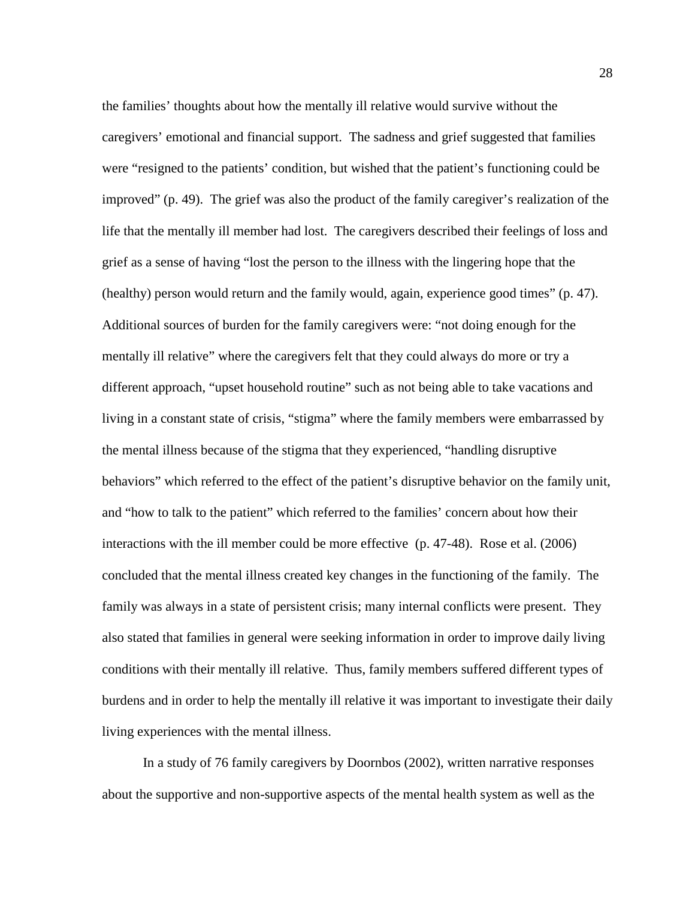the families' thoughts about how the mentally ill relative would survive without the caregivers' emotional and financial support. The sadness and grief suggested that families were "resigned to the patients' condition, but wished that the patient's functioning could be improved" (p. 49). The grief was also the product of the family caregiver's realization of the life that the mentally ill member had lost. The caregivers described their feelings of loss and grief as a sense of having "lost the person to the illness with the lingering hope that the (healthy) person would return and the family would, again, experience good times" (p. 47). Additional sources of burden for the family caregivers were: "not doing enough for the mentally ill relative" where the caregivers felt that they could always do more or try a different approach, "upset household routine" such as not being able to take vacations and living in a constant state of crisis, "stigma" where the family members were embarrassed by the mental illness because of the stigma that they experienced, "handling disruptive behaviors" which referred to the effect of the patient's disruptive behavior on the family unit, and "how to talk to the patient" which referred to the families' concern about how their interactions with the ill member could be more effective (p. 47-48). Rose et al. (2006) concluded that the mental illness created key changes in the functioning of the family. The family was always in a state of persistent crisis; many internal conflicts were present. They also stated that families in general were seeking information in order to improve daily living conditions with their mentally ill relative. Thus, family members suffered different types of burdens and in order to help the mentally ill relative it was important to investigate their daily living experiences with the mental illness.

In a study of 76 family caregivers by Doornbos (2002), written narrative responses about the supportive and non-supportive aspects of the mental health system as well as the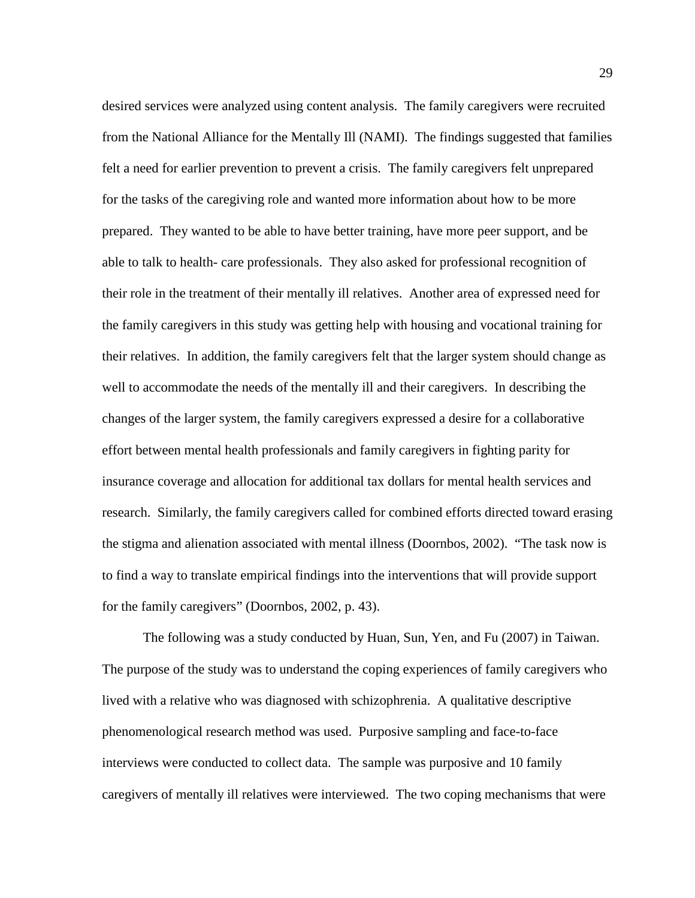desired services were analyzed using content analysis. The family caregivers were recruited from the National Alliance for the Mentally Ill (NAMI). The findings suggested that families felt a need for earlier prevention to prevent a crisis. The family caregivers felt unprepared for the tasks of the caregiving role and wanted more information about how to be more prepared. They wanted to be able to have better training, have more peer support, and be able to talk to health- care professionals. They also asked for professional recognition of their role in the treatment of their mentally ill relatives. Another area of expressed need for the family caregivers in this study was getting help with housing and vocational training for their relatives. In addition, the family caregivers felt that the larger system should change as well to accommodate the needs of the mentally ill and their caregivers. In describing the changes of the larger system, the family caregivers expressed a desire for a collaborative effort between mental health professionals and family caregivers in fighting parity for insurance coverage and allocation for additional tax dollars for mental health services and research. Similarly, the family caregivers called for combined efforts directed toward erasing the stigma and alienation associated with mental illness (Doornbos, 2002). "The task now is to find a way to translate empirical findings into the interventions that will provide support for the family caregivers" (Doornbos, 2002, p. 43).

The following was a study conducted by Huan, Sun, Yen, and Fu (2007) in Taiwan. The purpose of the study was to understand the coping experiences of family caregivers who lived with a relative who was diagnosed with schizophrenia. A qualitative descriptive phenomenological research method was used. Purposive sampling and face-to-face interviews were conducted to collect data. The sample was purposive and 10 family caregivers of mentally ill relatives were interviewed. The two coping mechanisms that were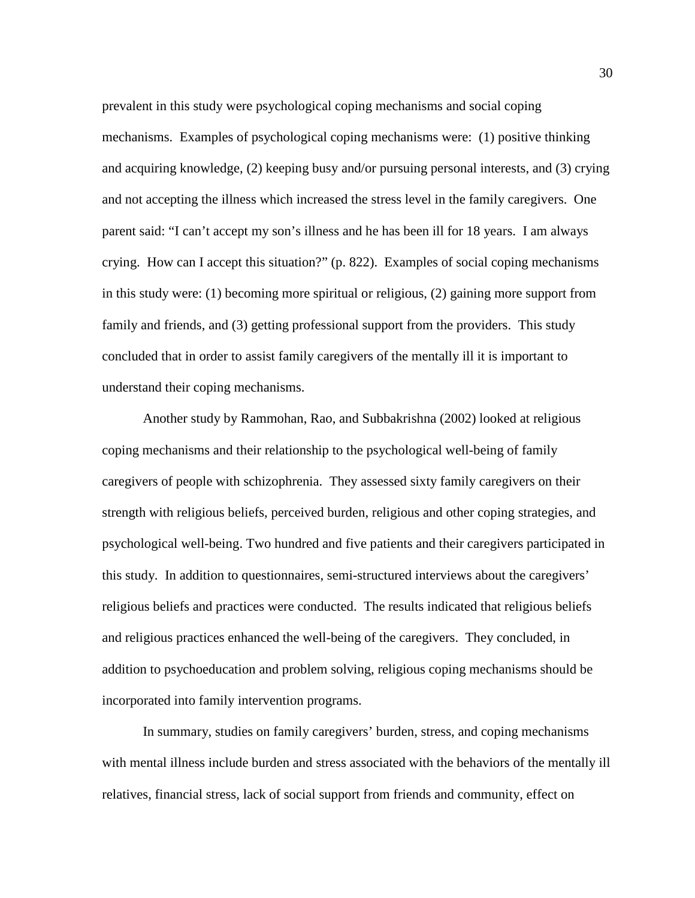prevalent in this study were psychological coping mechanisms and social coping mechanisms. Examples of psychological coping mechanisms were: (1) positive thinking and acquiring knowledge, (2) keeping busy and/or pursuing personal interests, and (3) crying and not accepting the illness which increased the stress level in the family caregivers. One parent said: "I can't accept my son's illness and he has been ill for 18 years. I am always crying. How can I accept this situation?" (p. 822). Examples of social coping mechanisms in this study were: (1) becoming more spiritual or religious, (2) gaining more support from family and friends, and (3) getting professional support from the providers. This study concluded that in order to assist family caregivers of the mentally ill it is important to understand their coping mechanisms.

Another study by Rammohan, Rao, and Subbakrishna (2002) looked at religious coping mechanisms and their relationship to the psychological well-being of family caregivers of people with schizophrenia. They assessed sixty family caregivers on their strength with religious beliefs, perceived burden, religious and other coping strategies, and psychological well-being. Two hundred and five patients and their caregivers participated in this study. In addition to questionnaires, semi-structured interviews about the caregivers' religious beliefs and practices were conducted. The results indicated that religious beliefs and religious practices enhanced the well-being of the caregivers. They concluded, in addition to psychoeducation and problem solving, religious coping mechanisms should be incorporated into family intervention programs.

In summary, studies on family caregivers' burden, stress, and coping mechanisms with mental illness include burden and stress associated with the behaviors of the mentally ill relatives, financial stress, lack of social support from friends and community, effect on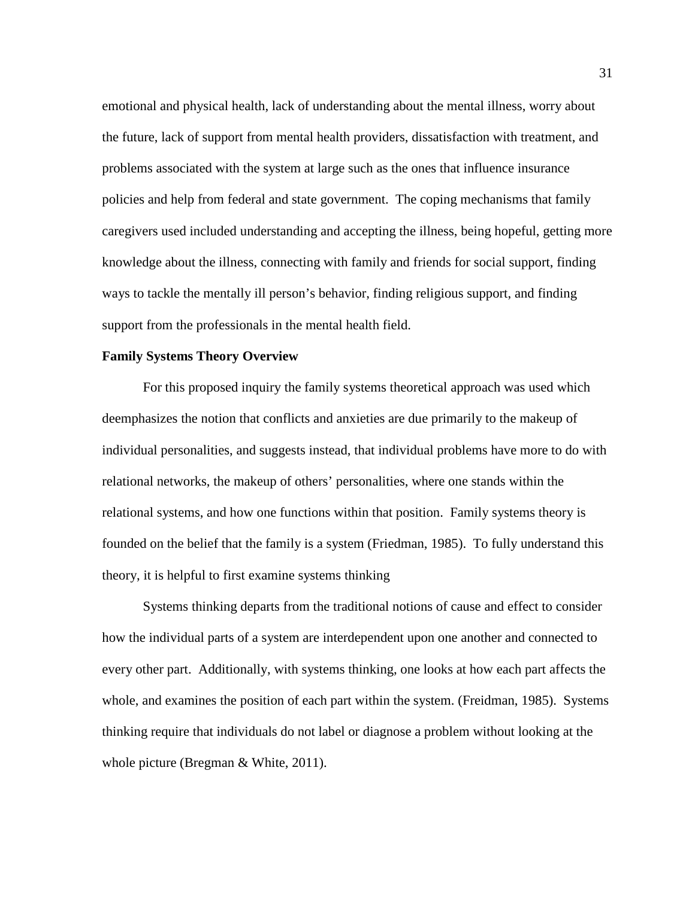emotional and physical health, lack of understanding about the mental illness, worry about the future, lack of support from mental health providers, dissatisfaction with treatment, and problems associated with the system at large such as the ones that influence insurance policies and help from federal and state government. The coping mechanisms that family caregivers used included understanding and accepting the illness, being hopeful, getting more knowledge about the illness, connecting with family and friends for social support, finding ways to tackle the mentally ill person's behavior, finding religious support, and finding support from the professionals in the mental health field.

## **Family Systems Theory Overview**

For this proposed inquiry the family systems theoretical approach was used which deemphasizes the notion that conflicts and anxieties are due primarily to the makeup of individual personalities, and suggests instead, that individual problems have more to do with relational networks, the makeup of others' personalities, where one stands within the relational systems, and how one functions within that position. Family systems theory is founded on the belief that the family is a system (Friedman, 1985). To fully understand this theory, it is helpful to first examine systems thinking

Systems thinking departs from the traditional notions of cause and effect to consider how the individual parts of a system are interdependent upon one another and connected to every other part. Additionally, with systems thinking, one looks at how each part affects the whole, and examines the position of each part within the system. (Freidman, 1985). Systems thinking require that individuals do not label or diagnose a problem without looking at the whole picture (Bregman & White, 2011).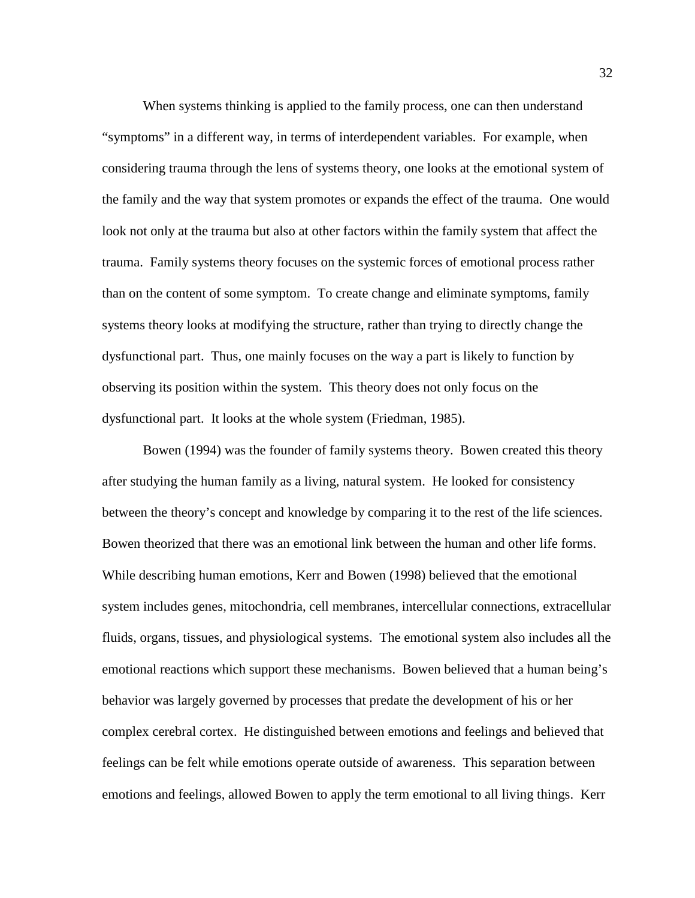When systems thinking is applied to the family process, one can then understand "symptoms" in a different way, in terms of interdependent variables. For example, when considering trauma through the lens of systems theory, one looks at the emotional system of the family and the way that system promotes or expands the effect of the trauma. One would look not only at the trauma but also at other factors within the family system that affect the trauma. Family systems theory focuses on the systemic forces of emotional process rather than on the content of some symptom. To create change and eliminate symptoms, family systems theory looks at modifying the structure, rather than trying to directly change the dysfunctional part. Thus, one mainly focuses on the way a part is likely to function by observing its position within the system. This theory does not only focus on the dysfunctional part. It looks at the whole system (Friedman, 1985).

Bowen (1994) was the founder of family systems theory. Bowen created this theory after studying the human family as a living, natural system. He looked for consistency between the theory's concept and knowledge by comparing it to the rest of the life sciences. Bowen theorized that there was an emotional link between the human and other life forms. While describing human emotions, Kerr and Bowen (1998) believed that the emotional system includes genes, mitochondria, cell membranes, intercellular connections, extracellular fluids, organs, tissues, and physiological systems. The emotional system also includes all the emotional reactions which support these mechanisms. Bowen believed that a human being's behavior was largely governed by processes that predate the development of his or her complex cerebral cortex. He distinguished between emotions and feelings and believed that feelings can be felt while emotions operate outside of awareness. This separation between emotions and feelings, allowed Bowen to apply the term emotional to all living things. Kerr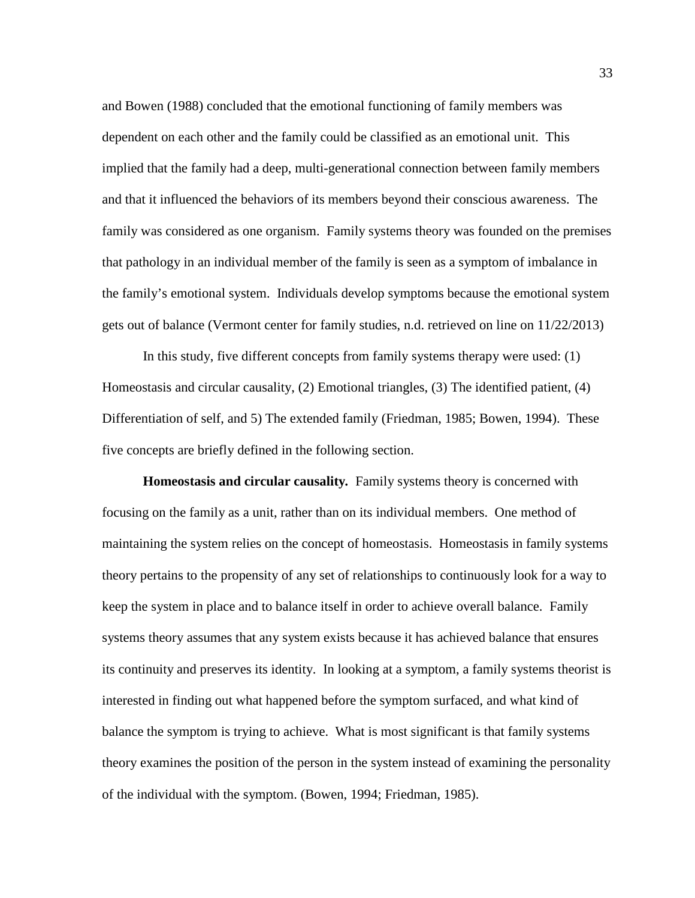and Bowen (1988) concluded that the emotional functioning of family members was dependent on each other and the family could be classified as an emotional unit. This implied that the family had a deep, multi-generational connection between family members and that it influenced the behaviors of its members beyond their conscious awareness. The family was considered as one organism. Family systems theory was founded on the premises that pathology in an individual member of the family is seen as a symptom of imbalance in the family's emotional system. Individuals develop symptoms because the emotional system gets out of balance (Vermont center for family studies, n.d. retrieved on line on 11/22/2013)

In this study, five different concepts from family systems therapy were used: (1) Homeostasis and circular causality, (2) Emotional triangles, (3) The identified patient, (4) Differentiation of self, and 5) The extended family (Friedman, 1985; Bowen, 1994). These five concepts are briefly defined in the following section.

**Homeostasis and circular causality***.* Family systems theory is concerned with focusing on the family as a unit, rather than on its individual members. One method of maintaining the system relies on the concept of homeostasis. Homeostasis in family systems theory pertains to the propensity of any set of relationships to continuously look for a way to keep the system in place and to balance itself in order to achieve overall balance. Family systems theory assumes that any system exists because it has achieved balance that ensures its continuity and preserves its identity. In looking at a symptom, a family systems theorist is interested in finding out what happened before the symptom surfaced, and what kind of balance the symptom is trying to achieve. What is most significant is that family systems theory examines the position of the person in the system instead of examining the personality of the individual with the symptom. (Bowen, 1994; Friedman, 1985).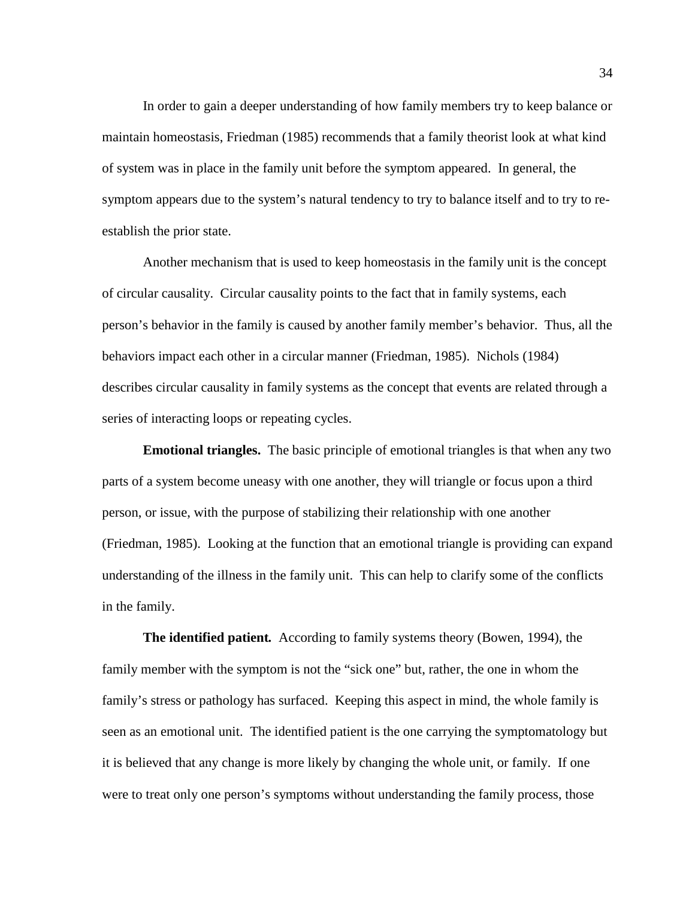In order to gain a deeper understanding of how family members try to keep balance or maintain homeostasis, Friedman (1985) recommends that a family theorist look at what kind of system was in place in the family unit before the symptom appeared. In general, the symptom appears due to the system's natural tendency to try to balance itself and to try to reestablish the prior state.

Another mechanism that is used to keep homeostasis in the family unit is the concept of circular causality. Circular causality points to the fact that in family systems, each person's behavior in the family is caused by another family member's behavior. Thus, all the behaviors impact each other in a circular manner (Friedman, 1985). Nichols (1984) describes circular causality in family systems as the concept that events are related through a series of interacting loops or repeating cycles.

**Emotional triangles.** The basic principle of emotional triangles is that when any two parts of a system become uneasy with one another, they will triangle or focus upon a third person, or issue, with the purpose of stabilizing their relationship with one another (Friedman, 1985). Looking at the function that an emotional triangle is providing can expand understanding of the illness in the family unit. This can help to clarify some of the conflicts in the family.

**The identified patient***.*According to family systems theory (Bowen, 1994), the family member with the symptom is not the "sick one" but, rather, the one in whom the family's stress or pathology has surfaced. Keeping this aspect in mind, the whole family is seen as an emotional unit. The identified patient is the one carrying the symptomatology but it is believed that any change is more likely by changing the whole unit, or family. If one were to treat only one person's symptoms without understanding the family process, those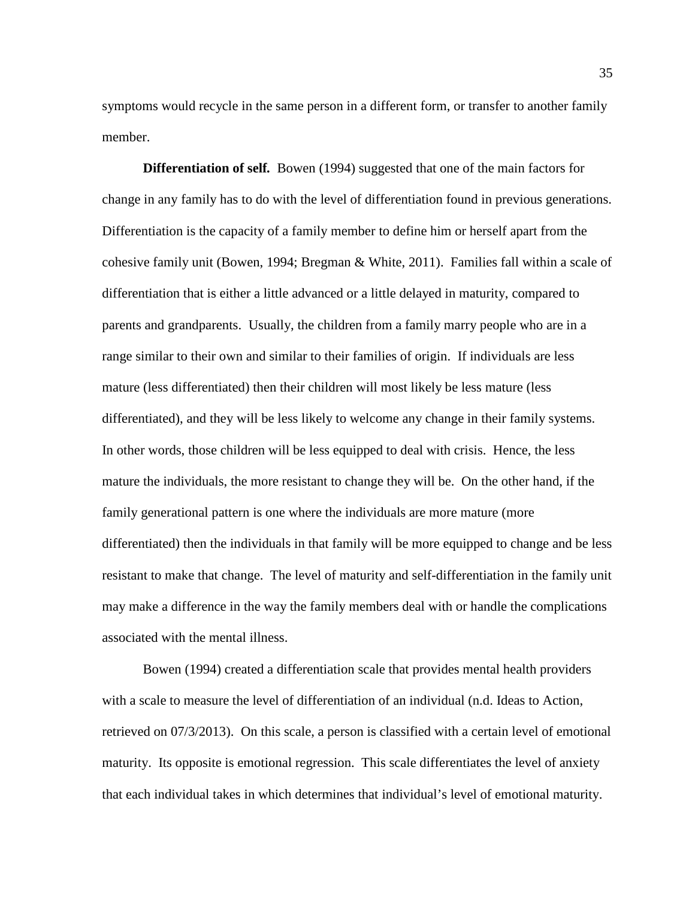symptoms would recycle in the same person in a different form, or transfer to another family member.

**Differentiation of self***.* Bowen (1994) suggested that one of the main factors for change in any family has to do with the level of differentiation found in previous generations. Differentiation is the capacity of a family member to define him or herself apart from the cohesive family unit (Bowen, 1994; Bregman & White, 2011). Families fall within a scale of differentiation that is either a little advanced or a little delayed in maturity, compared to parents and grandparents. Usually, the children from a family marry people who are in a range similar to their own and similar to their families of origin. If individuals are less mature (less differentiated) then their children will most likely be less mature (less differentiated), and they will be less likely to welcome any change in their family systems. In other words, those children will be less equipped to deal with crisis. Hence, the less mature the individuals, the more resistant to change they will be. On the other hand, if the family generational pattern is one where the individuals are more mature (more differentiated) then the individuals in that family will be more equipped to change and be less resistant to make that change. The level of maturity and self-differentiation in the family unit may make a difference in the way the family members deal with or handle the complications associated with the mental illness.

Bowen (1994) created a differentiation scale that provides mental health providers with a scale to measure the level of differentiation of an individual (n.d. Ideas to Action, retrieved on 07/3/2013). On this scale, a person is classified with a certain level of emotional maturity. Its opposite is emotional regression. This scale differentiates the level of anxiety that each individual takes in which determines that individual's level of emotional maturity.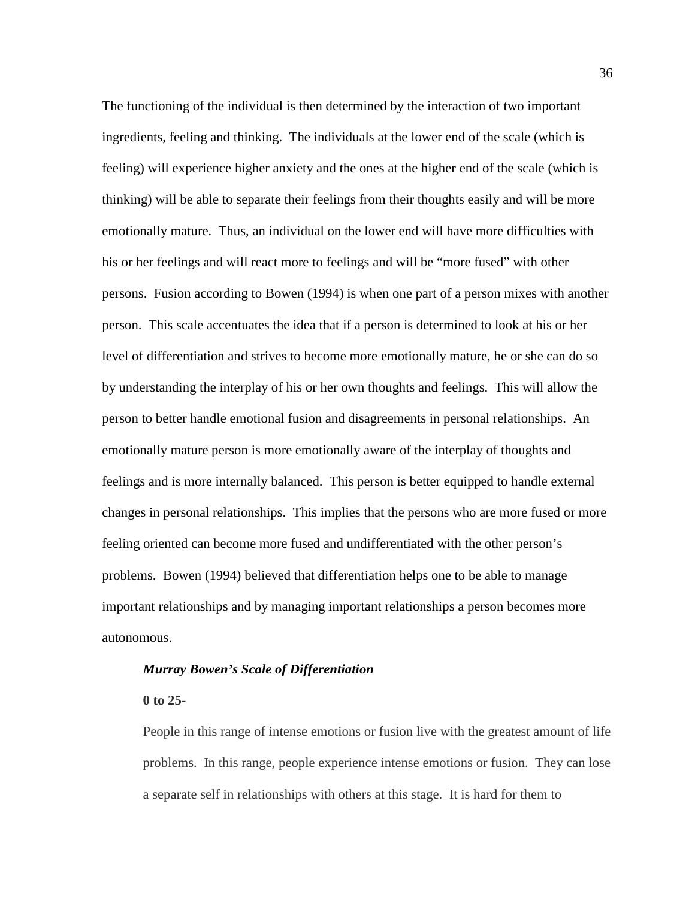The functioning of the individual is then determined by the interaction of two important ingredients, feeling and thinking. The individuals at the lower end of the scale (which is feeling) will experience higher anxiety and the ones at the higher end of the scale (which is thinking) will be able to separate their feelings from their thoughts easily and will be more emotionally mature. Thus, an individual on the lower end will have more difficulties with his or her feelings and will react more to feelings and will be "more fused" with other persons. Fusion according to Bowen (1994) is when one part of a person mixes with another person. This scale accentuates the idea that if a person is determined to look at his or her level of differentiation and strives to become more emotionally mature, he or she can do so by understanding the interplay of his or her own thoughts and feelings. This will allow the person to better handle emotional fusion and disagreements in personal relationships. An emotionally mature person is more emotionally aware of the interplay of thoughts and feelings and is more internally balanced. This person is better equipped to handle external changes in personal relationships. This implies that the persons who are more fused or more feeling oriented can become more fused and undifferentiated with the other person's problems. Bowen (1994) believed that differentiation helps one to be able to manage important relationships and by managing important relationships a person becomes more autonomous.

# *Murray Bowen's Scale of Differentiation*

#### **0 to 25**-

People in this range of intense emotions or fusion live with the greatest amount of life problems. In this range, people experience intense emotions or fusion. They can lose a separate self in relationships with others at this stage. It is hard for them to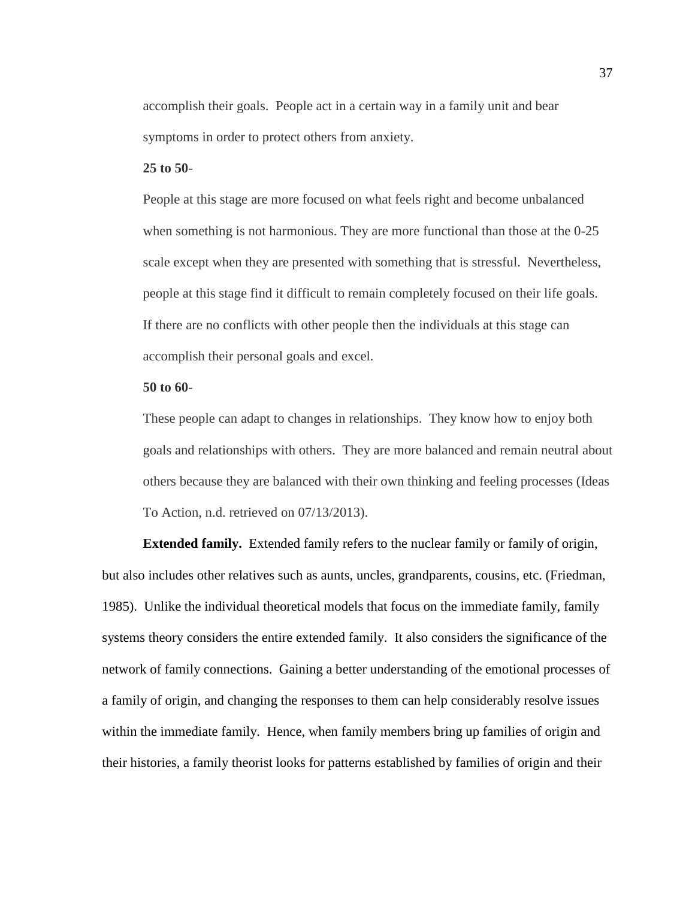accomplish their goals. People act in a certain way in a family unit and bear symptoms in order to protect others from anxiety.

#### **25 to 50**-

People at this stage are more focused on what feels right and become unbalanced when something is not harmonious. They are more functional than those at the 0-25 scale except when they are presented with something that is stressful. Nevertheless, people at this stage find it difficult to remain completely focused on their life goals. If there are no conflicts with other people then the individuals at this stage can accomplish their personal goals and excel.

## **50 to 60**-

These people can adapt to changes in relationships. They know how to enjoy both goals and relationships with others. They are more balanced and remain neutral about others because they are balanced with their own thinking and feeling processes (Ideas To Action, n.d. retrieved on 07/13/2013).

**Extended family.** Extended family refers to the nuclear family or family of origin, but also includes other relatives such as aunts, uncles, grandparents, cousins, etc. (Friedman, 1985). Unlike the individual theoretical models that focus on the immediate family, family systems theory considers the entire extended family. It also considers the significance of the network of family connections. Gaining a better understanding of the emotional processes of a family of origin, and changing the responses to them can help considerably resolve issues within the immediate family. Hence, when family members bring up families of origin and their histories, a family theorist looks for patterns established by families of origin and their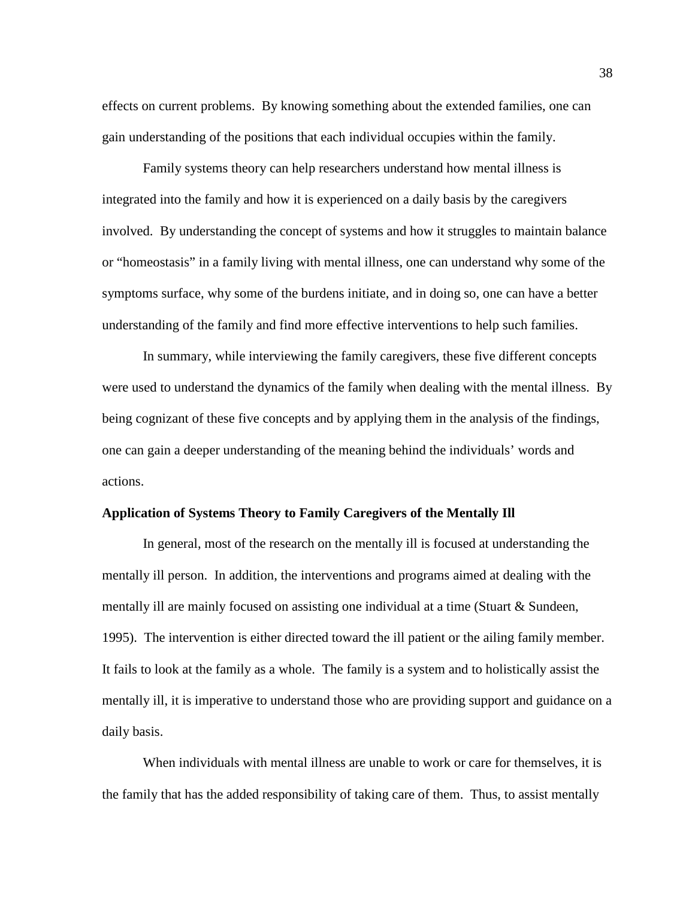effects on current problems. By knowing something about the extended families, one can gain understanding of the positions that each individual occupies within the family.

Family systems theory can help researchers understand how mental illness is integrated into the family and how it is experienced on a daily basis by the caregivers involved. By understanding the concept of systems and how it struggles to maintain balance or "homeostasis" in a family living with mental illness, one can understand why some of the symptoms surface, why some of the burdens initiate, and in doing so, one can have a better understanding of the family and find more effective interventions to help such families.

In summary, while interviewing the family caregivers, these five different concepts were used to understand the dynamics of the family when dealing with the mental illness. By being cognizant of these five concepts and by applying them in the analysis of the findings, one can gain a deeper understanding of the meaning behind the individuals' words and actions.

## **Application of Systems Theory to Family Caregivers of the Mentally Ill**

In general, most of the research on the mentally ill is focused at understanding the mentally ill person. In addition, the interventions and programs aimed at dealing with the mentally ill are mainly focused on assisting one individual at a time (Stuart & Sundeen, 1995). The intervention is either directed toward the ill patient or the ailing family member. It fails to look at the family as a whole. The family is a system and to holistically assist the mentally ill, it is imperative to understand those who are providing support and guidance on a daily basis.

When individuals with mental illness are unable to work or care for themselves, it is the family that has the added responsibility of taking care of them. Thus, to assist mentally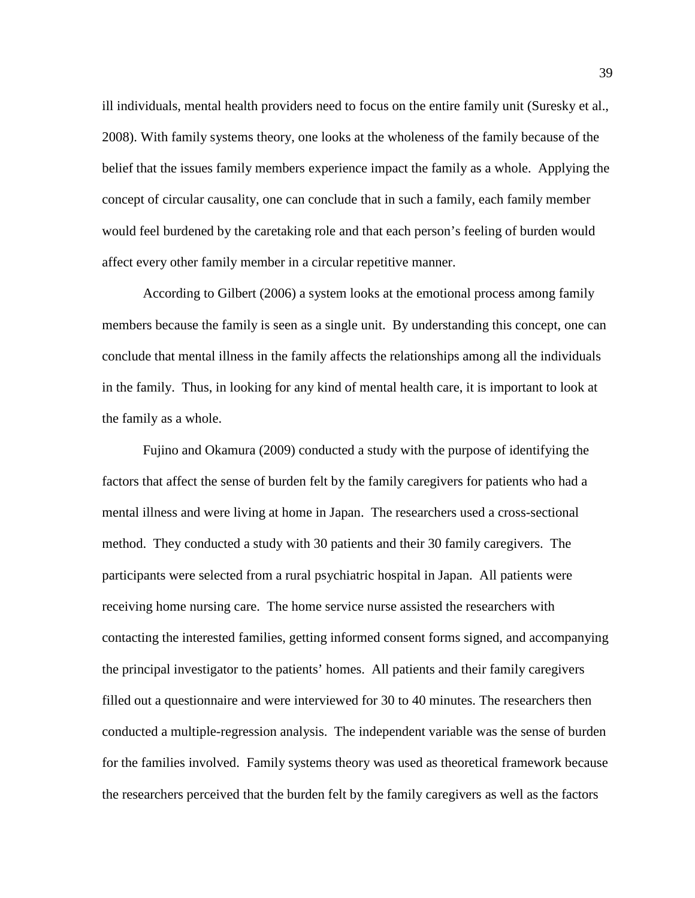ill individuals, mental health providers need to focus on the entire family unit (Suresky et al., 2008). With family systems theory, one looks at the wholeness of the family because of the belief that the issues family members experience impact the family as a whole. Applying the concept of circular causality, one can conclude that in such a family, each family member would feel burdened by the caretaking role and that each person's feeling of burden would affect every other family member in a circular repetitive manner.

According to Gilbert (2006) a system looks at the emotional process among family members because the family is seen as a single unit. By understanding this concept, one can conclude that mental illness in the family affects the relationships among all the individuals in the family. Thus, in looking for any kind of mental health care, it is important to look at the family as a whole.

Fujino and Okamura (2009) conducted a study with the purpose of identifying the factors that affect the sense of burden felt by the family caregivers for patients who had a mental illness and were living at home in Japan. The researchers used a cross-sectional method. They conducted a study with 30 patients and their 30 family caregivers. The participants were selected from a rural psychiatric hospital in Japan. All patients were receiving home nursing care. The home service nurse assisted the researchers with contacting the interested families, getting informed consent forms signed, and accompanying the principal investigator to the patients' homes. All patients and their family caregivers filled out a questionnaire and were interviewed for 30 to 40 minutes. The researchers then conducted a multiple-regression analysis. The independent variable was the sense of burden for the families involved. Family systems theory was used as theoretical framework because the researchers perceived that the burden felt by the family caregivers as well as the factors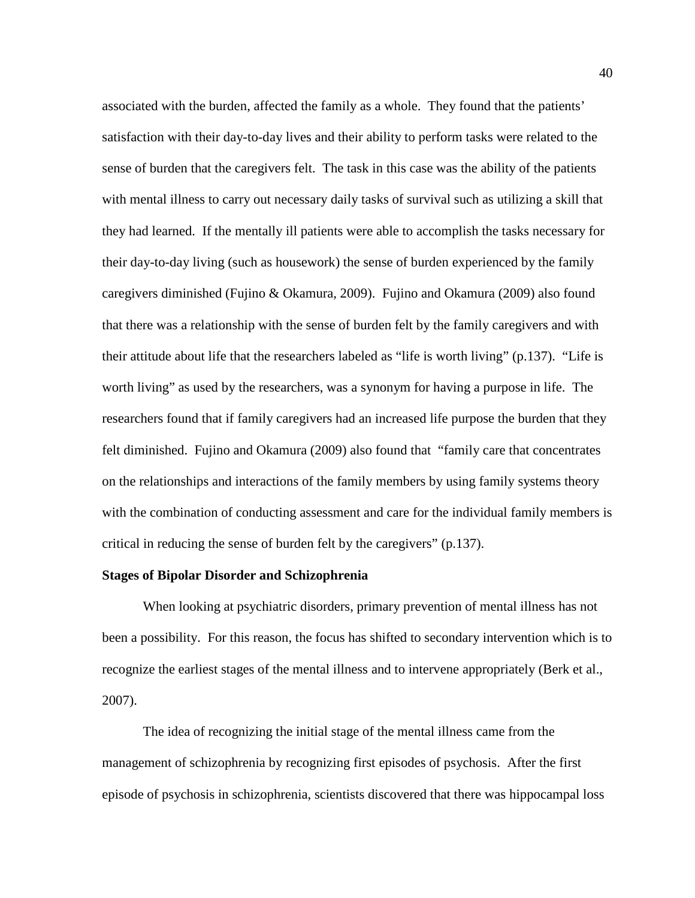associated with the burden, affected the family as a whole. They found that the patients' satisfaction with their day-to-day lives and their ability to perform tasks were related to the sense of burden that the caregivers felt. The task in this case was the ability of the patients with mental illness to carry out necessary daily tasks of survival such as utilizing a skill that they had learned. If the mentally ill patients were able to accomplish the tasks necessary for their day-to-day living (such as housework) the sense of burden experienced by the family caregivers diminished (Fujino & Okamura, 2009). Fujino and Okamura (2009) also found that there was a relationship with the sense of burden felt by the family caregivers and with their attitude about life that the researchers labeled as "life is worth living" (p.137). "Life is worth living" as used by the researchers, was a synonym for having a purpose in life. The researchers found that if family caregivers had an increased life purpose the burden that they felt diminished. Fujino and Okamura (2009) also found that "family care that concentrates on the relationships and interactions of the family members by using family systems theory with the combination of conducting assessment and care for the individual family members is critical in reducing the sense of burden felt by the caregivers" (p.137).

#### **Stages of Bipolar Disorder and Schizophrenia**

When looking at psychiatric disorders, primary prevention of mental illness has not been a possibility. For this reason, the focus has shifted to secondary intervention which is to recognize the earliest stages of the mental illness and to intervene appropriately (Berk et al., 2007).

The idea of recognizing the initial stage of the mental illness came from the management of schizophrenia by recognizing first episodes of psychosis. After the first episode of psychosis in schizophrenia, scientists discovered that there was hippocampal loss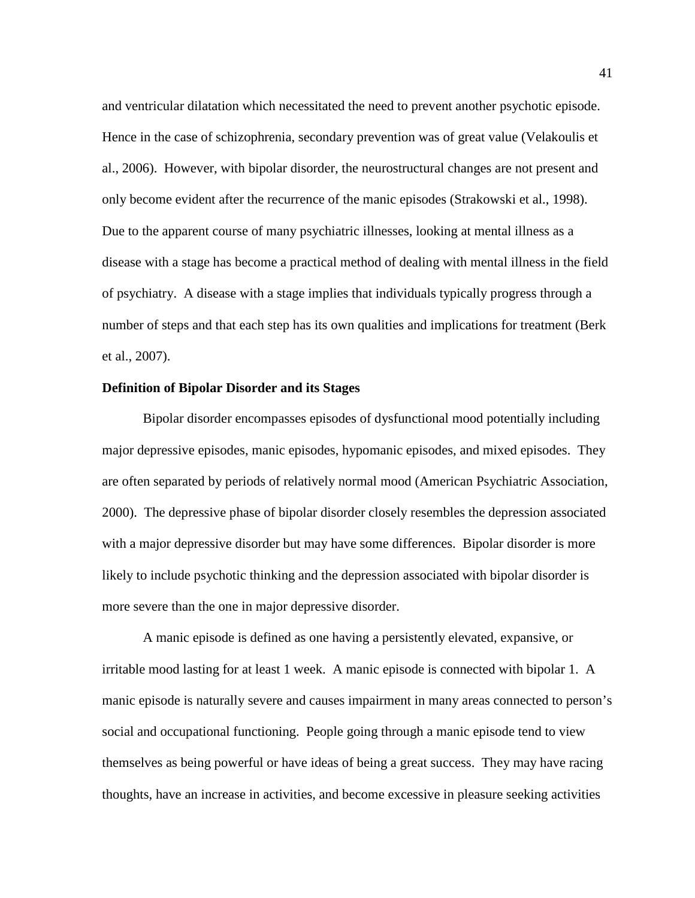and ventricular dilatation which necessitated the need to prevent another psychotic episode. Hence in the case of schizophrenia, secondary prevention was of great value (Velakoulis et al., 2006). However, with bipolar disorder, the neurostructural changes are not present and only become evident after the recurrence of the manic episodes (Strakowski et al., 1998). Due to the apparent course of many psychiatric illnesses, looking at mental illness as a disease with a stage has become a practical method of dealing with mental illness in the field of psychiatry. A disease with a stage implies that individuals typically progress through a number of steps and that each step has its own qualities and implications for treatment (Berk et al., 2007).

## **Definition of Bipolar Disorder and its Stages**

Bipolar disorder encompasses episodes of dysfunctional mood potentially including major depressive episodes, manic episodes, hypomanic episodes, and mixed episodes. They are often separated by periods of relatively normal mood (American Psychiatric Association, 2000). The depressive phase of bipolar disorder closely resembles the depression associated with a major depressive disorder but may have some differences. Bipolar disorder is more likely to include psychotic thinking and the depression associated with bipolar disorder is more severe than the one in major depressive disorder.

A manic episode is defined as one having a persistently elevated, expansive, or irritable mood lasting for at least 1 week. A manic episode is connected with bipolar 1. A manic episode is naturally severe and causes impairment in many areas connected to person's social and occupational functioning. People going through a manic episode tend to view themselves as being powerful or have ideas of being a great success. They may have racing thoughts, have an increase in activities, and become excessive in pleasure seeking activities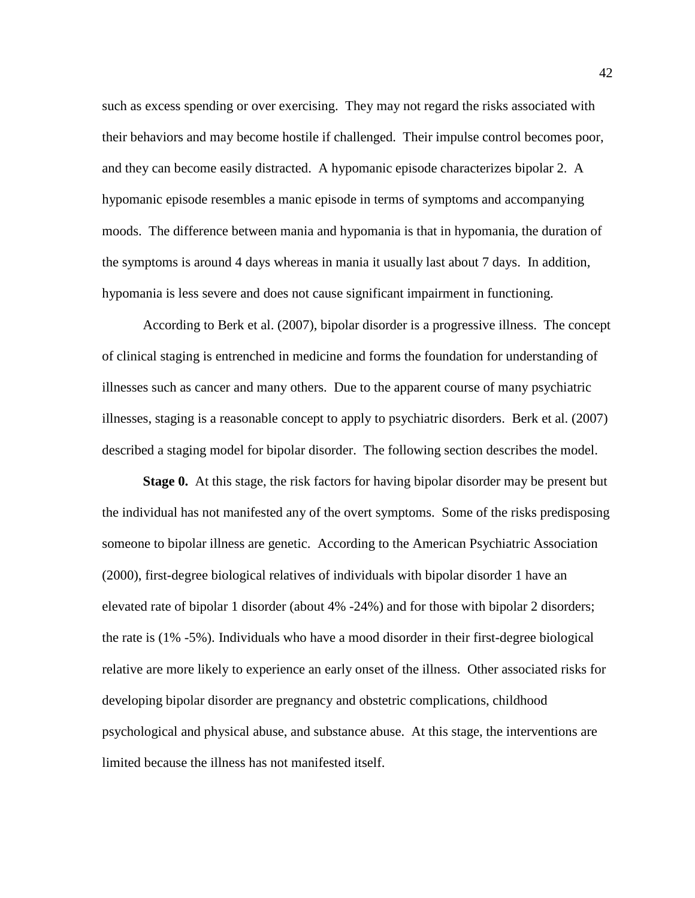such as excess spending or over exercising. They may not regard the risks associated with their behaviors and may become hostile if challenged. Their impulse control becomes poor, and they can become easily distracted. A hypomanic episode characterizes bipolar 2. A hypomanic episode resembles a manic episode in terms of symptoms and accompanying moods. The difference between mania and hypomania is that in hypomania, the duration of the symptoms is around 4 days whereas in mania it usually last about 7 days. In addition, hypomania is less severe and does not cause significant impairment in functioning.

According to Berk et al. (2007), bipolar disorder is a progressive illness. The concept of clinical staging is entrenched in medicine and forms the foundation for understanding of illnesses such as cancer and many others. Due to the apparent course of many psychiatric illnesses, staging is a reasonable concept to apply to psychiatric disorders. Berk et al. (2007) described a staging model for bipolar disorder. The following section describes the model.

**Stage 0.** At this stage, the risk factors for having bipolar disorder may be present but the individual has not manifested any of the overt symptoms. Some of the risks predisposing someone to bipolar illness are genetic. According to the American Psychiatric Association (2000), first-degree biological relatives of individuals with bipolar disorder 1 have an elevated rate of bipolar 1 disorder (about 4% -24%) and for those with bipolar 2 disorders; the rate is (1% -5%). Individuals who have a mood disorder in their first-degree biological relative are more likely to experience an early onset of the illness. Other associated risks for developing bipolar disorder are pregnancy and obstetric complications, childhood psychological and physical abuse, and substance abuse. At this stage, the interventions are limited because the illness has not manifested itself.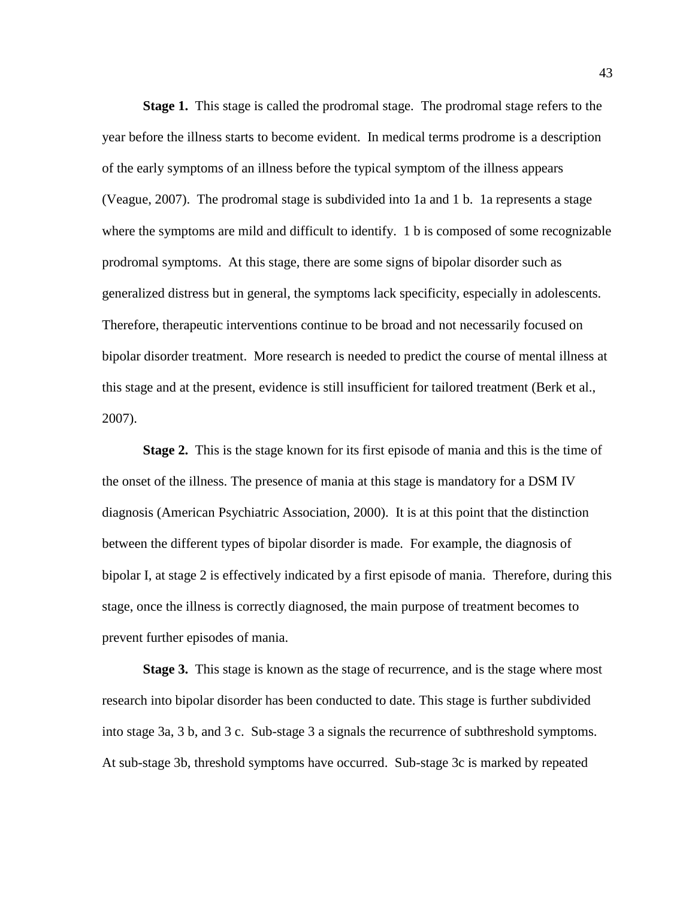**Stage 1.** This stage is called the prodromal stage. The prodromal stage refers to the year before the illness starts to become evident. In medical terms prodrome is a description of the early symptoms of an illness before the typical symptom of the illness appears (Veague, 2007). The prodromal stage is subdivided into 1a and 1 b. 1a represents a stage where the symptoms are mild and difficult to identify. 1 b is composed of some recognizable prodromal symptoms. At this stage, there are some signs of bipolar disorder such as generalized distress but in general, the symptoms lack specificity, especially in adolescents. Therefore, therapeutic interventions continue to be broad and not necessarily focused on bipolar disorder treatment. More research is needed to predict the course of mental illness at this stage and at the present, evidence is still insufficient for tailored treatment (Berk et al., 2007).

**Stage 2.** This is the stage known for its first episode of mania and this is the time of the onset of the illness. The presence of mania at this stage is mandatory for a DSM IV diagnosis (American Psychiatric Association, 2000). It is at this point that the distinction between the different types of bipolar disorder is made. For example, the diagnosis of bipolar I, at stage 2 is effectively indicated by a first episode of mania. Therefore, during this stage, once the illness is correctly diagnosed, the main purpose of treatment becomes to prevent further episodes of mania.

**Stage 3.** This stage is known as the stage of recurrence, and is the stage where most research into bipolar disorder has been conducted to date. This stage is further subdivided into stage 3a, 3 b, and 3 c. Sub-stage 3 a signals the recurrence of subthreshold symptoms. At sub-stage 3b, threshold symptoms have occurred. Sub-stage 3c is marked by repeated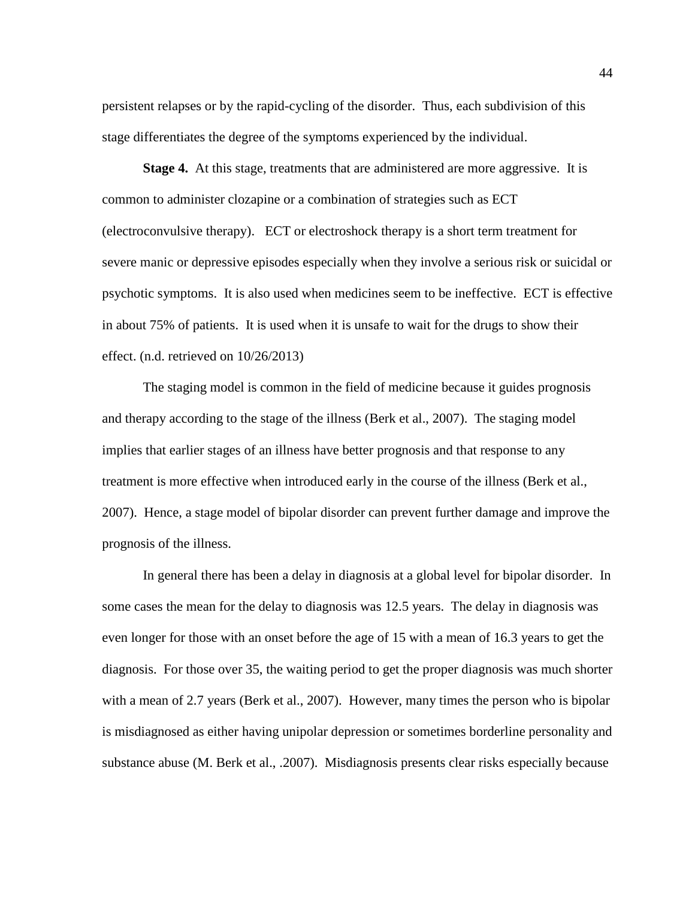persistent relapses or by the rapid-cycling of the disorder. Thus, each subdivision of this stage differentiates the degree of the symptoms experienced by the individual.

**Stage 4.** At this stage, treatments that are administered are more aggressive. It is common to administer clozapine or a combination of strategies such as ECT (electroconvulsive therapy). ECT or electroshock therapy is a short term treatment for severe manic or depressive episodes especially when they involve a serious risk or suicidal or psychotic symptoms. It is also used when medicines seem to be ineffective. ECT is effective in about 75% of patients. It is used when it is unsafe to wait for the drugs to show their effect. (n.d. retrieved on 10/26/2013)

The staging model is common in the field of medicine because it guides prognosis and therapy according to the stage of the illness (Berk et al., 2007). The staging model implies that earlier stages of an illness have better prognosis and that response to any treatment is more effective when introduced early in the course of the illness (Berk et al., 2007). Hence, a stage model of bipolar disorder can prevent further damage and improve the prognosis of the illness.

In general there has been a delay in diagnosis at a global level for bipolar disorder. In some cases the mean for the delay to diagnosis was 12.5 years. The delay in diagnosis was even longer for those with an onset before the age of 15 with a mean of 16.3 years to get the diagnosis. For those over 35, the waiting period to get the proper diagnosis was much shorter with a mean of 2.7 years (Berk et al., 2007). However, many times the person who is bipolar is misdiagnosed as either having unipolar depression or sometimes borderline personality and substance abuse (M. Berk et al., .2007). Misdiagnosis presents clear risks especially because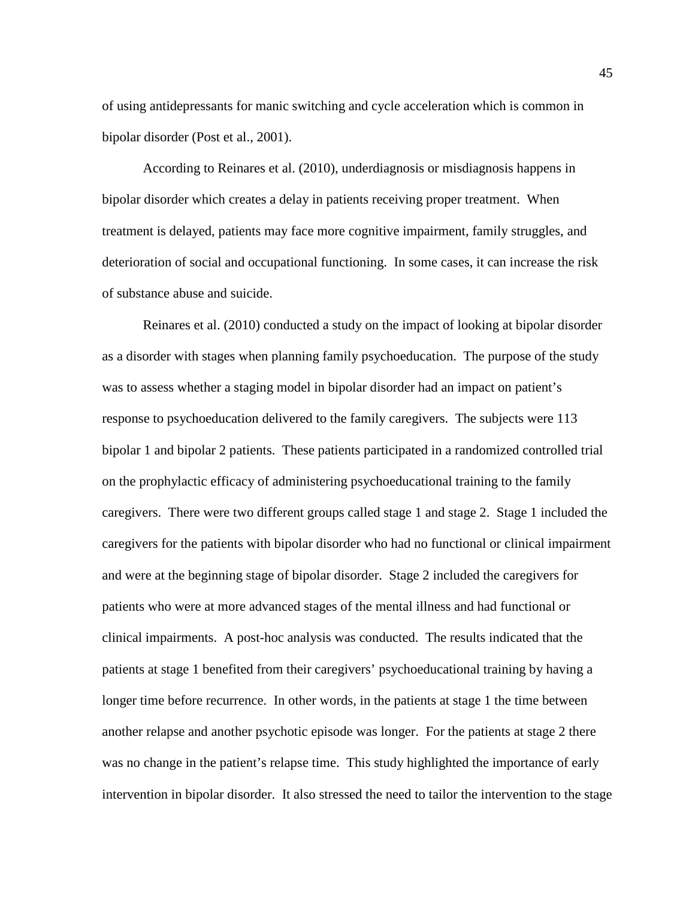of using antidepressants for manic switching and cycle acceleration which is common in bipolar disorder (Post et al., 2001).

According to Reinares et al. (2010), underdiagnosis or misdiagnosis happens in bipolar disorder which creates a delay in patients receiving proper treatment. When treatment is delayed, patients may face more cognitive impairment, family struggles, and deterioration of social and occupational functioning. In some cases, it can increase the risk of substance abuse and suicide.

Reinares et al. (2010) conducted a study on the impact of looking at bipolar disorder as a disorder with stages when planning family psychoeducation. The purpose of the study was to assess whether a staging model in bipolar disorder had an impact on patient's response to psychoeducation delivered to the family caregivers. The subjects were 113 bipolar 1 and bipolar 2 patients. These patients participated in a randomized controlled trial on the prophylactic efficacy of administering psychoeducational training to the family caregivers. There were two different groups called stage 1 and stage 2. Stage 1 included the caregivers for the patients with bipolar disorder who had no functional or clinical impairment and were at the beginning stage of bipolar disorder. Stage 2 included the caregivers for patients who were at more advanced stages of the mental illness and had functional or clinical impairments. A post-hoc analysis was conducted. The results indicated that the patients at stage 1 benefited from their caregivers' psychoeducational training by having a longer time before recurrence. In other words, in the patients at stage 1 the time between another relapse and another psychotic episode was longer. For the patients at stage 2 there was no change in the patient's relapse time. This study highlighted the importance of early intervention in bipolar disorder. It also stressed the need to tailor the intervention to the stage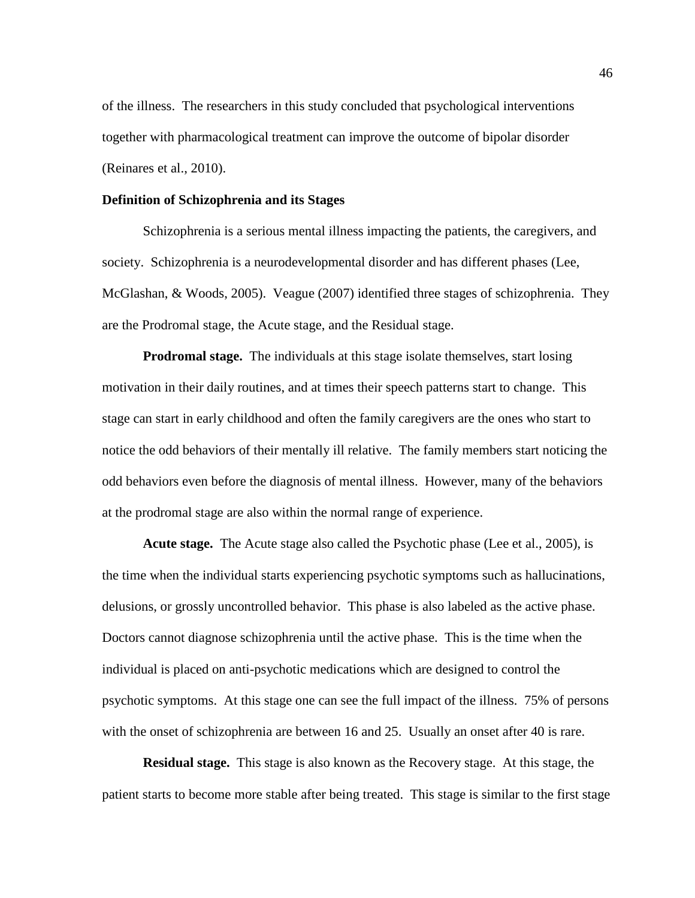of the illness. The researchers in this study concluded that psychological interventions together with pharmacological treatment can improve the outcome of bipolar disorder (Reinares et al., 2010).

## **Definition of Schizophrenia and its Stages**

Schizophrenia is a serious mental illness impacting the patients, the caregivers, and society. Schizophrenia is a neurodevelopmental disorder and has different phases (Lee, McGlashan, & Woods, 2005). Veague (2007) identified three stages of schizophrenia. They are the Prodromal stage, the Acute stage, and the Residual stage.

**Prodromal stage.** The individuals at this stage isolate themselves, start losing motivation in their daily routines, and at times their speech patterns start to change. This stage can start in early childhood and often the family caregivers are the ones who start to notice the odd behaviors of their mentally ill relative. The family members start noticing the odd behaviors even before the diagnosis of mental illness. However, many of the behaviors at the prodromal stage are also within the normal range of experience.

**Acute stage.** The Acute stage also called the Psychotic phase (Lee et al., 2005), is the time when the individual starts experiencing psychotic symptoms such as hallucinations, delusions, or grossly uncontrolled behavior. This phase is also labeled as the active phase. Doctors cannot diagnose schizophrenia until the active phase. This is the time when the individual is placed on anti-psychotic medications which are designed to control the psychotic symptoms. At this stage one can see the full impact of the illness. 75% of persons with the onset of schizophrenia are between 16 and 25. Usually an onset after 40 is rare.

**Residual stage.** This stage is also known as the Recovery stage. At this stage, the patient starts to become more stable after being treated. This stage is similar to the first stage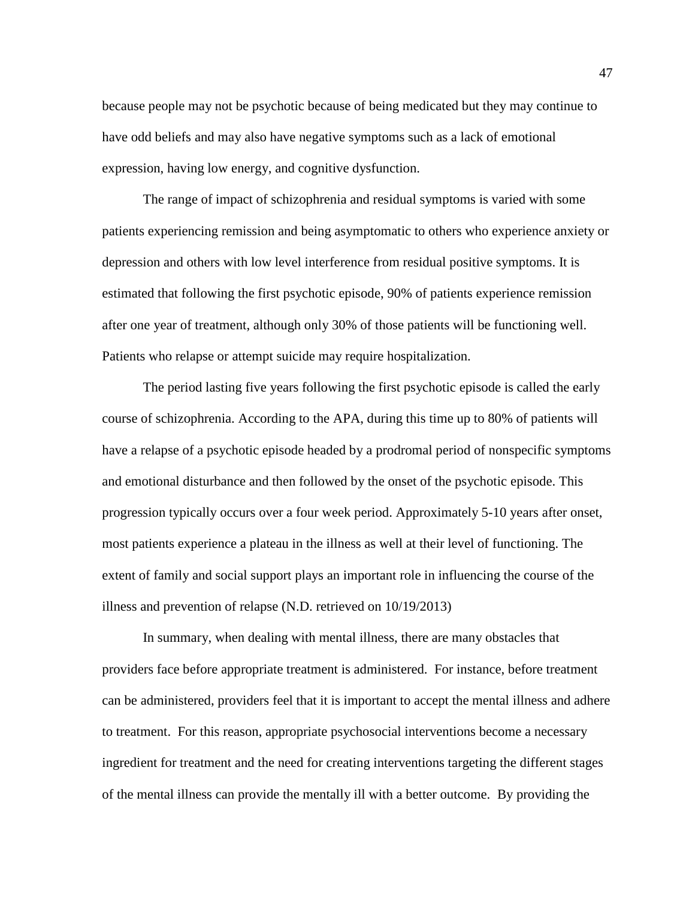because people may not be psychotic because of being medicated but they may continue to have odd beliefs and may also have negative symptoms such as a lack of emotional expression, having low energy, and cognitive dysfunction.

The range of impact of schizophrenia and residual symptoms is varied with some patients experiencing remission and being asymptomatic to others who experience anxiety or depression and others with low level interference from residual positive symptoms. It is estimated that following the first psychotic episode, 90% of patients experience remission after one year of treatment, although only 30% of those patients will be functioning well. Patients who relapse or attempt suicide may require hospitalization.

The period lasting five years following the first psychotic episode is called the early course of schizophrenia. According to the APA, during this time up to 80% of patients will have a relapse of a psychotic episode headed by a prodromal period of nonspecific symptoms and emotional disturbance and then followed by the onset of the psychotic episode. This progression typically occurs over a four week period. Approximately 5-10 years after onset, most patients experience a plateau in the illness as well at their level of functioning. The extent of family and social support plays an important role in influencing the course of the illness and prevention of relapse (N.D. retrieved on 10/19/2013)

In summary, when dealing with mental illness, there are many obstacles that providers face before appropriate treatment is administered. For instance, before treatment can be administered, providers feel that it is important to accept the mental illness and adhere to treatment. For this reason, appropriate psychosocial interventions become a necessary ingredient for treatment and the need for creating interventions targeting the different stages of the mental illness can provide the mentally ill with a better outcome. By providing the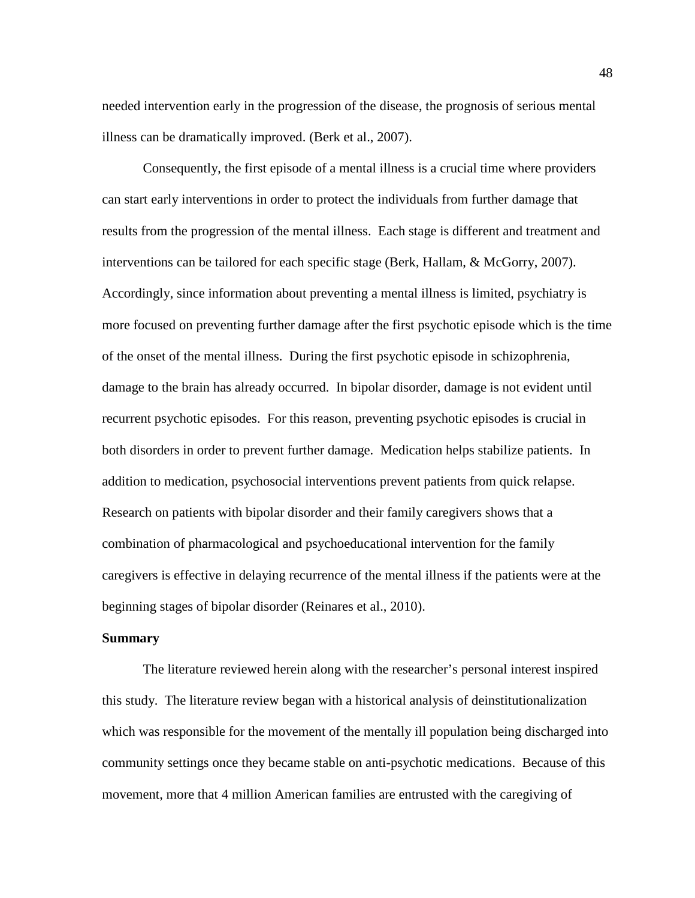needed intervention early in the progression of the disease, the prognosis of serious mental illness can be dramatically improved. (Berk et al., 2007).

Consequently, the first episode of a mental illness is a crucial time where providers can start early interventions in order to protect the individuals from further damage that results from the progression of the mental illness. Each stage is different and treatment and interventions can be tailored for each specific stage (Berk, Hallam, & McGorry, 2007). Accordingly, since information about preventing a mental illness is limited, psychiatry is more focused on preventing further damage after the first psychotic episode which is the time of the onset of the mental illness. During the first psychotic episode in schizophrenia, damage to the brain has already occurred. In bipolar disorder, damage is not evident until recurrent psychotic episodes. For this reason, preventing psychotic episodes is crucial in both disorders in order to prevent further damage. Medication helps stabilize patients. In addition to medication, psychosocial interventions prevent patients from quick relapse. Research on patients with bipolar disorder and their family caregivers shows that a combination of pharmacological and psychoeducational intervention for the family caregivers is effective in delaying recurrence of the mental illness if the patients were at the beginning stages of bipolar disorder (Reinares et al., 2010).

#### **Summary**

The literature reviewed herein along with the researcher's personal interest inspired this study. The literature review began with a historical analysis of deinstitutionalization which was responsible for the movement of the mentally ill population being discharged into community settings once they became stable on anti-psychotic medications. Because of this movement, more that 4 million American families are entrusted with the caregiving of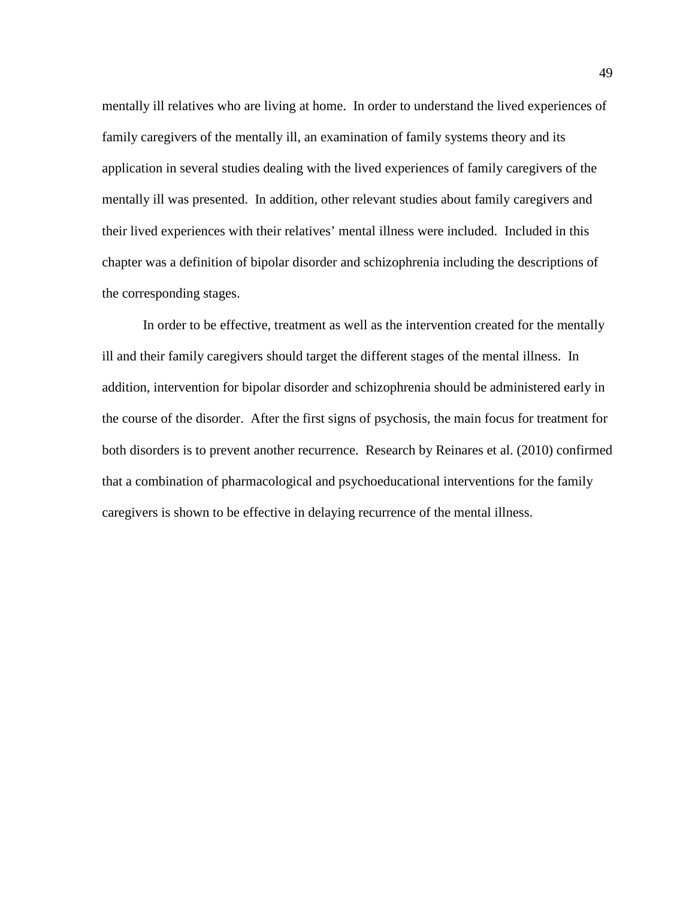mentally ill relatives who are living at home. In order to understand the lived experiences of family caregivers of the mentally ill, an examination of family systems theory and its application in several studies dealing with the lived experiences of family caregivers of the mentally ill was presented. In addition, other relevant studies about family caregivers and their lived experiences with their relatives' mental illness were included. Included in this chapter was a definition of bipolar disorder and schizophrenia including the descriptions of the corresponding stages.

In order to be effective, treatment as well as the intervention created for the mentally ill and their family caregivers should target the different stages of the mental illness. In addition, intervention for bipolar disorder and schizophrenia should be administered early in the course of the disorder. After the first signs of psychosis, the main focus for treatment for both disorders is to prevent another recurrence. Research by Reinares et al. (2010) confirmed that a combination of pharmacological and psychoeducational interventions for the family caregivers is shown to be effective in delaying recurrence of the mental illness.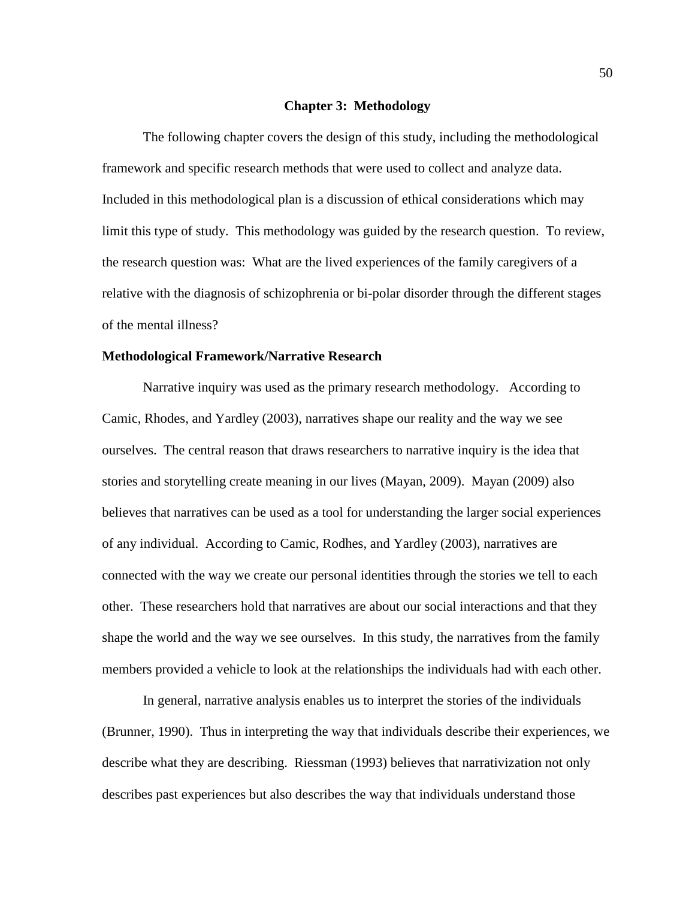#### **Chapter 3: Methodology**

The following chapter covers the design of this study, including the methodological framework and specific research methods that were used to collect and analyze data. Included in this methodological plan is a discussion of ethical considerations which may limit this type of study. This methodology was guided by the research question. To review, the research question was: What are the lived experiences of the family caregivers of a relative with the diagnosis of schizophrenia or bi-polar disorder through the different stages of the mental illness?

#### **Methodological Framework/Narrative Research**

Narrative inquiry was used as the primary research methodology. According to Camic, Rhodes, and Yardley (2003), narratives shape our reality and the way we see ourselves. The central reason that draws researchers to narrative inquiry is the idea that stories and storytelling create meaning in our lives (Mayan, 2009). Mayan (2009) also believes that narratives can be used as a tool for understanding the larger social experiences of any individual. According to Camic, Rodhes, and Yardley (2003), narratives are connected with the way we create our personal identities through the stories we tell to each other. These researchers hold that narratives are about our social interactions and that they shape the world and the way we see ourselves. In this study, the narratives from the family members provided a vehicle to look at the relationships the individuals had with each other.

In general, narrative analysis enables us to interpret the stories of the individuals (Brunner, 1990). Thus in interpreting the way that individuals describe their experiences, we describe what they are describing. Riessman (1993) believes that narrativization not only describes past experiences but also describes the way that individuals understand those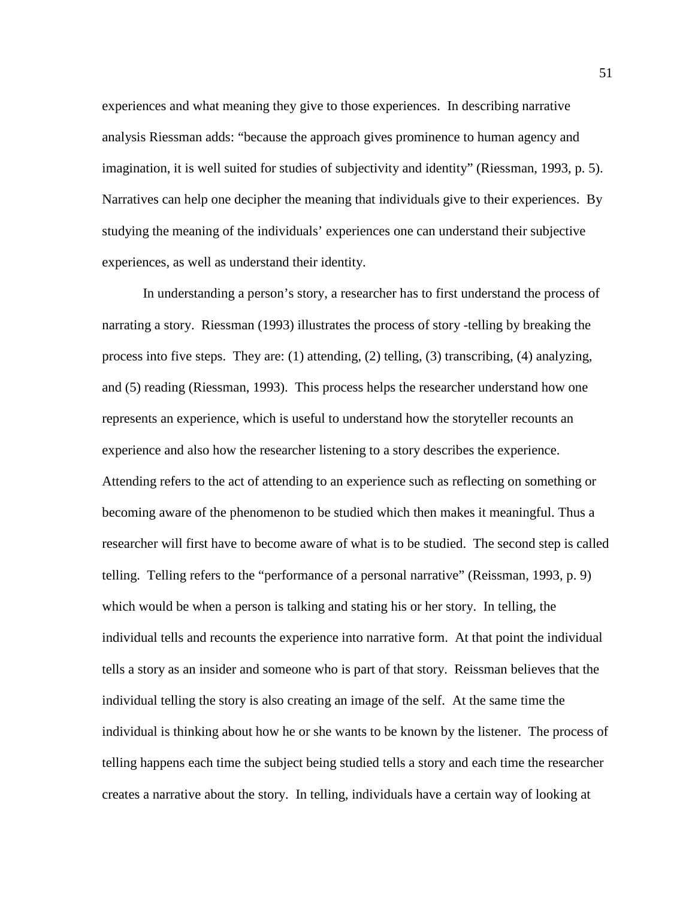experiences and what meaning they give to those experiences. In describing narrative analysis Riessman adds: "because the approach gives prominence to human agency and imagination, it is well suited for studies of subjectivity and identity" (Riessman, 1993, p. 5). Narratives can help one decipher the meaning that individuals give to their experiences. By studying the meaning of the individuals' experiences one can understand their subjective experiences, as well as understand their identity.

In understanding a person's story, a researcher has to first understand the process of narrating a story. Riessman (1993) illustrates the process of story -telling by breaking the process into five steps. They are: (1) attending, (2) telling, (3) transcribing, (4) analyzing, and (5) reading (Riessman, 1993). This process helps the researcher understand how one represents an experience, which is useful to understand how the storyteller recounts an experience and also how the researcher listening to a story describes the experience. Attending refers to the act of attending to an experience such as reflecting on something or becoming aware of the phenomenon to be studied which then makes it meaningful. Thus a researcher will first have to become aware of what is to be studied. The second step is called telling. Telling refers to the "performance of a personal narrative" (Reissman, 1993, p. 9) which would be when a person is talking and stating his or her story. In telling, the individual tells and recounts the experience into narrative form. At that point the individual tells a story as an insider and someone who is part of that story. Reissman believes that the individual telling the story is also creating an image of the self. At the same time the individual is thinking about how he or she wants to be known by the listener. The process of telling happens each time the subject being studied tells a story and each time the researcher creates a narrative about the story. In telling, individuals have a certain way of looking at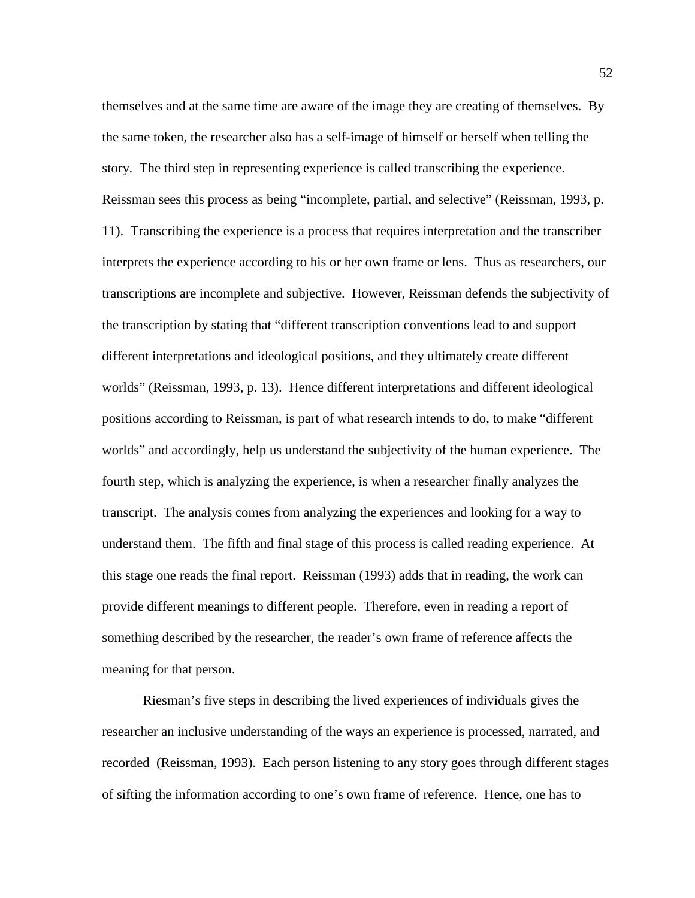themselves and at the same time are aware of the image they are creating of themselves. By the same token, the researcher also has a self-image of himself or herself when telling the story. The third step in representing experience is called transcribing the experience. Reissman sees this process as being "incomplete, partial, and selective" (Reissman, 1993, p. 11). Transcribing the experience is a process that requires interpretation and the transcriber interprets the experience according to his or her own frame or lens. Thus as researchers, our transcriptions are incomplete and subjective. However, Reissman defends the subjectivity of the transcription by stating that "different transcription conventions lead to and support different interpretations and ideological positions, and they ultimately create different worlds" (Reissman, 1993, p. 13). Hence different interpretations and different ideological positions according to Reissman, is part of what research intends to do, to make "different worlds" and accordingly, help us understand the subjectivity of the human experience. The fourth step, which is analyzing the experience, is when a researcher finally analyzes the transcript. The analysis comes from analyzing the experiences and looking for a way to understand them. The fifth and final stage of this process is called reading experience. At this stage one reads the final report. Reissman (1993) adds that in reading, the work can provide different meanings to different people. Therefore, even in reading a report of something described by the researcher, the reader's own frame of reference affects the meaning for that person.

Riesman's five steps in describing the lived experiences of individuals gives the researcher an inclusive understanding of the ways an experience is processed, narrated, and recorded (Reissman, 1993). Each person listening to any story goes through different stages of sifting the information according to one's own frame of reference. Hence, one has to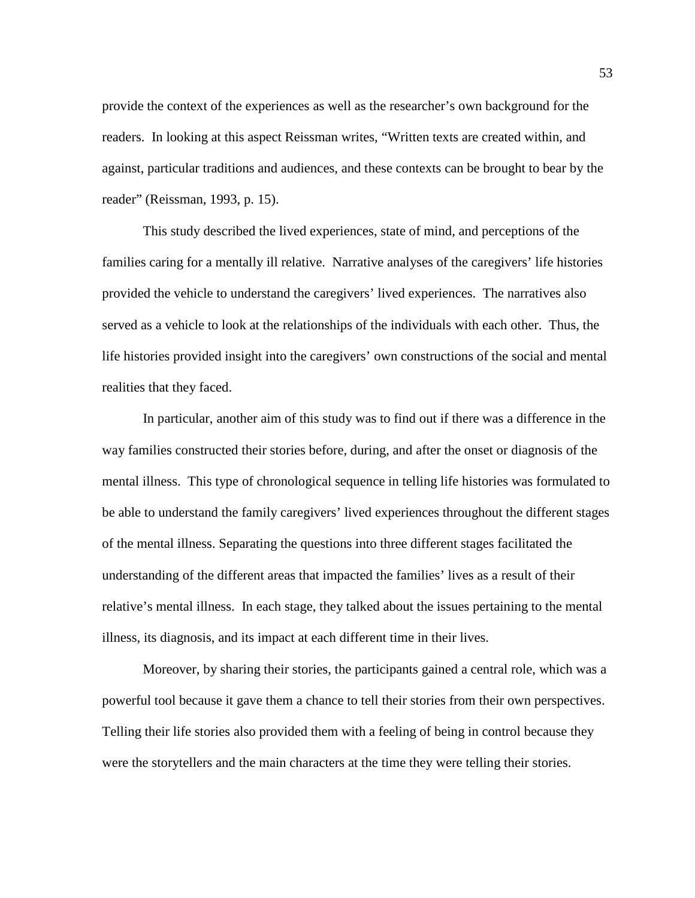provide the context of the experiences as well as the researcher's own background for the readers. In looking at this aspect Reissman writes, "Written texts are created within, and against, particular traditions and audiences, and these contexts can be brought to bear by the reader" (Reissman, 1993, p. 15).

This study described the lived experiences, state of mind, and perceptions of the families caring for a mentally ill relative. Narrative analyses of the caregivers' life histories provided the vehicle to understand the caregivers' lived experiences. The narratives also served as a vehicle to look at the relationships of the individuals with each other. Thus, the life histories provided insight into the caregivers' own constructions of the social and mental realities that they faced.

In particular, another aim of this study was to find out if there was a difference in the way families constructed their stories before, during, and after the onset or diagnosis of the mental illness. This type of chronological sequence in telling life histories was formulated to be able to understand the family caregivers' lived experiences throughout the different stages of the mental illness. Separating the questions into three different stages facilitated the understanding of the different areas that impacted the families' lives as a result of their relative's mental illness. In each stage, they talked about the issues pertaining to the mental illness, its diagnosis, and its impact at each different time in their lives.

Moreover, by sharing their stories, the participants gained a central role, which was a powerful tool because it gave them a chance to tell their stories from their own perspectives. Telling their life stories also provided them with a feeling of being in control because they were the storytellers and the main characters at the time they were telling their stories.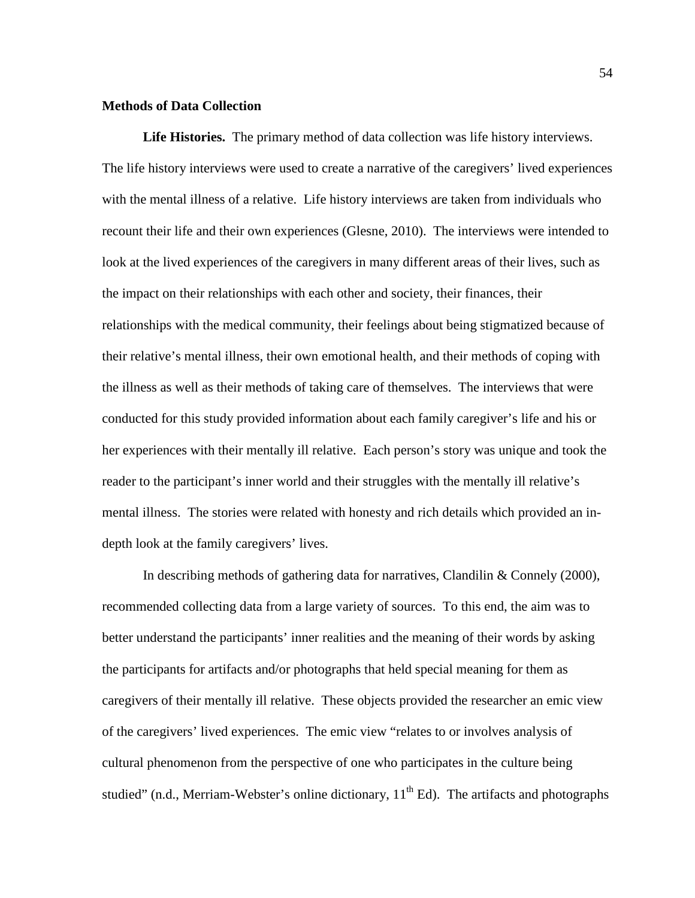# **Methods of Data Collection**

**Life Histories.** The primary method of data collection was life history interviews. The life history interviews were used to create a narrative of the caregivers' lived experiences with the mental illness of a relative. Life history interviews are taken from individuals who recount their life and their own experiences (Glesne, 2010). The interviews were intended to look at the lived experiences of the caregivers in many different areas of their lives, such as the impact on their relationships with each other and society, their finances, their relationships with the medical community, their feelings about being stigmatized because of their relative's mental illness, their own emotional health, and their methods of coping with the illness as well as their methods of taking care of themselves. The interviews that were conducted for this study provided information about each family caregiver's life and his or her experiences with their mentally ill relative. Each person's story was unique and took the reader to the participant's inner world and their struggles with the mentally ill relative's mental illness. The stories were related with honesty and rich details which provided an indepth look at the family caregivers' lives.

In describing methods of gathering data for narratives, Clandilin & Connely (2000), recommended collecting data from a large variety of sources. To this end, the aim was to better understand the participants' inner realities and the meaning of their words by asking the participants for artifacts and/or photographs that held special meaning for them as caregivers of their mentally ill relative. These objects provided the researcher an emic view of the caregivers' lived experiences. The emic view "relates to or involves analysis of cultural phenomenon from the perspective of one who participates in the culture being studied" (n.d., Merriam-Webster's online dictionary,  $11<sup>th</sup> Ed$ ). The artifacts and photographs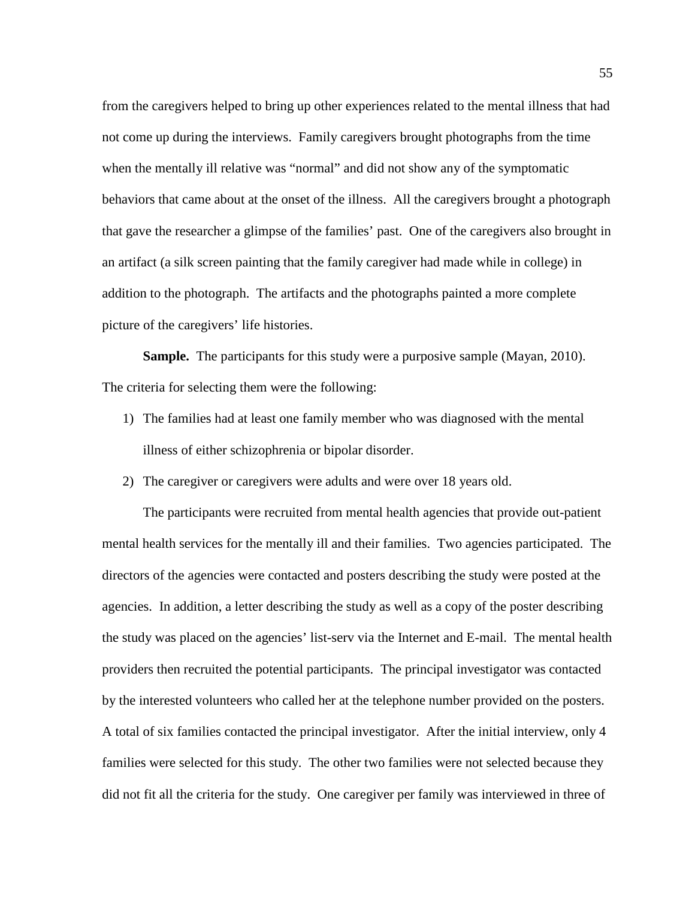from the caregivers helped to bring up other experiences related to the mental illness that had not come up during the interviews. Family caregivers brought photographs from the time when the mentally ill relative was "normal" and did not show any of the symptomatic behaviors that came about at the onset of the illness. All the caregivers brought a photograph that gave the researcher a glimpse of the families' past. One of the caregivers also brought in an artifact (a silk screen painting that the family caregiver had made while in college) in addition to the photograph. The artifacts and the photographs painted a more complete picture of the caregivers' life histories.

**Sample.** The participants for this study were a purposive sample (Mayan, 2010). The criteria for selecting them were the following:

- 1) The families had at least one family member who was diagnosed with the mental illness of either schizophrenia or bipolar disorder.
- 2) The caregiver or caregivers were adults and were over 18 years old.

The participants were recruited from mental health agencies that provide out-patient mental health services for the mentally ill and their families. Two agencies participated. The directors of the agencies were contacted and posters describing the study were posted at the agencies. In addition, a letter describing the study as well as a copy of the poster describing the study was placed on the agencies' list-serv via the Internet and E-mail. The mental health providers then recruited the potential participants. The principal investigator was contacted by the interested volunteers who called her at the telephone number provided on the posters. A total of six families contacted the principal investigator. After the initial interview, only 4 families were selected for this study. The other two families were not selected because they did not fit all the criteria for the study. One caregiver per family was interviewed in three of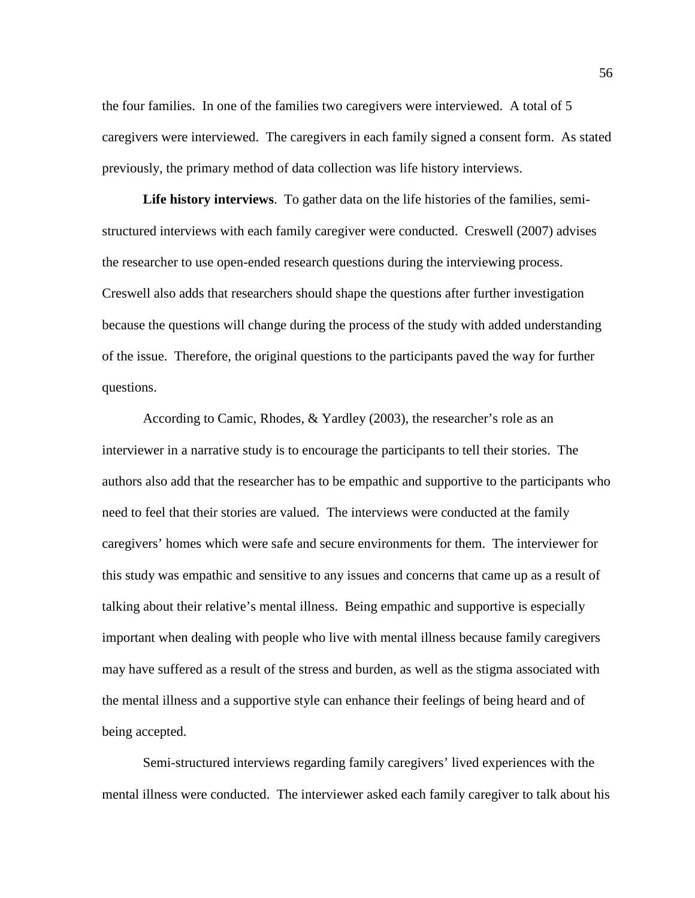the four families. In one of the families two caregivers were interviewed. A total of 5 caregivers were interviewed. The caregivers in each family signed a consent form. As stated previously, the primary method of data collection was life history interviews.

**Life history interviews**. To gather data on the life histories of the families, semistructured interviews with each family caregiver were conducted. Creswell (2007) advises the researcher to use open-ended research questions during the interviewing process. Creswell also adds that researchers should shape the questions after further investigation because the questions will change during the process of the study with added understanding of the issue. Therefore, the original questions to the participants paved the way for further questions.

According to Camic, Rhodes, & Yardley (2003), the researcher's role as an interviewer in a narrative study is to encourage the participants to tell their stories. The authors also add that the researcher has to be empathic and supportive to the participants who need to feel that their stories are valued. The interviews were conducted at the family caregivers' homes which were safe and secure environments for them. The interviewer for this study was empathic and sensitive to any issues and concerns that came up as a result of talking about their relative's mental illness. Being empathic and supportive is especially important when dealing with people who live with mental illness because family caregivers may have suffered as a result of the stress and burden, as well as the stigma associated with the mental illness and a supportive style can enhance their feelings of being heard and of being accepted.

Semi-structured interviews regarding family caregivers' lived experiences with the mental illness were conducted. The interviewer asked each family caregiver to talk about his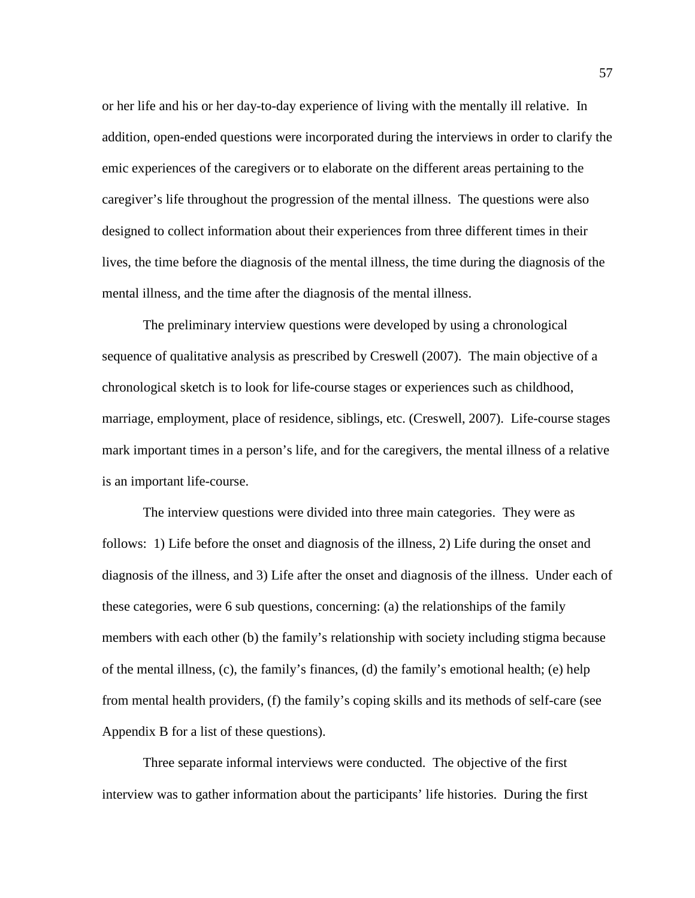or her life and his or her day-to-day experience of living with the mentally ill relative. In addition, open-ended questions were incorporated during the interviews in order to clarify the emic experiences of the caregivers or to elaborate on the different areas pertaining to the caregiver's life throughout the progression of the mental illness. The questions were also designed to collect information about their experiences from three different times in their lives, the time before the diagnosis of the mental illness, the time during the diagnosis of the mental illness, and the time after the diagnosis of the mental illness.

The preliminary interview questions were developed by using a chronological sequence of qualitative analysis as prescribed by Creswell (2007). The main objective of a chronological sketch is to look for life-course stages or experiences such as childhood, marriage, employment, place of residence, siblings, etc. (Creswell, 2007). Life-course stages mark important times in a person's life, and for the caregivers, the mental illness of a relative is an important life-course.

The interview questions were divided into three main categories. They were as follows: 1) Life before the onset and diagnosis of the illness, 2) Life during the onset and diagnosis of the illness, and 3) Life after the onset and diagnosis of the illness. Under each of these categories, were 6 sub questions, concerning: (a) the relationships of the family members with each other (b) the family's relationship with society including stigma because of the mental illness, (c), the family's finances, (d) the family's emotional health; (e) help from mental health providers, (f) the family's coping skills and its methods of self-care (see Appendix B for a list of these questions).

Three separate informal interviews were conducted. The objective of the first interview was to gather information about the participants' life histories. During the first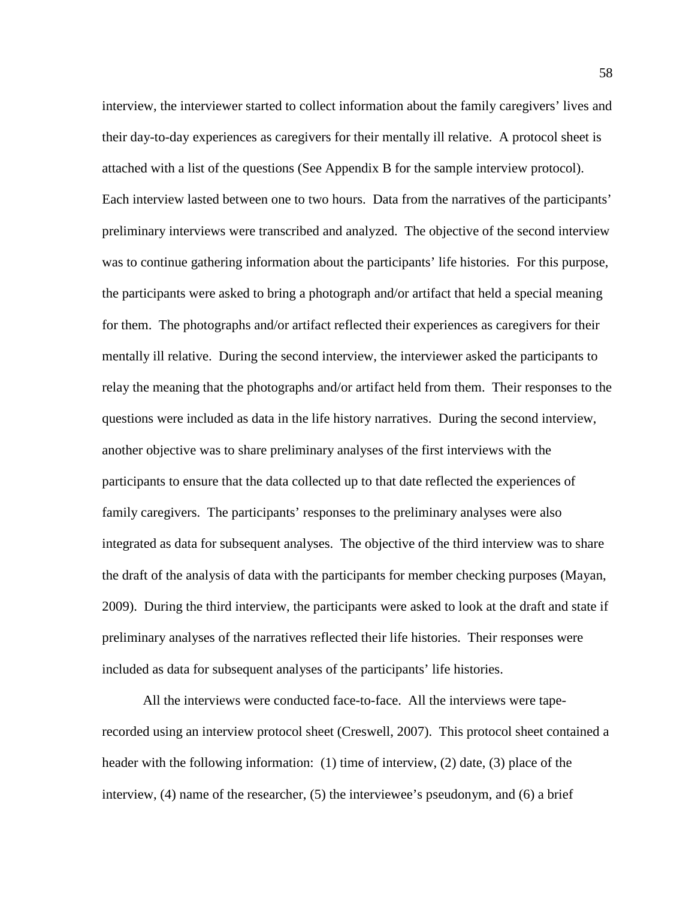interview, the interviewer started to collect information about the family caregivers' lives and their day-to-day experiences as caregivers for their mentally ill relative. A protocol sheet is attached with a list of the questions (See Appendix B for the sample interview protocol). Each interview lasted between one to two hours. Data from the narratives of the participants' preliminary interviews were transcribed and analyzed. The objective of the second interview was to continue gathering information about the participants' life histories. For this purpose, the participants were asked to bring a photograph and/or artifact that held a special meaning for them. The photographs and/or artifact reflected their experiences as caregivers for their mentally ill relative. During the second interview, the interviewer asked the participants to relay the meaning that the photographs and/or artifact held from them. Their responses to the questions were included as data in the life history narratives. During the second interview, another objective was to share preliminary analyses of the first interviews with the participants to ensure that the data collected up to that date reflected the experiences of family caregivers. The participants' responses to the preliminary analyses were also integrated as data for subsequent analyses. The objective of the third interview was to share the draft of the analysis of data with the participants for member checking purposes (Mayan, 2009). During the third interview, the participants were asked to look at the draft and state if preliminary analyses of the narratives reflected their life histories. Their responses were included as data for subsequent analyses of the participants' life histories.

All the interviews were conducted face-to-face. All the interviews were taperecorded using an interview protocol sheet (Creswell, 2007). This protocol sheet contained a header with the following information: (1) time of interview, (2) date, (3) place of the interview, (4) name of the researcher, (5) the interviewee's pseudonym, and (6) a brief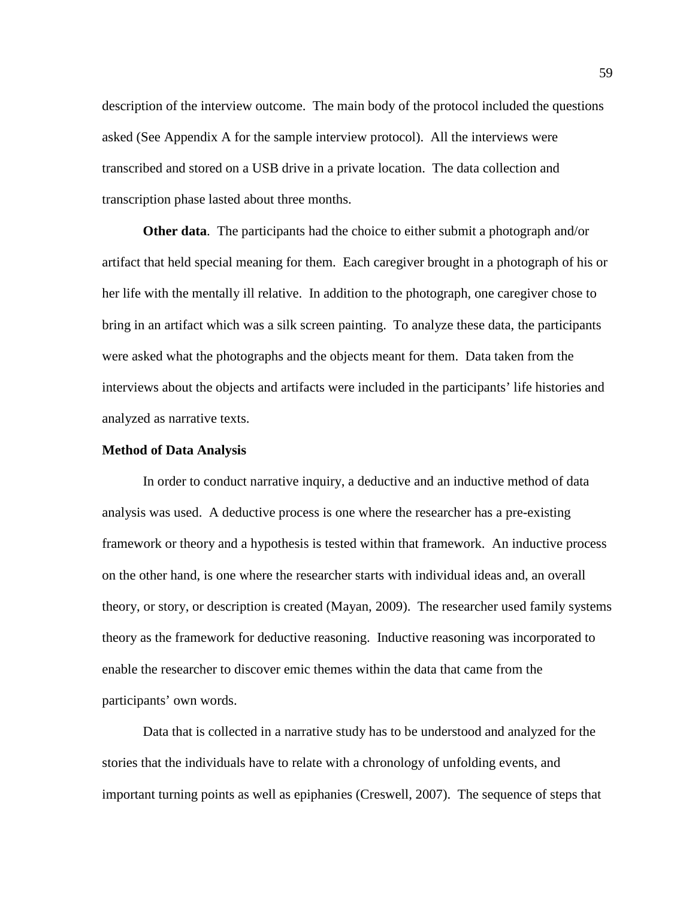description of the interview outcome. The main body of the protocol included the questions asked (See Appendix A for the sample interview protocol). All the interviews were transcribed and stored on a USB drive in a private location. The data collection and transcription phase lasted about three months.

**Other data**. The participants had the choice to either submit a photograph and/or artifact that held special meaning for them. Each caregiver brought in a photograph of his or her life with the mentally ill relative. In addition to the photograph, one caregiver chose to bring in an artifact which was a silk screen painting. To analyze these data, the participants were asked what the photographs and the objects meant for them. Data taken from the interviews about the objects and artifacts were included in the participants' life histories and analyzed as narrative texts.

#### **Method of Data Analysis**

In order to conduct narrative inquiry, a deductive and an inductive method of data analysis was used. A deductive process is one where the researcher has a pre-existing framework or theory and a hypothesis is tested within that framework. An inductive process on the other hand, is one where the researcher starts with individual ideas and, an overall theory, or story, or description is created (Mayan, 2009). The researcher used family systems theory as the framework for deductive reasoning. Inductive reasoning was incorporated to enable the researcher to discover emic themes within the data that came from the participants' own words.

Data that is collected in a narrative study has to be understood and analyzed for the stories that the individuals have to relate with a chronology of unfolding events, and important turning points as well as epiphanies (Creswell, 2007). The sequence of steps that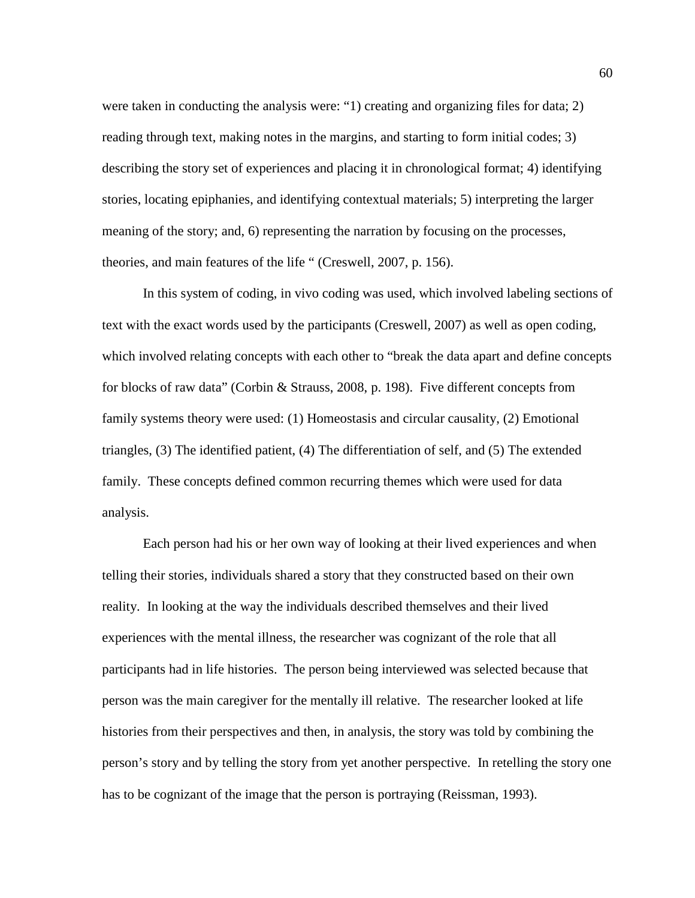were taken in conducting the analysis were: "1) creating and organizing files for data; 2) reading through text, making notes in the margins, and starting to form initial codes; 3) describing the story set of experiences and placing it in chronological format; 4) identifying stories, locating epiphanies, and identifying contextual materials; 5) interpreting the larger meaning of the story; and, 6) representing the narration by focusing on the processes, theories, and main features of the life " (Creswell, 2007, p. 156).

In this system of coding, in vivo coding was used, which involved labeling sections of text with the exact words used by the participants (Creswell, 2007) as well as open coding, which involved relating concepts with each other to "break the data apart and define concepts for blocks of raw data" (Corbin & Strauss, 2008, p. 198). Five different concepts from family systems theory were used: (1) Homeostasis and circular causality, (2) Emotional triangles, (3) The identified patient, (4) The differentiation of self, and (5) The extended family. These concepts defined common recurring themes which were used for data analysis.

Each person had his or her own way of looking at their lived experiences and when telling their stories, individuals shared a story that they constructed based on their own reality. In looking at the way the individuals described themselves and their lived experiences with the mental illness, the researcher was cognizant of the role that all participants had in life histories. The person being interviewed was selected because that person was the main caregiver for the mentally ill relative. The researcher looked at life histories from their perspectives and then, in analysis, the story was told by combining the person's story and by telling the story from yet another perspective. In retelling the story one has to be cognizant of the image that the person is portraying (Reissman, 1993).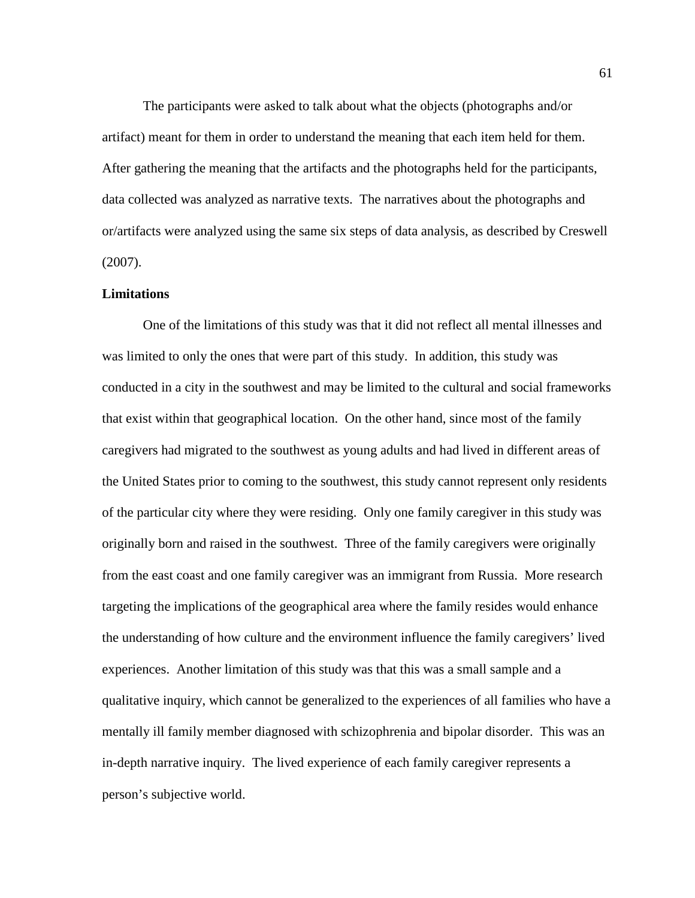The participants were asked to talk about what the objects (photographs and/or artifact) meant for them in order to understand the meaning that each item held for them. After gathering the meaning that the artifacts and the photographs held for the participants, data collected was analyzed as narrative texts. The narratives about the photographs and or/artifacts were analyzed using the same six steps of data analysis, as described by Creswell (2007).

# **Limitations**

One of the limitations of this study was that it did not reflect all mental illnesses and was limited to only the ones that were part of this study. In addition, this study was conducted in a city in the southwest and may be limited to the cultural and social frameworks that exist within that geographical location. On the other hand, since most of the family caregivers had migrated to the southwest as young adults and had lived in different areas of the United States prior to coming to the southwest, this study cannot represent only residents of the particular city where they were residing. Only one family caregiver in this study was originally born and raised in the southwest. Three of the family caregivers were originally from the east coast and one family caregiver was an immigrant from Russia. More research targeting the implications of the geographical area where the family resides would enhance the understanding of how culture and the environment influence the family caregivers' lived experiences. Another limitation of this study was that this was a small sample and a qualitative inquiry, which cannot be generalized to the experiences of all families who have a mentally ill family member diagnosed with schizophrenia and bipolar disorder. This was an in-depth narrative inquiry. The lived experience of each family caregiver represents a person's subjective world.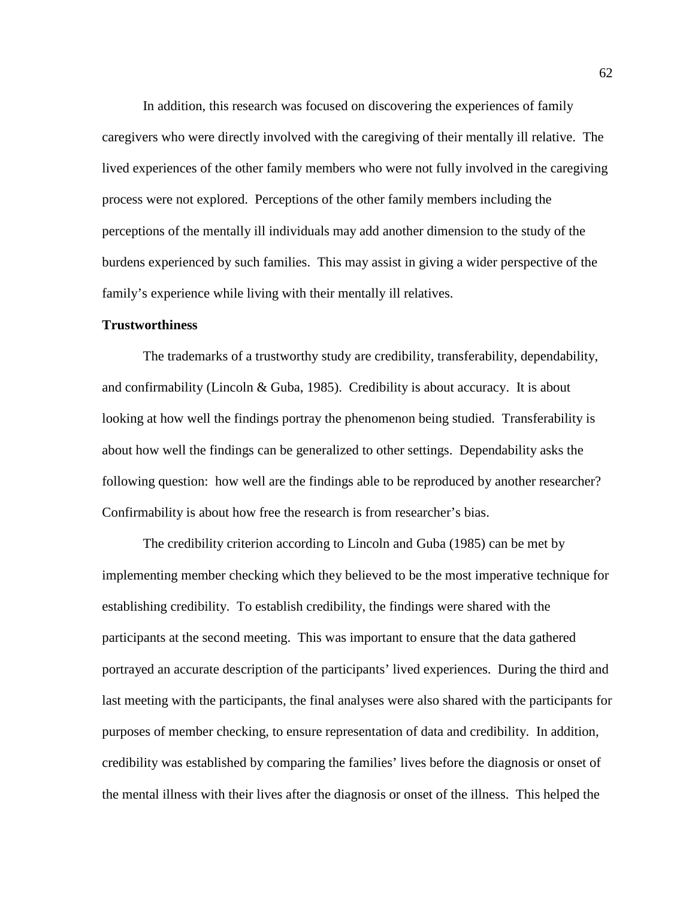In addition, this research was focused on discovering the experiences of family caregivers who were directly involved with the caregiving of their mentally ill relative. The lived experiences of the other family members who were not fully involved in the caregiving process were not explored. Perceptions of the other family members including the perceptions of the mentally ill individuals may add another dimension to the study of the burdens experienced by such families. This may assist in giving a wider perspective of the family's experience while living with their mentally ill relatives.

## **Trustworthiness**

The trademarks of a trustworthy study are credibility, transferability, dependability, and confirmability (Lincoln & Guba, 1985). Credibility is about accuracy. It is about looking at how well the findings portray the phenomenon being studied. Transferability is about how well the findings can be generalized to other settings. Dependability asks the following question: how well are the findings able to be reproduced by another researcher? Confirmability is about how free the research is from researcher's bias.

The credibility criterion according to Lincoln and Guba (1985) can be met by implementing member checking which they believed to be the most imperative technique for establishing credibility. To establish credibility, the findings were shared with the participants at the second meeting. This was important to ensure that the data gathered portrayed an accurate description of the participants' lived experiences. During the third and last meeting with the participants, the final analyses were also shared with the participants for purposes of member checking, to ensure representation of data and credibility. In addition, credibility was established by comparing the families' lives before the diagnosis or onset of the mental illness with their lives after the diagnosis or onset of the illness. This helped the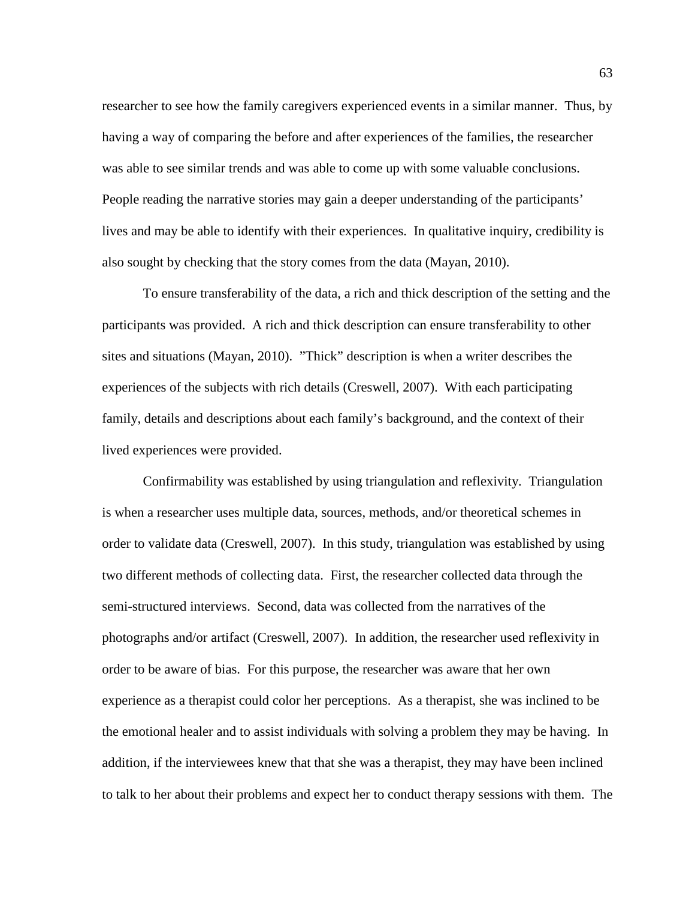researcher to see how the family caregivers experienced events in a similar manner. Thus, by having a way of comparing the before and after experiences of the families, the researcher was able to see similar trends and was able to come up with some valuable conclusions. People reading the narrative stories may gain a deeper understanding of the participants' lives and may be able to identify with their experiences. In qualitative inquiry, credibility is also sought by checking that the story comes from the data (Mayan, 2010).

To ensure transferability of the data, a rich and thick description of the setting and the participants was provided. A rich and thick description can ensure transferability to other sites and situations (Mayan, 2010). "Thick" description is when a writer describes the experiences of the subjects with rich details (Creswell, 2007). With each participating family, details and descriptions about each family's background, and the context of their lived experiences were provided.

Confirmability was established by using triangulation and reflexivity. Triangulation is when a researcher uses multiple data, sources, methods, and/or theoretical schemes in order to validate data (Creswell, 2007). In this study, triangulation was established by using two different methods of collecting data. First, the researcher collected data through the semi-structured interviews. Second, data was collected from the narratives of the photographs and/or artifact (Creswell, 2007). In addition, the researcher used reflexivity in order to be aware of bias. For this purpose, the researcher was aware that her own experience as a therapist could color her perceptions. As a therapist, she was inclined to be the emotional healer and to assist individuals with solving a problem they may be having. In addition, if the interviewees knew that that she was a therapist, they may have been inclined to talk to her about their problems and expect her to conduct therapy sessions with them. The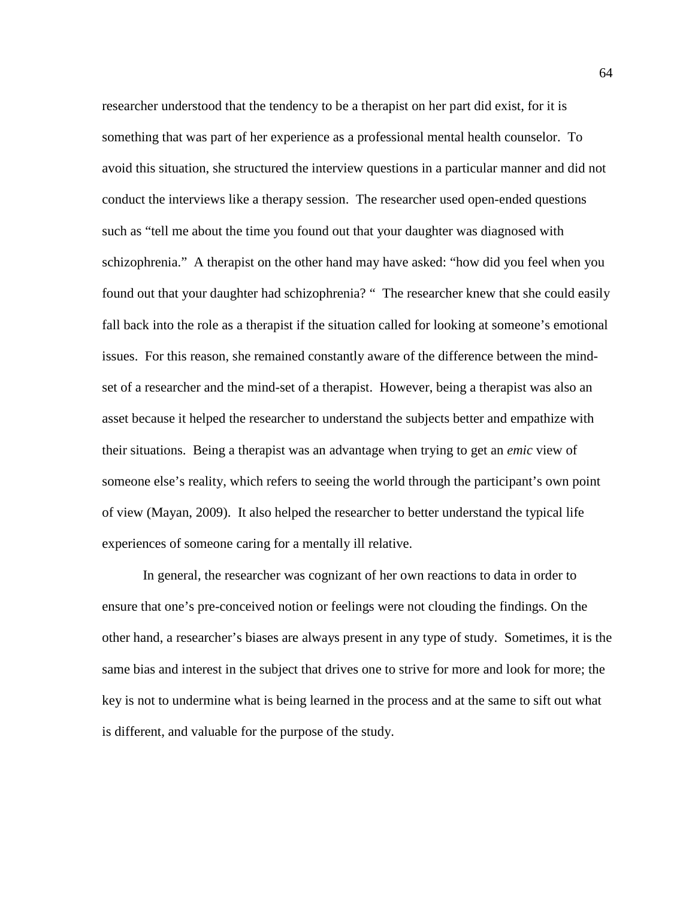researcher understood that the tendency to be a therapist on her part did exist, for it is something that was part of her experience as a professional mental health counselor. To avoid this situation, she structured the interview questions in a particular manner and did not conduct the interviews like a therapy session. The researcher used open-ended questions such as "tell me about the time you found out that your daughter was diagnosed with schizophrenia." A therapist on the other hand may have asked: "how did you feel when you found out that your daughter had schizophrenia? " The researcher knew that she could easily fall back into the role as a therapist if the situation called for looking at someone's emotional issues. For this reason, she remained constantly aware of the difference between the mindset of a researcher and the mind-set of a therapist. However, being a therapist was also an asset because it helped the researcher to understand the subjects better and empathize with their situations. Being a therapist was an advantage when trying to get an *emic* view of someone else's reality, which refers to seeing the world through the participant's own point of view (Mayan, 2009). It also helped the researcher to better understand the typical life experiences of someone caring for a mentally ill relative.

In general, the researcher was cognizant of her own reactions to data in order to ensure that one's pre-conceived notion or feelings were not clouding the findings. On the other hand, a researcher's biases are always present in any type of study. Sometimes, it is the same bias and interest in the subject that drives one to strive for more and look for more; the key is not to undermine what is being learned in the process and at the same to sift out what is different, and valuable for the purpose of the study.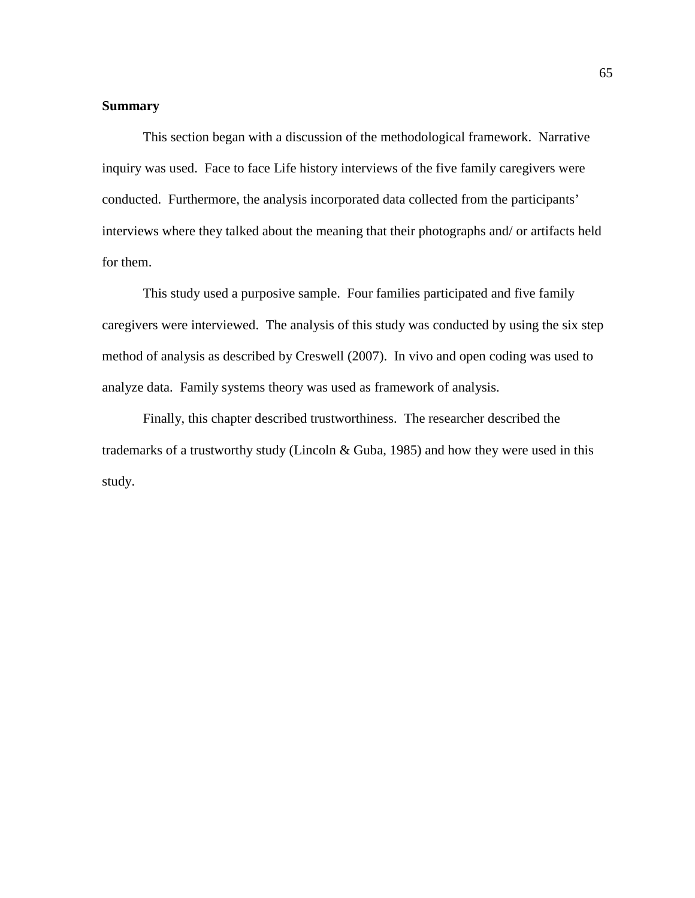# **Summary**

This section began with a discussion of the methodological framework. Narrative inquiry was used. Face to face Life history interviews of the five family caregivers were conducted. Furthermore, the analysis incorporated data collected from the participants' interviews where they talked about the meaning that their photographs and/ or artifacts held for them.

This study used a purposive sample. Four families participated and five family caregivers were interviewed. The analysis of this study was conducted by using the six step method of analysis as described by Creswell (2007). In vivo and open coding was used to analyze data. Family systems theory was used as framework of analysis.

Finally, this chapter described trustworthiness. The researcher described the trademarks of a trustworthy study (Lincoln & Guba, 1985) and how they were used in this study.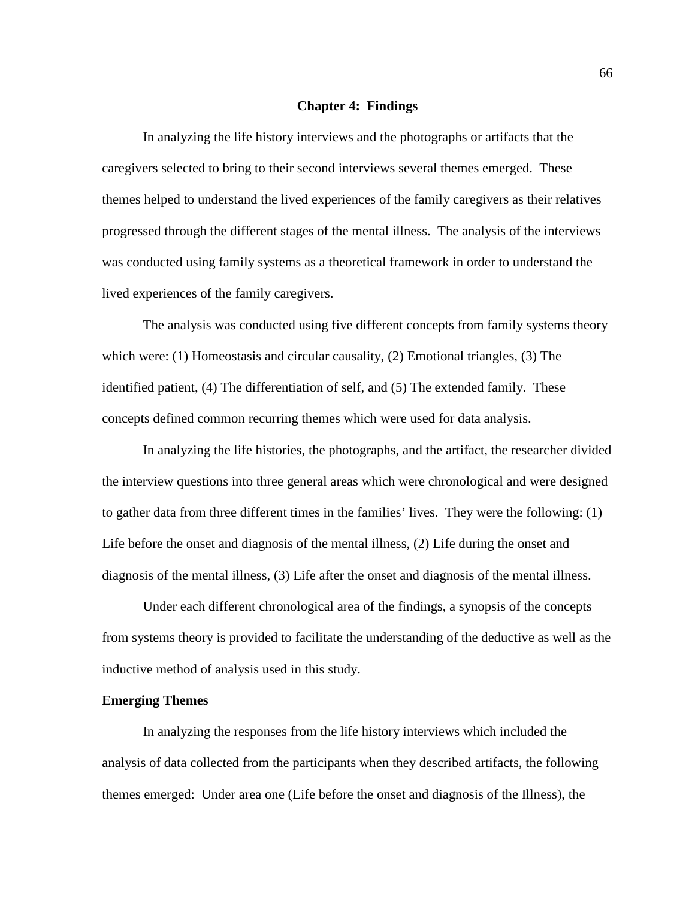#### **Chapter 4: Findings**

In analyzing the life history interviews and the photographs or artifacts that the caregivers selected to bring to their second interviews several themes emerged. These themes helped to understand the lived experiences of the family caregivers as their relatives progressed through the different stages of the mental illness. The analysis of the interviews was conducted using family systems as a theoretical framework in order to understand the lived experiences of the family caregivers.

The analysis was conducted using five different concepts from family systems theory which were: (1) Homeostasis and circular causality, (2) Emotional triangles, (3) The identified patient, (4) The differentiation of self, and (5) The extended family. These concepts defined common recurring themes which were used for data analysis.

In analyzing the life histories, the photographs, and the artifact, the researcher divided the interview questions into three general areas which were chronological and were designed to gather data from three different times in the families' lives. They were the following: (1) Life before the onset and diagnosis of the mental illness, (2) Life during the onset and diagnosis of the mental illness, (3) Life after the onset and diagnosis of the mental illness.

Under each different chronological area of the findings, a synopsis of the concepts from systems theory is provided to facilitate the understanding of the deductive as well as the inductive method of analysis used in this study.

## **Emerging Themes**

In analyzing the responses from the life history interviews which included the analysis of data collected from the participants when they described artifacts, the following themes emerged: Under area one (Life before the onset and diagnosis of the Illness), the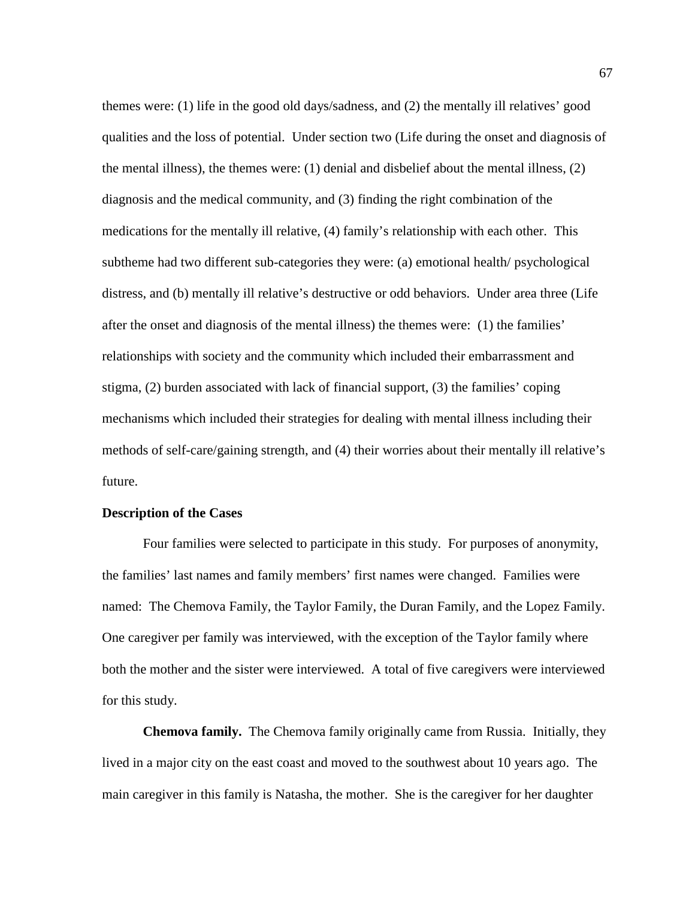themes were: (1) life in the good old days/sadness, and (2) the mentally ill relatives' good qualities and the loss of potential. Under section two (Life during the onset and diagnosis of the mental illness), the themes were: (1) denial and disbelief about the mental illness, (2) diagnosis and the medical community, and (3) finding the right combination of the medications for the mentally ill relative, (4) family's relationship with each other. This subtheme had two different sub-categories they were: (a) emotional health/ psychological distress, and (b) mentally ill relative's destructive or odd behaviors. Under area three (Life after the onset and diagnosis of the mental illness) the themes were: (1) the families' relationships with society and the community which included their embarrassment and stigma, (2) burden associated with lack of financial support, (3) the families' coping mechanisms which included their strategies for dealing with mental illness including their methods of self-care/gaining strength, and (4) their worries about their mentally ill relative's future.

#### **Description of the Cases**

Four families were selected to participate in this study. For purposes of anonymity, the families' last names and family members' first names were changed.Families were named: The Chemova Family, the Taylor Family, the Duran Family, and the Lopez Family. One caregiver per family was interviewed, with the exception of the Taylor family where both the mother and the sister were interviewed. A total of five caregivers were interviewed for this study.

**Chemova family.** The Chemova family originally came from Russia. Initially, they lived in a major city on the east coast and moved to the southwest about 10 years ago. The main caregiver in this family is Natasha, the mother. She is the caregiver for her daughter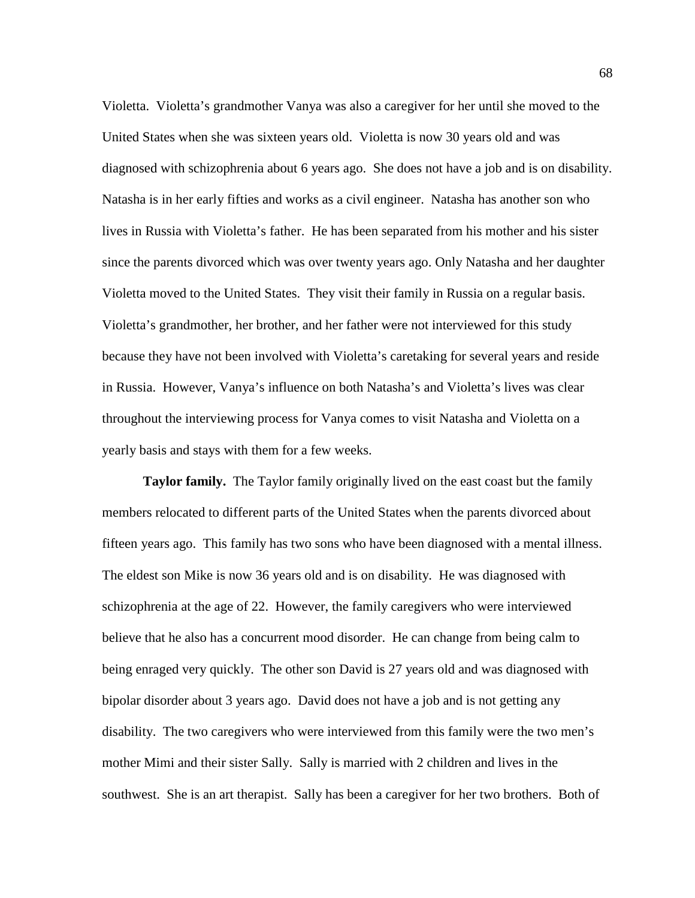Violetta. Violetta's grandmother Vanya was also a caregiver for her until she moved to the United States when she was sixteen years old. Violetta is now 30 years old and was diagnosed with schizophrenia about 6 years ago. She does not have a job and is on disability. Natasha is in her early fifties and works as a civil engineer. Natasha has another son who lives in Russia with Violetta's father. He has been separated from his mother and his sister since the parents divorced which was over twenty years ago. Only Natasha and her daughter Violetta moved to the United States. They visit their family in Russia on a regular basis. Violetta's grandmother, her brother, and her father were not interviewed for this study because they have not been involved with Violetta's caretaking for several years and reside in Russia. However, Vanya's influence on both Natasha's and Violetta's lives was clear throughout the interviewing process for Vanya comes to visit Natasha and Violetta on a yearly basis and stays with them for a few weeks.

**Taylor family.** The Taylor family originally lived on the east coast but the family members relocated to different parts of the United States when the parents divorced about fifteen years ago. This family has two sons who have been diagnosed with a mental illness. The eldest son Mike is now 36 years old and is on disability. He was diagnosed with schizophrenia at the age of 22. However, the family caregivers who were interviewed believe that he also has a concurrent mood disorder. He can change from being calm to being enraged very quickly. The other son David is 27 years old and was diagnosed with bipolar disorder about 3 years ago. David does not have a job and is not getting any disability. The two caregivers who were interviewed from this family were the two men's mother Mimi and their sister Sally. Sally is married with 2 children and lives in the southwest. She is an art therapist. Sally has been a caregiver for her two brothers. Both of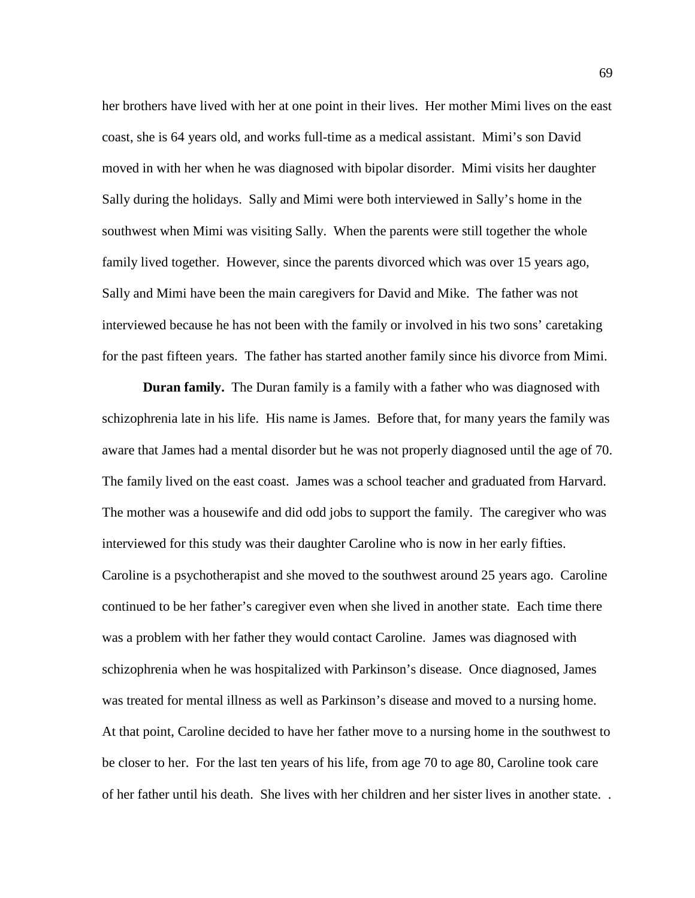her brothers have lived with her at one point in their lives. Her mother Mimi lives on the east coast, she is 64 years old, and works full-time as a medical assistant. Mimi's son David moved in with her when he was diagnosed with bipolar disorder. Mimi visits her daughter Sally during the holidays. Sally and Mimi were both interviewed in Sally's home in the southwest when Mimi was visiting Sally. When the parents were still together the whole family lived together. However, since the parents divorced which was over 15 years ago, Sally and Mimi have been the main caregivers for David and Mike. The father was not interviewed because he has not been with the family or involved in his two sons' caretaking for the past fifteen years. The father has started another family since his divorce from Mimi.

**Duran family.** The Duran family is a family with a father who was diagnosed with schizophrenia late in his life. His name is James. Before that, for many years the family was aware that James had a mental disorder but he was not properly diagnosed until the age of 70. The family lived on the east coast. James was a school teacher and graduated from Harvard. The mother was a housewife and did odd jobs to support the family. The caregiver who was interviewed for this study was their daughter Caroline who is now in her early fifties. Caroline is a psychotherapist and she moved to the southwest around 25 years ago. Caroline continued to be her father's caregiver even when she lived in another state. Each time there was a problem with her father they would contact Caroline. James was diagnosed with schizophrenia when he was hospitalized with Parkinson's disease. Once diagnosed, James was treated for mental illness as well as Parkinson's disease and moved to a nursing home. At that point, Caroline decided to have her father move to a nursing home in the southwest to be closer to her. For the last ten years of his life, from age 70 to age 80, Caroline took care of her father until his death. She lives with her children and her sister lives in another state. .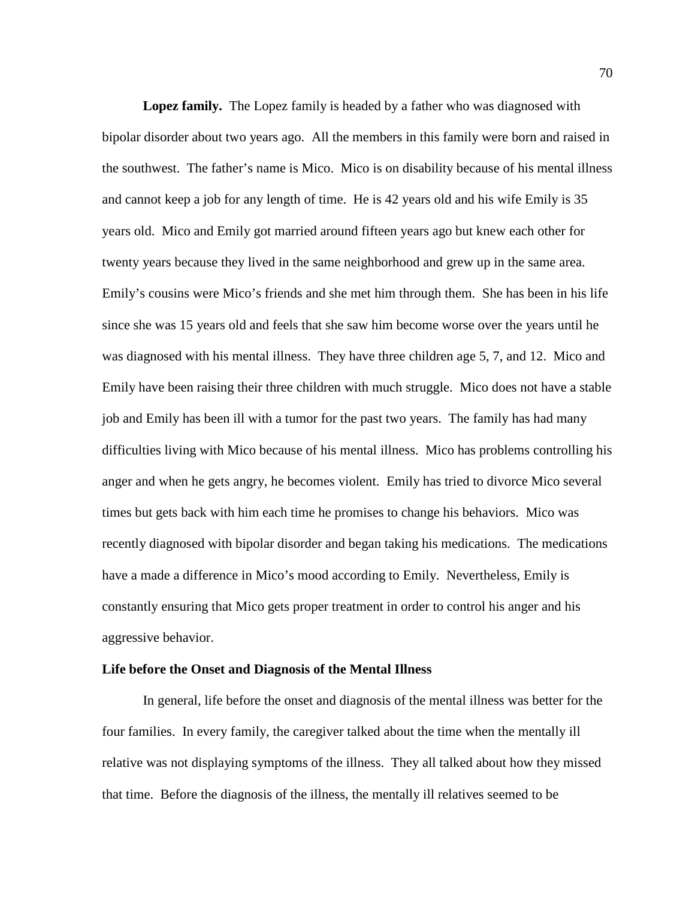**Lopez family.** The Lopez family is headed by a father who was diagnosed with bipolar disorder about two years ago. All the members in this family were born and raised in the southwest. The father's name is Mico. Mico is on disability because of his mental illness and cannot keep a job for any length of time. He is 42 years old and his wife Emily is 35 years old. Mico and Emily got married around fifteen years ago but knew each other for twenty years because they lived in the same neighborhood and grew up in the same area. Emily's cousins were Mico's friends and she met him through them. She has been in his life since she was 15 years old and feels that she saw him become worse over the years until he was diagnosed with his mental illness. They have three children age 5, 7, and 12. Mico and Emily have been raising their three children with much struggle. Mico does not have a stable job and Emily has been ill with a tumor for the past two years. The family has had many difficulties living with Mico because of his mental illness. Mico has problems controlling his anger and when he gets angry, he becomes violent. Emily has tried to divorce Mico several times but gets back with him each time he promises to change his behaviors. Mico was recently diagnosed with bipolar disorder and began taking his medications. The medications have a made a difference in Mico's mood according to Emily. Nevertheless, Emily is constantly ensuring that Mico gets proper treatment in order to control his anger and his aggressive behavior.

#### **Life before the Onset and Diagnosis of the Mental Illness**

In general, life before the onset and diagnosis of the mental illness was better for the four families. In every family, the caregiver talked about the time when the mentally ill relative was not displaying symptoms of the illness. They all talked about how they missed that time. Before the diagnosis of the illness, the mentally ill relatives seemed to be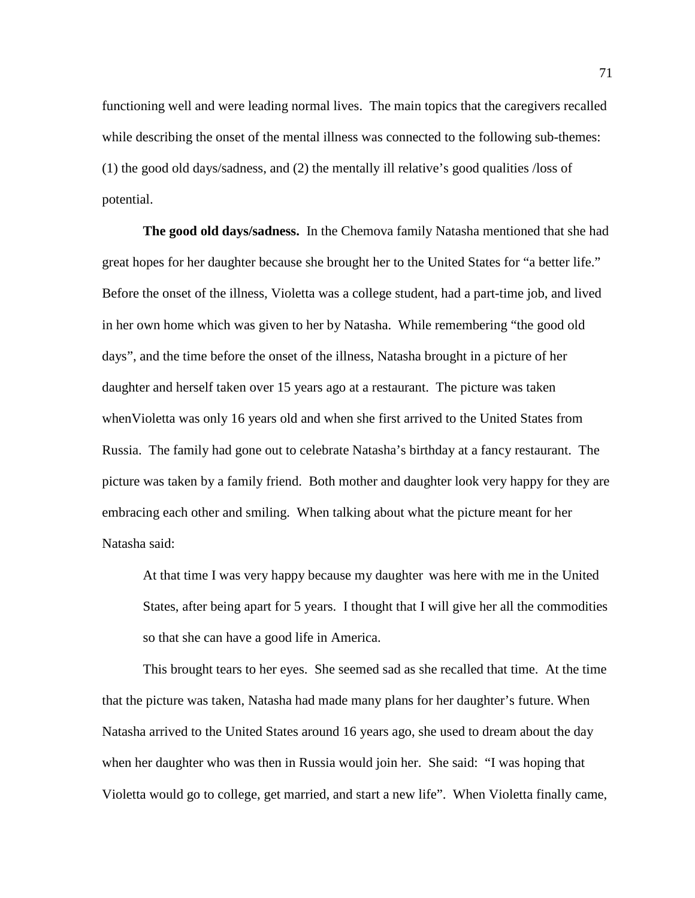functioning well and were leading normal lives. The main topics that the caregivers recalled while describing the onset of the mental illness was connected to the following sub-themes: (1) the good old days/sadness, and (2) the mentally ill relative's good qualities /loss of potential.

**The good old days/sadness.** In the Chemova family Natasha mentioned that she had great hopes for her daughter because she brought her to the United States for "a better life." Before the onset of the illness, Violetta was a college student, had a part-time job, and lived in her own home which was given to her by Natasha. While remembering "the good old days", and the time before the onset of the illness, Natasha brought in a picture of her daughter and herself taken over 15 years ago at a restaurant. The picture was taken whenVioletta was only 16 years old and when she first arrived to the United States from Russia. The family had gone out to celebrate Natasha's birthday at a fancy restaurant. The picture was taken by a family friend. Both mother and daughter look very happy for they are embracing each other and smiling. When talking about what the picture meant for her Natasha said:

At that time I was very happy because my daughter was here with me in the United States, after being apart for 5 years. I thought that I will give her all the commodities so that she can have a good life in America.

This brought tears to her eyes. She seemed sad as she recalled that time. At the time that the picture was taken, Natasha had made many plans for her daughter's future. When Natasha arrived to the United States around 16 years ago, she used to dream about the day when her daughter who was then in Russia would join her. She said: "I was hoping that Violetta would go to college, get married, and start a new life". When Violetta finally came,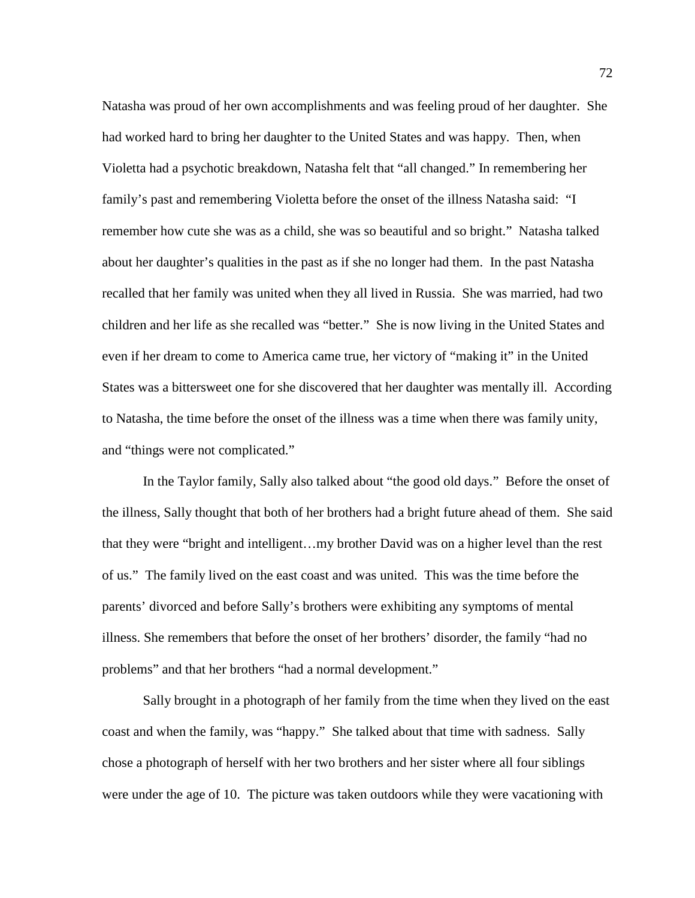Natasha was proud of her own accomplishments and was feeling proud of her daughter. She had worked hard to bring her daughter to the United States and was happy. Then, when Violetta had a psychotic breakdown, Natasha felt that "all changed." In remembering her family's past and remembering Violetta before the onset of the illness Natasha said: "I remember how cute she was as a child, she was so beautiful and so bright." Natasha talked about her daughter's qualities in the past as if she no longer had them. In the past Natasha recalled that her family was united when they all lived in Russia. She was married, had two children and her life as she recalled was "better." She is now living in the United States and even if her dream to come to America came true, her victory of "making it" in the United States was a bittersweet one for she discovered that her daughter was mentally ill. According to Natasha, the time before the onset of the illness was a time when there was family unity, and "things were not complicated."

In the Taylor family, Sally also talked about "the good old days." Before the onset of the illness, Sally thought that both of her brothers had a bright future ahead of them. She said that they were "bright and intelligent…my brother David was on a higher level than the rest of us." The family lived on the east coast and was united. This was the time before the parents' divorced and before Sally's brothers were exhibiting any symptoms of mental illness. She remembers that before the onset of her brothers' disorder, the family "had no problems" and that her brothers "had a normal development."

Sally brought in a photograph of her family from the time when they lived on the east coast and when the family, was "happy." She talked about that time with sadness. Sally chose a photograph of herself with her two brothers and her sister where all four siblings were under the age of 10. The picture was taken outdoors while they were vacationing with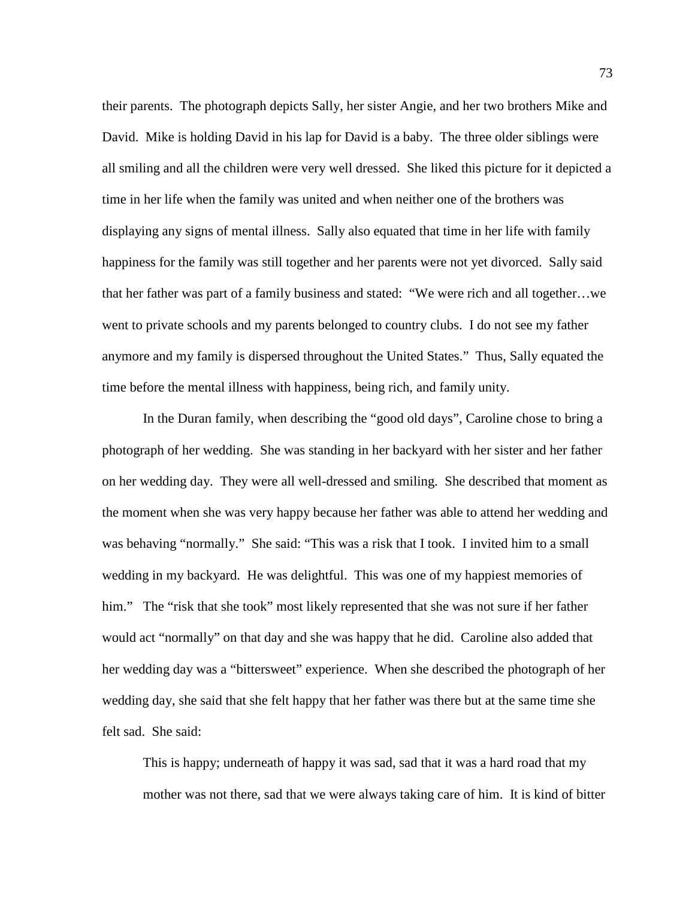their parents. The photograph depicts Sally, her sister Angie, and her two brothers Mike and David. Mike is holding David in his lap for David is a baby. The three older siblings were all smiling and all the children were very well dressed. She liked this picture for it depicted a time in her life when the family was united and when neither one of the brothers was displaying any signs of mental illness. Sally also equated that time in her life with family happiness for the family was still together and her parents were not yet divorced. Sally said that her father was part of a family business and stated: "We were rich and all together…we went to private schools and my parents belonged to country clubs. I do not see my father anymore and my family is dispersed throughout the United States." Thus, Sally equated the time before the mental illness with happiness, being rich, and family unity.

In the Duran family, when describing the "good old days", Caroline chose to bring a photograph of her wedding. She was standing in her backyard with her sister and her father on her wedding day. They were all well-dressed and smiling. She described that moment as the moment when she was very happy because her father was able to attend her wedding and was behaving "normally." She said: "This was a risk that I took. I invited him to a small wedding in my backyard. He was delightful. This was one of my happiest memories of him." The "risk that she took" most likely represented that she was not sure if her father would act "normally" on that day and she was happy that he did. Caroline also added that her wedding day was a "bittersweet" experience. When she described the photograph of her wedding day, she said that she felt happy that her father was there but at the same time she felt sad. She said:

This is happy; underneath of happy it was sad, sad that it was a hard road that my mother was not there, sad that we were always taking care of him. It is kind of bitter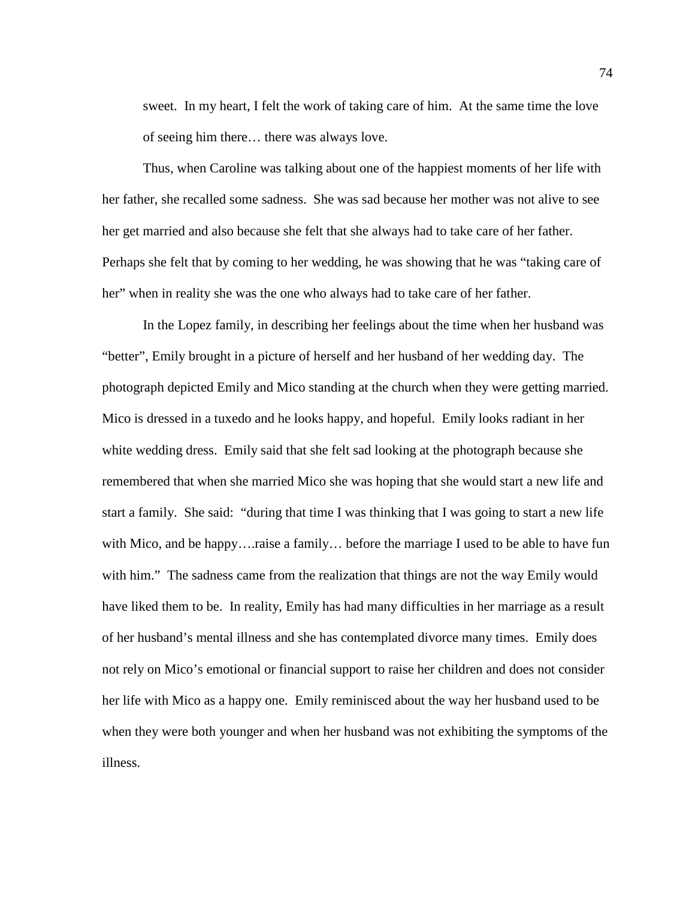sweet. In my heart, I felt the work of taking care of him. At the same time the love of seeing him there… there was always love.

Thus, when Caroline was talking about one of the happiest moments of her life with her father, she recalled some sadness. She was sad because her mother was not alive to see her get married and also because she felt that she always had to take care of her father. Perhaps she felt that by coming to her wedding, he was showing that he was "taking care of her" when in reality she was the one who always had to take care of her father.

In the Lopez family, in describing her feelings about the time when her husband was "better", Emily brought in a picture of herself and her husband of her wedding day. The photograph depicted Emily and Mico standing at the church when they were getting married. Mico is dressed in a tuxedo and he looks happy, and hopeful. Emily looks radiant in her white wedding dress. Emily said that she felt sad looking at the photograph because she remembered that when she married Mico she was hoping that she would start a new life and start a family. She said: "during that time I was thinking that I was going to start a new life with Mico, and be happy….raise a family… before the marriage I used to be able to have fun with him." The sadness came from the realization that things are not the way Emily would have liked them to be. In reality, Emily has had many difficulties in her marriage as a result of her husband's mental illness and she has contemplated divorce many times. Emily does not rely on Mico's emotional or financial support to raise her children and does not consider her life with Mico as a happy one. Emily reminisced about the way her husband used to be when they were both younger and when her husband was not exhibiting the symptoms of the illness.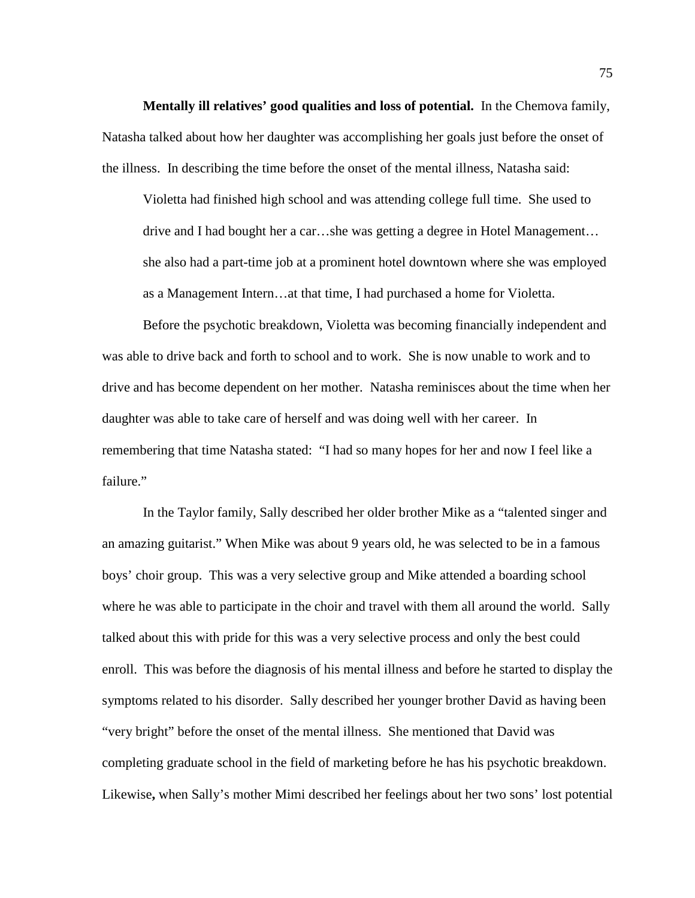**Mentally ill relatives' good qualities and loss of potential.** In the Chemova family, Natasha talked about how her daughter was accomplishing her goals just before the onset of the illness. In describing the time before the onset of the mental illness, Natasha said:

Violetta had finished high school and was attending college full time. She used to drive and I had bought her a car…she was getting a degree in Hotel Management… she also had a part-time job at a prominent hotel downtown where she was employed as a Management Intern…at that time, I had purchased a home for Violetta.

Before the psychotic breakdown, Violetta was becoming financially independent and was able to drive back and forth to school and to work. She is now unable to work and to drive and has become dependent on her mother. Natasha reminisces about the time when her daughter was able to take care of herself and was doing well with her career. In remembering that time Natasha stated: "I had so many hopes for her and now I feel like a failure."

In the Taylor family, Sally described her older brother Mike as a "talented singer and an amazing guitarist." When Mike was about 9 years old, he was selected to be in a famous boys' choir group. This was a very selective group and Mike attended a boarding school where he was able to participate in the choir and travel with them all around the world. Sally talked about this with pride for this was a very selective process and only the best could enroll. This was before the diagnosis of his mental illness and before he started to display the symptoms related to his disorder. Sally described her younger brother David as having been "very bright" before the onset of the mental illness. She mentioned that David was completing graduate school in the field of marketing before he has his psychotic breakdown. Likewise**,** when Sally's mother Mimi described her feelings about her two sons' lost potential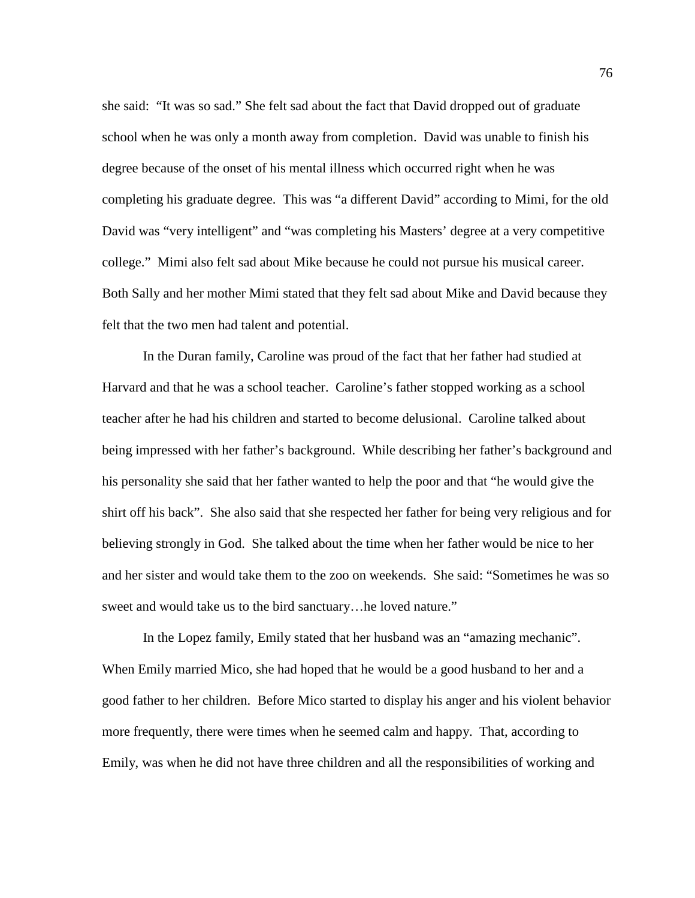she said: "It was so sad." She felt sad about the fact that David dropped out of graduate school when he was only a month away from completion. David was unable to finish his degree because of the onset of his mental illness which occurred right when he was completing his graduate degree. This was "a different David" according to Mimi, for the old David was "very intelligent" and "was completing his Masters' degree at a very competitive college." Mimi also felt sad about Mike because he could not pursue his musical career. Both Sally and her mother Mimi stated that they felt sad about Mike and David because they felt that the two men had talent and potential.

In the Duran family, Caroline was proud of the fact that her father had studied at Harvard and that he was a school teacher. Caroline's father stopped working as a school teacher after he had his children and started to become delusional. Caroline talked about being impressed with her father's background. While describing her father's background and his personality she said that her father wanted to help the poor and that "he would give the shirt off his back". She also said that she respected her father for being very religious and for believing strongly in God. She talked about the time when her father would be nice to her and her sister and would take them to the zoo on weekends. She said: "Sometimes he was so sweet and would take us to the bird sanctuary…he loved nature."

In the Lopez family, Emily stated that her husband was an "amazing mechanic". When Emily married Mico, she had hoped that he would be a good husband to her and a good father to her children. Before Mico started to display his anger and his violent behavior more frequently, there were times when he seemed calm and happy. That, according to Emily, was when he did not have three children and all the responsibilities of working and

76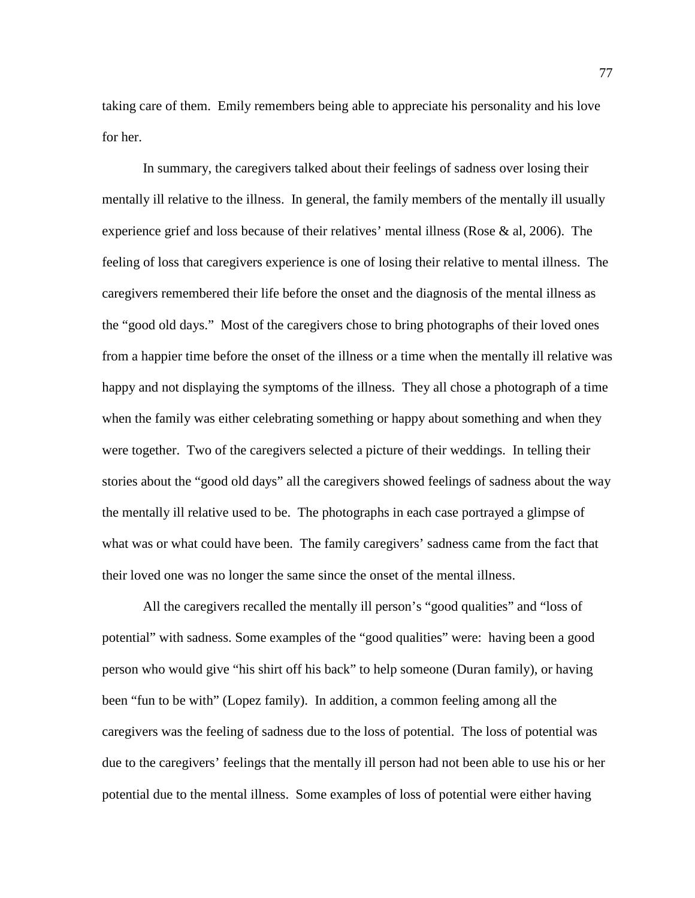taking care of them. Emily remembers being able to appreciate his personality and his love for her.

In summary, the caregivers talked about their feelings of sadness over losing their mentally ill relative to the illness. In general, the family members of the mentally ill usually experience grief and loss because of their relatives' mental illness (Rose & al, 2006). The feeling of loss that caregivers experience is one of losing their relative to mental illness. The caregivers remembered their life before the onset and the diagnosis of the mental illness as the "good old days." Most of the caregivers chose to bring photographs of their loved ones from a happier time before the onset of the illness or a time when the mentally ill relative was happy and not displaying the symptoms of the illness. They all chose a photograph of a time when the family was either celebrating something or happy about something and when they were together. Two of the caregivers selected a picture of their weddings. In telling their stories about the "good old days" all the caregivers showed feelings of sadness about the way the mentally ill relative used to be. The photographs in each case portrayed a glimpse of what was or what could have been. The family caregivers' sadness came from the fact that their loved one was no longer the same since the onset of the mental illness.

All the caregivers recalled the mentally ill person's "good qualities" and "loss of potential" with sadness. Some examples of the "good qualities" were: having been a good person who would give "his shirt off his back" to help someone (Duran family), or having been "fun to be with" (Lopez family). In addition, a common feeling among all the caregivers was the feeling of sadness due to the loss of potential. The loss of potential was due to the caregivers' feelings that the mentally ill person had not been able to use his or her potential due to the mental illness. Some examples of loss of potential were either having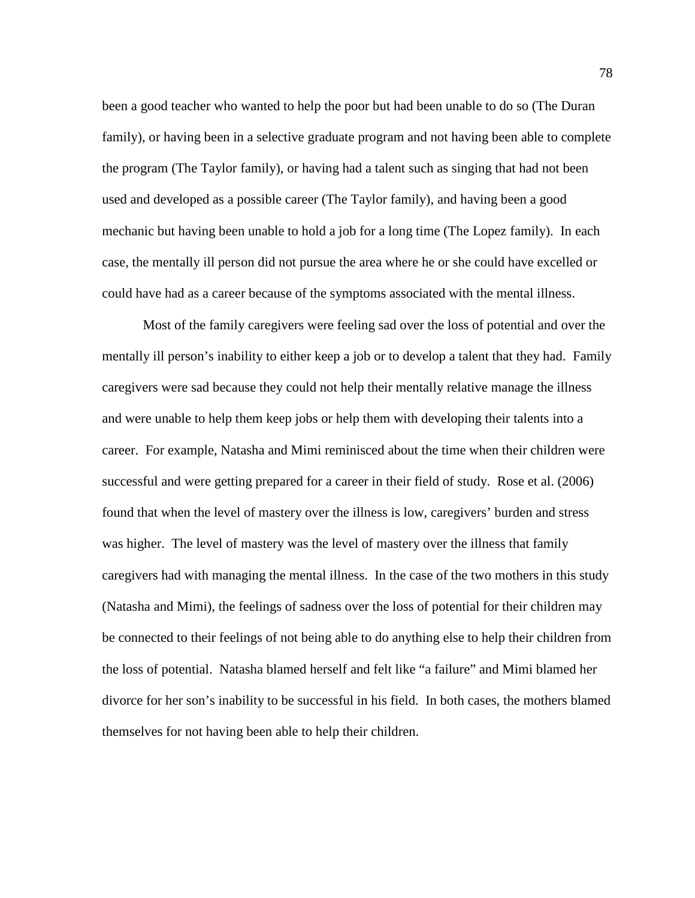been a good teacher who wanted to help the poor but had been unable to do so (The Duran family), or having been in a selective graduate program and not having been able to complete the program (The Taylor family), or having had a talent such as singing that had not been used and developed as a possible career (The Taylor family), and having been a good mechanic but having been unable to hold a job for a long time (The Lopez family). In each case, the mentally ill person did not pursue the area where he or she could have excelled or could have had as a career because of the symptoms associated with the mental illness.

Most of the family caregivers were feeling sad over the loss of potential and over the mentally ill person's inability to either keep a job or to develop a talent that they had. Family caregivers were sad because they could not help their mentally relative manage the illness and were unable to help them keep jobs or help them with developing their talents into a career. For example, Natasha and Mimi reminisced about the time when their children were successful and were getting prepared for a career in their field of study. Rose et al. (2006) found that when the level of mastery over the illness is low, caregivers' burden and stress was higher. The level of mastery was the level of mastery over the illness that family caregivers had with managing the mental illness. In the case of the two mothers in this study (Natasha and Mimi), the feelings of sadness over the loss of potential for their children may be connected to their feelings of not being able to do anything else to help their children from the loss of potential. Natasha blamed herself and felt like "a failure" and Mimi blamed her divorce for her son's inability to be successful in his field. In both cases, the mothers blamed themselves for not having been able to help their children.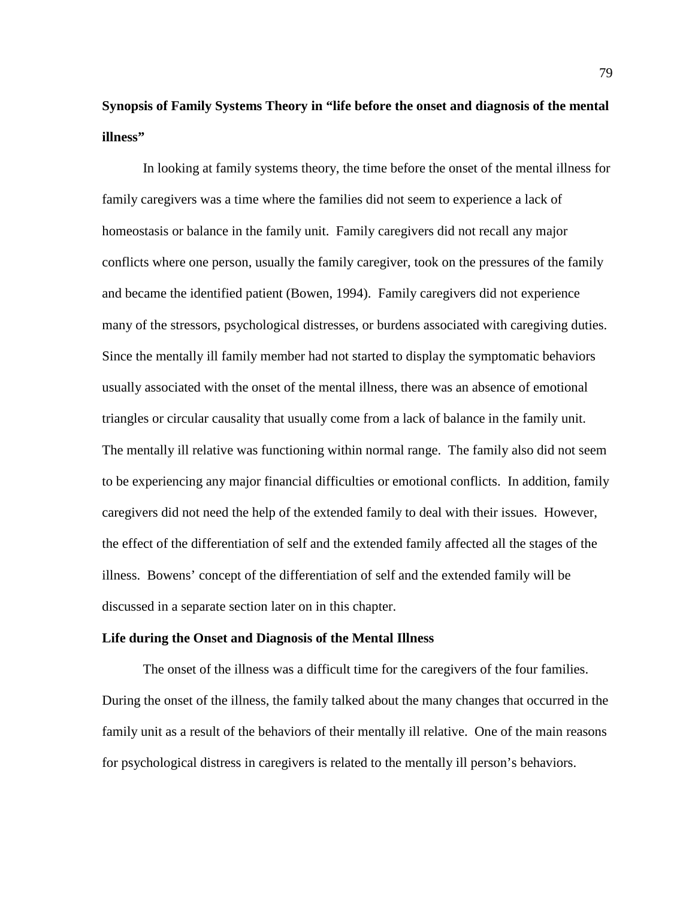# **Synopsis of Family Systems Theory in "life before the onset and diagnosis of the mental illness"**

In looking at family systems theory, the time before the onset of the mental illness for family caregivers was a time where the families did not seem to experience a lack of homeostasis or balance in the family unit. Family caregivers did not recall any major conflicts where one person, usually the family caregiver, took on the pressures of the family and became the identified patient (Bowen, 1994). Family caregivers did not experience many of the stressors, psychological distresses, or burdens associated with caregiving duties. Since the mentally ill family member had not started to display the symptomatic behaviors usually associated with the onset of the mental illness, there was an absence of emotional triangles or circular causality that usually come from a lack of balance in the family unit. The mentally ill relative was functioning within normal range. The family also did not seem to be experiencing any major financial difficulties or emotional conflicts. In addition, family caregivers did not need the help of the extended family to deal with their issues. However, the effect of the differentiation of self and the extended family affected all the stages of the illness. Bowens' concept of the differentiation of self and the extended family will be discussed in a separate section later on in this chapter.

#### **Life during the Onset and Diagnosis of the Mental Illness**

The onset of the illness was a difficult time for the caregivers of the four families. During the onset of the illness, the family talked about the many changes that occurred in the family unit as a result of the behaviors of their mentally ill relative. One of the main reasons for psychological distress in caregivers is related to the mentally ill person's behaviors.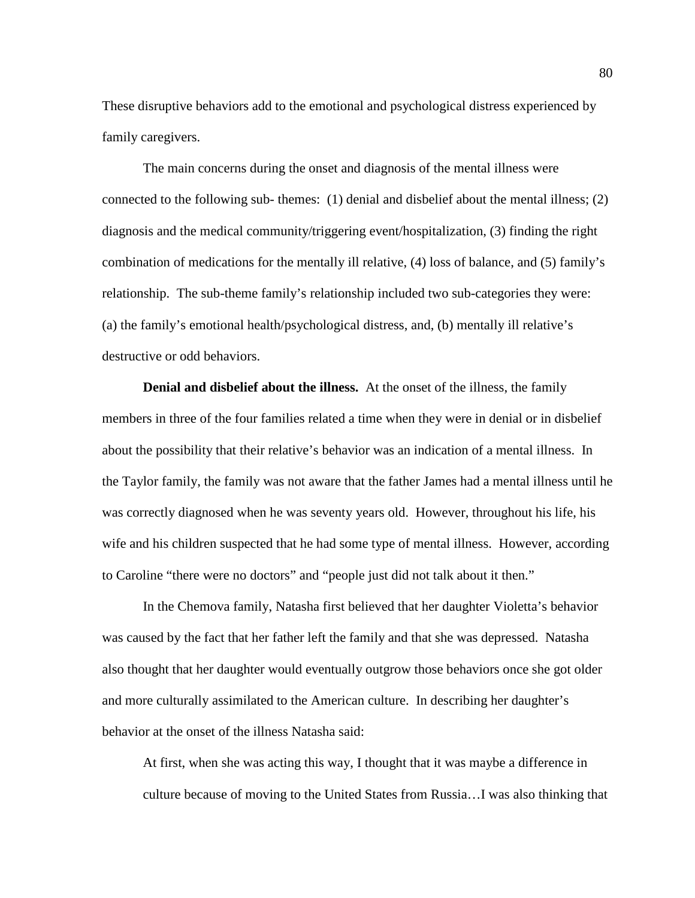These disruptive behaviors add to the emotional and psychological distress experienced by family caregivers.

The main concerns during the onset and diagnosis of the mental illness were connected to the following sub- themes: (1) denial and disbelief about the mental illness; (2) diagnosis and the medical community/triggering event/hospitalization, (3) finding the right combination of medications for the mentally ill relative, (4) loss of balance, and (5) family's relationship. The sub-theme family's relationship included two sub-categories they were: (a) the family's emotional health/psychological distress, and, (b) mentally ill relative's destructive or odd behaviors.

**Denial and disbelief about the illness.** At the onset of the illness, the family members in three of the four families related a time when they were in denial or in disbelief about the possibility that their relative's behavior was an indication of a mental illness. In the Taylor family, the family was not aware that the father James had a mental illness until he was correctly diagnosed when he was seventy years old. However, throughout his life, his wife and his children suspected that he had some type of mental illness. However, according to Caroline "there were no doctors" and "people just did not talk about it then."

In the Chemova family, Natasha first believed that her daughter Violetta's behavior was caused by the fact that her father left the family and that she was depressed. Natasha also thought that her daughter would eventually outgrow those behaviors once she got older and more culturally assimilated to the American culture. In describing her daughter's behavior at the onset of the illness Natasha said:

At first, when she was acting this way, I thought that it was maybe a difference in culture because of moving to the United States from Russia…I was also thinking that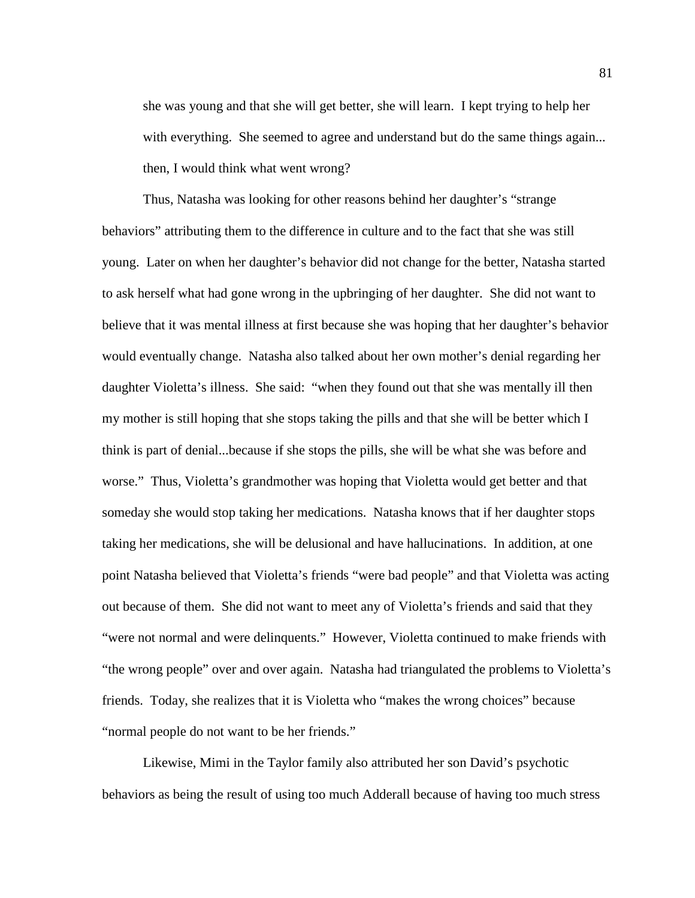she was young and that she will get better, she will learn. I kept trying to help her with everything. She seemed to agree and understand but do the same things again... then, I would think what went wrong?

Thus, Natasha was looking for other reasons behind her daughter's "strange behaviors" attributing them to the difference in culture and to the fact that she was still young. Later on when her daughter's behavior did not change for the better, Natasha started to ask herself what had gone wrong in the upbringing of her daughter. She did not want to believe that it was mental illness at first because she was hoping that her daughter's behavior would eventually change. Natasha also talked about her own mother's denial regarding her daughter Violetta's illness. She said: "when they found out that she was mentally ill then my mother is still hoping that she stops taking the pills and that she will be better which I think is part of denial...because if she stops the pills, she will be what she was before and worse." Thus, Violetta's grandmother was hoping that Violetta would get better and that someday she would stop taking her medications. Natasha knows that if her daughter stops taking her medications, she will be delusional and have hallucinations. In addition, at one point Natasha believed that Violetta's friends "were bad people" and that Violetta was acting out because of them. She did not want to meet any of Violetta's friends and said that they "were not normal and were delinquents." However, Violetta continued to make friends with "the wrong people" over and over again. Natasha had triangulated the problems to Violetta's friends. Today, she realizes that it is Violetta who "makes the wrong choices" because "normal people do not want to be her friends."

Likewise, Mimi in the Taylor family also attributed her son David's psychotic behaviors as being the result of using too much Adderall because of having too much stress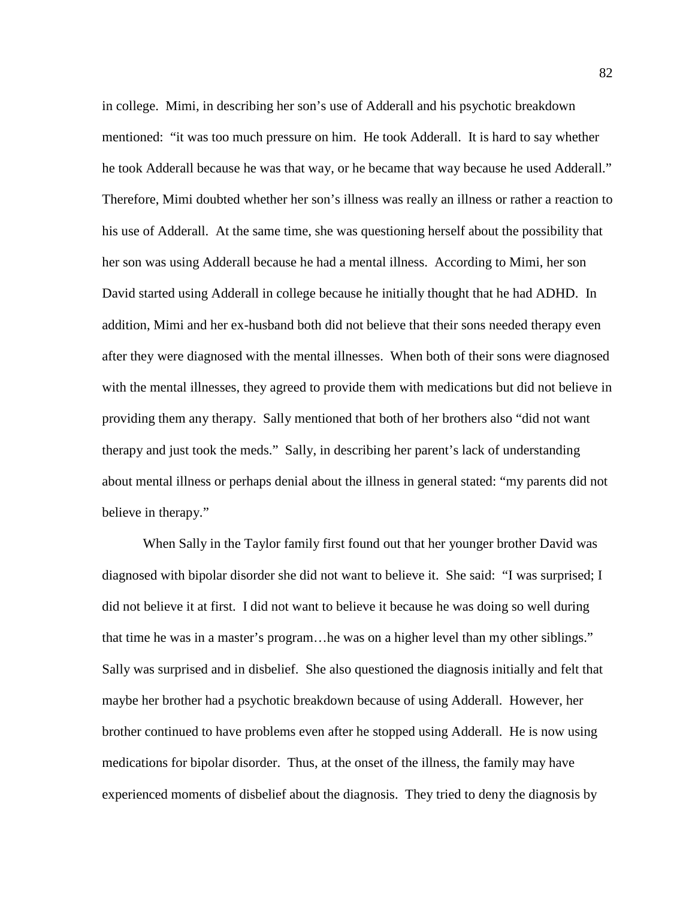in college. Mimi, in describing her son's use of Adderall and his psychotic breakdown mentioned: "it was too much pressure on him. He took Adderall. It is hard to say whether he took Adderall because he was that way, or he became that way because he used Adderall." Therefore, Mimi doubted whether her son's illness was really an illness or rather a reaction to his use of Adderall. At the same time, she was questioning herself about the possibility that her son was using Adderall because he had a mental illness. According to Mimi, her son David started using Adderall in college because he initially thought that he had ADHD. In addition, Mimi and her ex-husband both did not believe that their sons needed therapy even after they were diagnosed with the mental illnesses. When both of their sons were diagnosed with the mental illnesses, they agreed to provide them with medications but did not believe in providing them any therapy. Sally mentioned that both of her brothers also "did not want therapy and just took the meds." Sally, in describing her parent's lack of understanding about mental illness or perhaps denial about the illness in general stated: "my parents did not believe in therapy."

When Sally in the Taylor family first found out that her younger brother David was diagnosed with bipolar disorder she did not want to believe it. She said: "I was surprised; I did not believe it at first. I did not want to believe it because he was doing so well during that time he was in a master's program…he was on a higher level than my other siblings." Sally was surprised and in disbelief. She also questioned the diagnosis initially and felt that maybe her brother had a psychotic breakdown because of using Adderall. However, her brother continued to have problems even after he stopped using Adderall. He is now using medications for bipolar disorder. Thus, at the onset of the illness, the family may have experienced moments of disbelief about the diagnosis. They tried to deny the diagnosis by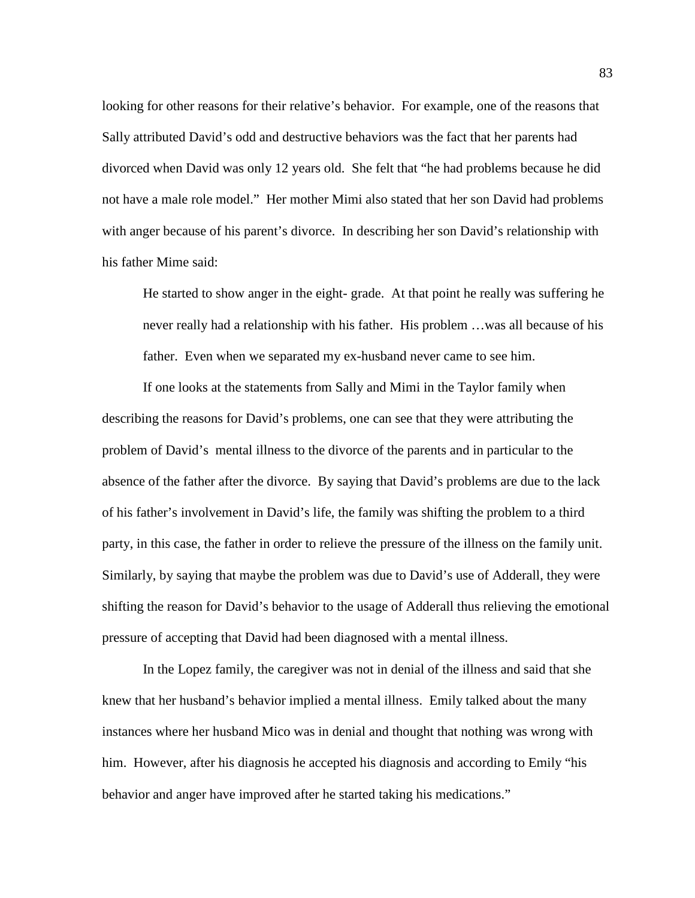looking for other reasons for their relative's behavior. For example, one of the reasons that Sally attributed David's odd and destructive behaviors was the fact that her parents had divorced when David was only 12 years old. She felt that "he had problems because he did not have a male role model." Her mother Mimi also stated that her son David had problems with anger because of his parent's divorce. In describing her son David's relationship with his father Mime said:

He started to show anger in the eight- grade. At that point he really was suffering he never really had a relationship with his father. His problem …was all because of his father. Even when we separated my ex-husband never came to see him.

If one looks at the statements from Sally and Mimi in the Taylor family when describing the reasons for David's problems, one can see that they were attributing the problem of David's mental illness to the divorce of the parents and in particular to the absence of the father after the divorce. By saying that David's problems are due to the lack of his father's involvement in David's life, the family was shifting the problem to a third party, in this case, the father in order to relieve the pressure of the illness on the family unit. Similarly, by saying that maybe the problem was due to David's use of Adderall, they were shifting the reason for David's behavior to the usage of Adderall thus relieving the emotional pressure of accepting that David had been diagnosed with a mental illness.

In the Lopez family, the caregiver was not in denial of the illness and said that she knew that her husband's behavior implied a mental illness. Emily talked about the many instances where her husband Mico was in denial and thought that nothing was wrong with him. However, after his diagnosis he accepted his diagnosis and according to Emily "his behavior and anger have improved after he started taking his medications."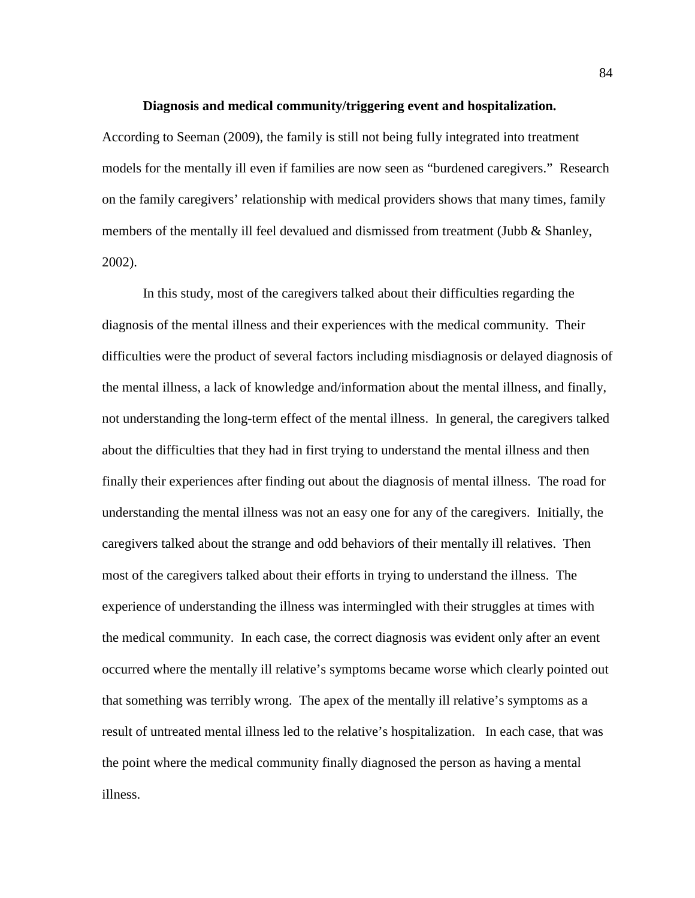# **Diagnosis and medical community/triggering event and hospitalization.**

According to Seeman (2009), the family is still not being fully integrated into treatment models for the mentally ill even if families are now seen as "burdened caregivers." Research on the family caregivers' relationship with medical providers shows that many times, family members of the mentally ill feel devalued and dismissed from treatment (Jubb & Shanley, 2002).

In this study, most of the caregivers talked about their difficulties regarding the diagnosis of the mental illness and their experiences with the medical community. Their difficulties were the product of several factors including misdiagnosis or delayed diagnosis of the mental illness, a lack of knowledge and/information about the mental illness, and finally, not understanding the long-term effect of the mental illness. In general, the caregivers talked about the difficulties that they had in first trying to understand the mental illness and then finally their experiences after finding out about the diagnosis of mental illness. The road for understanding the mental illness was not an easy one for any of the caregivers. Initially, the caregivers talked about the strange and odd behaviors of their mentally ill relatives. Then most of the caregivers talked about their efforts in trying to understand the illness. The experience of understanding the illness was intermingled with their struggles at times with the medical community. In each case, the correct diagnosis was evident only after an event occurred where the mentally ill relative's symptoms became worse which clearly pointed out that something was terribly wrong. The apex of the mentally ill relative's symptoms as a result of untreated mental illness led to the relative's hospitalization. In each case, that was the point where the medical community finally diagnosed the person as having a mental illness.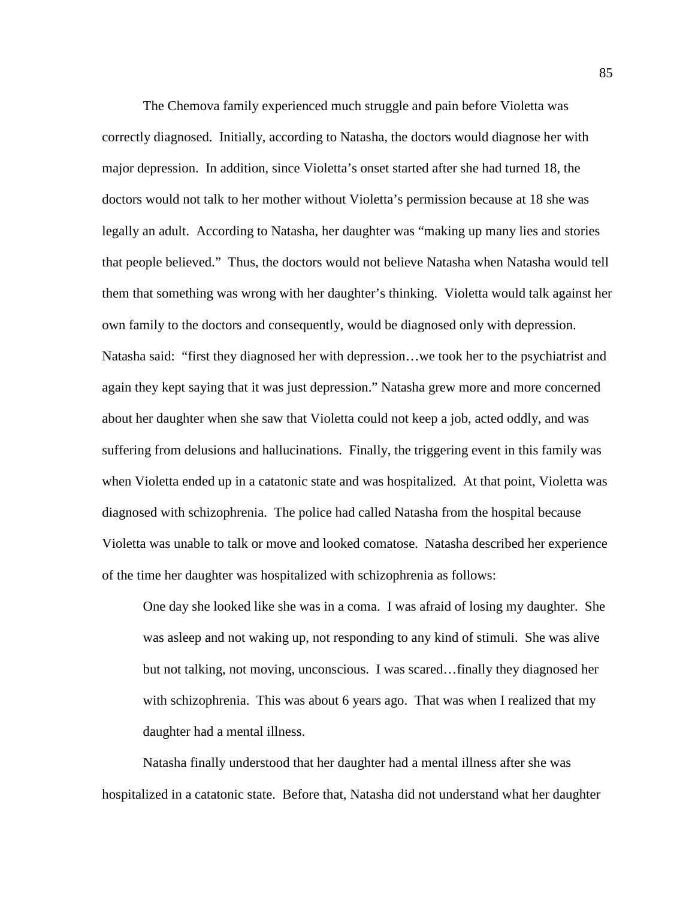The Chemova family experienced much struggle and pain before Violetta was correctly diagnosed. Initially, according to Natasha, the doctors would diagnose her with major depression. In addition, since Violetta's onset started after she had turned 18, the doctors would not talk to her mother without Violetta's permission because at 18 she was legally an adult. According to Natasha, her daughter was "making up many lies and stories that people believed." Thus, the doctors would not believe Natasha when Natasha would tell them that something was wrong with her daughter's thinking. Violetta would talk against her own family to the doctors and consequently, would be diagnosed only with depression. Natasha said: "first they diagnosed her with depression…we took her to the psychiatrist and again they kept saying that it was just depression." Natasha grew more and more concerned about her daughter when she saw that Violetta could not keep a job, acted oddly, and was suffering from delusions and hallucinations. Finally, the triggering event in this family was when Violetta ended up in a catatonic state and was hospitalized. At that point, Violetta was diagnosed with schizophrenia. The police had called Natasha from the hospital because Violetta was unable to talk or move and looked comatose. Natasha described her experience of the time her daughter was hospitalized with schizophrenia as follows:

One day she looked like she was in a coma. I was afraid of losing my daughter. She was asleep and not waking up, not responding to any kind of stimuli. She was alive but not talking, not moving, unconscious. I was scared…finally they diagnosed her with schizophrenia. This was about 6 years ago. That was when I realized that my daughter had a mental illness.

Natasha finally understood that her daughter had a mental illness after she was hospitalized in a catatonic state. Before that, Natasha did not understand what her daughter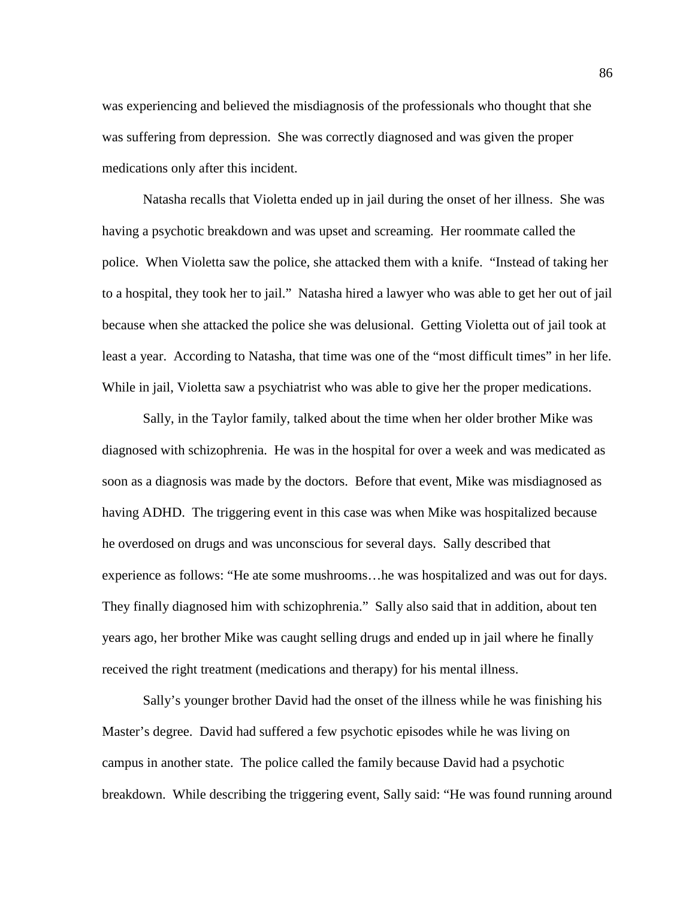was experiencing and believed the misdiagnosis of the professionals who thought that she was suffering from depression. She was correctly diagnosed and was given the proper medications only after this incident.

Natasha recalls that Violetta ended up in jail during the onset of her illness. She was having a psychotic breakdown and was upset and screaming. Her roommate called the police. When Violetta saw the police, she attacked them with a knife. "Instead of taking her to a hospital, they took her to jail." Natasha hired a lawyer who was able to get her out of jail because when she attacked the police she was delusional. Getting Violetta out of jail took at least a year. According to Natasha, that time was one of the "most difficult times" in her life. While in jail, Violetta saw a psychiatrist who was able to give her the proper medications.

Sally, in the Taylor family, talked about the time when her older brother Mike was diagnosed with schizophrenia. He was in the hospital for over a week and was medicated as soon as a diagnosis was made by the doctors. Before that event, Mike was misdiagnosed as having ADHD. The triggering event in this case was when Mike was hospitalized because he overdosed on drugs and was unconscious for several days. Sally described that experience as follows: "He ate some mushrooms…he was hospitalized and was out for days. They finally diagnosed him with schizophrenia." Sally also said that in addition, about ten years ago, her brother Mike was caught selling drugs and ended up in jail where he finally received the right treatment (medications and therapy) for his mental illness.

Sally's younger brother David had the onset of the illness while he was finishing his Master's degree. David had suffered a few psychotic episodes while he was living on campus in another state. The police called the family because David had a psychotic breakdown. While describing the triggering event, Sally said: "He was found running around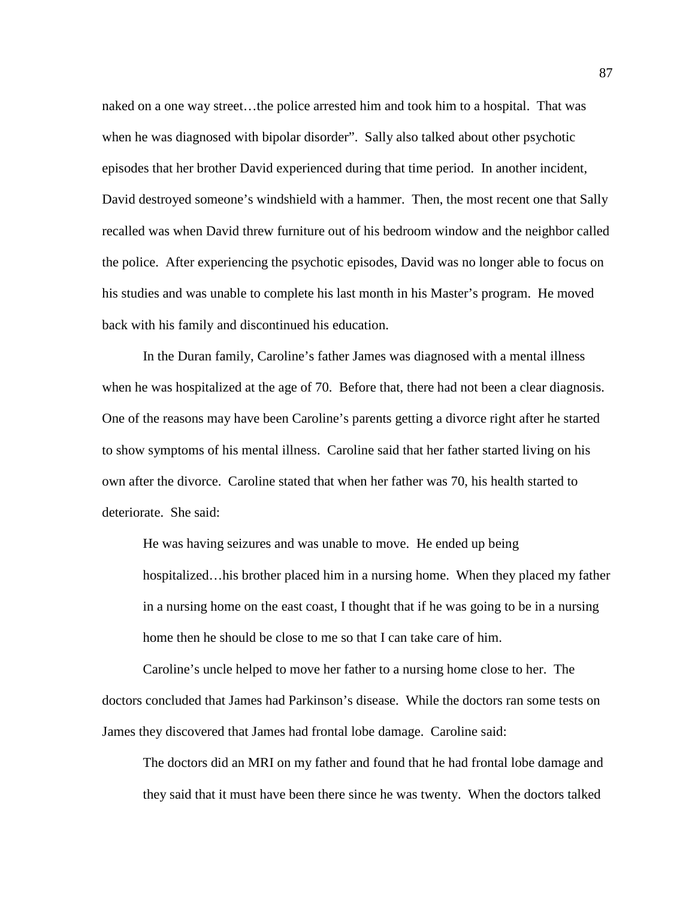naked on a one way street…the police arrested him and took him to a hospital. That was when he was diagnosed with bipolar disorder". Sally also talked about other psychotic episodes that her brother David experienced during that time period. In another incident, David destroyed someone's windshield with a hammer. Then, the most recent one that Sally recalled was when David threw furniture out of his bedroom window and the neighbor called the police. After experiencing the psychotic episodes, David was no longer able to focus on his studies and was unable to complete his last month in his Master's program. He moved back with his family and discontinued his education.

In the Duran family, Caroline's father James was diagnosed with a mental illness when he was hospitalized at the age of 70. Before that, there had not been a clear diagnosis. One of the reasons may have been Caroline's parents getting a divorce right after he started to show symptoms of his mental illness. Caroline said that her father started living on his own after the divorce. Caroline stated that when her father was 70, his health started to deteriorate. She said:

He was having seizures and was unable to move. He ended up being hospitalized…his brother placed him in a nursing home. When they placed my father in a nursing home on the east coast, I thought that if he was going to be in a nursing home then he should be close to me so that I can take care of him.

Caroline's uncle helped to move her father to a nursing home close to her. The doctors concluded that James had Parkinson's disease. While the doctors ran some tests on James they discovered that James had frontal lobe damage. Caroline said:

The doctors did an MRI on my father and found that he had frontal lobe damage and they said that it must have been there since he was twenty. When the doctors talked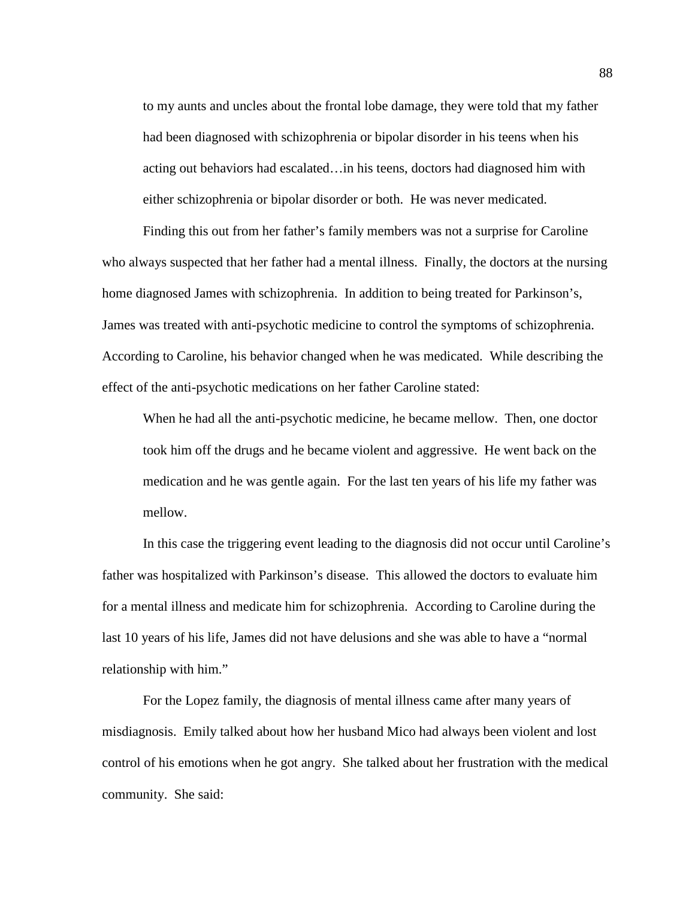to my aunts and uncles about the frontal lobe damage, they were told that my father had been diagnosed with schizophrenia or bipolar disorder in his teens when his acting out behaviors had escalated…in his teens, doctors had diagnosed him with either schizophrenia or bipolar disorder or both. He was never medicated.

Finding this out from her father's family members was not a surprise for Caroline who always suspected that her father had a mental illness. Finally, the doctors at the nursing home diagnosed James with schizophrenia. In addition to being treated for Parkinson's, James was treated with anti-psychotic medicine to control the symptoms of schizophrenia. According to Caroline, his behavior changed when he was medicated. While describing the effect of the anti-psychotic medications on her father Caroline stated:

When he had all the anti-psychotic medicine, he became mellow. Then, one doctor took him off the drugs and he became violent and aggressive. He went back on the medication and he was gentle again. For the last ten years of his life my father was mellow.

In this case the triggering event leading to the diagnosis did not occur until Caroline's father was hospitalized with Parkinson's disease. This allowed the doctors to evaluate him for a mental illness and medicate him for schizophrenia. According to Caroline during the last 10 years of his life, James did not have delusions and she was able to have a "normal relationship with him."

For the Lopez family, the diagnosis of mental illness came after many years of misdiagnosis. Emily talked about how her husband Mico had always been violent and lost control of his emotions when he got angry. She talked about her frustration with the medical community. She said: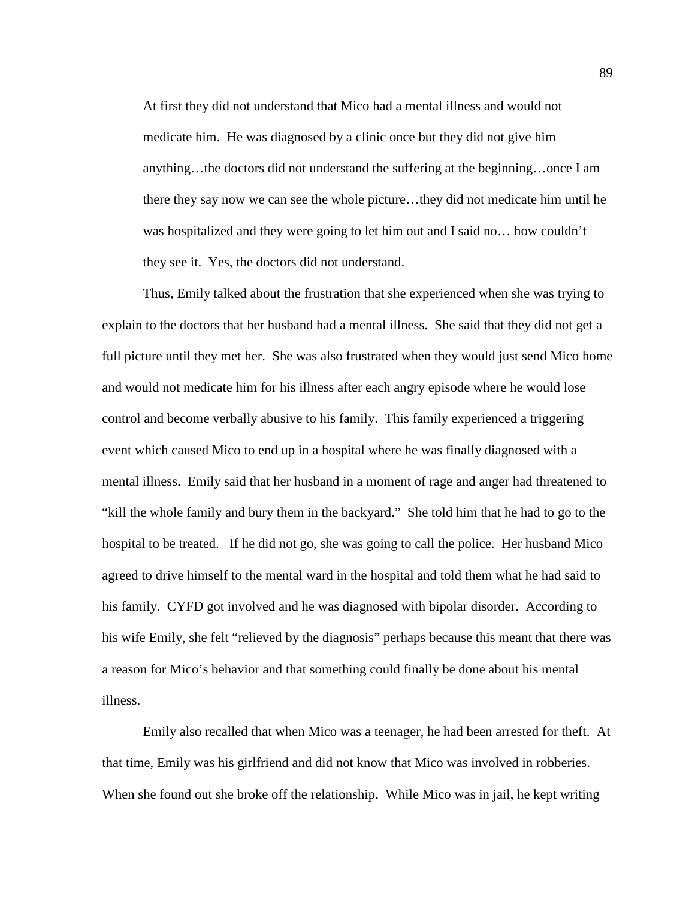At first they did not understand that Mico had a mental illness and would not medicate him. He was diagnosed by a clinic once but they did not give him anything…the doctors did not understand the suffering at the beginning…once I am there they say now we can see the whole picture…they did not medicate him until he was hospitalized and they were going to let him out and I said no… how couldn't they see it. Yes, the doctors did not understand.

Thus, Emily talked about the frustration that she experienced when she was trying to explain to the doctors that her husband had a mental illness. She said that they did not get a full picture until they met her. She was also frustrated when they would just send Mico home and would not medicate him for his illness after each angry episode where he would lose control and become verbally abusive to his family. This family experienced a triggering event which caused Mico to end up in a hospital where he was finally diagnosed with a mental illness. Emily said that her husband in a moment of rage and anger had threatened to "kill the whole family and bury them in the backyard." She told him that he had to go to the hospital to be treated. If he did not go, she was going to call the police. Her husband Mico agreed to drive himself to the mental ward in the hospital and told them what he had said to his family. CYFD got involved and he was diagnosed with bipolar disorder. According to his wife Emily, she felt "relieved by the diagnosis" perhaps because this meant that there was a reason for Mico's behavior and that something could finally be done about his mental illness.

Emily also recalled that when Mico was a teenager, he had been arrested for theft. At that time, Emily was his girlfriend and did not know that Mico was involved in robberies. When she found out she broke off the relationship. While Mico was in jail, he kept writing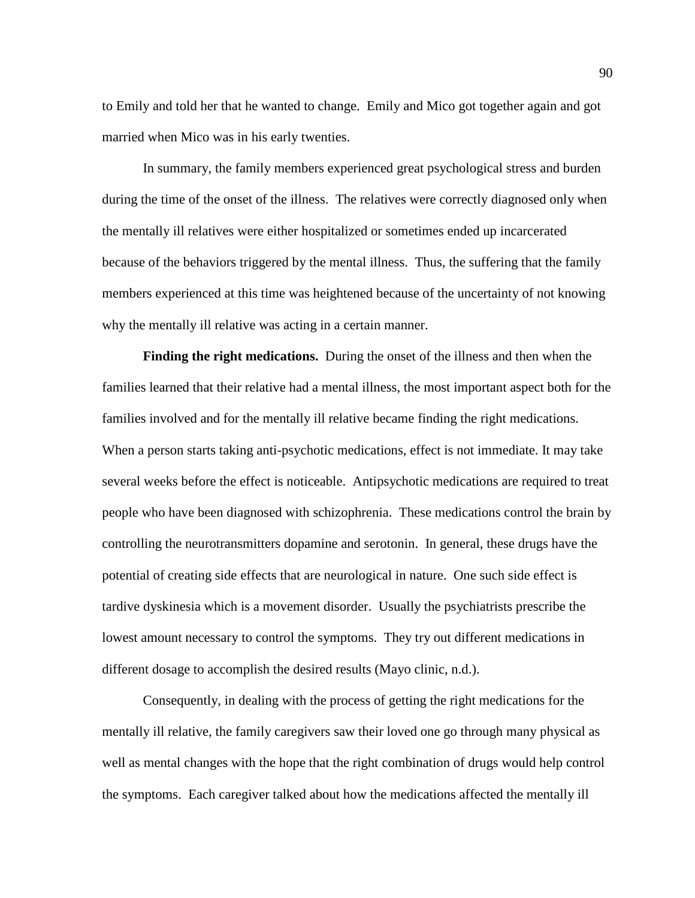to Emily and told her that he wanted to change. Emily and Mico got together again and got married when Mico was in his early twenties.

In summary, the family members experienced great psychological stress and burden during the time of the onset of the illness. The relatives were correctly diagnosed only when the mentally ill relatives were either hospitalized or sometimes ended up incarcerated because of the behaviors triggered by the mental illness. Thus, the suffering that the family members experienced at this time was heightened because of the uncertainty of not knowing why the mentally ill relative was acting in a certain manner.

**Finding the right medications.** During the onset of the illness and then when the families learned that their relative had a mental illness, the most important aspect both for the families involved and for the mentally ill relative became finding the right medications. When a person starts taking anti-psychotic medications, effect is not immediate. It may take several weeks before the effect is noticeable. Antipsychotic medications are required to treat people who have been diagnosed with schizophrenia. These medications control the brain by controlling the neurotransmitters dopamine and serotonin. In general, these drugs have the potential of creating side effects that are neurological in nature. One such side effect is tardive dyskinesia which is a movement disorder. Usually the psychiatrists prescribe the lowest amount necessary to control the symptoms. They try out different medications in different dosage to accomplish the desired results (Mayo clinic, n.d.).

Consequently, in dealing with the process of getting the right medications for the mentally ill relative, the family caregivers saw their loved one go through many physical as well as mental changes with the hope that the right combination of drugs would help control the symptoms. Each caregiver talked about how the medications affected the mentally ill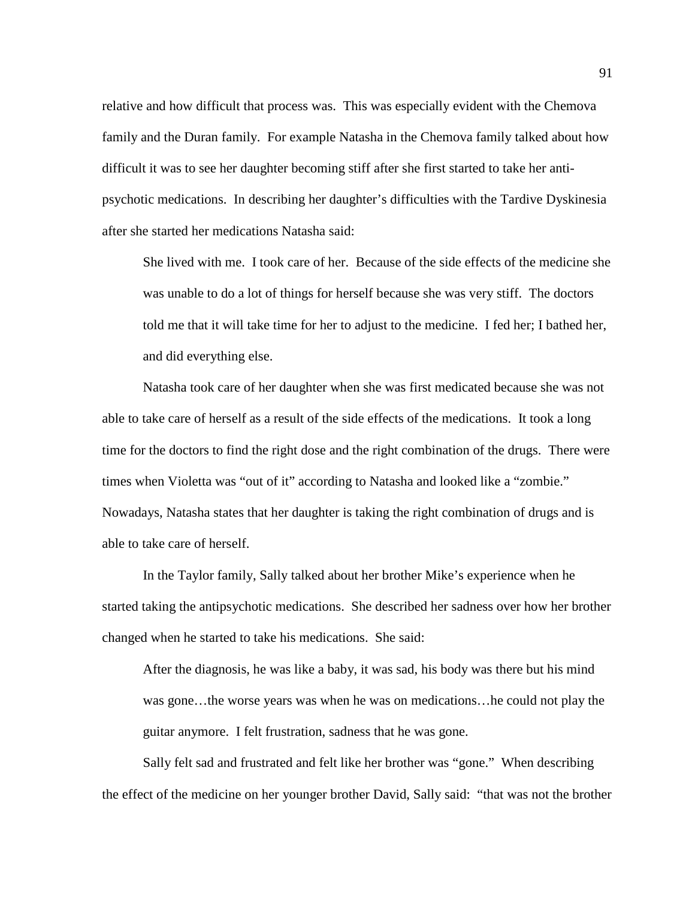relative and how difficult that process was. This was especially evident with the Chemova family and the Duran family. For example Natasha in the Chemova family talked about how difficult it was to see her daughter becoming stiff after she first started to take her antipsychotic medications. In describing her daughter's difficulties with the Tardive Dyskinesia after she started her medications Natasha said:

She lived with me. I took care of her. Because of the side effects of the medicine she was unable to do a lot of things for herself because she was very stiff. The doctors told me that it will take time for her to adjust to the medicine. I fed her; I bathed her, and did everything else.

Natasha took care of her daughter when she was first medicated because she was not able to take care of herself as a result of the side effects of the medications. It took a long time for the doctors to find the right dose and the right combination of the drugs. There were times when Violetta was "out of it" according to Natasha and looked like a "zombie." Nowadays, Natasha states that her daughter is taking the right combination of drugs and is able to take care of herself.

In the Taylor family, Sally talked about her brother Mike's experience when he started taking the antipsychotic medications. She described her sadness over how her brother changed when he started to take his medications. She said:

After the diagnosis, he was like a baby, it was sad, his body was there but his mind was gone…the worse years was when he was on medications…he could not play the guitar anymore. I felt frustration, sadness that he was gone.

Sally felt sad and frustrated and felt like her brother was "gone." When describing the effect of the medicine on her younger brother David, Sally said: "that was not the brother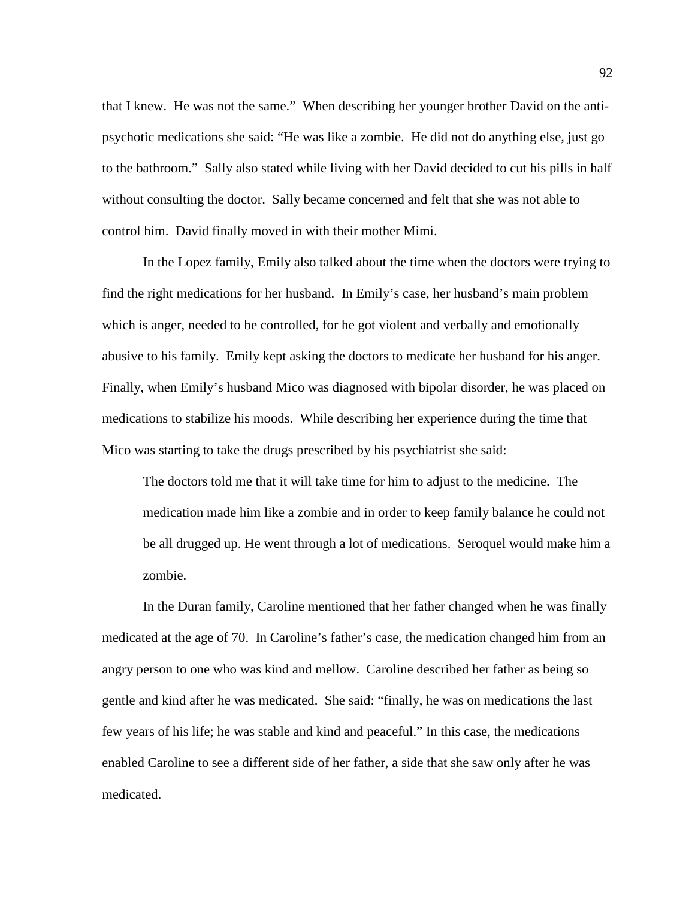that I knew. He was not the same." When describing her younger brother David on the antipsychotic medications she said: "He was like a zombie. He did not do anything else, just go to the bathroom." Sally also stated while living with her David decided to cut his pills in half without consulting the doctor. Sally became concerned and felt that she was not able to control him. David finally moved in with their mother Mimi.

In the Lopez family, Emily also talked about the time when the doctors were trying to find the right medications for her husband. In Emily's case, her husband's main problem which is anger, needed to be controlled, for he got violent and verbally and emotionally abusive to his family. Emily kept asking the doctors to medicate her husband for his anger. Finally, when Emily's husband Mico was diagnosed with bipolar disorder, he was placed on medications to stabilize his moods. While describing her experience during the time that Mico was starting to take the drugs prescribed by his psychiatrist she said:

The doctors told me that it will take time for him to adjust to the medicine. The medication made him like a zombie and in order to keep family balance he could not be all drugged up. He went through a lot of medications. Seroquel would make him a zombie.

In the Duran family, Caroline mentioned that her father changed when he was finally medicated at the age of 70. In Caroline's father's case, the medication changed him from an angry person to one who was kind and mellow. Caroline described her father as being so gentle and kind after he was medicated. She said: "finally, he was on medications the last few years of his life; he was stable and kind and peaceful." In this case, the medications enabled Caroline to see a different side of her father, a side that she saw only after he was medicated.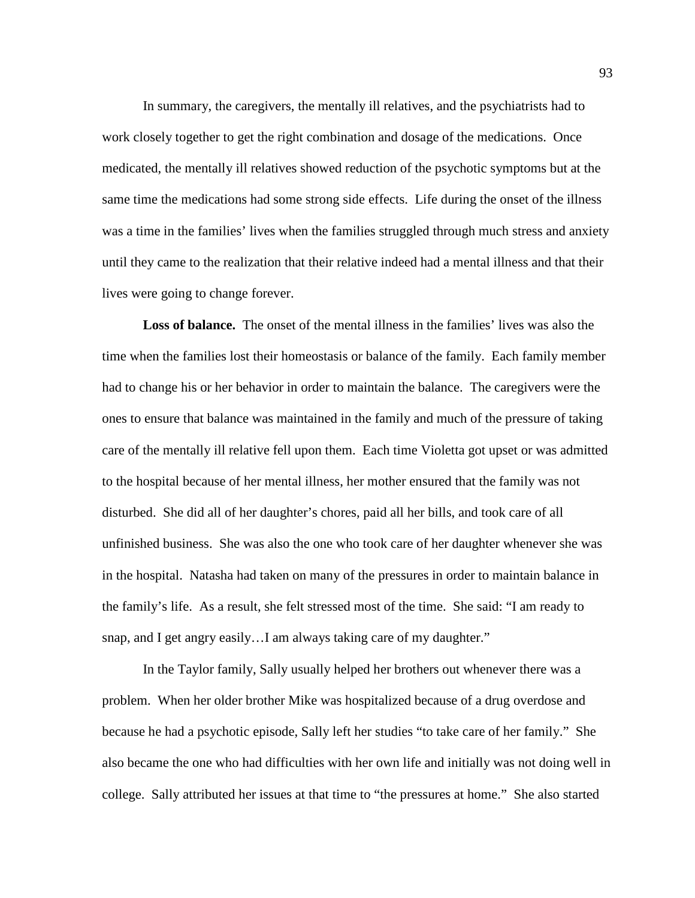In summary, the caregivers, the mentally ill relatives, and the psychiatrists had to work closely together to get the right combination and dosage of the medications. Once medicated, the mentally ill relatives showed reduction of the psychotic symptoms but at the same time the medications had some strong side effects. Life during the onset of the illness was a time in the families' lives when the families struggled through much stress and anxiety until they came to the realization that their relative indeed had a mental illness and that their lives were going to change forever.

**Loss of balance.** The onset of the mental illness in the families' lives was also the time when the families lost their homeostasis or balance of the family. Each family member had to change his or her behavior in order to maintain the balance. The caregivers were the ones to ensure that balance was maintained in the family and much of the pressure of taking care of the mentally ill relative fell upon them. Each time Violetta got upset or was admitted to the hospital because of her mental illness, her mother ensured that the family was not disturbed. She did all of her daughter's chores, paid all her bills, and took care of all unfinished business. She was also the one who took care of her daughter whenever she was in the hospital. Natasha had taken on many of the pressures in order to maintain balance in the family's life. As a result, she felt stressed most of the time. She said: "I am ready to snap, and I get angry easily…I am always taking care of my daughter."

In the Taylor family, Sally usually helped her brothers out whenever there was a problem. When her older brother Mike was hospitalized because of a drug overdose and because he had a psychotic episode, Sally left her studies "to take care of her family." She also became the one who had difficulties with her own life and initially was not doing well in college. Sally attributed her issues at that time to "the pressures at home." She also started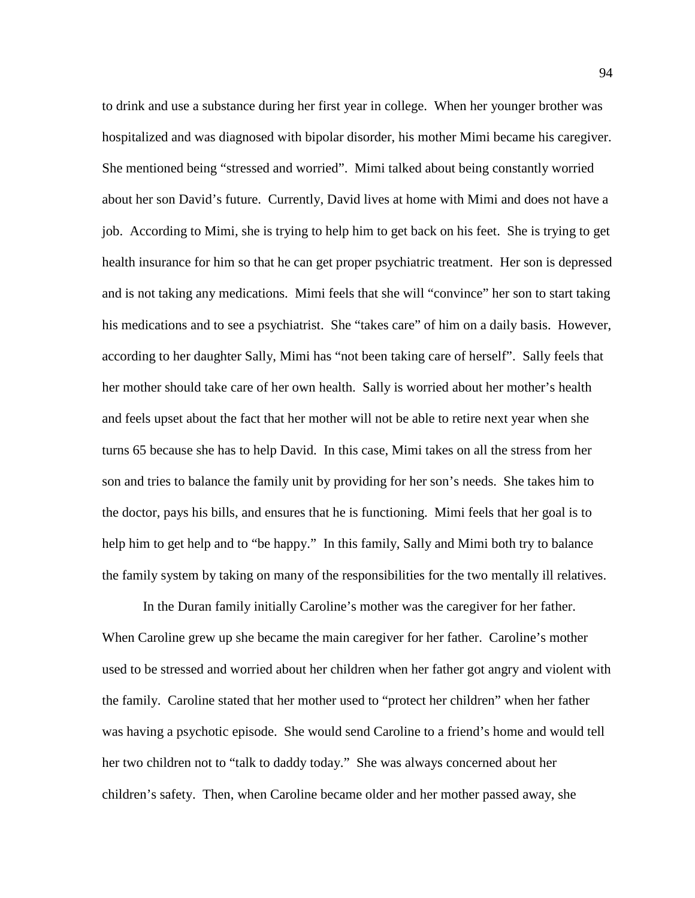to drink and use a substance during her first year in college. When her younger brother was hospitalized and was diagnosed with bipolar disorder, his mother Mimi became his caregiver. She mentioned being "stressed and worried". Mimi talked about being constantly worried about her son David's future. Currently, David lives at home with Mimi and does not have a job. According to Mimi, she is trying to help him to get back on his feet. She is trying to get health insurance for him so that he can get proper psychiatric treatment. Her son is depressed and is not taking any medications. Mimi feels that she will "convince" her son to start taking his medications and to see a psychiatrist. She "takes care" of him on a daily basis. However, according to her daughter Sally, Mimi has "not been taking care of herself". Sally feels that her mother should take care of her own health. Sally is worried about her mother's health and feels upset about the fact that her mother will not be able to retire next year when she turns 65 because she has to help David. In this case, Mimi takes on all the stress from her son and tries to balance the family unit by providing for her son's needs. She takes him to the doctor, pays his bills, and ensures that he is functioning. Mimi feels that her goal is to help him to get help and to "be happy." In this family, Sally and Mimi both try to balance the family system by taking on many of the responsibilities for the two mentally ill relatives.

In the Duran family initially Caroline's mother was the caregiver for her father. When Caroline grew up she became the main caregiver for her father. Caroline's mother used to be stressed and worried about her children when her father got angry and violent with the family. Caroline stated that her mother used to "protect her children" when her father was having a psychotic episode. She would send Caroline to a friend's home and would tell her two children not to "talk to daddy today." She was always concerned about her children's safety. Then, when Caroline became older and her mother passed away, she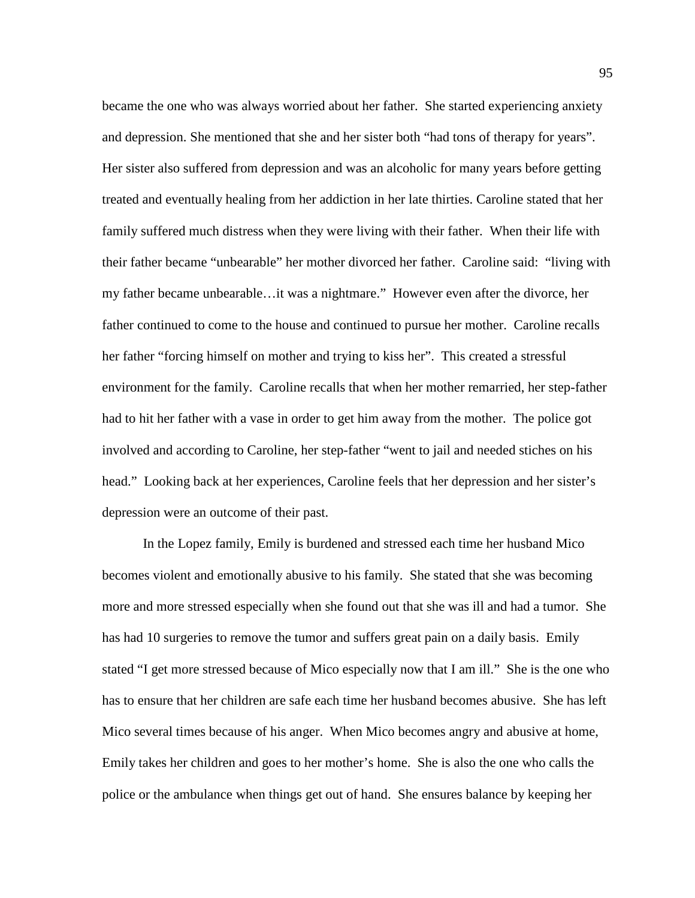became the one who was always worried about her father. She started experiencing anxiety and depression. She mentioned that she and her sister both "had tons of therapy for years". Her sister also suffered from depression and was an alcoholic for many years before getting treated and eventually healing from her addiction in her late thirties. Caroline stated that her family suffered much distress when they were living with their father. When their life with their father became "unbearable" her mother divorced her father. Caroline said: "living with my father became unbearable…it was a nightmare." However even after the divorce, her father continued to come to the house and continued to pursue her mother. Caroline recalls her father "forcing himself on mother and trying to kiss her". This created a stressful environment for the family. Caroline recalls that when her mother remarried, her step-father had to hit her father with a vase in order to get him away from the mother. The police got involved and according to Caroline, her step-father "went to jail and needed stiches on his head." Looking back at her experiences, Caroline feels that her depression and her sister's depression were an outcome of their past.

In the Lopez family, Emily is burdened and stressed each time her husband Mico becomes violent and emotionally abusive to his family. She stated that she was becoming more and more stressed especially when she found out that she was ill and had a tumor. She has had 10 surgeries to remove the tumor and suffers great pain on a daily basis. Emily stated "I get more stressed because of Mico especially now that I am ill." She is the one who has to ensure that her children are safe each time her husband becomes abusive. She has left Mico several times because of his anger. When Mico becomes angry and abusive at home, Emily takes her children and goes to her mother's home. She is also the one who calls the police or the ambulance when things get out of hand. She ensures balance by keeping her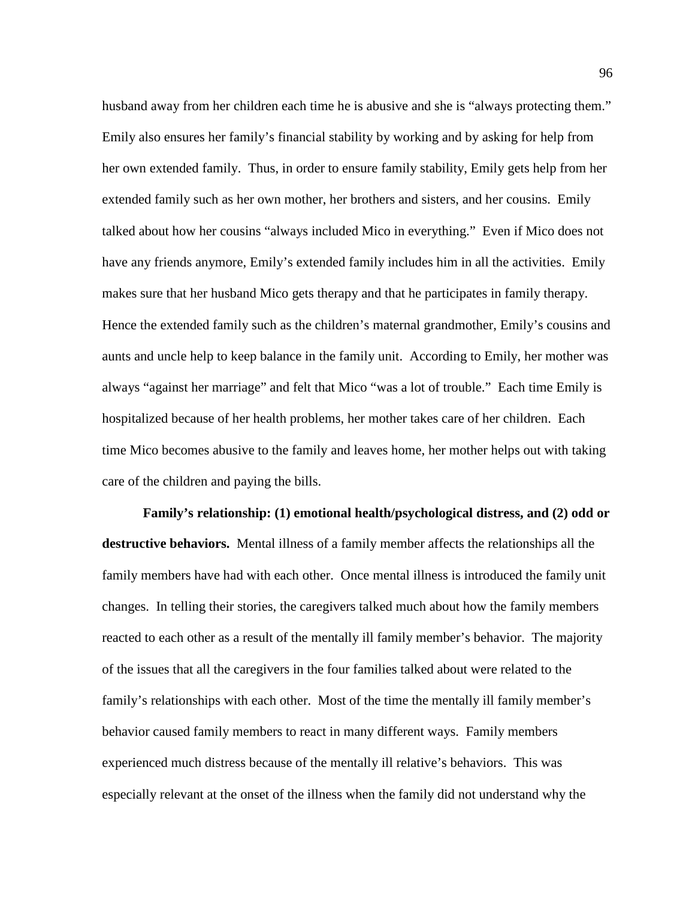husband away from her children each time he is abusive and she is "always protecting them." Emily also ensures her family's financial stability by working and by asking for help from her own extended family. Thus, in order to ensure family stability, Emily gets help from her extended family such as her own mother, her brothers and sisters, and her cousins. Emily talked about how her cousins "always included Mico in everything." Even if Mico does not have any friends anymore, Emily's extended family includes him in all the activities. Emily makes sure that her husband Mico gets therapy and that he participates in family therapy. Hence the extended family such as the children's maternal grandmother, Emily's cousins and aunts and uncle help to keep balance in the family unit. According to Emily, her mother was always "against her marriage" and felt that Mico "was a lot of trouble." Each time Emily is hospitalized because of her health problems, her mother takes care of her children. Each time Mico becomes abusive to the family and leaves home, her mother helps out with taking care of the children and paying the bills.

**Family's relationship: (1) emotional health/psychological distress, and (2) odd or destructive behaviors.** Mental illness of a family member affects the relationships all the family members have had with each other. Once mental illness is introduced the family unit changes. In telling their stories, the caregivers talked much about how the family members reacted to each other as a result of the mentally ill family member's behavior. The majority of the issues that all the caregivers in the four families talked about were related to the family's relationships with each other. Most of the time the mentally ill family member's behavior caused family members to react in many different ways. Family members experienced much distress because of the mentally ill relative's behaviors. This was especially relevant at the onset of the illness when the family did not understand why the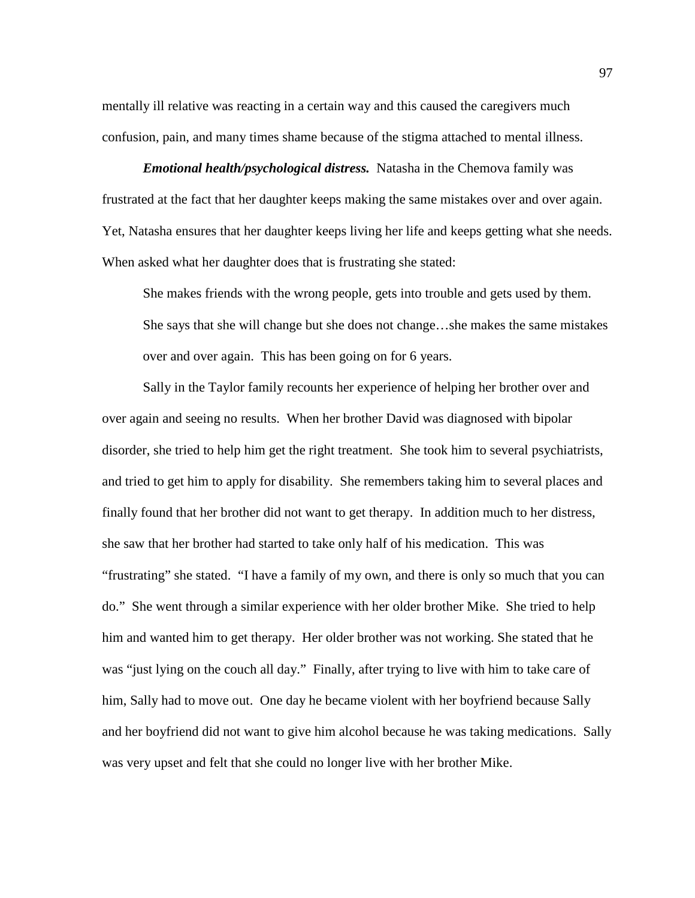mentally ill relative was reacting in a certain way and this caused the caregivers much confusion, pain, and many times shame because of the stigma attached to mental illness.

*Emotional health/psychological distress.* Natasha in the Chemova family was frustrated at the fact that her daughter keeps making the same mistakes over and over again. Yet, Natasha ensures that her daughter keeps living her life and keeps getting what she needs. When asked what her daughter does that is frustrating she stated:

She makes friends with the wrong people, gets into trouble and gets used by them. She says that she will change but she does not change…she makes the same mistakes over and over again. This has been going on for 6 years.

Sally in the Taylor family recounts her experience of helping her brother over and over again and seeing no results. When her brother David was diagnosed with bipolar disorder, she tried to help him get the right treatment. She took him to several psychiatrists, and tried to get him to apply for disability. She remembers taking him to several places and finally found that her brother did not want to get therapy. In addition much to her distress, she saw that her brother had started to take only half of his medication. This was "frustrating" she stated. "I have a family of my own, and there is only so much that you can do." She went through a similar experience with her older brother Mike. She tried to help him and wanted him to get therapy. Her older brother was not working. She stated that he was "just lying on the couch all day." Finally, after trying to live with him to take care of him, Sally had to move out. One day he became violent with her boyfriend because Sally and her boyfriend did not want to give him alcohol because he was taking medications. Sally was very upset and felt that she could no longer live with her brother Mike.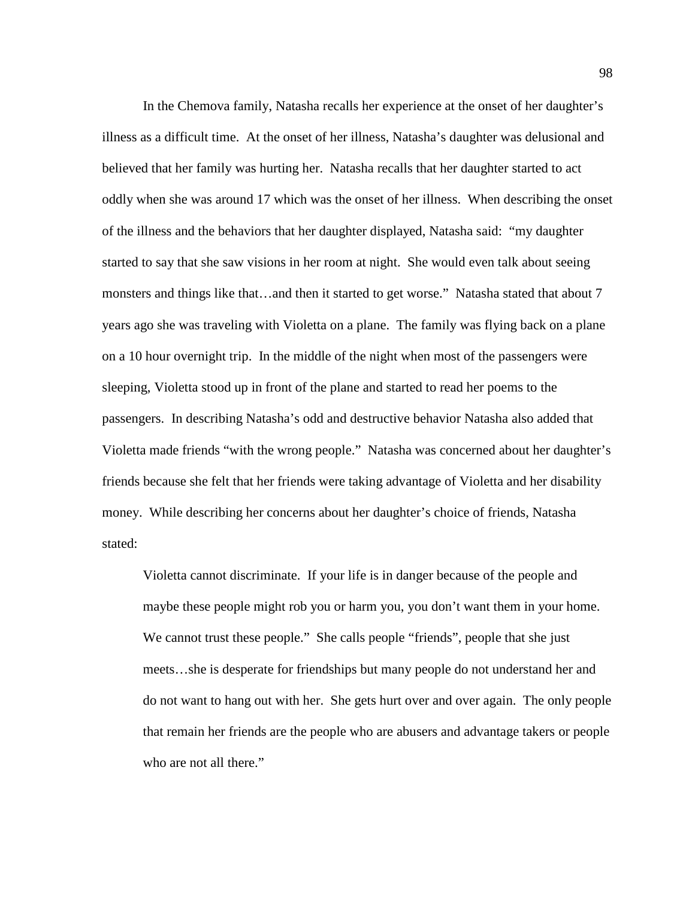In the Chemova family, Natasha recalls her experience at the onset of her daughter's illness as a difficult time. At the onset of her illness, Natasha's daughter was delusional and believed that her family was hurting her. Natasha recalls that her daughter started to act oddly when she was around 17 which was the onset of her illness. When describing the onset of the illness and the behaviors that her daughter displayed, Natasha said: "my daughter started to say that she saw visions in her room at night. She would even talk about seeing monsters and things like that…and then it started to get worse." Natasha stated that about 7 years ago she was traveling with Violetta on a plane. The family was flying back on a plane on a 10 hour overnight trip. In the middle of the night when most of the passengers were sleeping, Violetta stood up in front of the plane and started to read her poems to the passengers. In describing Natasha's odd and destructive behavior Natasha also added that Violetta made friends "with the wrong people." Natasha was concerned about her daughter's friends because she felt that her friends were taking advantage of Violetta and her disability money. While describing her concerns about her daughter's choice of friends, Natasha stated:

Violetta cannot discriminate. If your life is in danger because of the people and maybe these people might rob you or harm you, you don't want them in your home. We cannot trust these people." She calls people "friends", people that she just meets…she is desperate for friendships but many people do not understand her and do not want to hang out with her. She gets hurt over and over again. The only people that remain her friends are the people who are abusers and advantage takers or people who are not all there."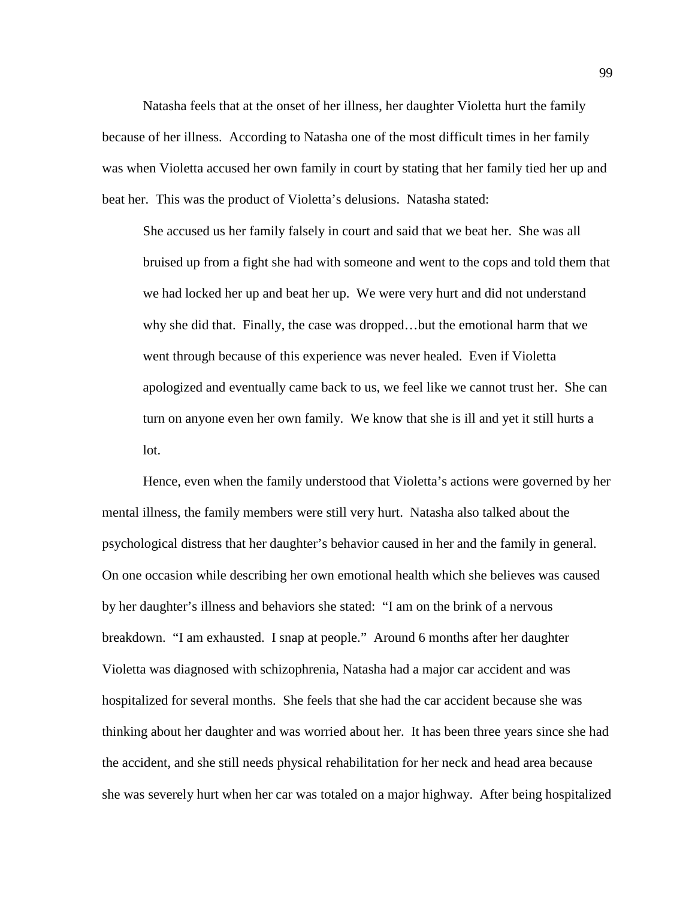Natasha feels that at the onset of her illness, her daughter Violetta hurt the family because of her illness. According to Natasha one of the most difficult times in her family was when Violetta accused her own family in court by stating that her family tied her up and beat her. This was the product of Violetta's delusions. Natasha stated:

She accused us her family falsely in court and said that we beat her. She was all bruised up from a fight she had with someone and went to the cops and told them that we had locked her up and beat her up. We were very hurt and did not understand why she did that. Finally, the case was dropped…but the emotional harm that we went through because of this experience was never healed. Even if Violetta apologized and eventually came back to us, we feel like we cannot trust her. She can turn on anyone even her own family. We know that she is ill and yet it still hurts a lot.

Hence, even when the family understood that Violetta's actions were governed by her mental illness, the family members were still very hurt. Natasha also talked about the psychological distress that her daughter's behavior caused in her and the family in general. On one occasion while describing her own emotional health which she believes was caused by her daughter's illness and behaviors she stated: "I am on the brink of a nervous breakdown. "I am exhausted. I snap at people." Around 6 months after her daughter Violetta was diagnosed with schizophrenia, Natasha had a major car accident and was hospitalized for several months. She feels that she had the car accident because she was thinking about her daughter and was worried about her. It has been three years since she had the accident, and she still needs physical rehabilitation for her neck and head area because she was severely hurt when her car was totaled on a major highway. After being hospitalized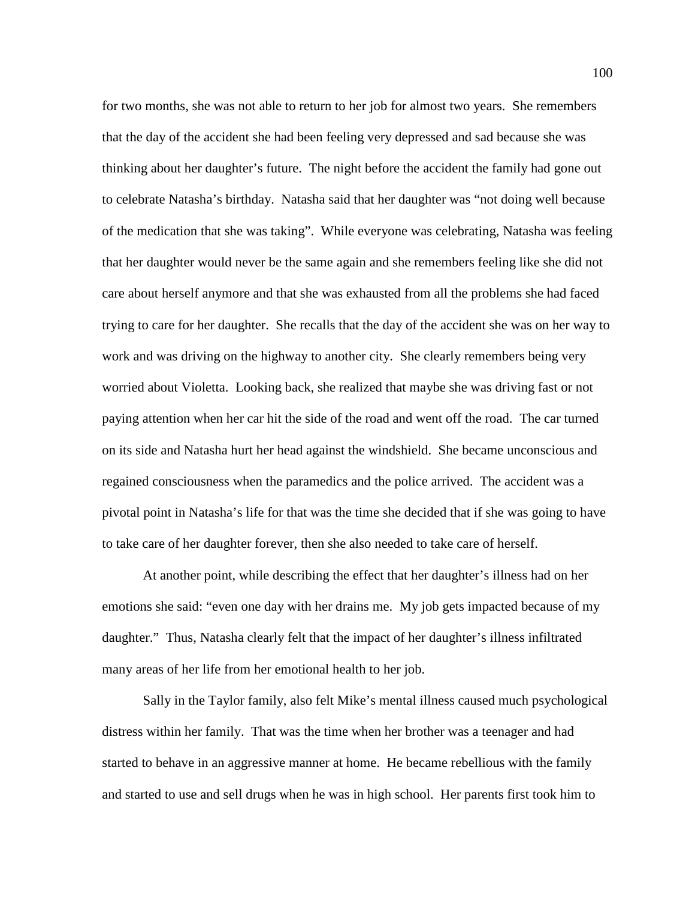for two months, she was not able to return to her job for almost two years. She remembers that the day of the accident she had been feeling very depressed and sad because she was thinking about her daughter's future. The night before the accident the family had gone out to celebrate Natasha's birthday. Natasha said that her daughter was "not doing well because of the medication that she was taking". While everyone was celebrating, Natasha was feeling that her daughter would never be the same again and she remembers feeling like she did not care about herself anymore and that she was exhausted from all the problems she had faced trying to care for her daughter. She recalls that the day of the accident she was on her way to work and was driving on the highway to another city. She clearly remembers being very worried about Violetta. Looking back, she realized that maybe she was driving fast or not paying attention when her car hit the side of the road and went off the road. The car turned on its side and Natasha hurt her head against the windshield. She became unconscious and regained consciousness when the paramedics and the police arrived. The accident was a pivotal point in Natasha's life for that was the time she decided that if she was going to have to take care of her daughter forever, then she also needed to take care of herself.

At another point, while describing the effect that her daughter's illness had on her emotions she said: "even one day with her drains me. My job gets impacted because of my daughter." Thus, Natasha clearly felt that the impact of her daughter's illness infiltrated many areas of her life from her emotional health to her job.

Sally in the Taylor family, also felt Mike's mental illness caused much psychological distress within her family. That was the time when her brother was a teenager and had started to behave in an aggressive manner at home. He became rebellious with the family and started to use and sell drugs when he was in high school. Her parents first took him to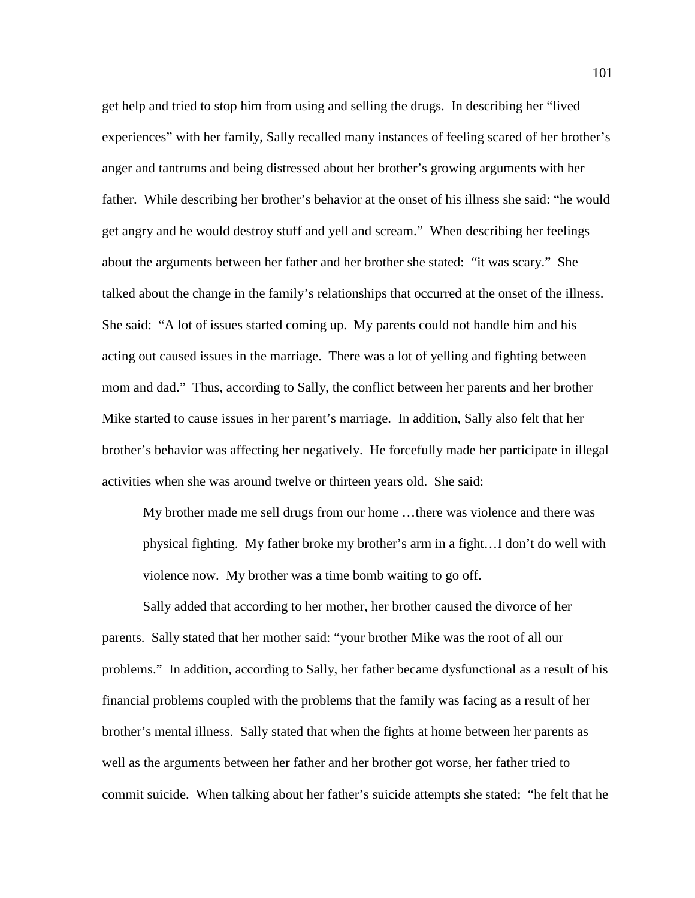get help and tried to stop him from using and selling the drugs. In describing her "lived experiences" with her family, Sally recalled many instances of feeling scared of her brother's anger and tantrums and being distressed about her brother's growing arguments with her father. While describing her brother's behavior at the onset of his illness she said: "he would get angry and he would destroy stuff and yell and scream." When describing her feelings about the arguments between her father and her brother she stated: "it was scary." She talked about the change in the family's relationships that occurred at the onset of the illness. She said: "A lot of issues started coming up. My parents could not handle him and his acting out caused issues in the marriage. There was a lot of yelling and fighting between mom and dad." Thus, according to Sally, the conflict between her parents and her brother Mike started to cause issues in her parent's marriage. In addition, Sally also felt that her brother's behavior was affecting her negatively. He forcefully made her participate in illegal activities when she was around twelve or thirteen years old. She said:

My brother made me sell drugs from our home …there was violence and there was physical fighting. My father broke my brother's arm in a fight…I don't do well with violence now. My brother was a time bomb waiting to go off.

Sally added that according to her mother, her brother caused the divorce of her parents. Sally stated that her mother said: "your brother Mike was the root of all our problems." In addition, according to Sally, her father became dysfunctional as a result of his financial problems coupled with the problems that the family was facing as a result of her brother's mental illness. Sally stated that when the fights at home between her parents as well as the arguments between her father and her brother got worse, her father tried to commit suicide. When talking about her father's suicide attempts she stated: "he felt that he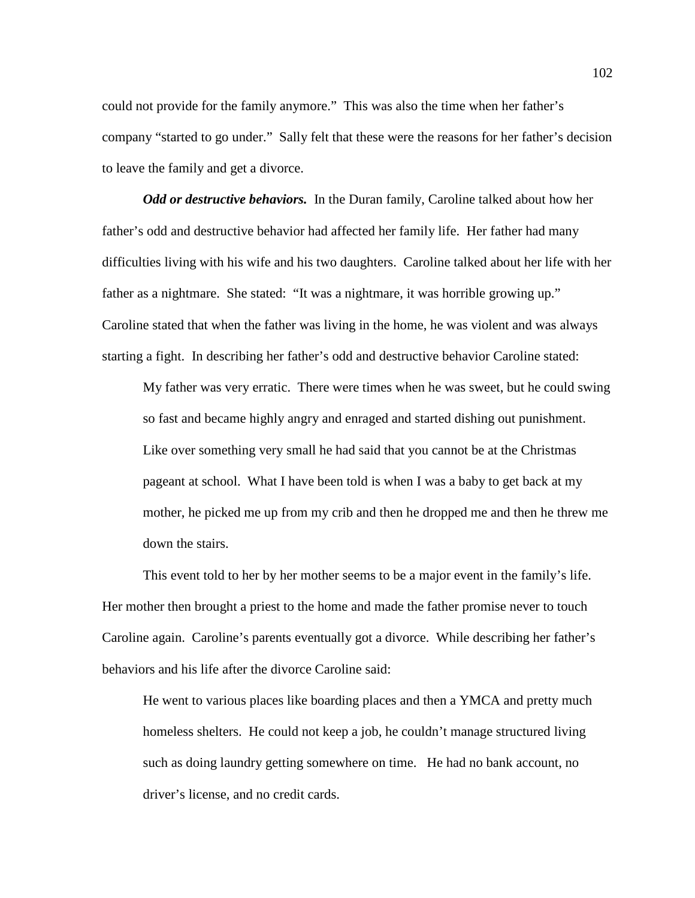could not provide for the family anymore." This was also the time when her father's company "started to go under." Sally felt that these were the reasons for her father's decision to leave the family and get a divorce.

*Odd or destructive behaviors.* In the Duran family, Caroline talked about how her father's odd and destructive behavior had affected her family life. Her father had many difficulties living with his wife and his two daughters. Caroline talked about her life with her father as a nightmare. She stated: "It was a nightmare, it was horrible growing up." Caroline stated that when the father was living in the home, he was violent and was always starting a fight. In describing her father's odd and destructive behavior Caroline stated:

My father was very erratic. There were times when he was sweet, but he could swing so fast and became highly angry and enraged and started dishing out punishment. Like over something very small he had said that you cannot be at the Christmas pageant at school. What I have been told is when I was a baby to get back at my mother, he picked me up from my crib and then he dropped me and then he threw me down the stairs.

This event told to her by her mother seems to be a major event in the family's life. Her mother then brought a priest to the home and made the father promise never to touch Caroline again. Caroline's parents eventually got a divorce. While describing her father's behaviors and his life after the divorce Caroline said:

He went to various places like boarding places and then a YMCA and pretty much homeless shelters. He could not keep a job, he couldn't manage structured living such as doing laundry getting somewhere on time. He had no bank account, no driver's license, and no credit cards.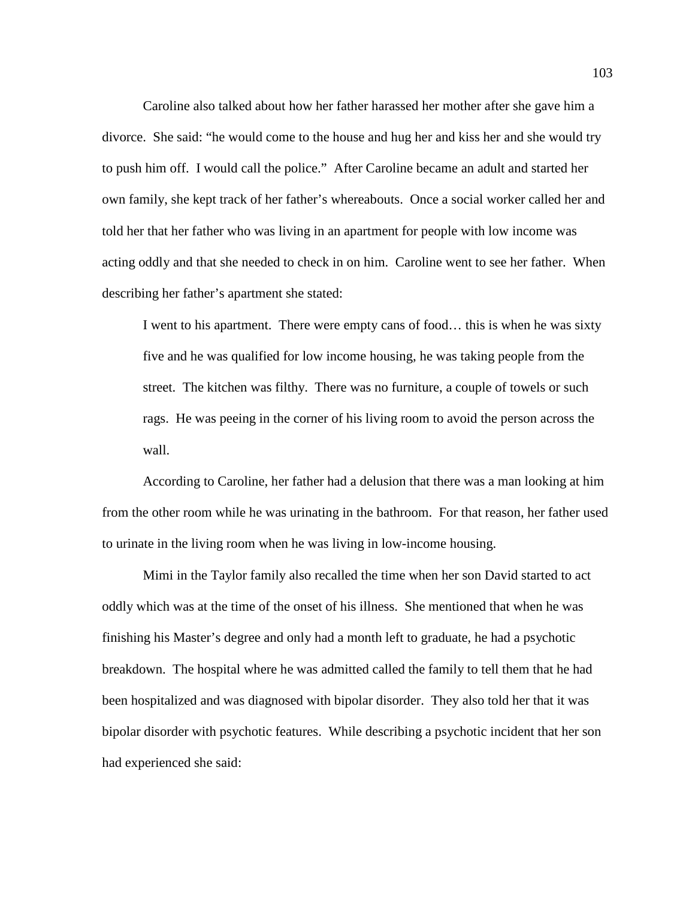Caroline also talked about how her father harassed her mother after she gave him a divorce. She said: "he would come to the house and hug her and kiss her and she would try to push him off. I would call the police." After Caroline became an adult and started her own family, she kept track of her father's whereabouts. Once a social worker called her and told her that her father who was living in an apartment for people with low income was acting oddly and that she needed to check in on him. Caroline went to see her father. When describing her father's apartment she stated:

I went to his apartment. There were empty cans of food… this is when he was sixty five and he was qualified for low income housing, he was taking people from the street. The kitchen was filthy. There was no furniture, a couple of towels or such rags. He was peeing in the corner of his living room to avoid the person across the wall.

According to Caroline, her father had a delusion that there was a man looking at him from the other room while he was urinating in the bathroom. For that reason, her father used to urinate in the living room when he was living in low-income housing.

Mimi in the Taylor family also recalled the time when her son David started to act oddly which was at the time of the onset of his illness. She mentioned that when he was finishing his Master's degree and only had a month left to graduate, he had a psychotic breakdown. The hospital where he was admitted called the family to tell them that he had been hospitalized and was diagnosed with bipolar disorder. They also told her that it was bipolar disorder with psychotic features. While describing a psychotic incident that her son had experienced she said: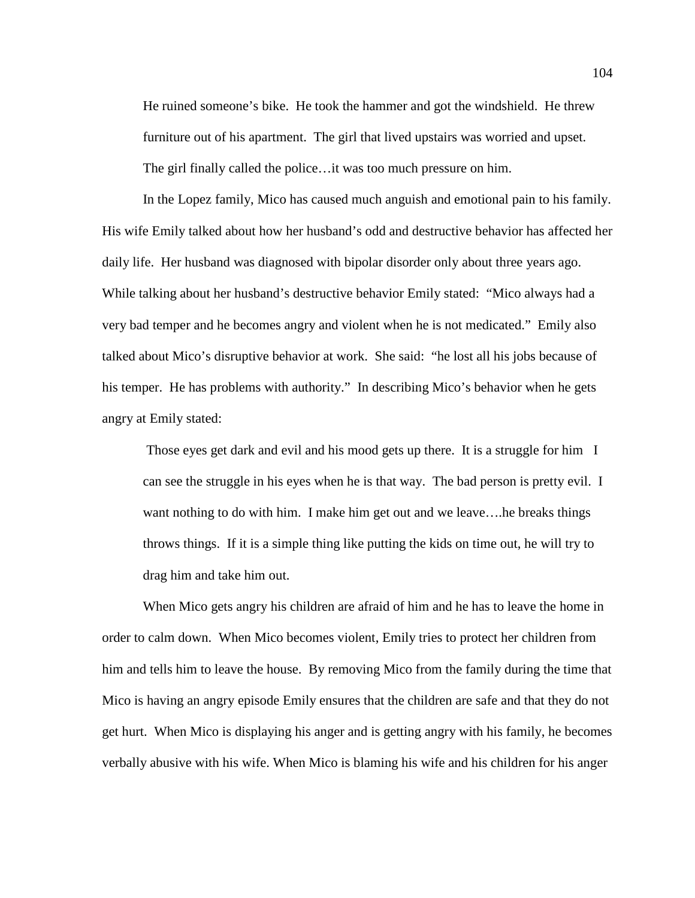He ruined someone's bike. He took the hammer and got the windshield. He threw furniture out of his apartment. The girl that lived upstairs was worried and upset. The girl finally called the police…it was too much pressure on him.

In the Lopez family, Mico has caused much anguish and emotional pain to his family. His wife Emily talked about how her husband's odd and destructive behavior has affected her daily life. Her husband was diagnosed with bipolar disorder only about three years ago. While talking about her husband's destructive behavior Emily stated: "Mico always had a very bad temper and he becomes angry and violent when he is not medicated." Emily also talked about Mico's disruptive behavior at work. She said: "he lost all his jobs because of his temper. He has problems with authority." In describing Mico's behavior when he gets angry at Emily stated:

Those eyes get dark and evil and his mood gets up there. It is a struggle for him I can see the struggle in his eyes when he is that way. The bad person is pretty evil. I want nothing to do with him. I make him get out and we leave….he breaks things throws things. If it is a simple thing like putting the kids on time out, he will try to drag him and take him out.

When Mico gets angry his children are afraid of him and he has to leave the home in order to calm down. When Mico becomes violent, Emily tries to protect her children from him and tells him to leave the house. By removing Mico from the family during the time that Mico is having an angry episode Emily ensures that the children are safe and that they do not get hurt. When Mico is displaying his anger and is getting angry with his family, he becomes verbally abusive with his wife. When Mico is blaming his wife and his children for his anger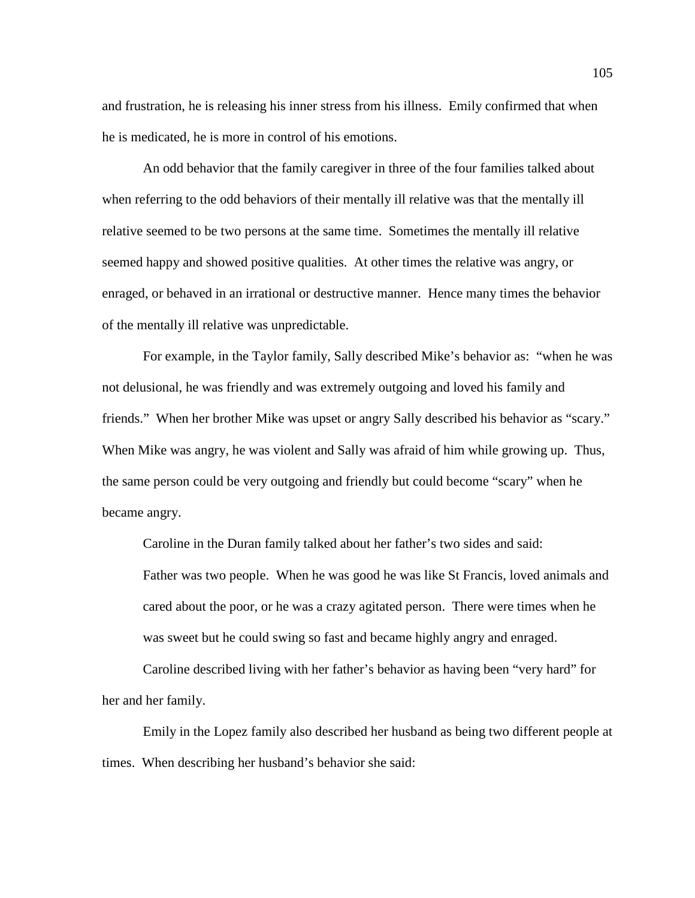and frustration, he is releasing his inner stress from his illness. Emily confirmed that when he is medicated, he is more in control of his emotions.

An odd behavior that the family caregiver in three of the four families talked about when referring to the odd behaviors of their mentally ill relative was that the mentally ill relative seemed to be two persons at the same time. Sometimes the mentally ill relative seemed happy and showed positive qualities. At other times the relative was angry, or enraged, or behaved in an irrational or destructive manner. Hence many times the behavior of the mentally ill relative was unpredictable.

For example, in the Taylor family, Sally described Mike's behavior as: "when he was not delusional, he was friendly and was extremely outgoing and loved his family and friends." When her brother Mike was upset or angry Sally described his behavior as "scary." When Mike was angry, he was violent and Sally was afraid of him while growing up. Thus, the same person could be very outgoing and friendly but could become "scary" when he became angry.

Caroline in the Duran family talked about her father's two sides and said: Father was two people. When he was good he was like St Francis, loved animals and cared about the poor, or he was a crazy agitated person. There were times when he was sweet but he could swing so fast and became highly angry and enraged.

Caroline described living with her father's behavior as having been "very hard" for her and her family.

Emily in the Lopez family also described her husband as being two different people at times. When describing her husband's behavior she said: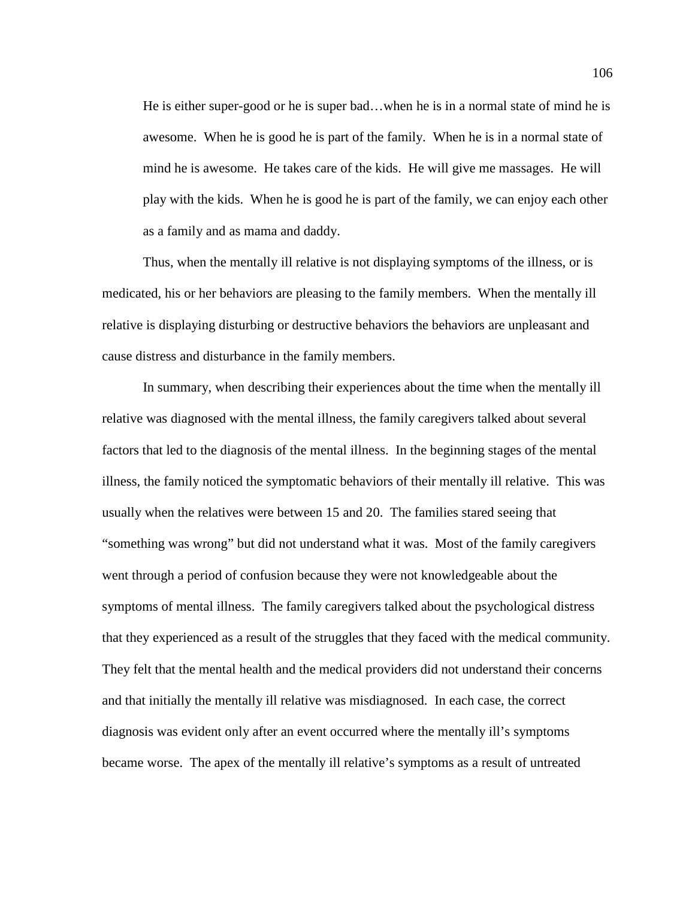He is either super-good or he is super bad…when he is in a normal state of mind he is awesome. When he is good he is part of the family. When he is in a normal state of mind he is awesome. He takes care of the kids. He will give me massages. He will play with the kids. When he is good he is part of the family, we can enjoy each other as a family and as mama and daddy.

Thus, when the mentally ill relative is not displaying symptoms of the illness, or is medicated, his or her behaviors are pleasing to the family members. When the mentally ill relative is displaying disturbing or destructive behaviors the behaviors are unpleasant and cause distress and disturbance in the family members.

In summary, when describing their experiences about the time when the mentally ill relative was diagnosed with the mental illness, the family caregivers talked about several factors that led to the diagnosis of the mental illness. In the beginning stages of the mental illness, the family noticed the symptomatic behaviors of their mentally ill relative. This was usually when the relatives were between 15 and 20. The families stared seeing that "something was wrong" but did not understand what it was. Most of the family caregivers went through a period of confusion because they were not knowledgeable about the symptoms of mental illness. The family caregivers talked about the psychological distress that they experienced as a result of the struggles that they faced with the medical community. They felt that the mental health and the medical providers did not understand their concerns and that initially the mentally ill relative was misdiagnosed. In each case, the correct diagnosis was evident only after an event occurred where the mentally ill's symptoms became worse. The apex of the mentally ill relative's symptoms as a result of untreated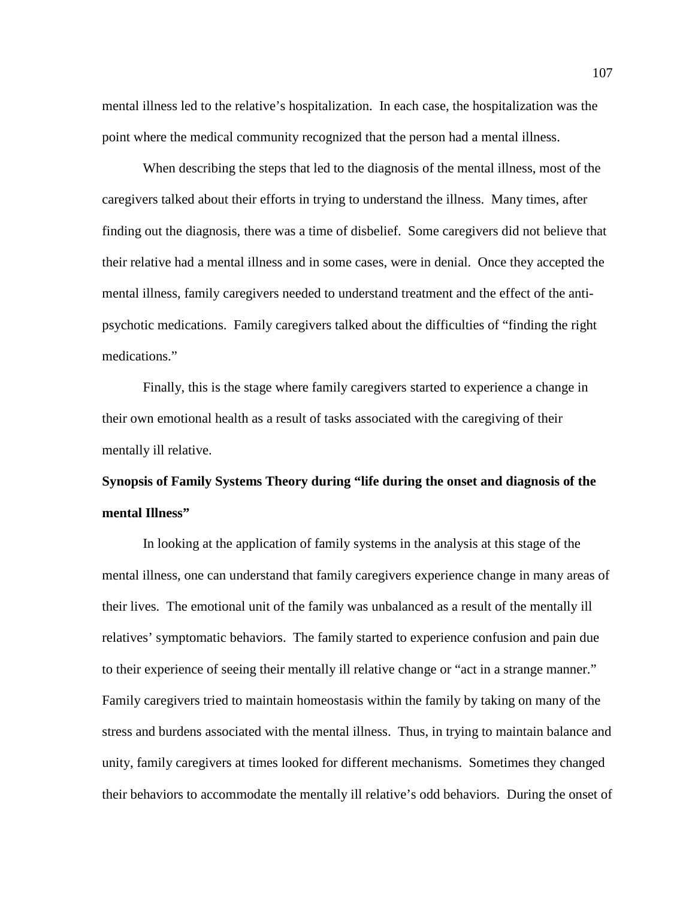mental illness led to the relative's hospitalization. In each case, the hospitalization was the point where the medical community recognized that the person had a mental illness.

When describing the steps that led to the diagnosis of the mental illness, most of the caregivers talked about their efforts in trying to understand the illness. Many times, after finding out the diagnosis, there was a time of disbelief. Some caregivers did not believe that their relative had a mental illness and in some cases, were in denial. Once they accepted the mental illness, family caregivers needed to understand treatment and the effect of the antipsychotic medications. Family caregivers talked about the difficulties of "finding the right medications."

Finally, this is the stage where family caregivers started to experience a change in their own emotional health as a result of tasks associated with the caregiving of their mentally ill relative.

## **Synopsis of Family Systems Theory during "life during the onset and diagnosis of the mental Illness"**

In looking at the application of family systems in the analysis at this stage of the mental illness, one can understand that family caregivers experience change in many areas of their lives. The emotional unit of the family was unbalanced as a result of the mentally ill relatives' symptomatic behaviors. The family started to experience confusion and pain due to their experience of seeing their mentally ill relative change or "act in a strange manner." Family caregivers tried to maintain homeostasis within the family by taking on many of the stress and burdens associated with the mental illness. Thus, in trying to maintain balance and unity, family caregivers at times looked for different mechanisms. Sometimes they changed their behaviors to accommodate the mentally ill relative's odd behaviors. During the onset of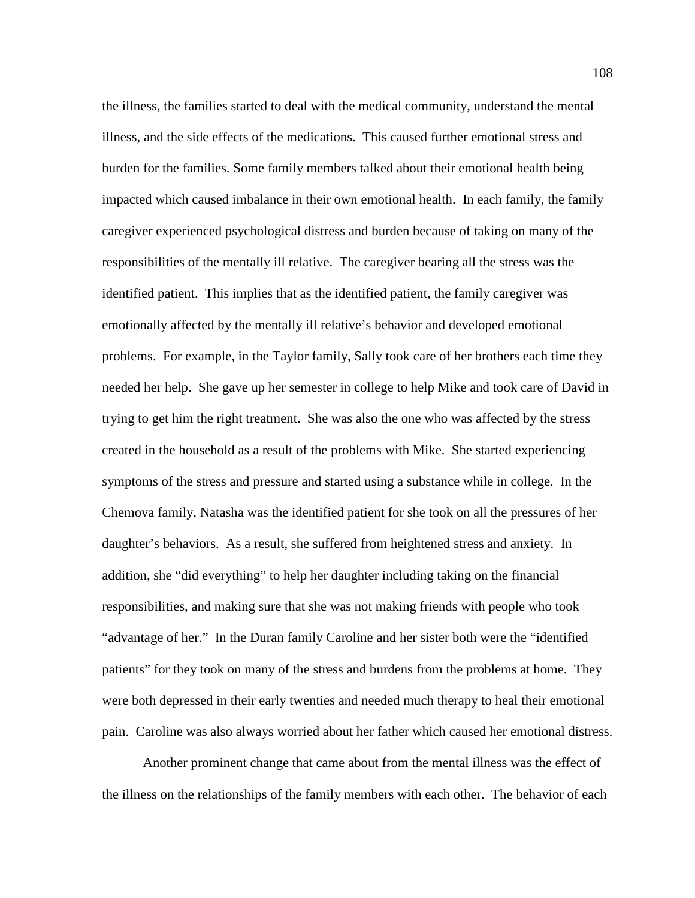the illness, the families started to deal with the medical community, understand the mental illness, and the side effects of the medications. This caused further emotional stress and burden for the families. Some family members talked about their emotional health being impacted which caused imbalance in their own emotional health. In each family, the family caregiver experienced psychological distress and burden because of taking on many of the responsibilities of the mentally ill relative. The caregiver bearing all the stress was the identified patient. This implies that as the identified patient, the family caregiver was emotionally affected by the mentally ill relative's behavior and developed emotional problems. For example, in the Taylor family, Sally took care of her brothers each time they needed her help. She gave up her semester in college to help Mike and took care of David in trying to get him the right treatment. She was also the one who was affected by the stress created in the household as a result of the problems with Mike. She started experiencing symptoms of the stress and pressure and started using a substance while in college. In the Chemova family, Natasha was the identified patient for she took on all the pressures of her daughter's behaviors. As a result, she suffered from heightened stress and anxiety. In addition, she "did everything" to help her daughter including taking on the financial responsibilities, and making sure that she was not making friends with people who took "advantage of her." In the Duran family Caroline and her sister both were the "identified patients" for they took on many of the stress and burdens from the problems at home. They were both depressed in their early twenties and needed much therapy to heal their emotional pain. Caroline was also always worried about her father which caused her emotional distress.

Another prominent change that came about from the mental illness was the effect of the illness on the relationships of the family members with each other. The behavior of each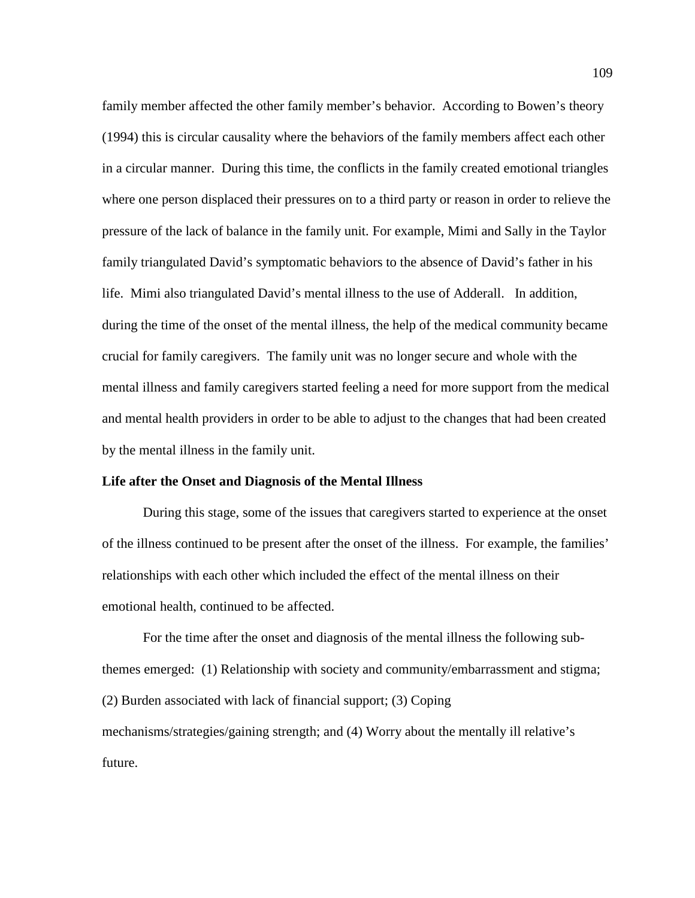family member affected the other family member's behavior. According to Bowen's theory (1994) this is circular causality where the behaviors of the family members affect each other in a circular manner. During this time, the conflicts in the family created emotional triangles where one person displaced their pressures on to a third party or reason in order to relieve the pressure of the lack of balance in the family unit. For example, Mimi and Sally in the Taylor family triangulated David's symptomatic behaviors to the absence of David's father in his life. Mimi also triangulated David's mental illness to the use of Adderall. In addition, during the time of the onset of the mental illness, the help of the medical community became crucial for family caregivers. The family unit was no longer secure and whole with the mental illness and family caregivers started feeling a need for more support from the medical and mental health providers in order to be able to adjust to the changes that had been created by the mental illness in the family unit.

## **Life after the Onset and Diagnosis of the Mental Illness**

During this stage, some of the issues that caregivers started to experience at the onset of the illness continued to be present after the onset of the illness. For example, the families' relationships with each other which included the effect of the mental illness on their emotional health, continued to be affected.

For the time after the onset and diagnosis of the mental illness the following subthemes emerged: (1) Relationship with society and community/embarrassment and stigma; (2) Burden associated with lack of financial support; (3) Coping mechanisms/strategies/gaining strength; and (4) Worry about the mentally ill relative's future.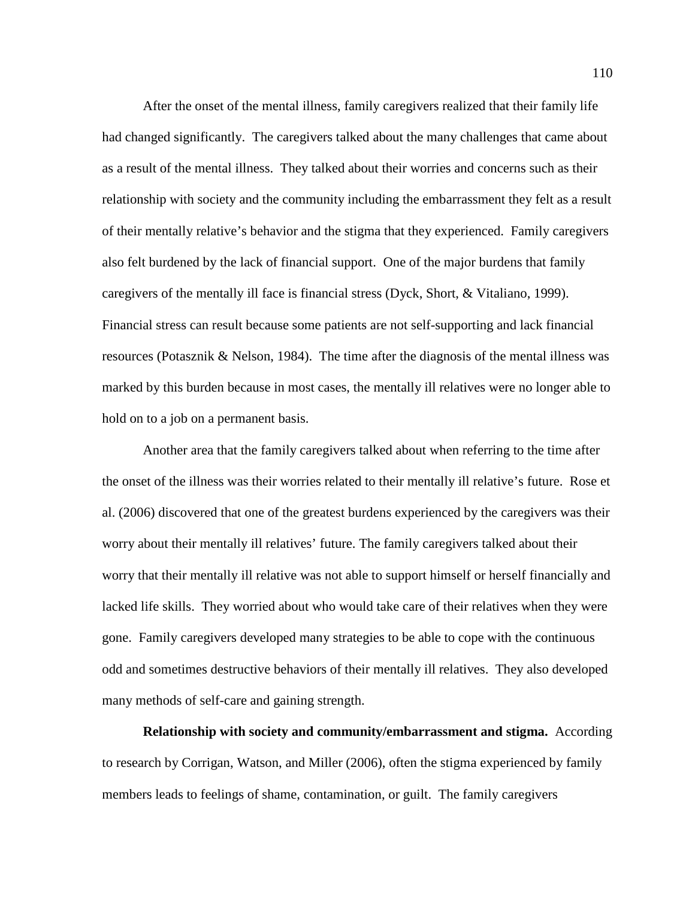After the onset of the mental illness, family caregivers realized that their family life had changed significantly. The caregivers talked about the many challenges that came about as a result of the mental illness. They talked about their worries and concerns such as their relationship with society and the community including the embarrassment they felt as a result of their mentally relative's behavior and the stigma that they experienced. Family caregivers also felt burdened by the lack of financial support. One of the major burdens that family caregivers of the mentally ill face is financial stress (Dyck, Short, & Vitaliano, 1999). Financial stress can result because some patients are not self-supporting and lack financial resources (Potasznik & Nelson, 1984). The time after the diagnosis of the mental illness was marked by this burden because in most cases, the mentally ill relatives were no longer able to hold on to a job on a permanent basis.

Another area that the family caregivers talked about when referring to the time after the onset of the illness was their worries related to their mentally ill relative's future. Rose et al. (2006) discovered that one of the greatest burdens experienced by the caregivers was their worry about their mentally ill relatives' future. The family caregivers talked about their worry that their mentally ill relative was not able to support himself or herself financially and lacked life skills. They worried about who would take care of their relatives when they were gone. Family caregivers developed many strategies to be able to cope with the continuous odd and sometimes destructive behaviors of their mentally ill relatives. They also developed many methods of self-care and gaining strength.

**Relationship with society and community/embarrassment and stigma.** According to research by Corrigan, Watson, and Miller (2006), often the stigma experienced by family members leads to feelings of shame, contamination, or guilt. The family caregivers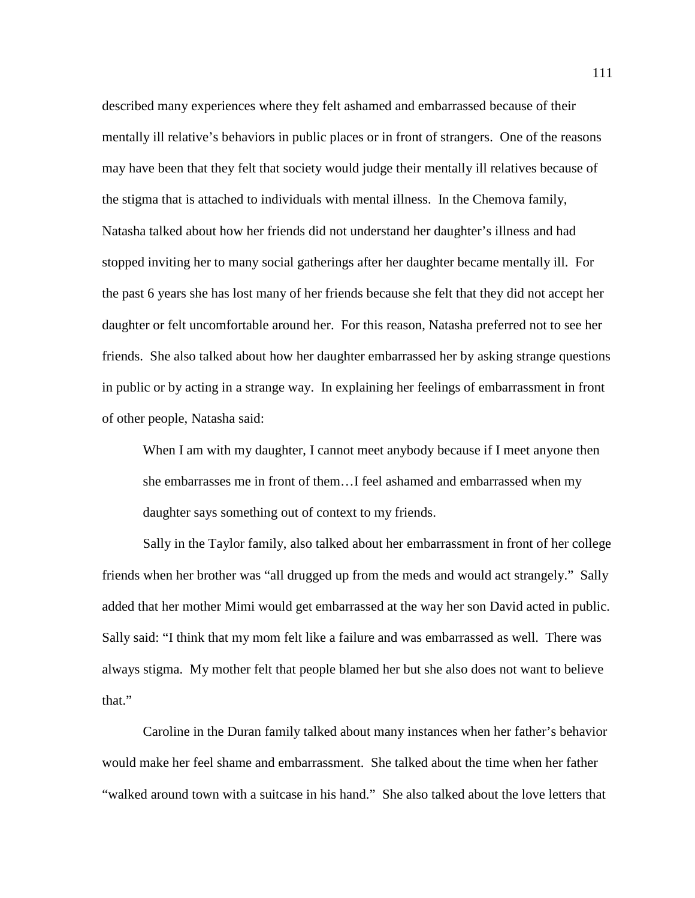described many experiences where they felt ashamed and embarrassed because of their mentally ill relative's behaviors in public places or in front of strangers. One of the reasons may have been that they felt that society would judge their mentally ill relatives because of the stigma that is attached to individuals with mental illness. In the Chemova family, Natasha talked about how her friends did not understand her daughter's illness and had stopped inviting her to many social gatherings after her daughter became mentally ill. For the past 6 years she has lost many of her friends because she felt that they did not accept her daughter or felt uncomfortable around her. For this reason, Natasha preferred not to see her friends. She also talked about how her daughter embarrassed her by asking strange questions in public or by acting in a strange way. In explaining her feelings of embarrassment in front of other people, Natasha said:

When I am with my daughter, I cannot meet anybody because if I meet anyone then she embarrasses me in front of them…I feel ashamed and embarrassed when my daughter says something out of context to my friends.

Sally in the Taylor family, also talked about her embarrassment in front of her college friends when her brother was "all drugged up from the meds and would act strangely." Sally added that her mother Mimi would get embarrassed at the way her son David acted in public. Sally said: "I think that my mom felt like a failure and was embarrassed as well. There was always stigma. My mother felt that people blamed her but she also does not want to believe that."

Caroline in the Duran family talked about many instances when her father's behavior would make her feel shame and embarrassment. She talked about the time when her father "walked around town with a suitcase in his hand." She also talked about the love letters that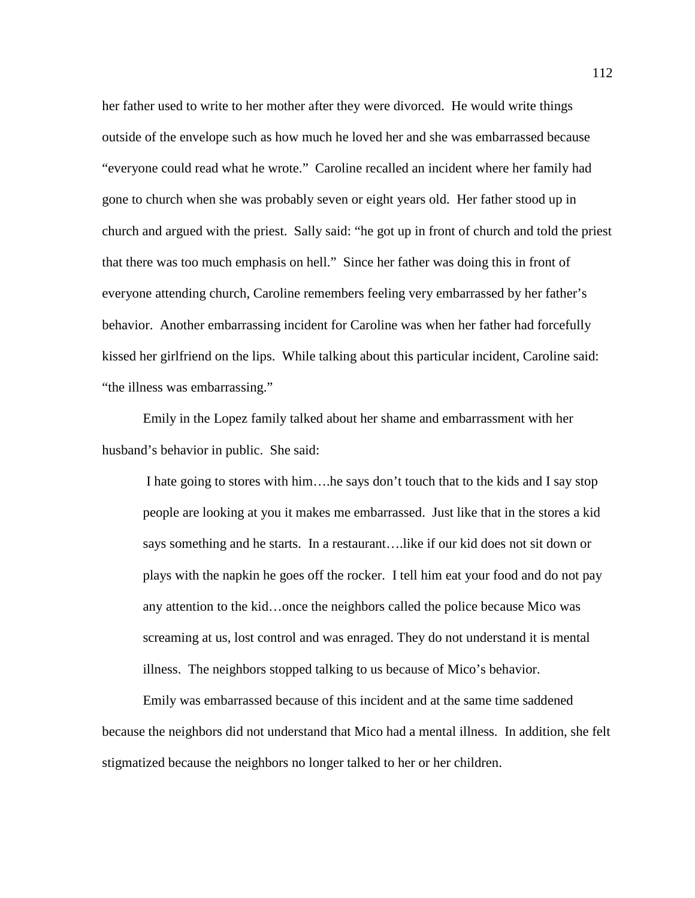her father used to write to her mother after they were divorced. He would write things outside of the envelope such as how much he loved her and she was embarrassed because "everyone could read what he wrote." Caroline recalled an incident where her family had gone to church when she was probably seven or eight years old. Her father stood up in church and argued with the priest. Sally said: "he got up in front of church and told the priest that there was too much emphasis on hell." Since her father was doing this in front of everyone attending church, Caroline remembers feeling very embarrassed by her father's behavior. Another embarrassing incident for Caroline was when her father had forcefully kissed her girlfriend on the lips. While talking about this particular incident, Caroline said: "the illness was embarrassing."

Emily in the Lopez family talked about her shame and embarrassment with her husband's behavior in public. She said:

I hate going to stores with him….he says don't touch that to the kids and I say stop people are looking at you it makes me embarrassed. Just like that in the stores a kid says something and he starts. In a restaurant….like if our kid does not sit down or plays with the napkin he goes off the rocker. I tell him eat your food and do not pay any attention to the kid…once the neighbors called the police because Mico was screaming at us, lost control and was enraged. They do not understand it is mental illness. The neighbors stopped talking to us because of Mico's behavior.

Emily was embarrassed because of this incident and at the same time saddened because the neighbors did not understand that Mico had a mental illness. In addition, she felt stigmatized because the neighbors no longer talked to her or her children.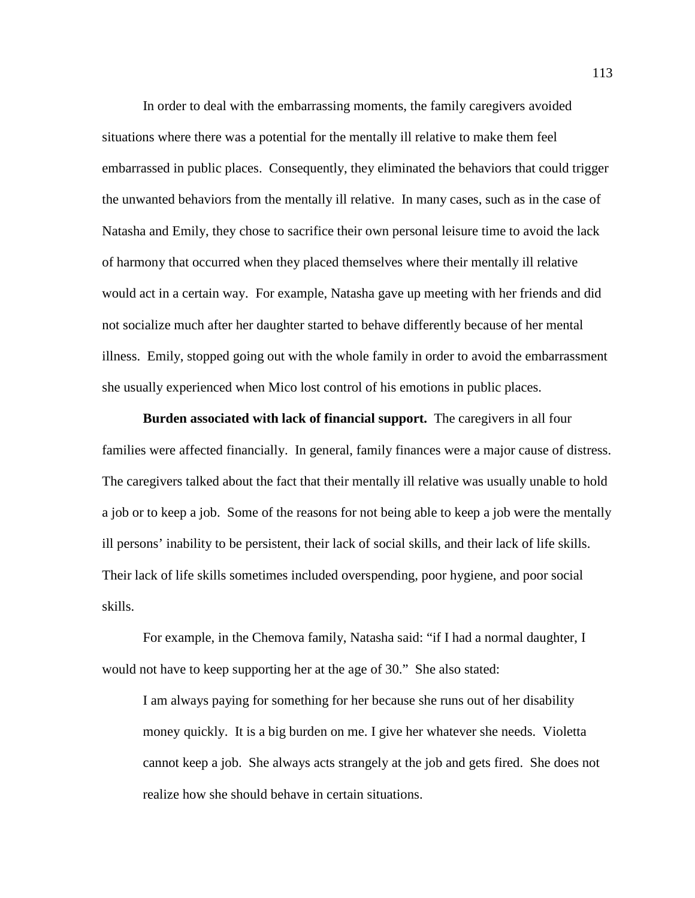In order to deal with the embarrassing moments, the family caregivers avoided situations where there was a potential for the mentally ill relative to make them feel embarrassed in public places. Consequently, they eliminated the behaviors that could trigger the unwanted behaviors from the mentally ill relative. In many cases, such as in the case of Natasha and Emily, they chose to sacrifice their own personal leisure time to avoid the lack of harmony that occurred when they placed themselves where their mentally ill relative would act in a certain way. For example, Natasha gave up meeting with her friends and did not socialize much after her daughter started to behave differently because of her mental illness. Emily, stopped going out with the whole family in order to avoid the embarrassment she usually experienced when Mico lost control of his emotions in public places.

**Burden associated with lack of financial support.** The caregivers in all four families were affected financially. In general, family finances were a major cause of distress. The caregivers talked about the fact that their mentally ill relative was usually unable to hold a job or to keep a job. Some of the reasons for not being able to keep a job were the mentally ill persons' inability to be persistent, their lack of social skills, and their lack of life skills. Their lack of life skills sometimes included overspending, poor hygiene, and poor social skills.

For example, in the Chemova family, Natasha said: "if I had a normal daughter, I would not have to keep supporting her at the age of 30." She also stated:

I am always paying for something for her because she runs out of her disability money quickly. It is a big burden on me. I give her whatever she needs. Violetta cannot keep a job. She always acts strangely at the job and gets fired. She does not realize how she should behave in certain situations.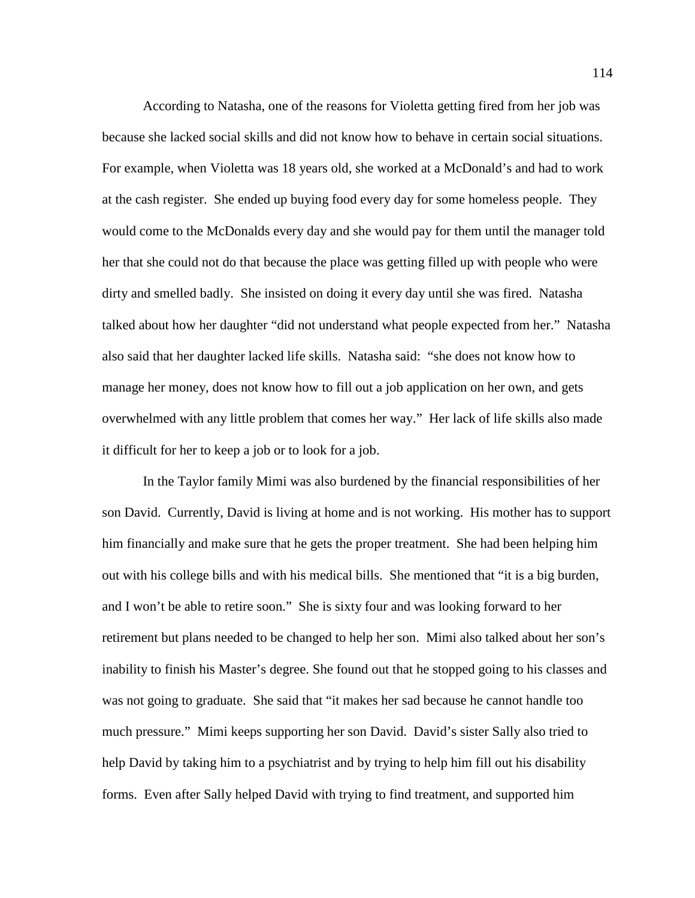According to Natasha, one of the reasons for Violetta getting fired from her job was because she lacked social skills and did not know how to behave in certain social situations. For example, when Violetta was 18 years old, she worked at a McDonald's and had to work at the cash register. She ended up buying food every day for some homeless people. They would come to the McDonalds every day and she would pay for them until the manager told her that she could not do that because the place was getting filled up with people who were dirty and smelled badly. She insisted on doing it every day until she was fired. Natasha talked about how her daughter "did not understand what people expected from her." Natasha also said that her daughter lacked life skills. Natasha said: "she does not know how to manage her money, does not know how to fill out a job application on her own, and gets overwhelmed with any little problem that comes her way." Her lack of life skills also made it difficult for her to keep a job or to look for a job.

In the Taylor family Mimi was also burdened by the financial responsibilities of her son David. Currently, David is living at home and is not working. His mother has to support him financially and make sure that he gets the proper treatment. She had been helping him out with his college bills and with his medical bills. She mentioned that "it is a big burden, and I won't be able to retire soon." She is sixty four and was looking forward to her retirement but plans needed to be changed to help her son. Mimi also talked about her son's inability to finish his Master's degree. She found out that he stopped going to his classes and was not going to graduate. She said that "it makes her sad because he cannot handle too much pressure." Mimi keeps supporting her son David. David's sister Sally also tried to help David by taking him to a psychiatrist and by trying to help him fill out his disability forms. Even after Sally helped David with trying to find treatment, and supported him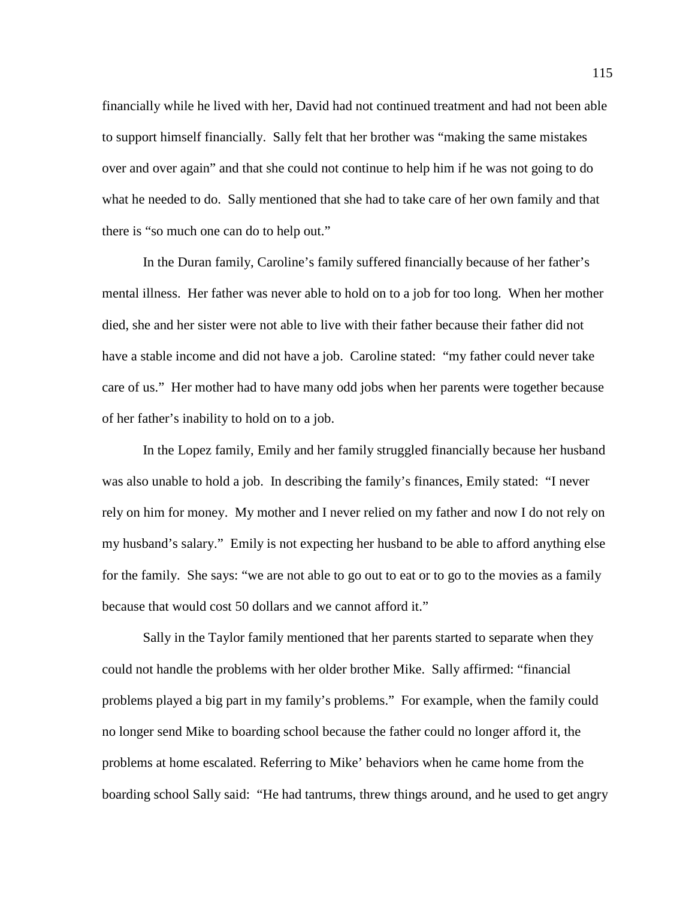financially while he lived with her, David had not continued treatment and had not been able to support himself financially. Sally felt that her brother was "making the same mistakes over and over again" and that she could not continue to help him if he was not going to do what he needed to do. Sally mentioned that she had to take care of her own family and that there is "so much one can do to help out."

In the Duran family, Caroline's family suffered financially because of her father's mental illness. Her father was never able to hold on to a job for too long. When her mother died, she and her sister were not able to live with their father because their father did not have a stable income and did not have a job. Caroline stated: "my father could never take care of us." Her mother had to have many odd jobs when her parents were together because of her father's inability to hold on to a job.

In the Lopez family, Emily and her family struggled financially because her husband was also unable to hold a job. In describing the family's finances, Emily stated: "I never rely on him for money. My mother and I never relied on my father and now I do not rely on my husband's salary." Emily is not expecting her husband to be able to afford anything else for the family. She says: "we are not able to go out to eat or to go to the movies as a family because that would cost 50 dollars and we cannot afford it."

Sally in the Taylor family mentioned that her parents started to separate when they could not handle the problems with her older brother Mike. Sally affirmed: "financial problems played a big part in my family's problems." For example, when the family could no longer send Mike to boarding school because the father could no longer afford it, the problems at home escalated. Referring to Mike' behaviors when he came home from the boarding school Sally said: "He had tantrums, threw things around, and he used to get angry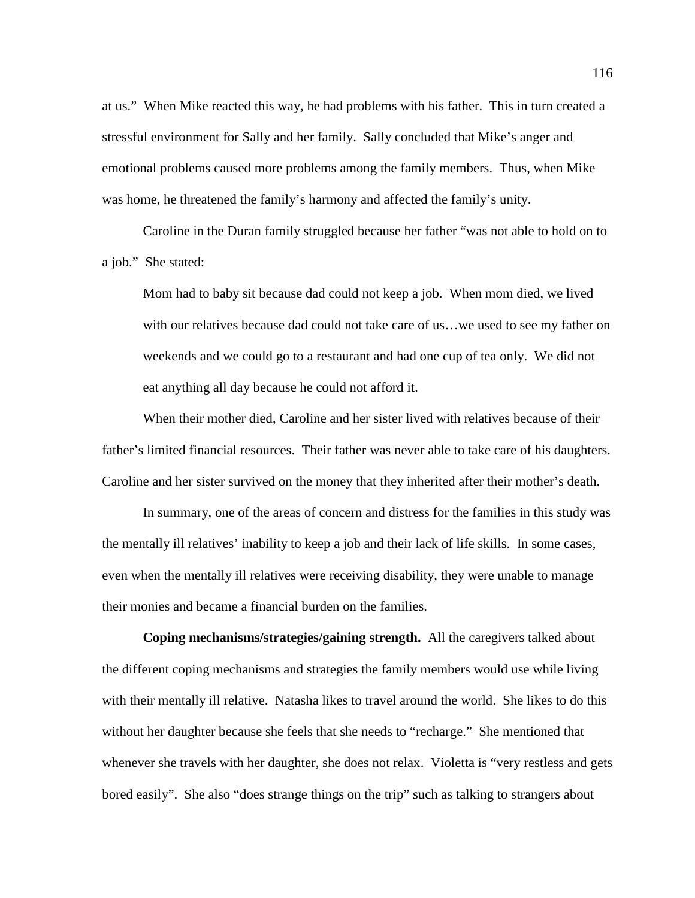at us." When Mike reacted this way, he had problems with his father. This in turn created a stressful environment for Sally and her family. Sally concluded that Mike's anger and emotional problems caused more problems among the family members. Thus, when Mike was home, he threatened the family's harmony and affected the family's unity.

Caroline in the Duran family struggled because her father "was not able to hold on to a job." She stated:

Mom had to baby sit because dad could not keep a job. When mom died, we lived with our relatives because dad could not take care of us…we used to see my father on weekends and we could go to a restaurant and had one cup of tea only. We did not eat anything all day because he could not afford it.

When their mother died, Caroline and her sister lived with relatives because of their father's limited financial resources. Their father was never able to take care of his daughters. Caroline and her sister survived on the money that they inherited after their mother's death.

In summary, one of the areas of concern and distress for the families in this study was the mentally ill relatives' inability to keep a job and their lack of life skills. In some cases, even when the mentally ill relatives were receiving disability, they were unable to manage their monies and became a financial burden on the families.

**Coping mechanisms/strategies/gaining strength.** All the caregivers talked about the different coping mechanisms and strategies the family members would use while living with their mentally ill relative. Natasha likes to travel around the world. She likes to do this without her daughter because she feels that she needs to "recharge." She mentioned that whenever she travels with her daughter, she does not relax. Violetta is "very restless and gets bored easily". She also "does strange things on the trip" such as talking to strangers about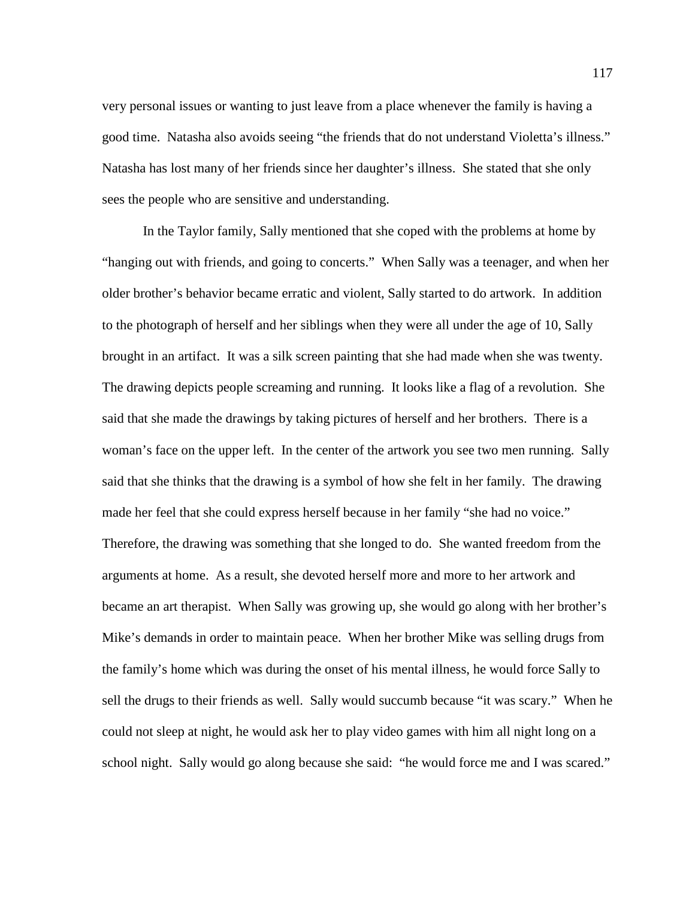very personal issues or wanting to just leave from a place whenever the family is having a good time. Natasha also avoids seeing "the friends that do not understand Violetta's illness." Natasha has lost many of her friends since her daughter's illness. She stated that she only sees the people who are sensitive and understanding.

In the Taylor family, Sally mentioned that she coped with the problems at home by "hanging out with friends, and going to concerts." When Sally was a teenager, and when her older brother's behavior became erratic and violent, Sally started to do artwork. In addition to the photograph of herself and her siblings when they were all under the age of 10, Sally brought in an artifact. It was a silk screen painting that she had made when she was twenty. The drawing depicts people screaming and running. It looks like a flag of a revolution. She said that she made the drawings by taking pictures of herself and her brothers. There is a woman's face on the upper left. In the center of the artwork you see two men running. Sally said that she thinks that the drawing is a symbol of how she felt in her family. The drawing made her feel that she could express herself because in her family "she had no voice." Therefore, the drawing was something that she longed to do. She wanted freedom from the arguments at home. As a result, she devoted herself more and more to her artwork and became an art therapist. When Sally was growing up, she would go along with her brother's Mike's demands in order to maintain peace. When her brother Mike was selling drugs from the family's home which was during the onset of his mental illness, he would force Sally to sell the drugs to their friends as well. Sally would succumb because "it was scary." When he could not sleep at night, he would ask her to play video games with him all night long on a school night. Sally would go along because she said: "he would force me and I was scared."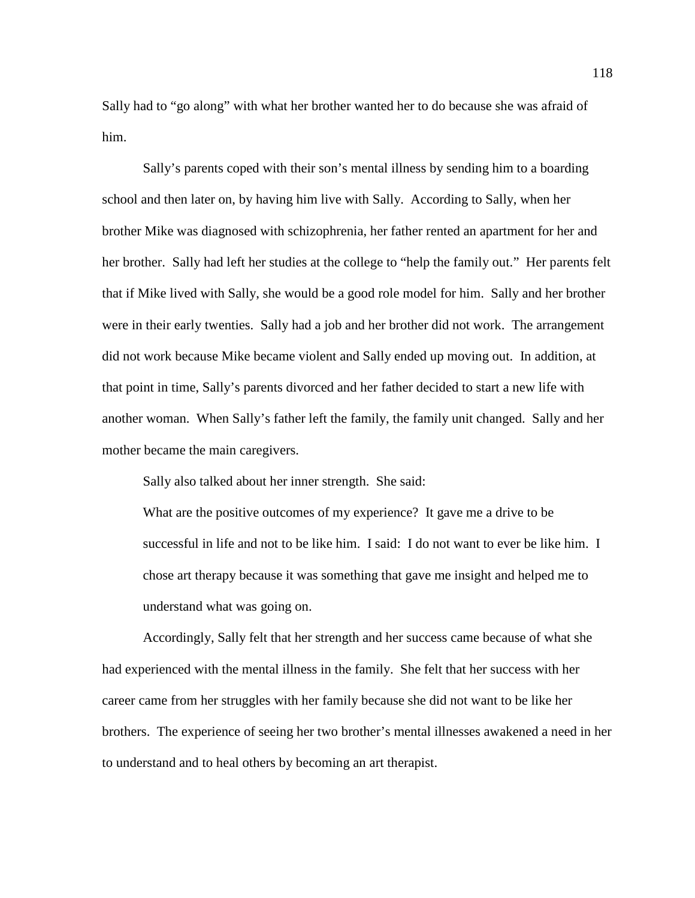Sally had to "go along" with what her brother wanted her to do because she was afraid of him.

Sally's parents coped with their son's mental illness by sending him to a boarding school and then later on, by having him live with Sally. According to Sally, when her brother Mike was diagnosed with schizophrenia, her father rented an apartment for her and her brother. Sally had left her studies at the college to "help the family out." Her parents felt that if Mike lived with Sally, she would be a good role model for him. Sally and her brother were in their early twenties. Sally had a job and her brother did not work. The arrangement did not work because Mike became violent and Sally ended up moving out. In addition, at that point in time, Sally's parents divorced and her father decided to start a new life with another woman. When Sally's father left the family, the family unit changed. Sally and her mother became the main caregivers.

Sally also talked about her inner strength. She said:

What are the positive outcomes of my experience? It gave me a drive to be successful in life and not to be like him. I said: I do not want to ever be like him. I chose art therapy because it was something that gave me insight and helped me to understand what was going on.

Accordingly, Sally felt that her strength and her success came because of what she had experienced with the mental illness in the family. She felt that her success with her career came from her struggles with her family because she did not want to be like her brothers. The experience of seeing her two brother's mental illnesses awakened a need in her to understand and to heal others by becoming an art therapist.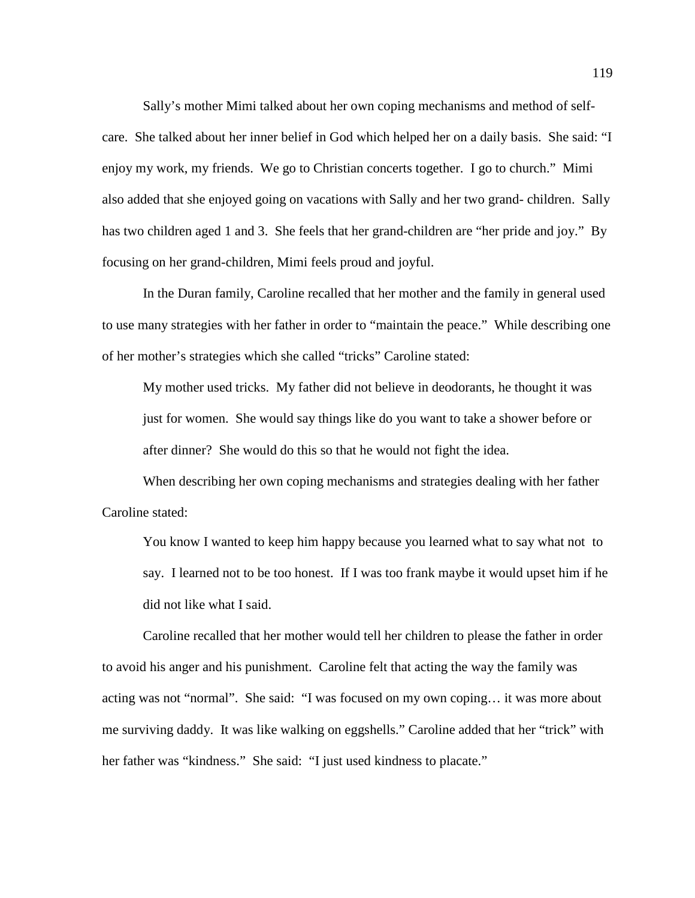Sally's mother Mimi talked about her own coping mechanisms and method of selfcare. She talked about her inner belief in God which helped her on a daily basis. She said: "I enjoy my work, my friends. We go to Christian concerts together. I go to church." Mimi also added that she enjoyed going on vacations with Sally and her two grand- children. Sally has two children aged 1 and 3. She feels that her grand-children are "her pride and joy." By focusing on her grand-children, Mimi feels proud and joyful.

In the Duran family, Caroline recalled that her mother and the family in general used to use many strategies with her father in order to "maintain the peace." While describing one of her mother's strategies which she called "tricks" Caroline stated:

My mother used tricks. My father did not believe in deodorants, he thought it was just for women. She would say things like do you want to take a shower before or after dinner? She would do this so that he would not fight the idea.

When describing her own coping mechanisms and strategies dealing with her father Caroline stated:

You know I wanted to keep him happy because you learned what to say what not to say. I learned not to be too honest. If I was too frank maybe it would upset him if he did not like what I said.

Caroline recalled that her mother would tell her children to please the father in order to avoid his anger and his punishment. Caroline felt that acting the way the family was acting was not "normal". She said: "I was focused on my own coping… it was more about me surviving daddy. It was like walking on eggshells." Caroline added that her "trick" with her father was "kindness." She said: "I just used kindness to placate."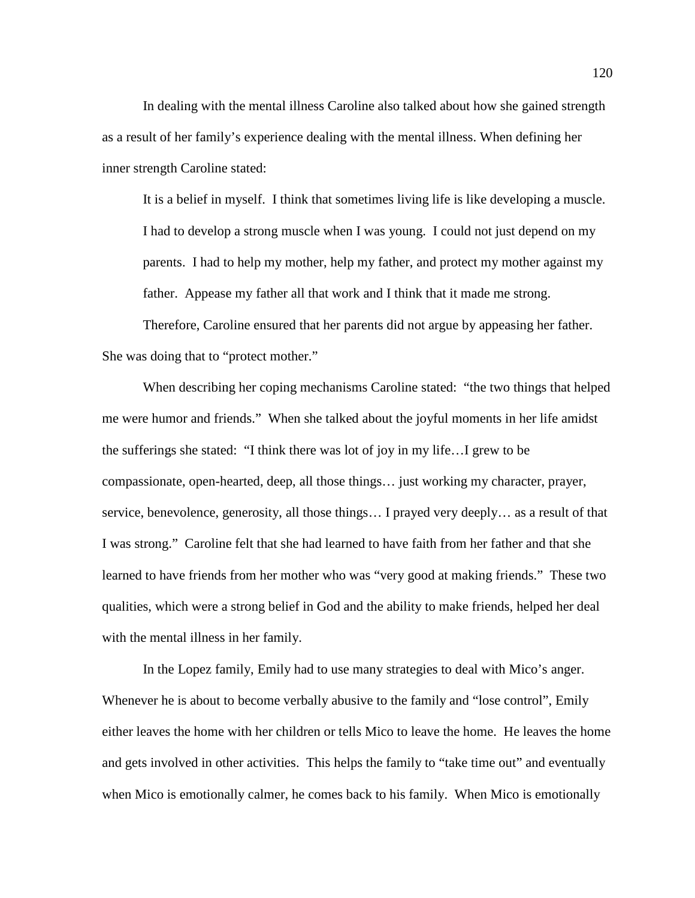In dealing with the mental illness Caroline also talked about how she gained strength as a result of her family's experience dealing with the mental illness. When defining her inner strength Caroline stated:

It is a belief in myself. I think that sometimes living life is like developing a muscle. I had to develop a strong muscle when I was young. I could not just depend on my parents. I had to help my mother, help my father, and protect my mother against my father. Appease my father all that work and I think that it made me strong.

Therefore, Caroline ensured that her parents did not argue by appeasing her father. She was doing that to "protect mother."

When describing her coping mechanisms Caroline stated: "the two things that helped me were humor and friends." When she talked about the joyful moments in her life amidst the sufferings she stated: "I think there was lot of joy in my life…I grew to be compassionate, open-hearted, deep, all those things… just working my character, prayer, service, benevolence, generosity, all those things… I prayed very deeply… as a result of that I was strong." Caroline felt that she had learned to have faith from her father and that she learned to have friends from her mother who was "very good at making friends." These two qualities, which were a strong belief in God and the ability to make friends, helped her deal with the mental illness in her family.

In the Lopez family, Emily had to use many strategies to deal with Mico's anger. Whenever he is about to become verbally abusive to the family and "lose control", Emily either leaves the home with her children or tells Mico to leave the home. He leaves the home and gets involved in other activities. This helps the family to "take time out" and eventually when Mico is emotionally calmer, he comes back to his family. When Mico is emotionally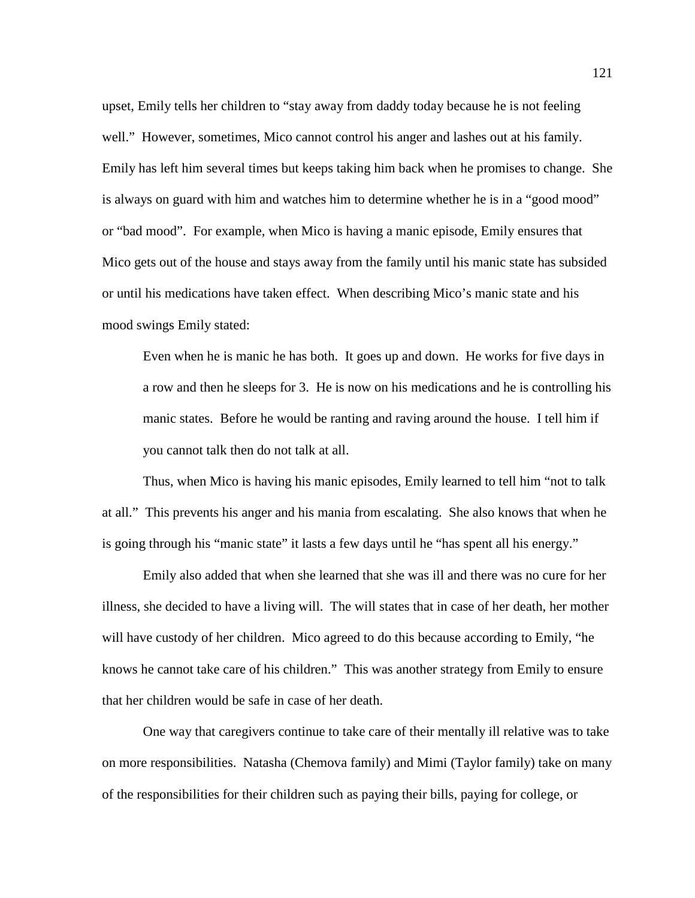upset, Emily tells her children to "stay away from daddy today because he is not feeling well." However, sometimes, Mico cannot control his anger and lashes out at his family. Emily has left him several times but keeps taking him back when he promises to change. She is always on guard with him and watches him to determine whether he is in a "good mood" or "bad mood". For example, when Mico is having a manic episode, Emily ensures that Mico gets out of the house and stays away from the family until his manic state has subsided or until his medications have taken effect. When describing Mico's manic state and his mood swings Emily stated:

Even when he is manic he has both. It goes up and down. He works for five days in a row and then he sleeps for 3. He is now on his medications and he is controlling his manic states. Before he would be ranting and raving around the house. I tell him if you cannot talk then do not talk at all.

Thus, when Mico is having his manic episodes, Emily learned to tell him "not to talk at all." This prevents his anger and his mania from escalating. She also knows that when he is going through his "manic state" it lasts a few days until he "has spent all his energy."

Emily also added that when she learned that she was ill and there was no cure for her illness, she decided to have a living will. The will states that in case of her death, her mother will have custody of her children. Mico agreed to do this because according to Emily, "he knows he cannot take care of his children." This was another strategy from Emily to ensure that her children would be safe in case of her death.

One way that caregivers continue to take care of their mentally ill relative was to take on more responsibilities. Natasha (Chemova family) and Mimi (Taylor family) take on many of the responsibilities for their children such as paying their bills, paying for college, or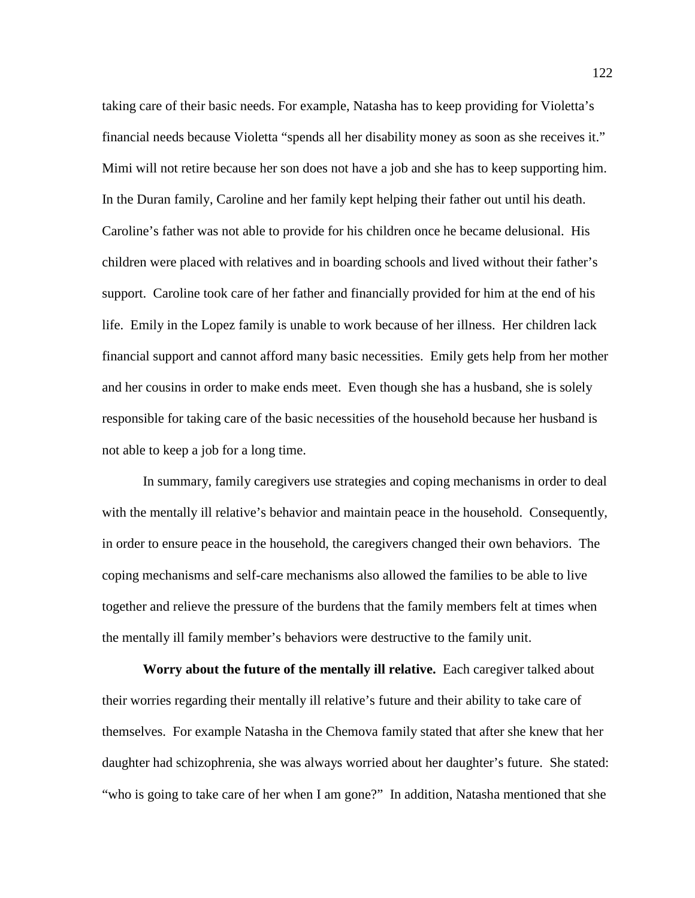taking care of their basic needs. For example, Natasha has to keep providing for Violetta's financial needs because Violetta "spends all her disability money as soon as she receives it." Mimi will not retire because her son does not have a job and she has to keep supporting him. In the Duran family, Caroline and her family kept helping their father out until his death. Caroline's father was not able to provide for his children once he became delusional. His children were placed with relatives and in boarding schools and lived without their father's support. Caroline took care of her father and financially provided for him at the end of his life. Emily in the Lopez family is unable to work because of her illness. Her children lack financial support and cannot afford many basic necessities. Emily gets help from her mother and her cousins in order to make ends meet. Even though she has a husband, she is solely responsible for taking care of the basic necessities of the household because her husband is not able to keep a job for a long time.

In summary, family caregivers use strategies and coping mechanisms in order to deal with the mentally ill relative's behavior and maintain peace in the household. Consequently, in order to ensure peace in the household, the caregivers changed their own behaviors. The coping mechanisms and self-care mechanisms also allowed the families to be able to live together and relieve the pressure of the burdens that the family members felt at times when the mentally ill family member's behaviors were destructive to the family unit.

**Worry about the future of the mentally ill relative.** Each caregiver talked about their worries regarding their mentally ill relative's future and their ability to take care of themselves. For example Natasha in the Chemova family stated that after she knew that her daughter had schizophrenia, she was always worried about her daughter's future. She stated: "who is going to take care of her when I am gone?" In addition, Natasha mentioned that she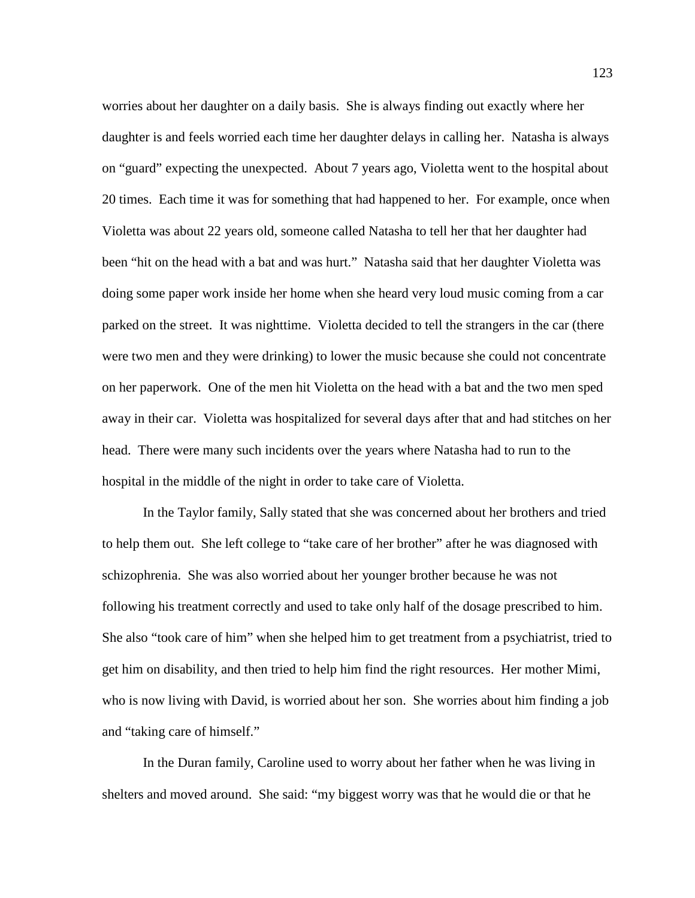worries about her daughter on a daily basis. She is always finding out exactly where her daughter is and feels worried each time her daughter delays in calling her. Natasha is always on "guard" expecting the unexpected. About 7 years ago, Violetta went to the hospital about 20 times. Each time it was for something that had happened to her. For example, once when Violetta was about 22 years old, someone called Natasha to tell her that her daughter had been "hit on the head with a bat and was hurt." Natasha said that her daughter Violetta was doing some paper work inside her home when she heard very loud music coming from a car parked on the street. It was nighttime. Violetta decided to tell the strangers in the car (there were two men and they were drinking) to lower the music because she could not concentrate on her paperwork. One of the men hit Violetta on the head with a bat and the two men sped away in their car. Violetta was hospitalized for several days after that and had stitches on her head. There were many such incidents over the years where Natasha had to run to the hospital in the middle of the night in order to take care of Violetta.

In the Taylor family, Sally stated that she was concerned about her brothers and tried to help them out. She left college to "take care of her brother" after he was diagnosed with schizophrenia. She was also worried about her younger brother because he was not following his treatment correctly and used to take only half of the dosage prescribed to him. She also "took care of him" when she helped him to get treatment from a psychiatrist, tried to get him on disability, and then tried to help him find the right resources. Her mother Mimi, who is now living with David, is worried about her son. She worries about him finding a job and "taking care of himself."

In the Duran family, Caroline used to worry about her father when he was living in shelters and moved around. She said: "my biggest worry was that he would die or that he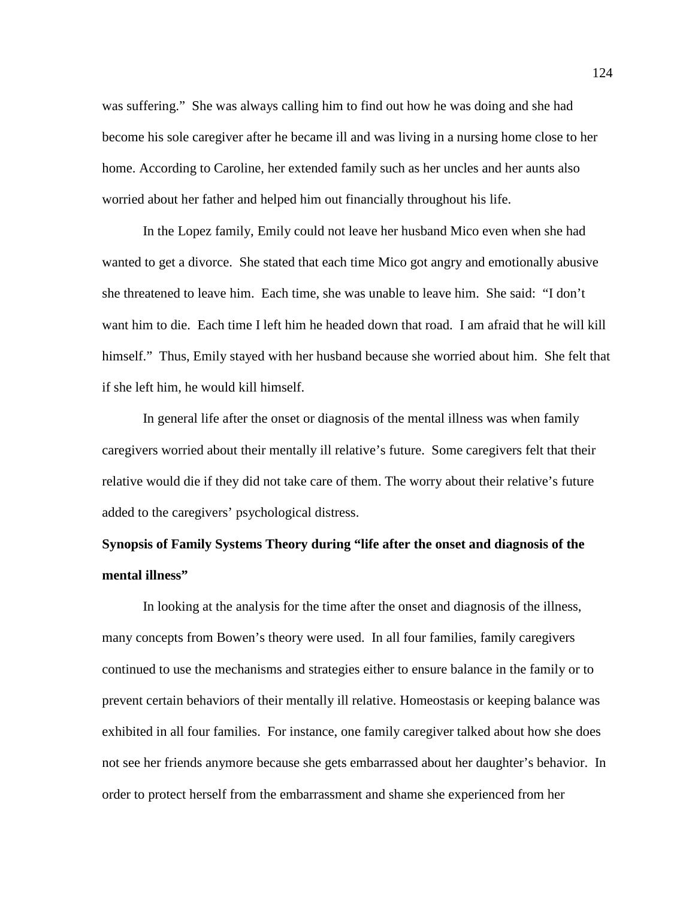was suffering." She was always calling him to find out how he was doing and she had become his sole caregiver after he became ill and was living in a nursing home close to her home. According to Caroline, her extended family such as her uncles and her aunts also worried about her father and helped him out financially throughout his life.

In the Lopez family, Emily could not leave her husband Mico even when she had wanted to get a divorce. She stated that each time Mico got angry and emotionally abusive she threatened to leave him. Each time, she was unable to leave him. She said: "I don't want him to die. Each time I left him he headed down that road. I am afraid that he will kill himself." Thus, Emily stayed with her husband because she worried about him. She felt that if she left him, he would kill himself.

In general life after the onset or diagnosis of the mental illness was when family caregivers worried about their mentally ill relative's future. Some caregivers felt that their relative would die if they did not take care of them. The worry about their relative's future added to the caregivers' psychological distress.

## **Synopsis of Family Systems Theory during "life after the onset and diagnosis of the mental illness"**

In looking at the analysis for the time after the onset and diagnosis of the illness, many concepts from Bowen's theory were used. In all four families, family caregivers continued to use the mechanisms and strategies either to ensure balance in the family or to prevent certain behaviors of their mentally ill relative. Homeostasis or keeping balance was exhibited in all four families. For instance, one family caregiver talked about how she does not see her friends anymore because she gets embarrassed about her daughter's behavior. In order to protect herself from the embarrassment and shame she experienced from her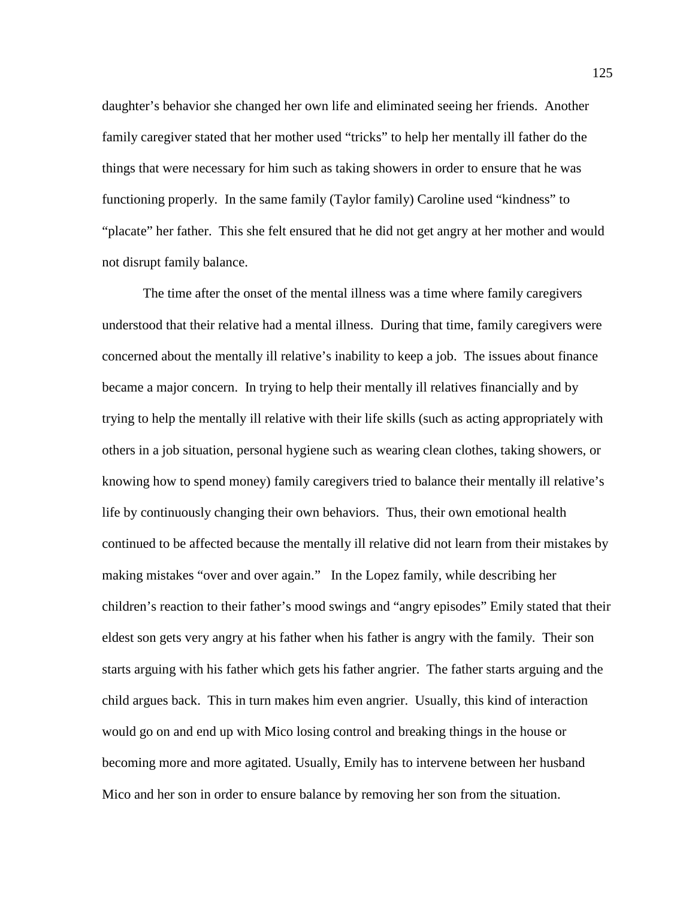daughter's behavior she changed her own life and eliminated seeing her friends. Another family caregiver stated that her mother used "tricks" to help her mentally ill father do the things that were necessary for him such as taking showers in order to ensure that he was functioning properly. In the same family (Taylor family) Caroline used "kindness" to "placate" her father. This she felt ensured that he did not get angry at her mother and would not disrupt family balance.

The time after the onset of the mental illness was a time where family caregivers understood that their relative had a mental illness. During that time, family caregivers were concerned about the mentally ill relative's inability to keep a job. The issues about finance became a major concern. In trying to help their mentally ill relatives financially and by trying to help the mentally ill relative with their life skills (such as acting appropriately with others in a job situation, personal hygiene such as wearing clean clothes, taking showers, or knowing how to spend money) family caregivers tried to balance their mentally ill relative's life by continuously changing their own behaviors. Thus, their own emotional health continued to be affected because the mentally ill relative did not learn from their mistakes by making mistakes "over and over again." In the Lopez family, while describing her children's reaction to their father's mood swings and "angry episodes" Emily stated that their eldest son gets very angry at his father when his father is angry with the family. Their son starts arguing with his father which gets his father angrier. The father starts arguing and the child argues back. This in turn makes him even angrier. Usually, this kind of interaction would go on and end up with Mico losing control and breaking things in the house or becoming more and more agitated. Usually, Emily has to intervene between her husband Mico and her son in order to ensure balance by removing her son from the situation.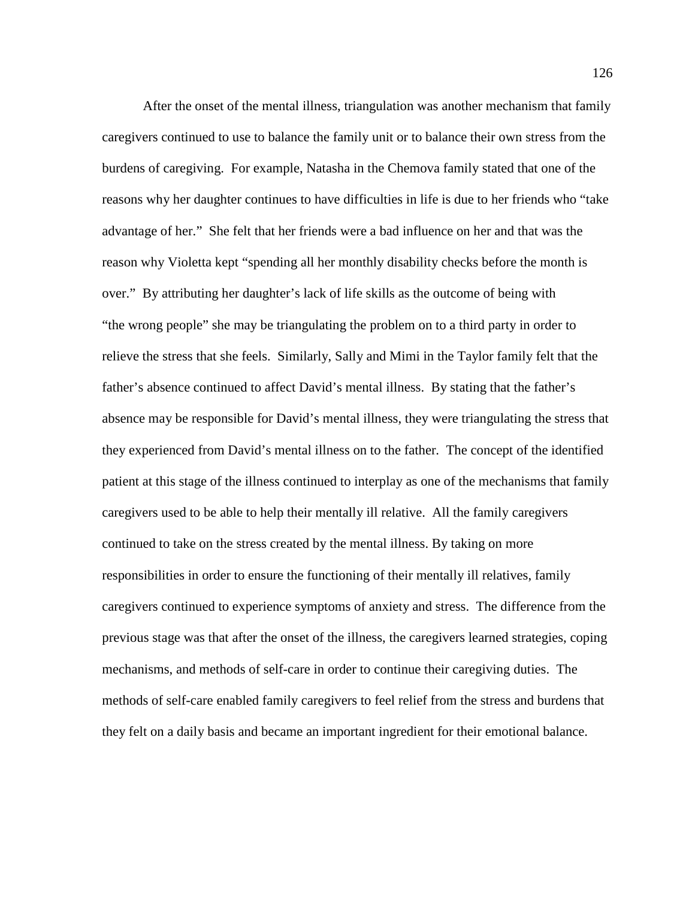After the onset of the mental illness, triangulation was another mechanism that family caregivers continued to use to balance the family unit or to balance their own stress from the burdens of caregiving. For example, Natasha in the Chemova family stated that one of the reasons why her daughter continues to have difficulties in life is due to her friends who "take advantage of her." She felt that her friends were a bad influence on her and that was the reason why Violetta kept "spending all her monthly disability checks before the month is over." By attributing her daughter's lack of life skills as the outcome of being with "the wrong people" she may be triangulating the problem on to a third party in order to relieve the stress that she feels. Similarly, Sally and Mimi in the Taylor family felt that the father's absence continued to affect David's mental illness. By stating that the father's absence may be responsible for David's mental illness, they were triangulating the stress that they experienced from David's mental illness on to the father. The concept of the identified patient at this stage of the illness continued to interplay as one of the mechanisms that family caregivers used to be able to help their mentally ill relative. All the family caregivers continued to take on the stress created by the mental illness. By taking on more responsibilities in order to ensure the functioning of their mentally ill relatives, family caregivers continued to experience symptoms of anxiety and stress. The difference from the previous stage was that after the onset of the illness, the caregivers learned strategies, coping mechanisms, and methods of self-care in order to continue their caregiving duties. The methods of self-care enabled family caregivers to feel relief from the stress and burdens that they felt on a daily basis and became an important ingredient for their emotional balance.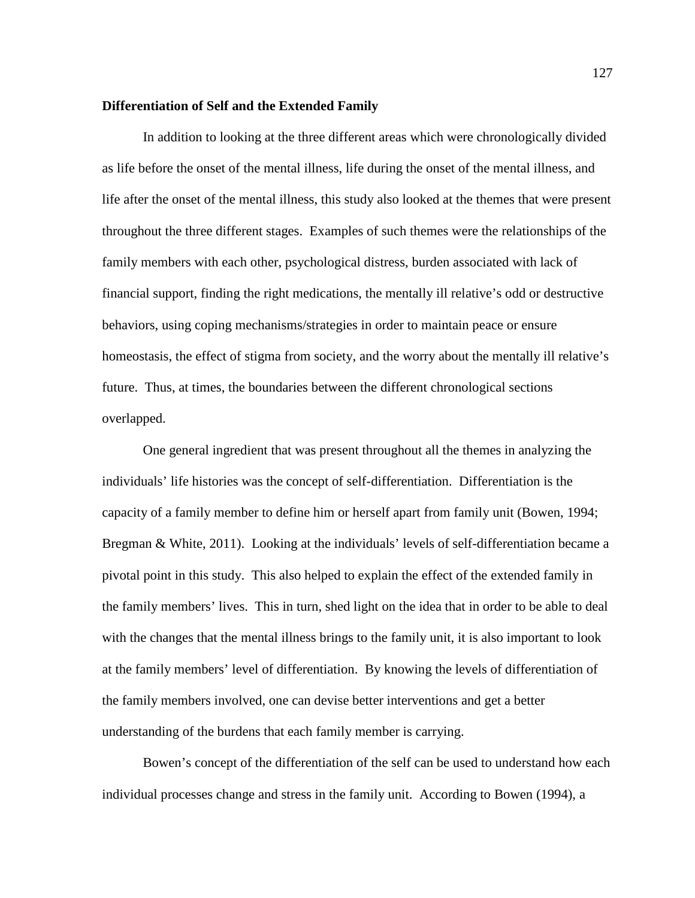## **Differentiation of Self and the Extended Family**

In addition to looking at the three different areas which were chronologically divided as life before the onset of the mental illness, life during the onset of the mental illness, and life after the onset of the mental illness, this study also looked at the themes that were present throughout the three different stages. Examples of such themes were the relationships of the family members with each other, psychological distress, burden associated with lack of financial support, finding the right medications, the mentally ill relative's odd or destructive behaviors, using coping mechanisms/strategies in order to maintain peace or ensure homeostasis, the effect of stigma from society, and the worry about the mentally ill relative's future. Thus, at times, the boundaries between the different chronological sections overlapped.

One general ingredient that was present throughout all the themes in analyzing the individuals' life histories was the concept of self-differentiation. Differentiation is the capacity of a family member to define him or herself apart from family unit (Bowen, 1994; Bregman & White, 2011). Looking at the individuals' levels of self-differentiation became a pivotal point in this study. This also helped to explain the effect of the extended family in the family members' lives. This in turn, shed light on the idea that in order to be able to deal with the changes that the mental illness brings to the family unit, it is also important to look at the family members' level of differentiation. By knowing the levels of differentiation of the family members involved, one can devise better interventions and get a better understanding of the burdens that each family member is carrying.

Bowen's concept of the differentiation of the self can be used to understand how each individual processes change and stress in the family unit. According to Bowen (1994), a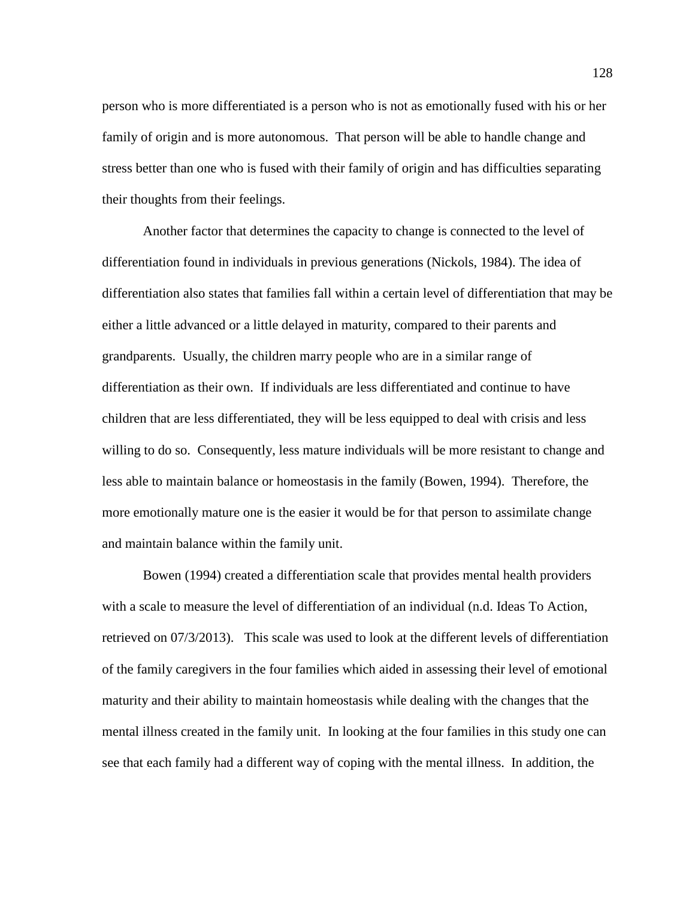person who is more differentiated is a person who is not as emotionally fused with his or her family of origin and is more autonomous. That person will be able to handle change and stress better than one who is fused with their family of origin and has difficulties separating their thoughts from their feelings.

Another factor that determines the capacity to change is connected to the level of differentiation found in individuals in previous generations (Nickols, 1984). The idea of differentiation also states that families fall within a certain level of differentiation that may be either a little advanced or a little delayed in maturity, compared to their parents and grandparents. Usually, the children marry people who are in a similar range of differentiation as their own. If individuals are less differentiated and continue to have children that are less differentiated, they will be less equipped to deal with crisis and less willing to do so. Consequently, less mature individuals will be more resistant to change and less able to maintain balance or homeostasis in the family (Bowen, 1994). Therefore, the more emotionally mature one is the easier it would be for that person to assimilate change and maintain balance within the family unit.

Bowen (1994) created a differentiation scale that provides mental health providers with a scale to measure the level of differentiation of an individual (n.d. Ideas To Action, retrieved on 07/3/2013). This scale was used to look at the different levels of differentiation of the family caregivers in the four families which aided in assessing their level of emotional maturity and their ability to maintain homeostasis while dealing with the changes that the mental illness created in the family unit. In looking at the four families in this study one can see that each family had a different way of coping with the mental illness. In addition, the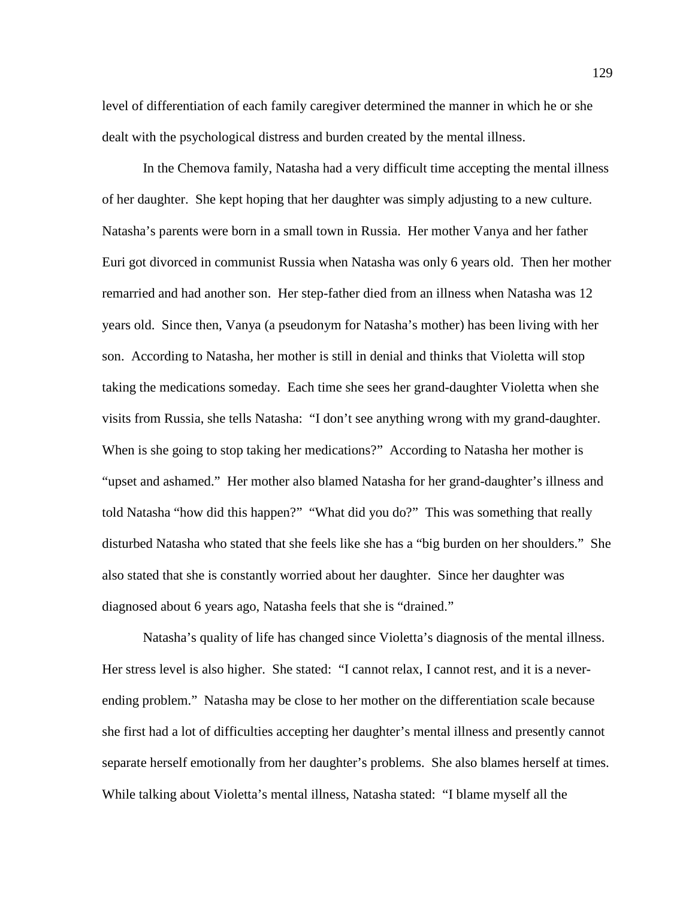level of differentiation of each family caregiver determined the manner in which he or she dealt with the psychological distress and burden created by the mental illness.

In the Chemova family, Natasha had a very difficult time accepting the mental illness of her daughter. She kept hoping that her daughter was simply adjusting to a new culture. Natasha's parents were born in a small town in Russia. Her mother Vanya and her father Euri got divorced in communist Russia when Natasha was only 6 years old. Then her mother remarried and had another son. Her step-father died from an illness when Natasha was 12 years old. Since then, Vanya (a pseudonym for Natasha's mother) has been living with her son. According to Natasha, her mother is still in denial and thinks that Violetta will stop taking the medications someday. Each time she sees her grand-daughter Violetta when she visits from Russia, she tells Natasha: "I don't see anything wrong with my grand-daughter. When is she going to stop taking her medications?" According to Natasha her mother is "upset and ashamed." Her mother also blamed Natasha for her grand-daughter's illness and told Natasha "how did this happen?" "What did you do?" This was something that really disturbed Natasha who stated that she feels like she has a "big burden on her shoulders." She also stated that she is constantly worried about her daughter. Since her daughter was diagnosed about 6 years ago, Natasha feels that she is "drained."

Natasha's quality of life has changed since Violetta's diagnosis of the mental illness. Her stress level is also higher. She stated: "I cannot relax, I cannot rest, and it is a neverending problem." Natasha may be close to her mother on the differentiation scale because she first had a lot of difficulties accepting her daughter's mental illness and presently cannot separate herself emotionally from her daughter's problems. She also blames herself at times. While talking about Violetta's mental illness, Natasha stated: "I blame myself all the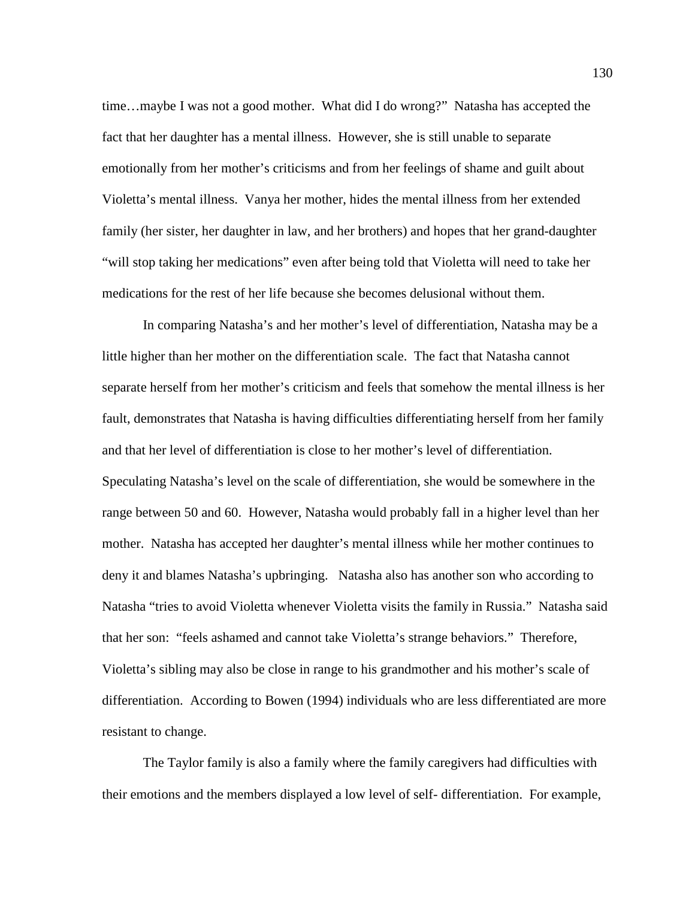time…maybe I was not a good mother. What did I do wrong?" Natasha has accepted the fact that her daughter has a mental illness. However, she is still unable to separate emotionally from her mother's criticisms and from her feelings of shame and guilt about Violetta's mental illness. Vanya her mother, hides the mental illness from her extended family (her sister, her daughter in law, and her brothers) and hopes that her grand-daughter "will stop taking her medications" even after being told that Violetta will need to take her medications for the rest of her life because she becomes delusional without them.

In comparing Natasha's and her mother's level of differentiation, Natasha may be a little higher than her mother on the differentiation scale. The fact that Natasha cannot separate herself from her mother's criticism and feels that somehow the mental illness is her fault, demonstrates that Natasha is having difficulties differentiating herself from her family and that her level of differentiation is close to her mother's level of differentiation. Speculating Natasha's level on the scale of differentiation, she would be somewhere in the range between 50 and 60. However, Natasha would probably fall in a higher level than her mother. Natasha has accepted her daughter's mental illness while her mother continues to deny it and blames Natasha's upbringing. Natasha also has another son who according to Natasha "tries to avoid Violetta whenever Violetta visits the family in Russia." Natasha said that her son: "feels ashamed and cannot take Violetta's strange behaviors." Therefore, Violetta's sibling may also be close in range to his grandmother and his mother's scale of differentiation. According to Bowen (1994) individuals who are less differentiated are more resistant to change.

The Taylor family is also a family where the family caregivers had difficulties with their emotions and the members displayed a low level of self- differentiation. For example,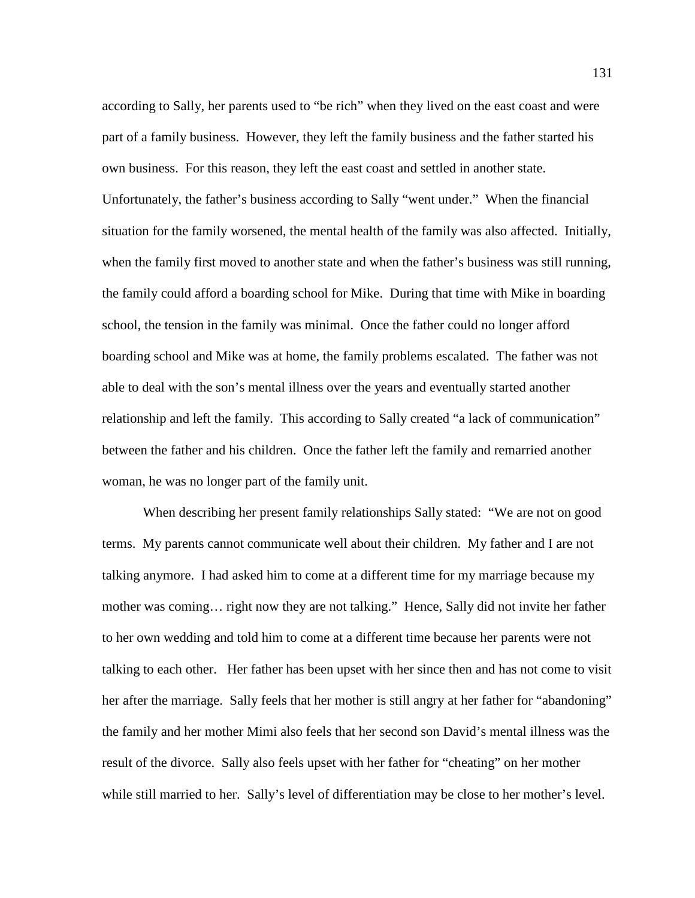according to Sally, her parents used to "be rich" when they lived on the east coast and were part of a family business. However, they left the family business and the father started his own business. For this reason, they left the east coast and settled in another state. Unfortunately, the father's business according to Sally "went under." When the financial situation for the family worsened, the mental health of the family was also affected. Initially, when the family first moved to another state and when the father's business was still running, the family could afford a boarding school for Mike. During that time with Mike in boarding school, the tension in the family was minimal. Once the father could no longer afford boarding school and Mike was at home, the family problems escalated. The father was not able to deal with the son's mental illness over the years and eventually started another relationship and left the family. This according to Sally created "a lack of communication" between the father and his children. Once the father left the family and remarried another woman, he was no longer part of the family unit.

When describing her present family relationships Sally stated: "We are not on good terms. My parents cannot communicate well about their children. My father and I are not talking anymore. I had asked him to come at a different time for my marriage because my mother was coming… right now they are not talking." Hence, Sally did not invite her father to her own wedding and told him to come at a different time because her parents were not talking to each other. Her father has been upset with her since then and has not come to visit her after the marriage. Sally feels that her mother is still angry at her father for "abandoning" the family and her mother Mimi also feels that her second son David's mental illness was the result of the divorce. Sally also feels upset with her father for "cheating" on her mother while still married to her. Sally's level of differentiation may be close to her mother's level.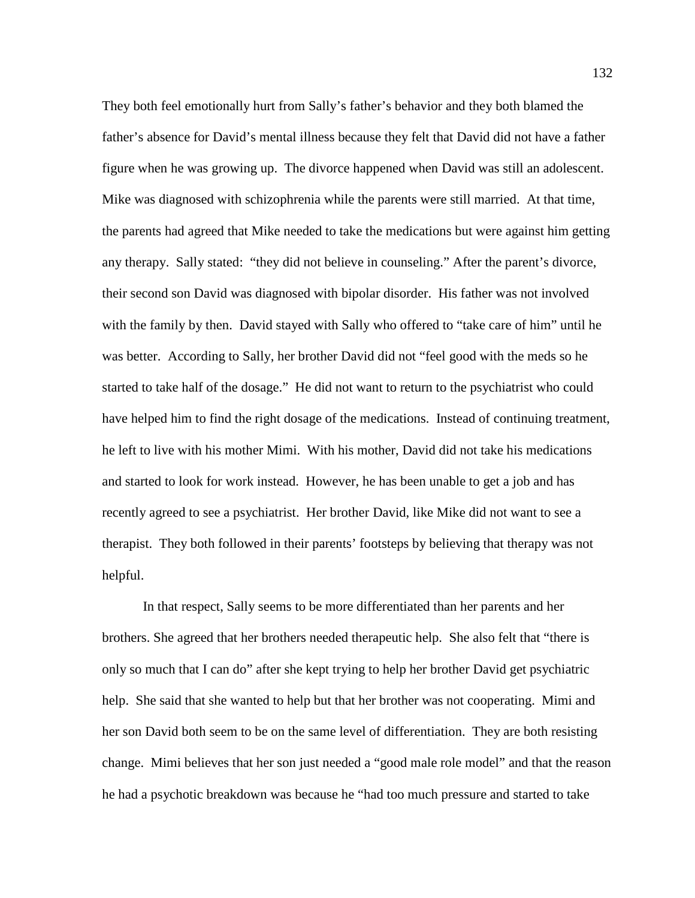They both feel emotionally hurt from Sally's father's behavior and they both blamed the father's absence for David's mental illness because they felt that David did not have a father figure when he was growing up. The divorce happened when David was still an adolescent. Mike was diagnosed with schizophrenia while the parents were still married. At that time, the parents had agreed that Mike needed to take the medications but were against him getting any therapy. Sally stated: "they did not believe in counseling." After the parent's divorce, their second son David was diagnosed with bipolar disorder. His father was not involved with the family by then. David stayed with Sally who offered to "take care of him" until he was better. According to Sally, her brother David did not "feel good with the meds so he started to take half of the dosage." He did not want to return to the psychiatrist who could have helped him to find the right dosage of the medications. Instead of continuing treatment, he left to live with his mother Mimi. With his mother, David did not take his medications and started to look for work instead. However, he has been unable to get a job and has recently agreed to see a psychiatrist. Her brother David, like Mike did not want to see a therapist. They both followed in their parents' footsteps by believing that therapy was not helpful.

In that respect, Sally seems to be more differentiated than her parents and her brothers. She agreed that her brothers needed therapeutic help. She also felt that "there is only so much that I can do" after she kept trying to help her brother David get psychiatric help. She said that she wanted to help but that her brother was not cooperating. Mimi and her son David both seem to be on the same level of differentiation. They are both resisting change. Mimi believes that her son just needed a "good male role model" and that the reason he had a psychotic breakdown was because he "had too much pressure and started to take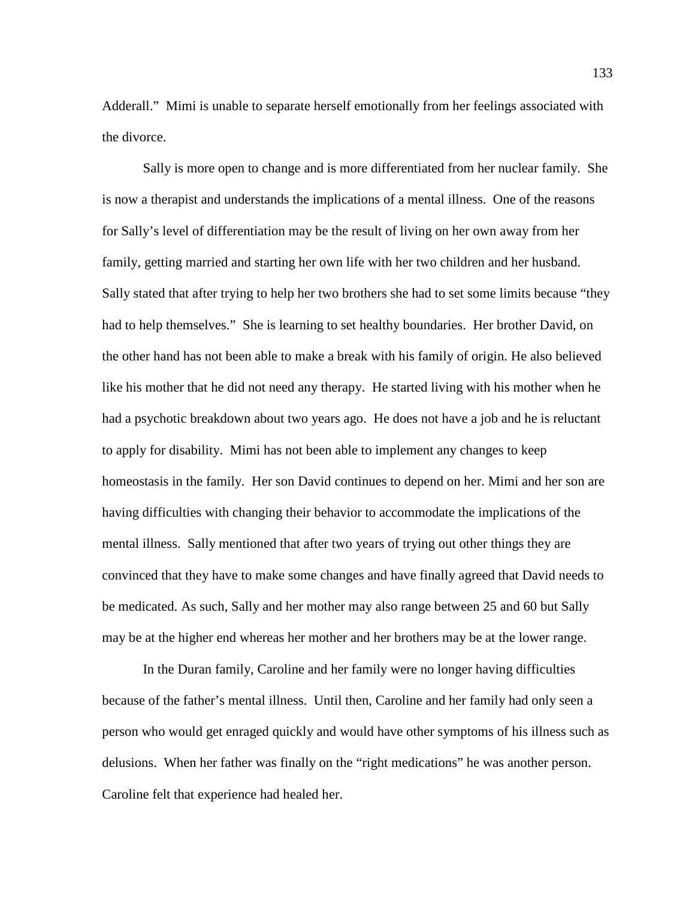Adderall." Mimi is unable to separate herself emotionally from her feelings associated with the divorce.

Sally is more open to change and is more differentiated from her nuclear family. She is now a therapist and understands the implications of a mental illness. One of the reasons for Sally's level of differentiation may be the result of living on her own away from her family, getting married and starting her own life with her two children and her husband. Sally stated that after trying to help her two brothers she had to set some limits because "they had to help themselves." She is learning to set healthy boundaries. Her brother David, on the other hand has not been able to make a break with his family of origin. He also believed like his mother that he did not need any therapy. He started living with his mother when he had a psychotic breakdown about two years ago. He does not have a job and he is reluctant to apply for disability. Mimi has not been able to implement any changes to keep homeostasis in the family. Her son David continues to depend on her. Mimi and her son are having difficulties with changing their behavior to accommodate the implications of the mental illness. Sally mentioned that after two years of trying out other things they are convinced that they have to make some changes and have finally agreed that David needs to be medicated. As such, Sally and her mother may also range between 25 and 60 but Sally may be at the higher end whereas her mother and her brothers may be at the lower range.

In the Duran family, Caroline and her family were no longer having difficulties because of the father's mental illness. Until then, Caroline and her family had only seen a person who would get enraged quickly and would have other symptoms of his illness such as delusions. When her father was finally on the "right medications" he was another person. Caroline felt that experience had healed her.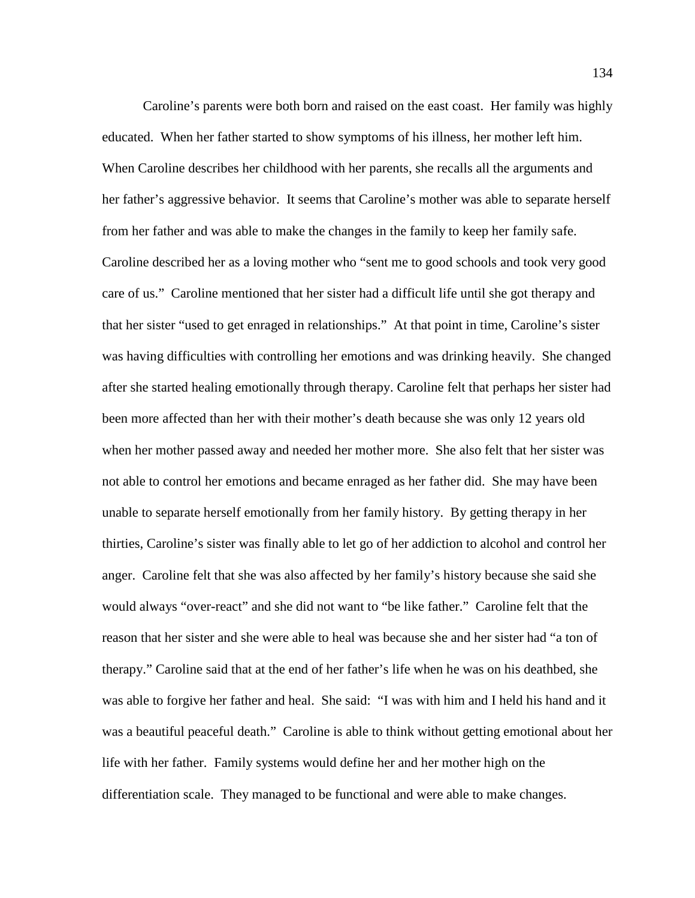Caroline's parents were both born and raised on the east coast. Her family was highly educated. When her father started to show symptoms of his illness, her mother left him. When Caroline describes her childhood with her parents, she recalls all the arguments and her father's aggressive behavior. It seems that Caroline's mother was able to separate herself from her father and was able to make the changes in the family to keep her family safe. Caroline described her as a loving mother who "sent me to good schools and took very good care of us." Caroline mentioned that her sister had a difficult life until she got therapy and that her sister "used to get enraged in relationships." At that point in time, Caroline's sister was having difficulties with controlling her emotions and was drinking heavily. She changed after she started healing emotionally through therapy. Caroline felt that perhaps her sister had been more affected than her with their mother's death because she was only 12 years old when her mother passed away and needed her mother more. She also felt that her sister was not able to control her emotions and became enraged as her father did. She may have been unable to separate herself emotionally from her family history. By getting therapy in her thirties, Caroline's sister was finally able to let go of her addiction to alcohol and control her anger. Caroline felt that she was also affected by her family's history because she said she would always "over-react" and she did not want to "be like father." Caroline felt that the reason that her sister and she were able to heal was because she and her sister had "a ton of therapy." Caroline said that at the end of her father's life when he was on his deathbed, she was able to forgive her father and heal. She said: "I was with him and I held his hand and it was a beautiful peaceful death." Caroline is able to think without getting emotional about her life with her father. Family systems would define her and her mother high on the differentiation scale. They managed to be functional and were able to make changes.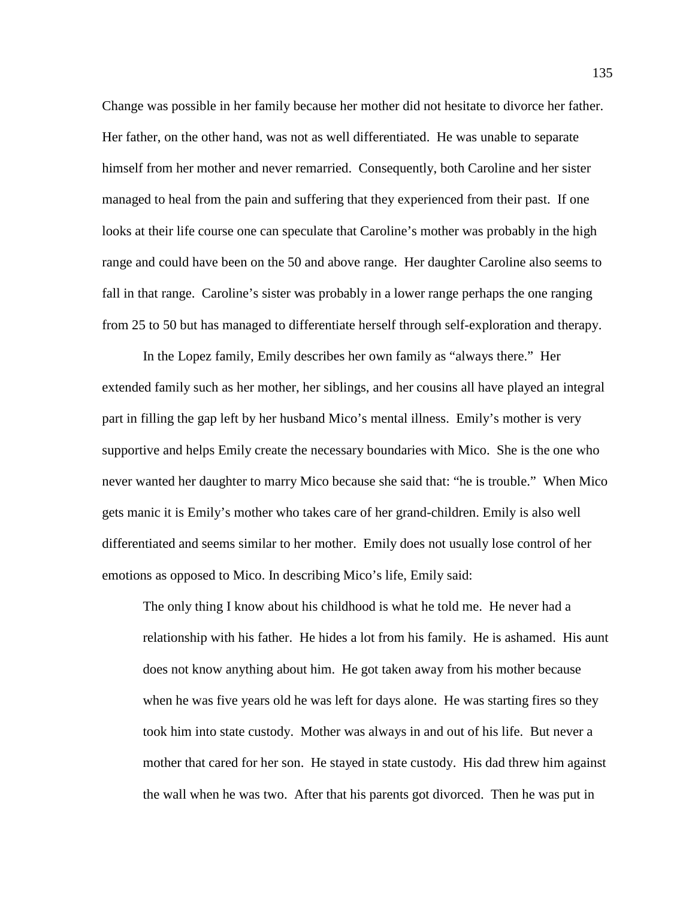Change was possible in her family because her mother did not hesitate to divorce her father. Her father, on the other hand, was not as well differentiated. He was unable to separate himself from her mother and never remarried. Consequently, both Caroline and her sister managed to heal from the pain and suffering that they experienced from their past. If one looks at their life course one can speculate that Caroline's mother was probably in the high range and could have been on the 50 and above range. Her daughter Caroline also seems to fall in that range. Caroline's sister was probably in a lower range perhaps the one ranging from 25 to 50 but has managed to differentiate herself through self-exploration and therapy.

In the Lopez family, Emily describes her own family as "always there." Her extended family such as her mother, her siblings, and her cousins all have played an integral part in filling the gap left by her husband Mico's mental illness. Emily's mother is very supportive and helps Emily create the necessary boundaries with Mico. She is the one who never wanted her daughter to marry Mico because she said that: "he is trouble." When Mico gets manic it is Emily's mother who takes care of her grand-children. Emily is also well differentiated and seems similar to her mother. Emily does not usually lose control of her emotions as opposed to Mico. In describing Mico's life, Emily said:

The only thing I know about his childhood is what he told me. He never had a relationship with his father. He hides a lot from his family. He is ashamed. His aunt does not know anything about him. He got taken away from his mother because when he was five years old he was left for days alone. He was starting fires so they took him into state custody. Mother was always in and out of his life. But never a mother that cared for her son. He stayed in state custody. His dad threw him against the wall when he was two. After that his parents got divorced. Then he was put in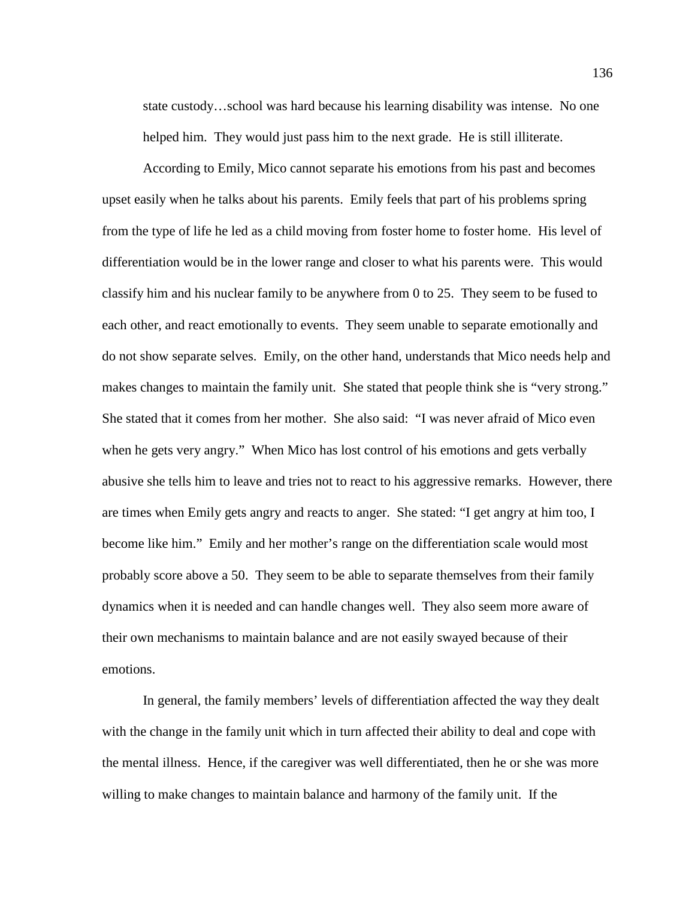state custody…school was hard because his learning disability was intense. No one helped him. They would just pass him to the next grade. He is still illiterate.

According to Emily, Mico cannot separate his emotions from his past and becomes upset easily when he talks about his parents. Emily feels that part of his problems spring from the type of life he led as a child moving from foster home to foster home. His level of differentiation would be in the lower range and closer to what his parents were. This would classify him and his nuclear family to be anywhere from 0 to 25. They seem to be fused to each other, and react emotionally to events. They seem unable to separate emotionally and do not show separate selves. Emily, on the other hand, understands that Mico needs help and makes changes to maintain the family unit. She stated that people think she is "very strong." She stated that it comes from her mother. She also said: "I was never afraid of Mico even when he gets very angry." When Mico has lost control of his emotions and gets verbally abusive she tells him to leave and tries not to react to his aggressive remarks. However, there are times when Emily gets angry and reacts to anger. She stated: "I get angry at him too, I become like him." Emily and her mother's range on the differentiation scale would most probably score above a 50. They seem to be able to separate themselves from their family dynamics when it is needed and can handle changes well. They also seem more aware of their own mechanisms to maintain balance and are not easily swayed because of their emotions.

In general, the family members' levels of differentiation affected the way they dealt with the change in the family unit which in turn affected their ability to deal and cope with the mental illness. Hence, if the caregiver was well differentiated, then he or she was more willing to make changes to maintain balance and harmony of the family unit. If the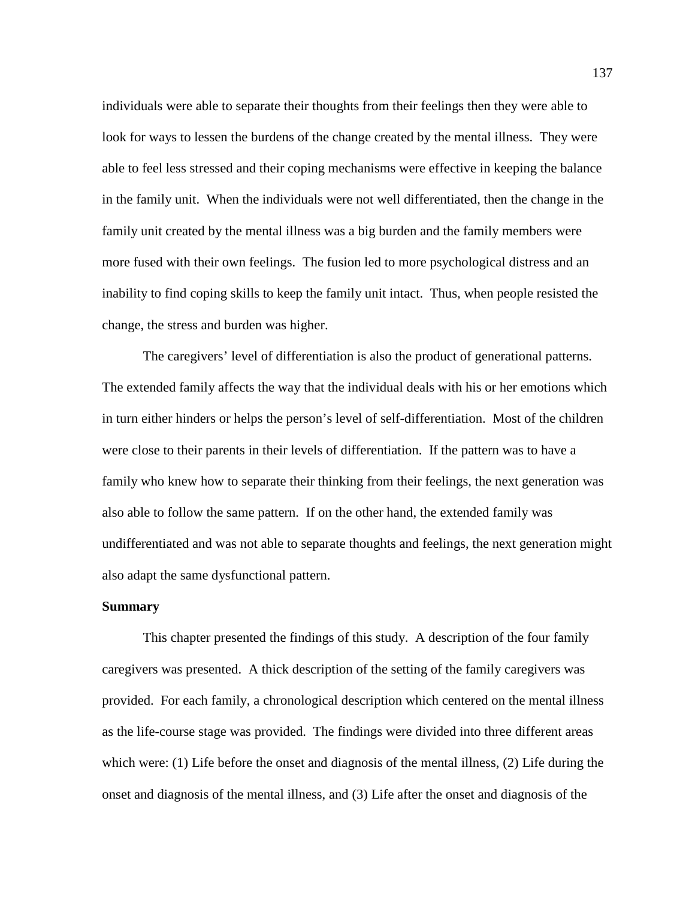individuals were able to separate their thoughts from their feelings then they were able to look for ways to lessen the burdens of the change created by the mental illness. They were able to feel less stressed and their coping mechanisms were effective in keeping the balance in the family unit. When the individuals were not well differentiated, then the change in the family unit created by the mental illness was a big burden and the family members were more fused with their own feelings. The fusion led to more psychological distress and an inability to find coping skills to keep the family unit intact. Thus, when people resisted the change, the stress and burden was higher.

The caregivers' level of differentiation is also the product of generational patterns. The extended family affects the way that the individual deals with his or her emotions which in turn either hinders or helps the person's level of self-differentiation. Most of the children were close to their parents in their levels of differentiation. If the pattern was to have a family who knew how to separate their thinking from their feelings, the next generation was also able to follow the same pattern. If on the other hand, the extended family was undifferentiated and was not able to separate thoughts and feelings, the next generation might also adapt the same dysfunctional pattern.

#### **Summary**

This chapter presented the findings of this study. A description of the four family caregivers was presented. A thick description of the setting of the family caregivers was provided. For each family, a chronological description which centered on the mental illness as the life-course stage was provided. The findings were divided into three different areas which were: (1) Life before the onset and diagnosis of the mental illness, (2) Life during the onset and diagnosis of the mental illness, and (3) Life after the onset and diagnosis of the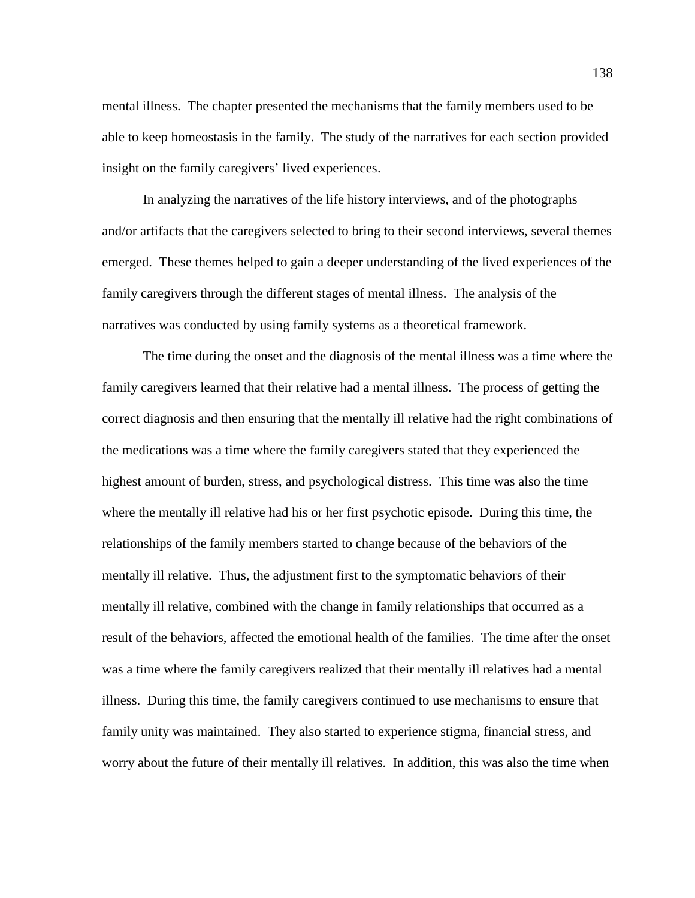mental illness. The chapter presented the mechanisms that the family members used to be able to keep homeostasis in the family. The study of the narratives for each section provided insight on the family caregivers' lived experiences.

In analyzing the narratives of the life history interviews, and of the photographs and/or artifacts that the caregivers selected to bring to their second interviews, several themes emerged. These themes helped to gain a deeper understanding of the lived experiences of the family caregivers through the different stages of mental illness. The analysis of the narratives was conducted by using family systems as a theoretical framework.

The time during the onset and the diagnosis of the mental illness was a time where the family caregivers learned that their relative had a mental illness. The process of getting the correct diagnosis and then ensuring that the mentally ill relative had the right combinations of the medications was a time where the family caregivers stated that they experienced the highest amount of burden, stress, and psychological distress. This time was also the time where the mentally ill relative had his or her first psychotic episode. During this time, the relationships of the family members started to change because of the behaviors of the mentally ill relative. Thus, the adjustment first to the symptomatic behaviors of their mentally ill relative, combined with the change in family relationships that occurred as a result of the behaviors, affected the emotional health of the families. The time after the onset was a time where the family caregivers realized that their mentally ill relatives had a mental illness. During this time, the family caregivers continued to use mechanisms to ensure that family unity was maintained. They also started to experience stigma, financial stress, and worry about the future of their mentally ill relatives. In addition, this was also the time when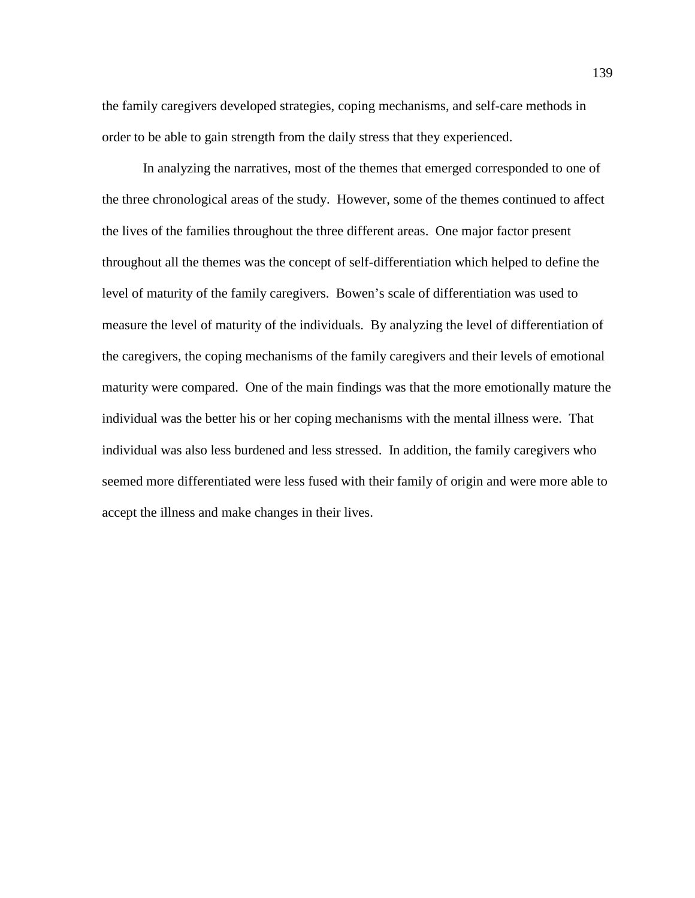the family caregivers developed strategies, coping mechanisms, and self-care methods in order to be able to gain strength from the daily stress that they experienced.

In analyzing the narratives, most of the themes that emerged corresponded to one of the three chronological areas of the study. However, some of the themes continued to affect the lives of the families throughout the three different areas. One major factor present throughout all the themes was the concept of self-differentiation which helped to define the level of maturity of the family caregivers. Bowen's scale of differentiation was used to measure the level of maturity of the individuals. By analyzing the level of differentiation of the caregivers, the coping mechanisms of the family caregivers and their levels of emotional maturity were compared. One of the main findings was that the more emotionally mature the individual was the better his or her coping mechanisms with the mental illness were. That individual was also less burdened and less stressed. In addition, the family caregivers who seemed more differentiated were less fused with their family of origin and were more able to accept the illness and make changes in their lives.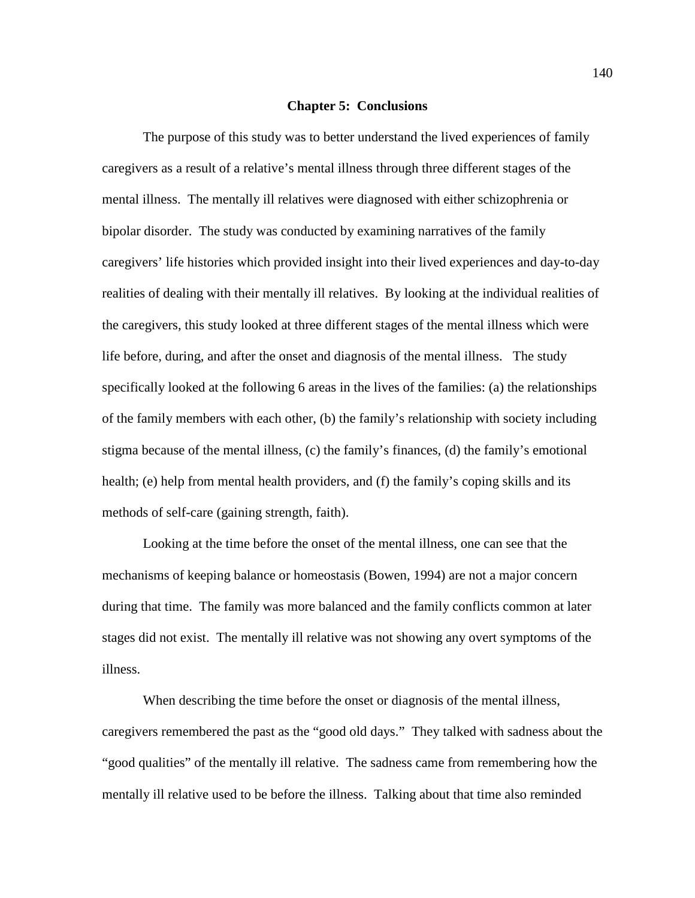### **Chapter 5: Conclusions**

The purpose of this study was to better understand the lived experiences of family caregivers as a result of a relative's mental illness through three different stages of the mental illness. The mentally ill relatives were diagnosed with either schizophrenia or bipolar disorder. The study was conducted by examining narratives of the family caregivers' life histories which provided insight into their lived experiences and day-to-day realities of dealing with their mentally ill relatives. By looking at the individual realities of the caregivers, this study looked at three different stages of the mental illness which were life before, during, and after the onset and diagnosis of the mental illness. The study specifically looked at the following 6 areas in the lives of the families: (a) the relationships of the family members with each other, (b) the family's relationship with society including stigma because of the mental illness, (c) the family's finances, (d) the family's emotional health; (e) help from mental health providers, and (f) the family's coping skills and its methods of self-care (gaining strength, faith).

Looking at the time before the onset of the mental illness, one can see that the mechanisms of keeping balance or homeostasis (Bowen, 1994) are not a major concern during that time. The family was more balanced and the family conflicts common at later stages did not exist. The mentally ill relative was not showing any overt symptoms of the illness.

When describing the time before the onset or diagnosis of the mental illness, caregivers remembered the past as the "good old days." They talked with sadness about the "good qualities" of the mentally ill relative. The sadness came from remembering how the mentally ill relative used to be before the illness. Talking about that time also reminded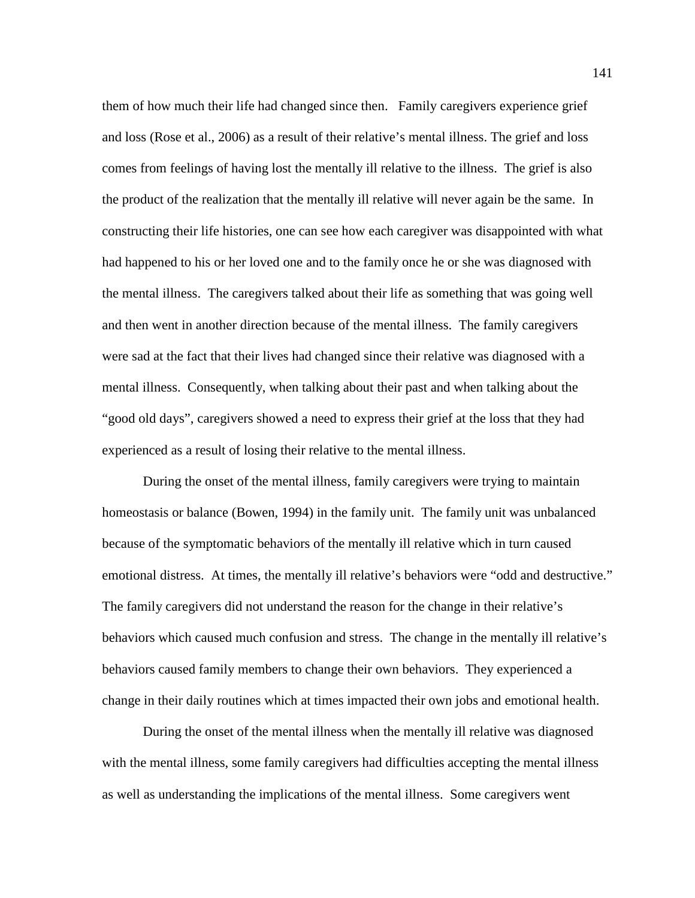them of how much their life had changed since then. Family caregivers experience grief and loss (Rose et al., 2006) as a result of their relative's mental illness. The grief and loss comes from feelings of having lost the mentally ill relative to the illness. The grief is also the product of the realization that the mentally ill relative will never again be the same. In constructing their life histories, one can see how each caregiver was disappointed with what had happened to his or her loved one and to the family once he or she was diagnosed with the mental illness. The caregivers talked about their life as something that was going well and then went in another direction because of the mental illness. The family caregivers were sad at the fact that their lives had changed since their relative was diagnosed with a mental illness. Consequently, when talking about their past and when talking about the "good old days", caregivers showed a need to express their grief at the loss that they had experienced as a result of losing their relative to the mental illness.

During the onset of the mental illness, family caregivers were trying to maintain homeostasis or balance (Bowen, 1994) in the family unit. The family unit was unbalanced because of the symptomatic behaviors of the mentally ill relative which in turn caused emotional distress. At times, the mentally ill relative's behaviors were "odd and destructive." The family caregivers did not understand the reason for the change in their relative's behaviors which caused much confusion and stress. The change in the mentally ill relative's behaviors caused family members to change their own behaviors. They experienced a change in their daily routines which at times impacted their own jobs and emotional health.

During the onset of the mental illness when the mentally ill relative was diagnosed with the mental illness, some family caregivers had difficulties accepting the mental illness as well as understanding the implications of the mental illness. Some caregivers went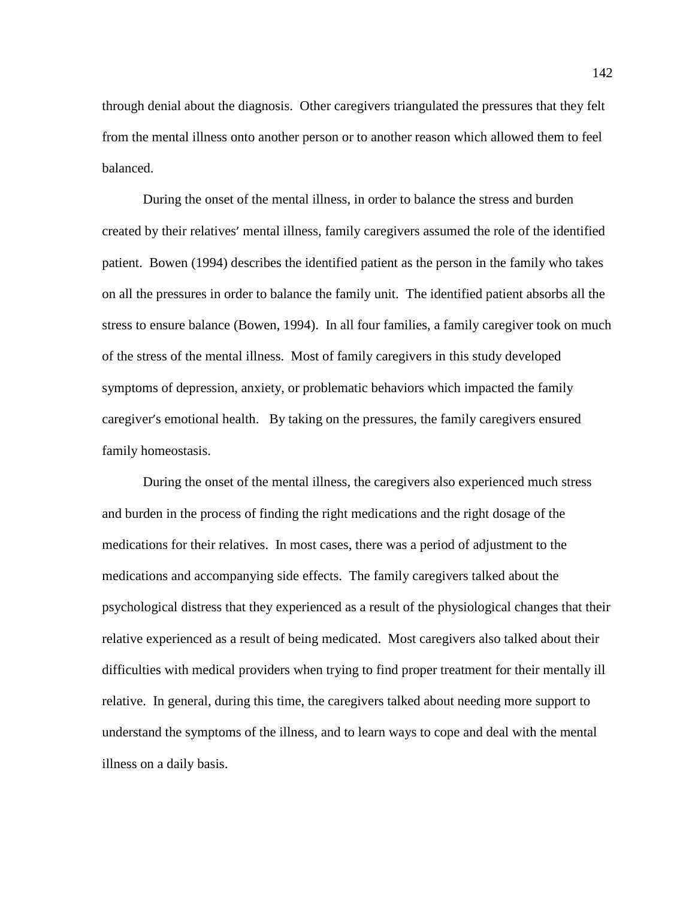through denial about the diagnosis. Other caregivers triangulated the pressures that they felt from the mental illness onto another person or to another reason which allowed them to feel balanced.

During the onset of the mental illness, in order to balance the stress and burden created by their relatives' mental illness, family caregivers assumed the role of the identified patient. Bowen (1994) describes the identified patient as the person in the family who takes on all the pressures in order to balance the family unit. The identified patient absorbs all the stress to ensure balance (Bowen, 1994). In all four families, a family caregiver took on much of the stress of the mental illness. Most of family caregivers in this study developed symptoms of depression, anxiety, or problematic behaviors which impacted the family caregiver's emotional health. By taking on the pressures, the family caregivers ensured family homeostasis.

During the onset of the mental illness, the caregivers also experienced much stress and burden in the process of finding the right medications and the right dosage of the medications for their relatives. In most cases, there was a period of adjustment to the medications and accompanying side effects. The family caregivers talked about the psychological distress that they experienced as a result of the physiological changes that their relative experienced as a result of being medicated. Most caregivers also talked about their difficulties with medical providers when trying to find proper treatment for their mentally ill relative. In general, during this time, the caregivers talked about needing more support to understand the symptoms of the illness, and to learn ways to cope and deal with the mental illness on a daily basis.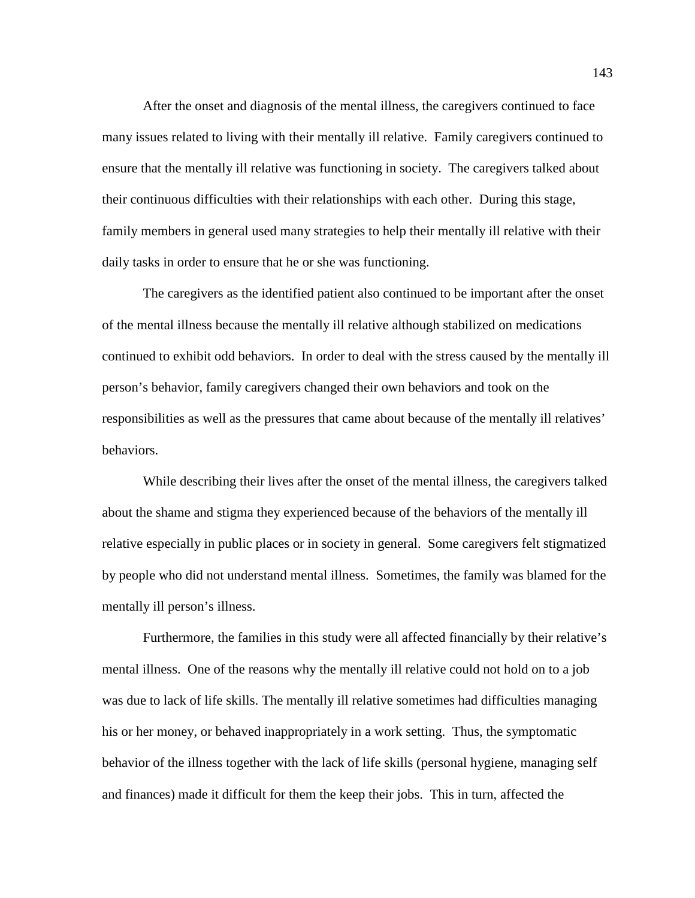After the onset and diagnosis of the mental illness, the caregivers continued to face many issues related to living with their mentally ill relative. Family caregivers continued to ensure that the mentally ill relative was functioning in society. The caregivers talked about their continuous difficulties with their relationships with each other. During this stage, family members in general used many strategies to help their mentally ill relative with their daily tasks in order to ensure that he or she was functioning.

The caregivers as the identified patient also continued to be important after the onset of the mental illness because the mentally ill relative although stabilized on medications continued to exhibit odd behaviors. In order to deal with the stress caused by the mentally ill person's behavior, family caregivers changed their own behaviors and took on the responsibilities as well as the pressures that came about because of the mentally ill relatives' behaviors.

While describing their lives after the onset of the mental illness, the caregivers talked about the shame and stigma they experienced because of the behaviors of the mentally ill relative especially in public places or in society in general. Some caregivers felt stigmatized by people who did not understand mental illness. Sometimes, the family was blamed for the mentally ill person's illness.

Furthermore, the families in this study were all affected financially by their relative's mental illness. One of the reasons why the mentally ill relative could not hold on to a job was due to lack of life skills. The mentally ill relative sometimes had difficulties managing his or her money, or behaved inappropriately in a work setting. Thus, the symptomatic behavior of the illness together with the lack of life skills (personal hygiene, managing self and finances) made it difficult for them the keep their jobs. This in turn, affected the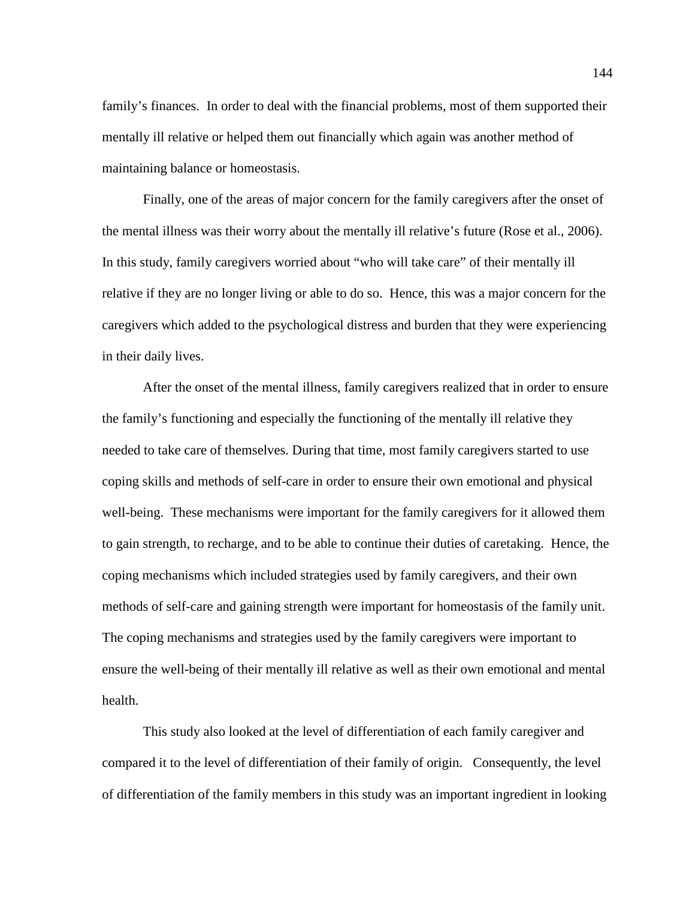family's finances. In order to deal with the financial problems, most of them supported their mentally ill relative or helped them out financially which again was another method of maintaining balance or homeostasis.

Finally, one of the areas of major concern for the family caregivers after the onset of the mental illness was their worry about the mentally ill relative's future (Rose et al., 2006). In this study, family caregivers worried about "who will take care" of their mentally ill relative if they are no longer living or able to do so. Hence, this was a major concern for the caregivers which added to the psychological distress and burden that they were experiencing in their daily lives.

After the onset of the mental illness, family caregivers realized that in order to ensure the family's functioning and especially the functioning of the mentally ill relative they needed to take care of themselves. During that time, most family caregivers started to use coping skills and methods of self-care in order to ensure their own emotional and physical well-being. These mechanisms were important for the family caregivers for it allowed them to gain strength, to recharge, and to be able to continue their duties of caretaking. Hence, the coping mechanisms which included strategies used by family caregivers, and their own methods of self-care and gaining strength were important for homeostasis of the family unit. The coping mechanisms and strategies used by the family caregivers were important to ensure the well-being of their mentally ill relative as well as their own emotional and mental health.

This study also looked at the level of differentiation of each family caregiver and compared it to the level of differentiation of their family of origin. Consequently, the level of differentiation of the family members in this study was an important ingredient in looking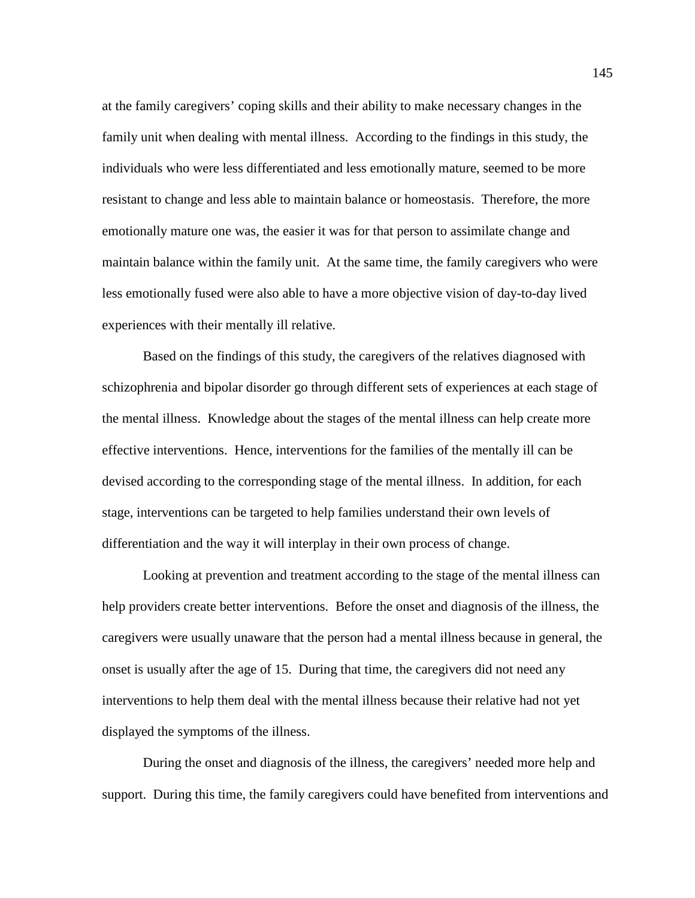at the family caregivers' coping skills and their ability to make necessary changes in the family unit when dealing with mental illness. According to the findings in this study, the individuals who were less differentiated and less emotionally mature, seemed to be more resistant to change and less able to maintain balance or homeostasis. Therefore, the more emotionally mature one was, the easier it was for that person to assimilate change and maintain balance within the family unit. At the same time, the family caregivers who were less emotionally fused were also able to have a more objective vision of day-to-day lived experiences with their mentally ill relative.

Based on the findings of this study, the caregivers of the relatives diagnosed with schizophrenia and bipolar disorder go through different sets of experiences at each stage of the mental illness. Knowledge about the stages of the mental illness can help create more effective interventions. Hence, interventions for the families of the mentally ill can be devised according to the corresponding stage of the mental illness. In addition, for each stage, interventions can be targeted to help families understand their own levels of differentiation and the way it will interplay in their own process of change.

Looking at prevention and treatment according to the stage of the mental illness can help providers create better interventions. Before the onset and diagnosis of the illness, the caregivers were usually unaware that the person had a mental illness because in general, the onset is usually after the age of 15. During that time, the caregivers did not need any interventions to help them deal with the mental illness because their relative had not yet displayed the symptoms of the illness.

During the onset and diagnosis of the illness, the caregivers' needed more help and support. During this time, the family caregivers could have benefited from interventions and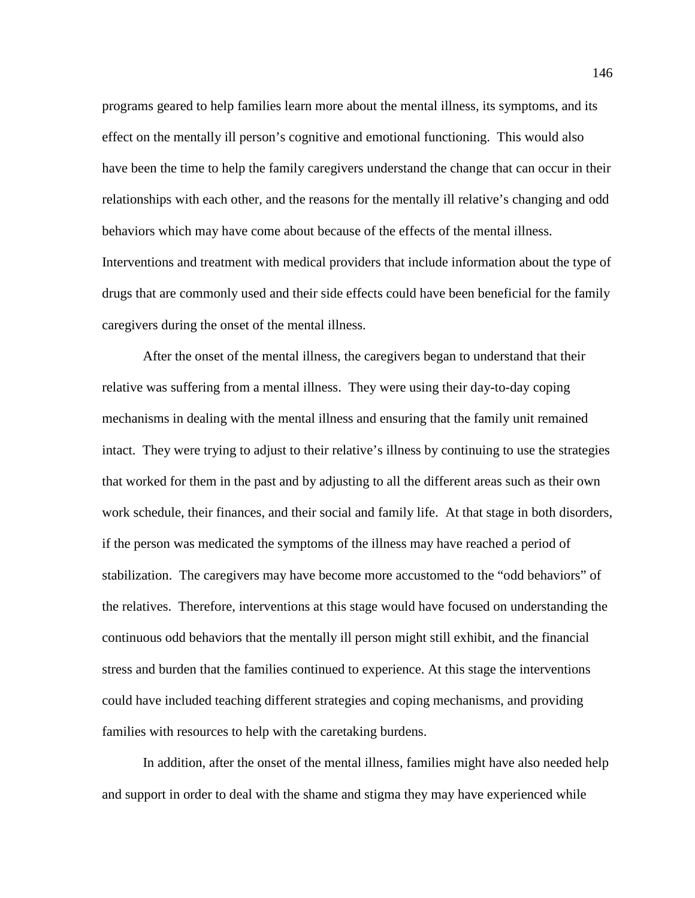programs geared to help families learn more about the mental illness, its symptoms, and its effect on the mentally ill person's cognitive and emotional functioning. This would also have been the time to help the family caregivers understand the change that can occur in their relationships with each other, and the reasons for the mentally ill relative's changing and odd behaviors which may have come about because of the effects of the mental illness. Interventions and treatment with medical providers that include information about the type of drugs that are commonly used and their side effects could have been beneficial for the family caregivers during the onset of the mental illness.

After the onset of the mental illness, the caregivers began to understand that their relative was suffering from a mental illness. They were using their day-to-day coping mechanisms in dealing with the mental illness and ensuring that the family unit remained intact. They were trying to adjust to their relative's illness by continuing to use the strategies that worked for them in the past and by adjusting to all the different areas such as their own work schedule, their finances, and their social and family life. At that stage in both disorders, if the person was medicated the symptoms of the illness may have reached a period of stabilization. The caregivers may have become more accustomed to the "odd behaviors" of the relatives. Therefore, interventions at this stage would have focused on understanding the continuous odd behaviors that the mentally ill person might still exhibit, and the financial stress and burden that the families continued to experience. At this stage the interventions could have included teaching different strategies and coping mechanisms, and providing families with resources to help with the caretaking burdens.

In addition, after the onset of the mental illness, families might have also needed help and support in order to deal with the shame and stigma they may have experienced while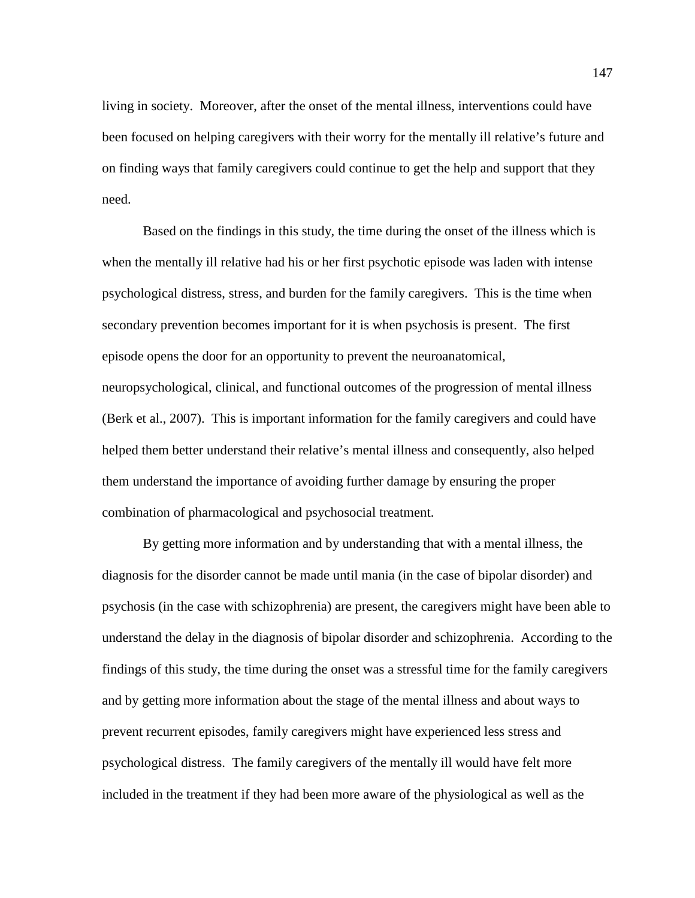living in society. Moreover, after the onset of the mental illness, interventions could have been focused on helping caregivers with their worry for the mentally ill relative's future and on finding ways that family caregivers could continue to get the help and support that they need.

Based on the findings in this study, the time during the onset of the illness which is when the mentally ill relative had his or her first psychotic episode was laden with intense psychological distress, stress, and burden for the family caregivers. This is the time when secondary prevention becomes important for it is when psychosis is present. The first episode opens the door for an opportunity to prevent the neuroanatomical, neuropsychological, clinical, and functional outcomes of the progression of mental illness (Berk et al., 2007). This is important information for the family caregivers and could have helped them better understand their relative's mental illness and consequently, also helped them understand the importance of avoiding further damage by ensuring the proper combination of pharmacological and psychosocial treatment.

By getting more information and by understanding that with a mental illness, the diagnosis for the disorder cannot be made until mania (in the case of bipolar disorder) and psychosis (in the case with schizophrenia) are present, the caregivers might have been able to understand the delay in the diagnosis of bipolar disorder and schizophrenia. According to the findings of this study, the time during the onset was a stressful time for the family caregivers and by getting more information about the stage of the mental illness and about ways to prevent recurrent episodes, family caregivers might have experienced less stress and psychological distress. The family caregivers of the mentally ill would have felt more included in the treatment if they had been more aware of the physiological as well as the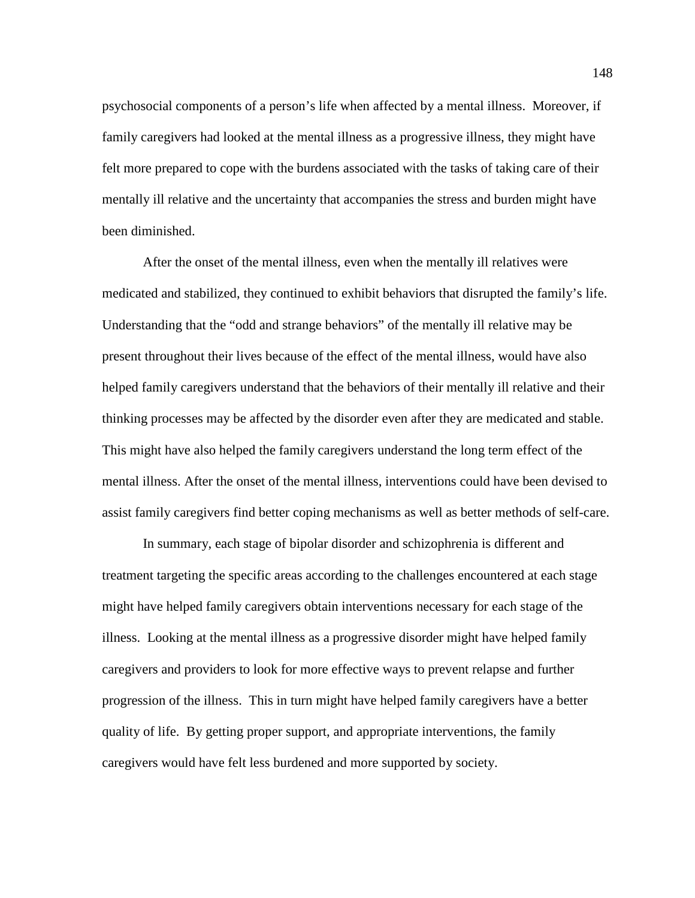psychosocial components of a person's life when affected by a mental illness. Moreover, if family caregivers had looked at the mental illness as a progressive illness, they might have felt more prepared to cope with the burdens associated with the tasks of taking care of their mentally ill relative and the uncertainty that accompanies the stress and burden might have been diminished.

After the onset of the mental illness, even when the mentally ill relatives were medicated and stabilized, they continued to exhibit behaviors that disrupted the family's life. Understanding that the "odd and strange behaviors" of the mentally ill relative may be present throughout their lives because of the effect of the mental illness, would have also helped family caregivers understand that the behaviors of their mentally ill relative and their thinking processes may be affected by the disorder even after they are medicated and stable. This might have also helped the family caregivers understand the long term effect of the mental illness. After the onset of the mental illness, interventions could have been devised to assist family caregivers find better coping mechanisms as well as better methods of self-care.

In summary, each stage of bipolar disorder and schizophrenia is different and treatment targeting the specific areas according to the challenges encountered at each stage might have helped family caregivers obtain interventions necessary for each stage of the illness. Looking at the mental illness as a progressive disorder might have helped family caregivers and providers to look for more effective ways to prevent relapse and further progression of the illness. This in turn might have helped family caregivers have a better quality of life. By getting proper support, and appropriate interventions, the family caregivers would have felt less burdened and more supported by society.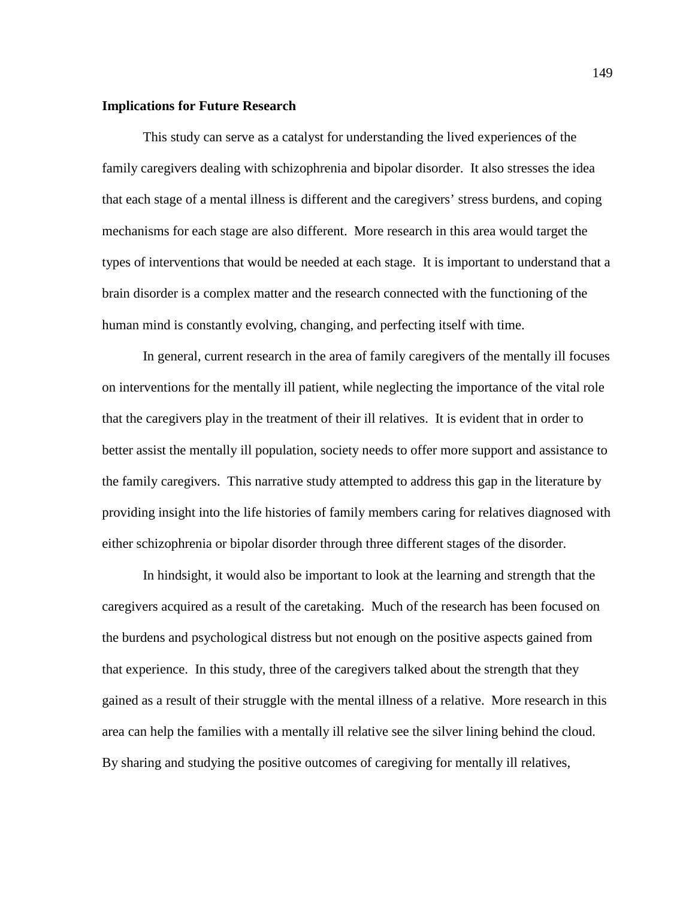## **Implications for Future Research**

This study can serve as a catalyst for understanding the lived experiences of the family caregivers dealing with schizophrenia and bipolar disorder. It also stresses the idea that each stage of a mental illness is different and the caregivers' stress burdens, and coping mechanisms for each stage are also different. More research in this area would target the types of interventions that would be needed at each stage. It is important to understand that a brain disorder is a complex matter and the research connected with the functioning of the human mind is constantly evolving, changing, and perfecting itself with time.

In general, current research in the area of family caregivers of the mentally ill focuses on interventions for the mentally ill patient, while neglecting the importance of the vital role that the caregivers play in the treatment of their ill relatives. It is evident that in order to better assist the mentally ill population, society needs to offer more support and assistance to the family caregivers. This narrative study attempted to address this gap in the literature by providing insight into the life histories of family members caring for relatives diagnosed with either schizophrenia or bipolar disorder through three different stages of the disorder.

In hindsight, it would also be important to look at the learning and strength that the caregivers acquired as a result of the caretaking. Much of the research has been focused on the burdens and psychological distress but not enough on the positive aspects gained from that experience. In this study, three of the caregivers talked about the strength that they gained as a result of their struggle with the mental illness of a relative. More research in this area can help the families with a mentally ill relative see the silver lining behind the cloud. By sharing and studying the positive outcomes of caregiving for mentally ill relatives,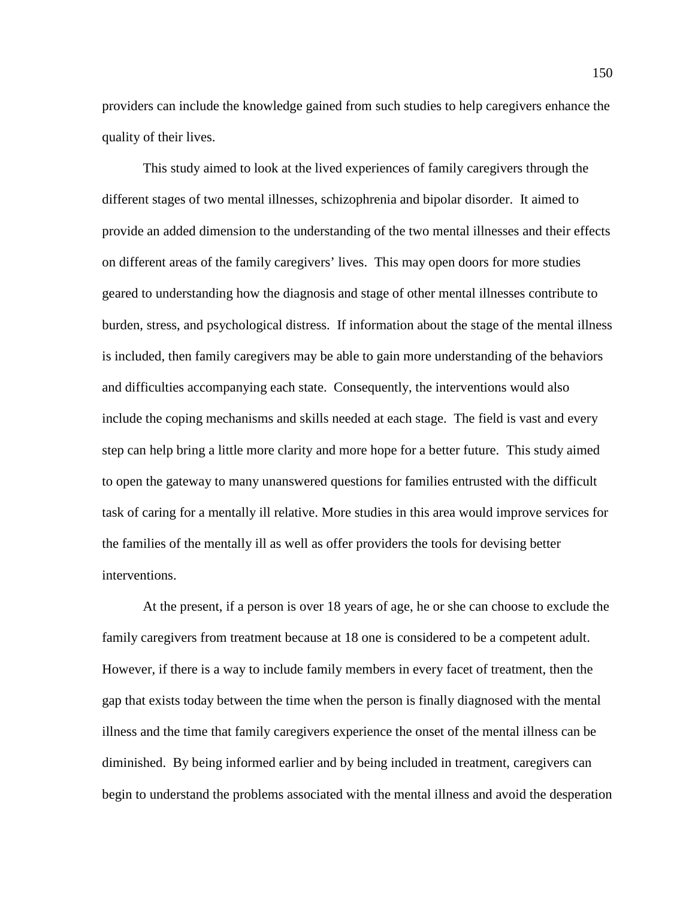providers can include the knowledge gained from such studies to help caregivers enhance the quality of their lives.

This study aimed to look at the lived experiences of family caregivers through the different stages of two mental illnesses, schizophrenia and bipolar disorder. It aimed to provide an added dimension to the understanding of the two mental illnesses and their effects on different areas of the family caregivers' lives. This may open doors for more studies geared to understanding how the diagnosis and stage of other mental illnesses contribute to burden, stress, and psychological distress. If information about the stage of the mental illness is included, then family caregivers may be able to gain more understanding of the behaviors and difficulties accompanying each state. Consequently, the interventions would also include the coping mechanisms and skills needed at each stage. The field is vast and every step can help bring a little more clarity and more hope for a better future. This study aimed to open the gateway to many unanswered questions for families entrusted with the difficult task of caring for a mentally ill relative. More studies in this area would improve services for the families of the mentally ill as well as offer providers the tools for devising better interventions.

At the present, if a person is over 18 years of age, he or she can choose to exclude the family caregivers from treatment because at 18 one is considered to be a competent adult. However, if there is a way to include family members in every facet of treatment, then the gap that exists today between the time when the person is finally diagnosed with the mental illness and the time that family caregivers experience the onset of the mental illness can be diminished. By being informed earlier and by being included in treatment, caregivers can begin to understand the problems associated with the mental illness and avoid the desperation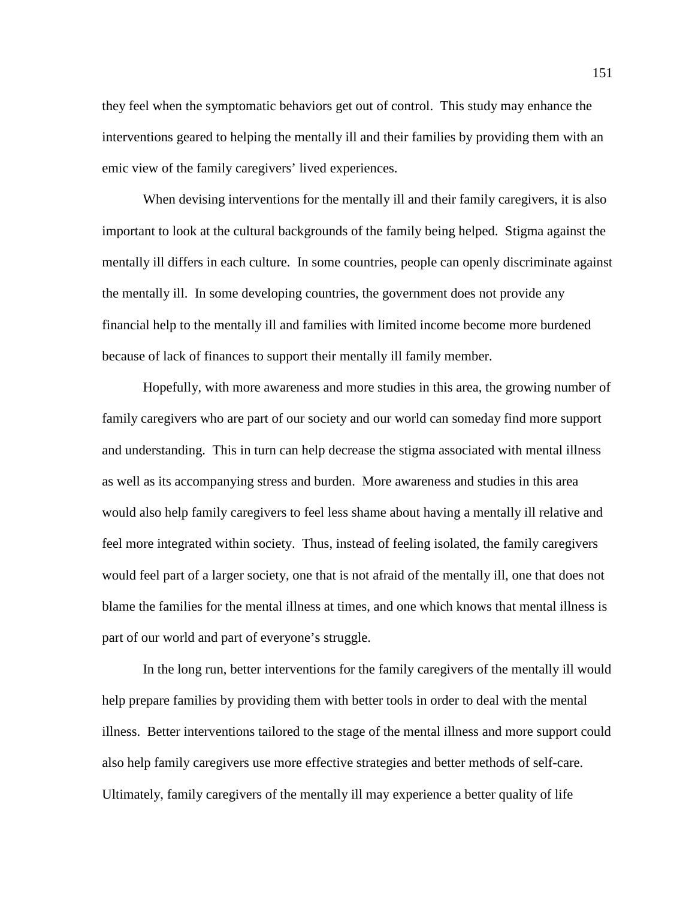they feel when the symptomatic behaviors get out of control. This study may enhance the interventions geared to helping the mentally ill and their families by providing them with an emic view of the family caregivers' lived experiences.

When devising interventions for the mentally ill and their family caregivers, it is also important to look at the cultural backgrounds of the family being helped. Stigma against the mentally ill differs in each culture. In some countries, people can openly discriminate against the mentally ill. In some developing countries, the government does not provide any financial help to the mentally ill and families with limited income become more burdened because of lack of finances to support their mentally ill family member.

Hopefully, with more awareness and more studies in this area, the growing number of family caregivers who are part of our society and our world can someday find more support and understanding. This in turn can help decrease the stigma associated with mental illness as well as its accompanying stress and burden. More awareness and studies in this area would also help family caregivers to feel less shame about having a mentally ill relative and feel more integrated within society. Thus, instead of feeling isolated, the family caregivers would feel part of a larger society, one that is not afraid of the mentally ill, one that does not blame the families for the mental illness at times, and one which knows that mental illness is part of our world and part of everyone's struggle.

In the long run, better interventions for the family caregivers of the mentally ill would help prepare families by providing them with better tools in order to deal with the mental illness. Better interventions tailored to the stage of the mental illness and more support could also help family caregivers use more effective strategies and better methods of self-care. Ultimately, family caregivers of the mentally ill may experience a better quality of life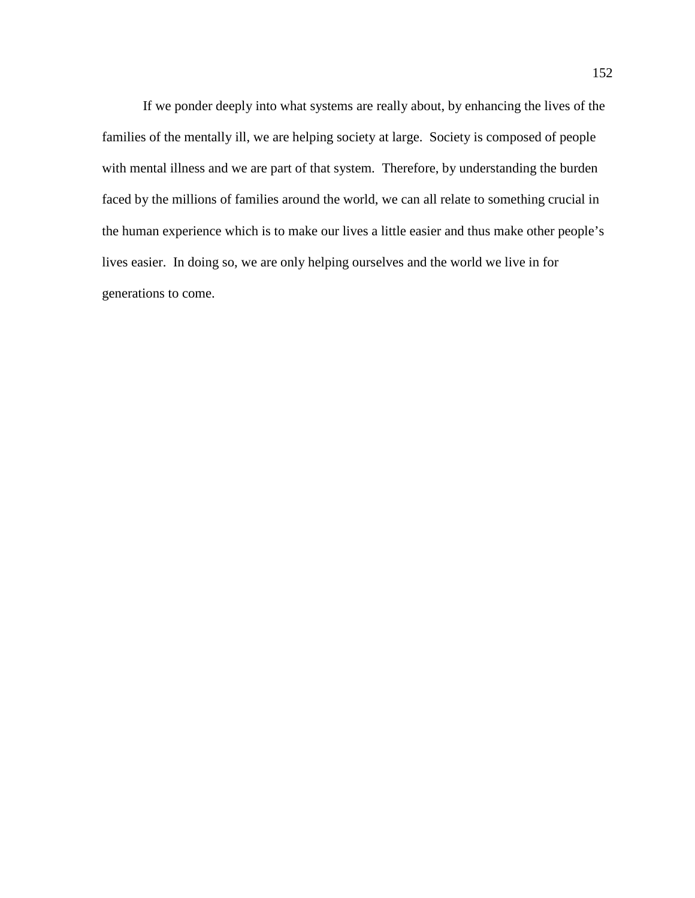If we ponder deeply into what systems are really about, by enhancing the lives of the families of the mentally ill, we are helping society at large. Society is composed of people with mental illness and we are part of that system. Therefore, by understanding the burden faced by the millions of families around the world, we can all relate to something crucial in the human experience which is to make our lives a little easier and thus make other people's lives easier. In doing so, we are only helping ourselves and the world we live in for generations to come.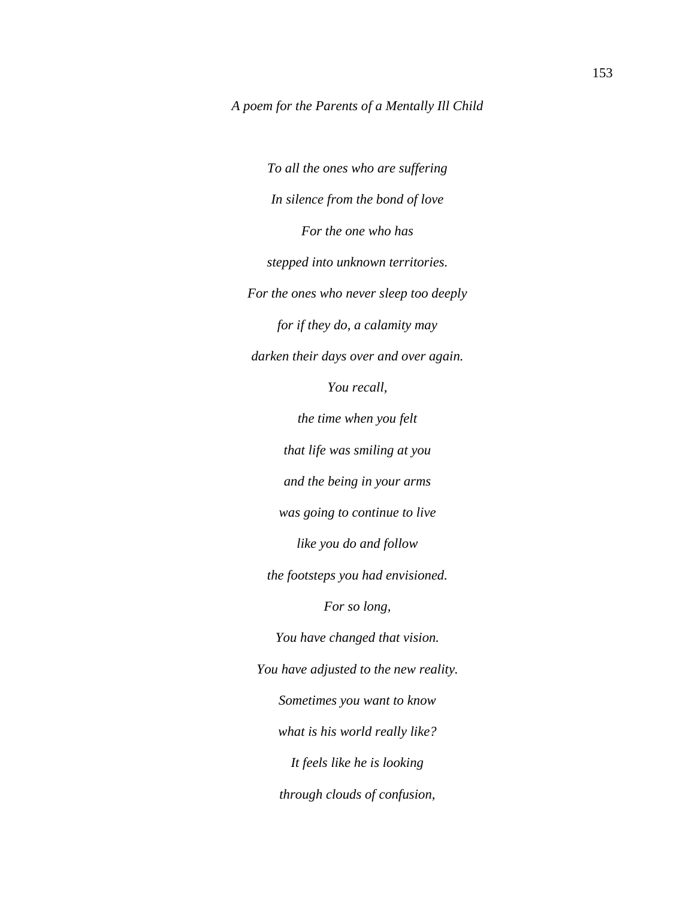*To all the ones who are suffering In silence from the bond of love For the one who has stepped into unknown territories. For the ones who never sleep too deeply for if they do, a calamity may darken their days over and over again. You recall, the time when you felt that life was smiling at you and the being in your arms was going to continue to live like you do and follow the footsteps you had envisioned. For so long, You have changed that vision. You have adjusted to the new reality. Sometimes you want to know what is his world really like? It feels like he is looking through clouds of confusion,*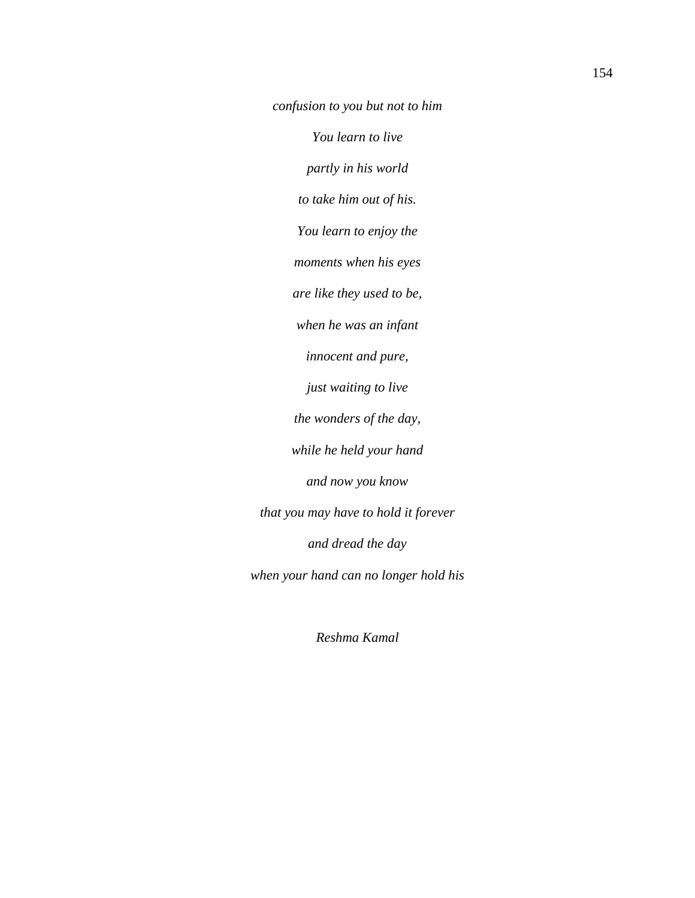*confusion to you but not to him*

*You learn to live*

*partly in his world*

*to take him out of his.*

*You learn to enjoy the*

*moments when his eyes*

*are like they used to be,*

*when he was an infant*

*innocent and pure,*

*just waiting to live*

*the wonders of the day,*

*while he held your hand*

*and now you know*

*that you may have to hold it forever and dread the day*

*when your hand can no longer hold his*

*Reshma Kamal*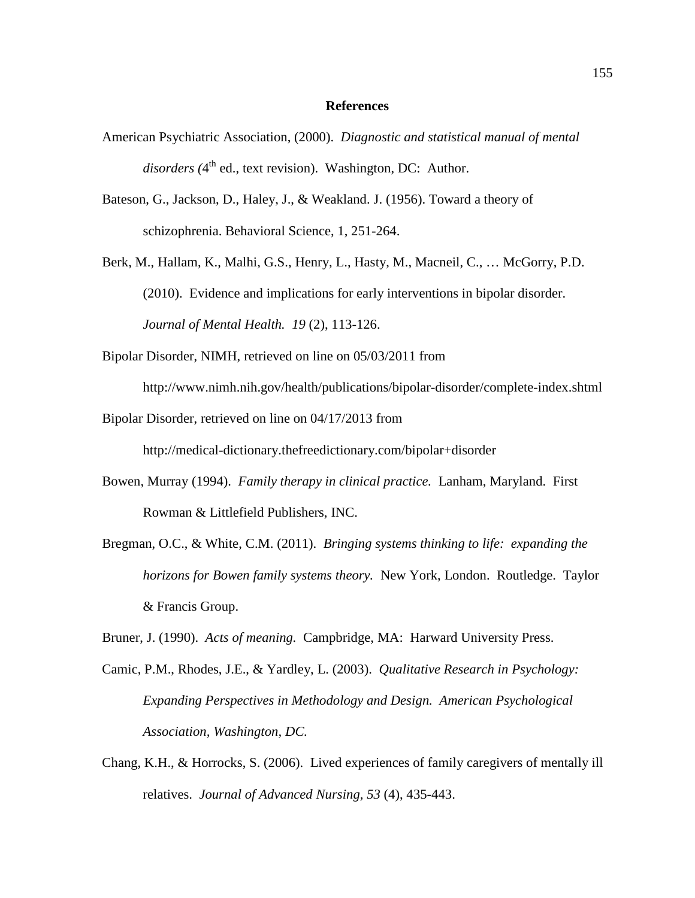### **References**

- American Psychiatric Association, (2000). *Diagnostic and statistical manual of mental disorders (4<sup>th</sup> ed., text revision).* Washington, DC: Author.
- Bateson, G., Jackson, D., Haley, J., & Weakland. J. (1956). Toward a theory of schizophrenia. Behavioral Science, 1, 251-264.
- Berk, M., Hallam, K., Malhi, G.S., Henry, L., Hasty, M., Macneil, C., … McGorry, P.D. (2010). Evidence and implications for early interventions in bipolar disorder. *Journal of Mental Health. 19* (2), 113-126.
- Bipolar Disorder, NIMH, retrieved on line on 05/03/2011 from

http://www.nimh.nih.gov/health/publications/bipolar-disorder/complete-index.shtml

Bipolar Disorder, retrieved on line on 04/17/2013 from

http://medical-dictionary.thefreedictionary.com/bipolar+disorder

- Bowen, Murray (1994). *Family therapy in clinical practice.* Lanham, Maryland. First Rowman & Littlefield Publishers, INC.
- Bregman, O.C., & White, C.M. (2011). *Bringing systems thinking to life: expanding the horizons for Bowen family systems theory.* New York, London. Routledge. Taylor & Francis Group.
- Bruner, J. (1990). *Acts of meaning.* Campbridge, MA: Harward University Press.
- Camic, P.M., Rhodes, J.E., & Yardley, L. (2003). *Qualitative Research in Psychology: Expanding Perspectives in Methodology and Design. American Psychological Association, Washington, DC.*
- Chang, K.H., & Horrocks, S. (2006). Lived experiences of family caregivers of mentally ill relatives. *Journal of Advanced Nursing, 53* (4), 435-443.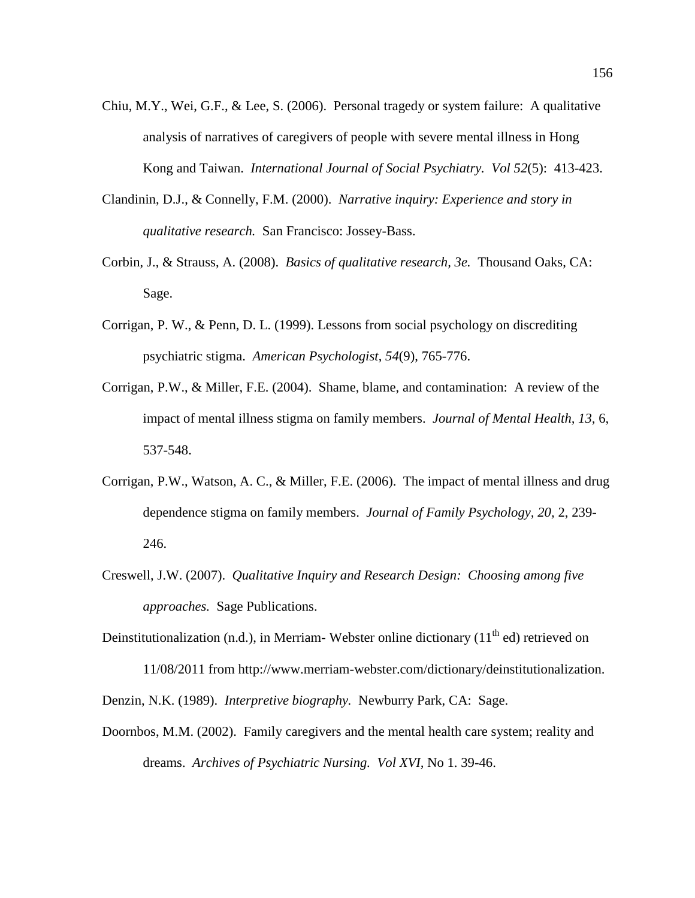- Chiu, M.Y., Wei, G.F., & Lee, S. (2006). Personal tragedy or system failure: A qualitative analysis of narratives of caregivers of people with severe mental illness in Hong Kong and Taiwan. *International Journal of Social Psychiatry. Vol 52*(5): 413-423.
- Clandinin, D.J., & Connelly, F.M. (2000). *Narrative inquiry: Experience and story in qualitative research.* San Francisco: Jossey-Bass.
- Corbin, J., & Strauss, A. (2008). *Basics of qualitative research, 3e.* Thousand Oaks, CA: Sage.
- Corrigan, P. W., & Penn, D. L. (1999). Lessons from social psychology on discrediting psychiatric stigma. *American Psychologist*, *54*(9), 765-776.
- Corrigan, P.W., & Miller, F.E. (2004). Shame, blame, and contamination: A review of the impact of mental illness stigma on family members. *Journal of Mental Health, 13,* 6, 537-548.
- Corrigan, P.W., Watson, A. C., & Miller, F.E. (2006). The impact of mental illness and drug dependence stigma on family members. *Journal of Family Psychology, 20,* 2, 239- 246.
- Creswell, J.W. (2007). *Qualitative Inquiry and Research Design: Choosing among five approaches.* Sage Publications.
- Deinstitutionalization (n.d.), in Merriam-Webster online dictionary  $(11<sup>th</sup>$ ed) retrieved on 11/08/2011 from http://www.merriam-webster.com/dictionary/deinstitutionalization. Denzin, N.K. (1989). *Interpretive biography.* Newburry Park, CA: Sage.
- Doornbos, M.M. (2002). Family caregivers and the mental health care system; reality and dreams. *Archives of Psychiatric Nursing. Vol XVI,* No 1. 39-46.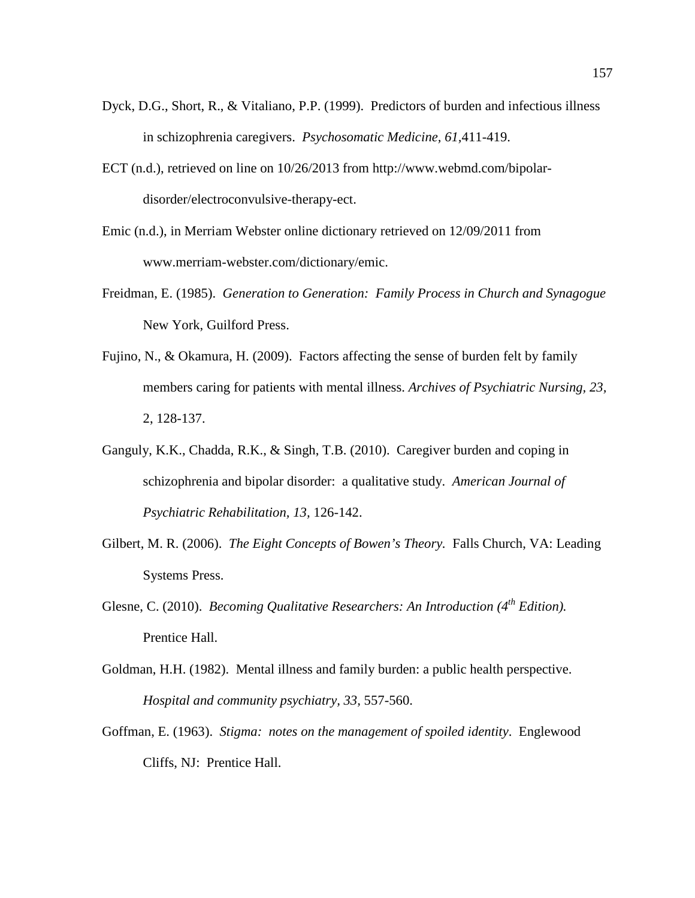- Dyck, D.G., Short, R., & Vitaliano, P.P. (1999). Predictors of burden and infectious illness in schizophrenia caregivers. *Psychosomatic Medicine, 61,*411-419.
- ECT (n.d.), retrieved on line on 10/26/2013 from http://www.webmd.com/bipolardisorder/electroconvulsive-therapy-ect.
- Emic (n.d.), in Merriam Webster online dictionary retrieved on 12/09/2011 from www.merriam-webster.com/dictionary/emic.
- Freidman, E. (1985). *Generation to Generation: Family Process in Church and Synagogue* New York, Guilford Press.
- Fujino, N., & Okamura, H. (2009). Factors affecting the sense of burden felt by family members caring for patients with mental illness. *Archives of Psychiatric Nursing, 23,*  2, 128-137.
- Ganguly, K.K., Chadda, R.K., & Singh, T.B. (2010). Caregiver burden and coping in schizophrenia and bipolar disorder: a qualitative study. *American Journal of Psychiatric Rehabilitation, 13,* 126-142.
- Gilbert, M. R. (2006). *The Eight Concepts of Bowen's Theory.* Falls Church, VA: Leading Systems Press.
- Glesne, C. (2010). *Becoming Qualitative Researchers: An Introduction (4<sup>th</sup> Edition).* Prentice Hall.
- Goldman, H.H. (1982). Mental illness and family burden: a public health perspective. *Hospital and community psychiatry, 33,* 557-560.
- Goffman, E. (1963). *Stigma: notes on the management of spoiled identity*. Englewood Cliffs, NJ: Prentice Hall.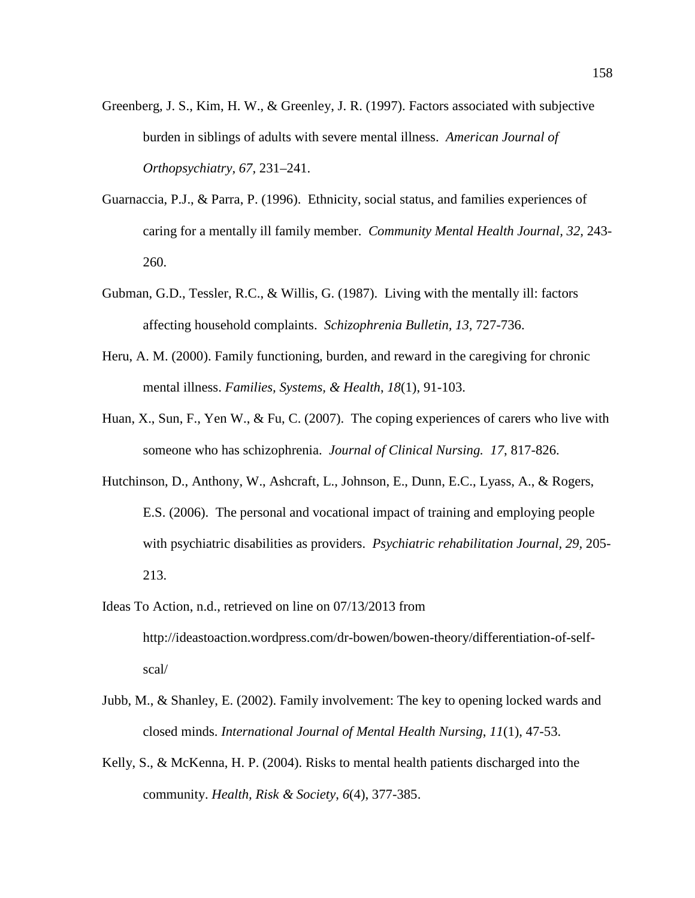- Greenberg, J. S., Kim, H. W., & Greenley, J. R. (1997). Factors associated with subjective burden in siblings of adults with severe mental illness. *American Journal of Orthopsychiatry, 67,* 231–241.
- Guarnaccia, P.J., & Parra, P. (1996). Ethnicity, social status, and families experiences of caring for a mentally ill family member. *Community Mental Health Journal, 32,* 243- 260.
- Gubman, G.D., Tessler, R.C., & Willis, G. (1987). Living with the mentally ill: factors affecting household complaints. *Schizophrenia Bulletin, 13,* 727-736.
- Heru, A. M. (2000). Family functioning, burden, and reward in the caregiving for chronic mental illness. *Families, Systems, & Health*, *18*(1), 91-103.
- Huan, X., Sun, F., Yen W., & Fu, C. (2007). The coping experiences of carers who live with someone who has schizophrenia. *Journal of Clinical Nursing. 17*, 817-826.
- Hutchinson, D., Anthony, W., Ashcraft, L., Johnson, E., Dunn, E.C., Lyass, A., & Rogers, E.S. (2006). The personal and vocational impact of training and employing people with psychiatric disabilities as providers. *Psychiatric rehabilitation Journal, 29,* 205- 213.
- Ideas To Action, n.d., retrieved on line on 07/13/2013 from http://ideastoaction.wordpress.com/dr-bowen/bowen-theory/differentiation-of-selfscal/
- Jubb, M., & Shanley, E. (2002). Family involvement: The key to opening locked wards and closed minds. *International Journal of Mental Health Nursing*, *11*(1), 47-53.
- Kelly, S., & McKenna, H. P. (2004). Risks to mental health patients discharged into the community. *Health, Risk & Society*, *6*(4), 377-385.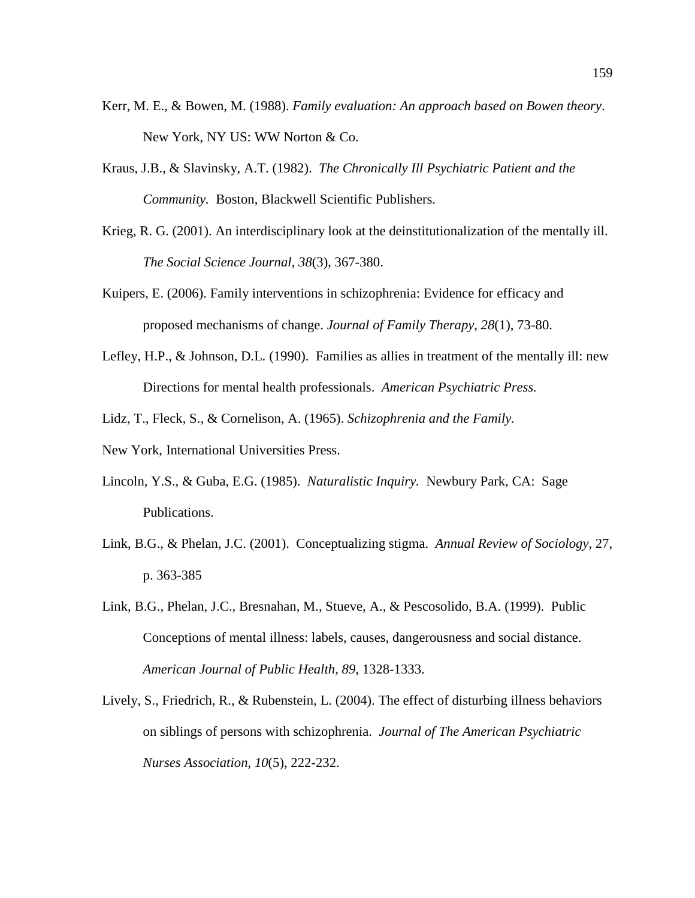- Kerr, M. E., & Bowen, M. (1988). *Family evaluation: An approach based on Bowen theory*. New York, NY US: WW Norton & Co.
- Kraus, J.B., & Slavinsky, A.T. (1982). *The Chronically Ill Psychiatric Patient and the Community.* Boston, Blackwell Scientific Publishers.
- Krieg, R. G. (2001). An interdisciplinary look at the deinstitutionalization of the mentally ill. *The Social Science Journal*, *38*(3), 367-380.
- Kuipers, E. (2006). Family interventions in schizophrenia: Evidence for efficacy and proposed mechanisms of change. *Journal of Family Therapy*, *28*(1), 73-80.
- Lefley, H.P., & Johnson, D.L. (1990). Families as allies in treatment of the mentally ill: new Directions for mental health professionals. *American Psychiatric Press.*
- Lidz, T., Fleck, S., & Cornelison, A. (1965). *Schizophrenia and the Family.*
- New York, International Universities Press.
- Lincoln, Y.S., & Guba, E.G. (1985). *Naturalistic Inquiry.* Newbury Park, CA: Sage Publications.
- Link, B.G., & Phelan, J.C. (2001). Conceptualizing stigma. *Annual Review of Sociology*, 27, p. 363-385
- Link, B.G., Phelan, J.C., Bresnahan, M., Stueve, A., & Pescosolido, B.A. (1999). Public Conceptions of mental illness: labels, causes, dangerousness and social distance. *American Journal of Public Health, 89*, 1328-1333.
- Lively, S., Friedrich, R., & Rubenstein, L. (2004). The effect of disturbing illness behaviors on siblings of persons with schizophrenia. *Journal of The American Psychiatric Nurses Association*, *10*(5), 222-232.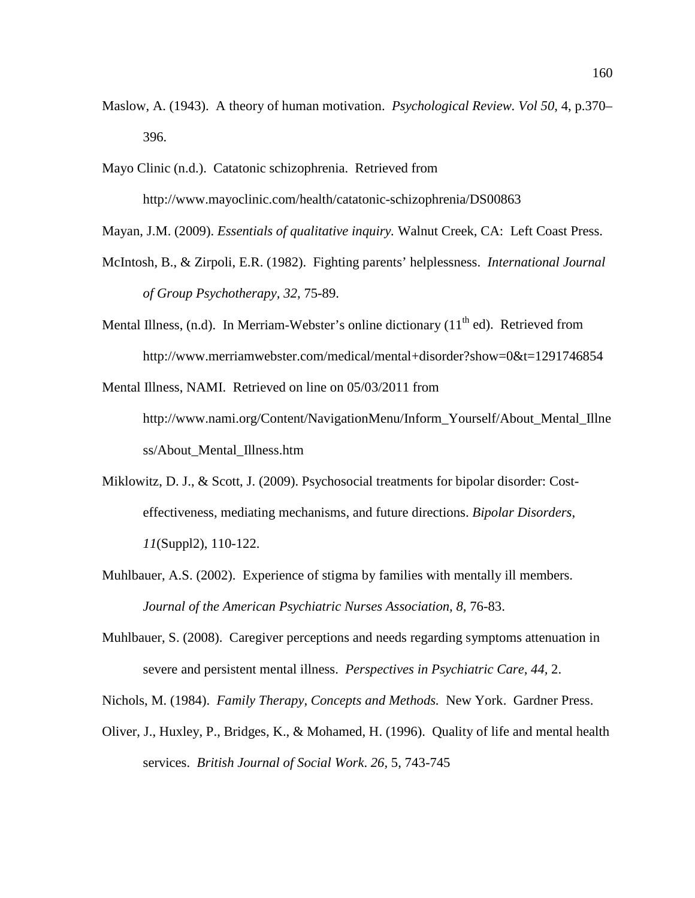- Maslow, A. (1943). A theory of human motivation. *Psychological Review. Vol 50*, 4, p.370– 396.
- Mayo Clinic (n.d.). Catatonic schizophrenia. Retrieved from http://www.mayoclinic.com/health/catatonic-schizophrenia/DS00863

Mayan, J.M. (2009). *Essentials of qualitative inquiry.* Walnut Creek, CA: Left Coast Press.

- McIntosh, B., & Zirpoli, E.R. (1982). Fighting parents' helplessness. *International Journal of Group Psychotherapy, 32,* 75-89.
- Mental Illness,  $(n,d)$ . In Merriam-Webster's online dictionary  $(11<sup>th</sup>$ ed). Retrieved from http://www.merriamwebster.com/medical/mental+disorder?show=0&t=1291746854

Mental Illness, NAMI. Retrieved on line on 05/03/2011 from http://www.nami.org/Content/NavigationMenu/Inform\_Yourself/About\_Mental\_Illne ss/About\_Mental\_Illness.htm

- Miklowitz, D. J., & Scott, J. (2009). Psychosocial treatments for bipolar disorder: Costeffectiveness, mediating mechanisms, and future directions. *Bipolar Disorders*, *11*(Suppl2), 110-122.
- Muhlbauer, A.S. (2002). Experience of stigma by families with mentally ill members. Journal of the American Psychiatric Nurses Association, 8, 76-83.
- Muhlbauer, S. (2008). Caregiver perceptions and needs regarding symptoms attenuation in severe and persistent mental illness. *Perspectives in Psychiatric Care, 44,* 2.
- Nichols, M. (1984). *Family Therapy, Concepts and Methods.* New York. Gardner Press.
- Oliver, J., Huxley, P., Bridges, K., & Mohamed, H. (1996). Quality of life and mental health services. *British Journal of Social Work*. *26,* 5, 743-745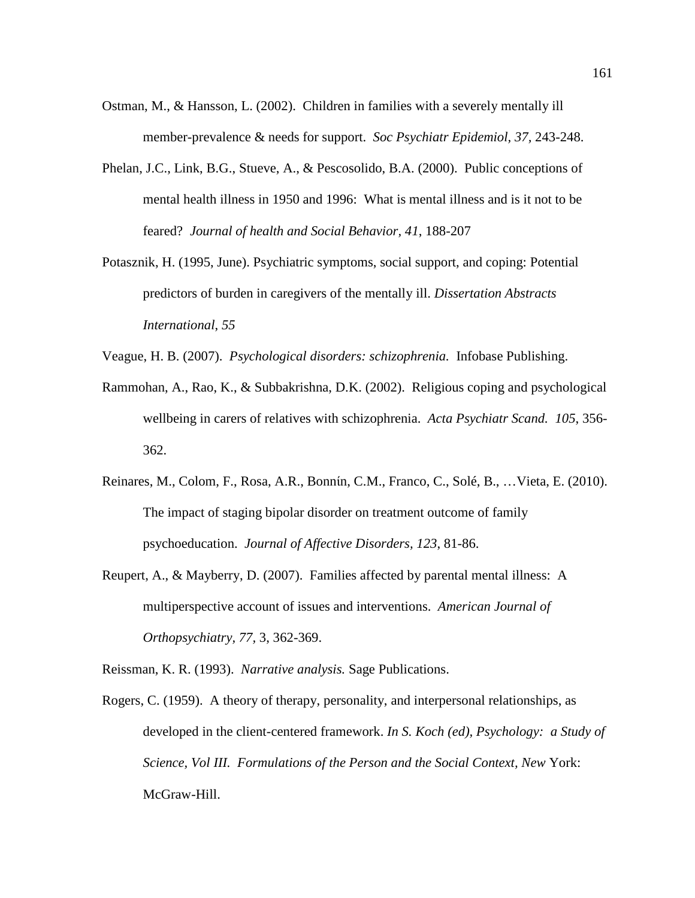- Ostman, M., & Hansson, L. (2002). Children in families with a severely mentally ill member-prevalence & needs for support. *Soc Psychiatr Epidemiol, 37,* 243-248.
- Phelan, J.C., Link, B.G., Stueve, A., & Pescosolido, B.A. (2000). Public conceptions of mental health illness in 1950 and 1996: What is mental illness and is it not to be feared? *Journal of health and Social Behavior, 41*, 188-207
- Potasznik, H. (1995, June). Psychiatric symptoms, social support, and coping: Potential predictors of burden in caregivers of the mentally ill. *Dissertation Abstracts International*, *55*
- Veague, H. B. (2007). *Psychological disorders: schizophrenia.* Infobase Publishing.
- Rammohan, A., Rao, K., & Subbakrishna, D.K. (2002). Religious coping and psychological wellbeing in carers of relatives with schizophrenia. *Acta Psychiatr Scand. 105*, 356- 362.
- Reinares, M., Colom, F., Rosa, A.R., Bonnίn, C.M., Franco, C., Solé, B., …Vieta, E. (2010). The impact of staging bipolar disorder on treatment outcome of family psychoeducation. *Journal of Affective Disorders, 123*, 81-86.
- Reupert, A., & Mayberry, D. (2007). Families affected by parental mental illness: A multiperspective account of issues and interventions. *American Journal of Orthopsychiatry, 77,* 3, 362-369.

Reissman, K. R. (1993). *Narrative analysis.* Sage Publications.

Rogers, C. (1959). A theory of therapy, personality, and interpersonal relationships, as developed in the client-centered framework. *In S. Koch (ed), Psychology: a Study of Science, Vol III. Formulations of the Person and the Social Context, New* York: McGraw-Hill.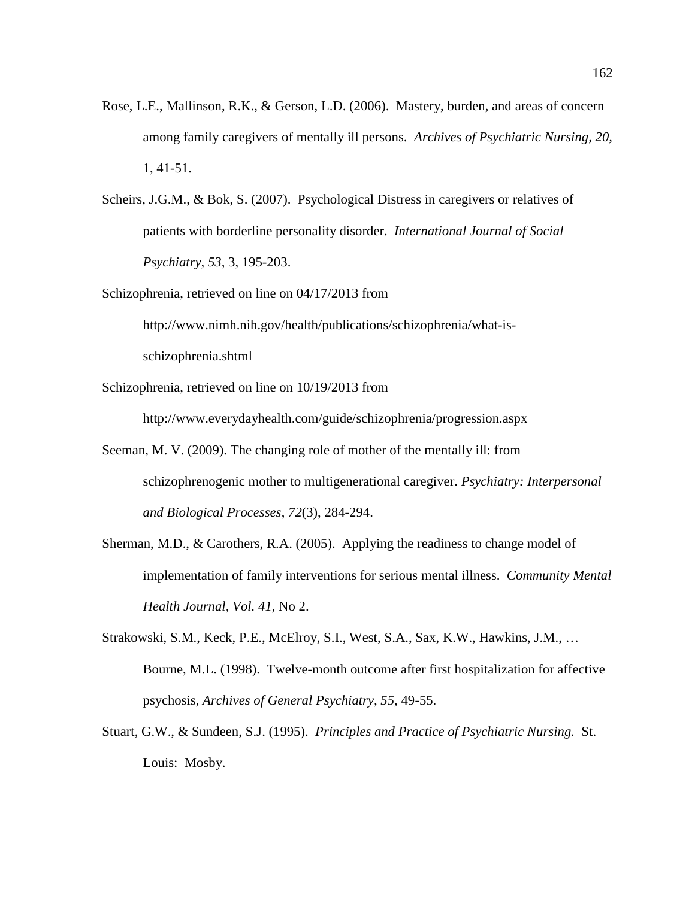- Rose, L.E., Mallinson, R.K., & Gerson, L.D. (2006). Mastery, burden, and areas of concern among family caregivers of mentally ill persons. *Archives of Psychiatric Nursing, 20,*  1, 41-51.
- Scheirs, J.G.M., & Bok, S. (2007). Psychological Distress in caregivers or relatives of patients with borderline personality disorder. *International Journal of Social Psychiatry, 53,* 3, 195-203.
- Schizophrenia, retrieved on line on 04/17/2013 from

http://www.nimh.nih.gov/health/publications/schizophrenia/what-isschizophrenia.shtml

Schizophrenia, retrieved on line on 10/19/2013 from

http://www.everydayhealth.com/guide/schizophrenia/progression.aspx

- Seeman, M. V. (2009). The changing role of mother of the mentally ill: from schizophrenogenic mother to multigenerational caregiver. *Psychiatry: Interpersonal and Biological Processes*, *72*(3), 284-294.
- Sherman, M.D., & Carothers, R.A. (2005). Applying the readiness to change model of implementation of family interventions for serious mental illness. *Community Mental Health Journal, Vol. 41,* No 2.
- Strakowski, S.M., Keck, P.E., McElroy, S.I., West, S.A., Sax, K.W., Hawkins, J.M., … Bourne, M.L. (1998). Twelve-month outcome after first hospitalization for affective psychosis, *Archives of General Psychiatry, 55*, 49-55.
- Stuart, G.W., & Sundeen, S.J. (1995). *Principles and Practice of Psychiatric Nursing.* St. Louis: Mosby.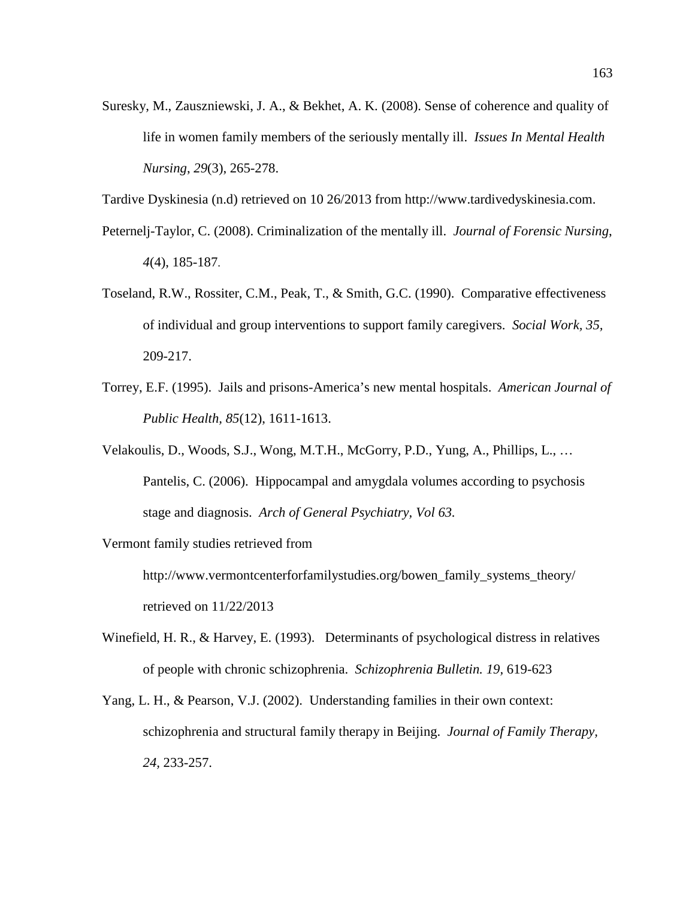Suresky, M., Zauszniewski, J. A., & Bekhet, A. K. (2008). Sense of coherence and quality of life in women family members of the seriously mentally ill. *Issues In Mental Health Nursing*, *29*(3), 265-278.

Tardive Dyskinesia (n.d) retrieved on 10 26/2013 from http://www.tardivedyskinesia.com.

- Peternelj-Taylor, C. (2008). Criminalization of the mentally ill. *Journal of Forensic Nursing*, *4*(4), 185-187.
- Toseland, R.W., Rossiter, C.M., Peak, T., & Smith, G.C. (1990). Comparative effectiveness of individual and group interventions to support family caregivers. *Social Work, 35,*  209-217.
- Torrey, E.F. (1995). Jails and prisons-America's new mental hospitals. *American Journal of Public Health, 85*(12), 1611-1613.
- Velakoulis, D., Woods, S.J., Wong, M.T.H., McGorry, P.D., Yung, A., Phillips, L., … Pantelis, C. (2006). Hippocampal and amygdala volumes according to psychosis stage and diagnosis. *Arch of General Psychiatry, Vol 63.*

Vermont family studies retrieved from

http://www.vermontcenterforfamilystudies.org/bowen\_family\_systems\_theory/ retrieved on 11/22/2013

- Winefield, H. R., & Harvey, E. (1993). Determinants of psychological distress in relatives of people with chronic schizophrenia. *Schizophrenia Bulletin. 19,* 619-623
- Yang, L. H., & Pearson, V.J. (2002). Understanding families in their own context: schizophrenia and structural family therapy in Beijing. *Journal of Family Therapy, 24,* 233-257.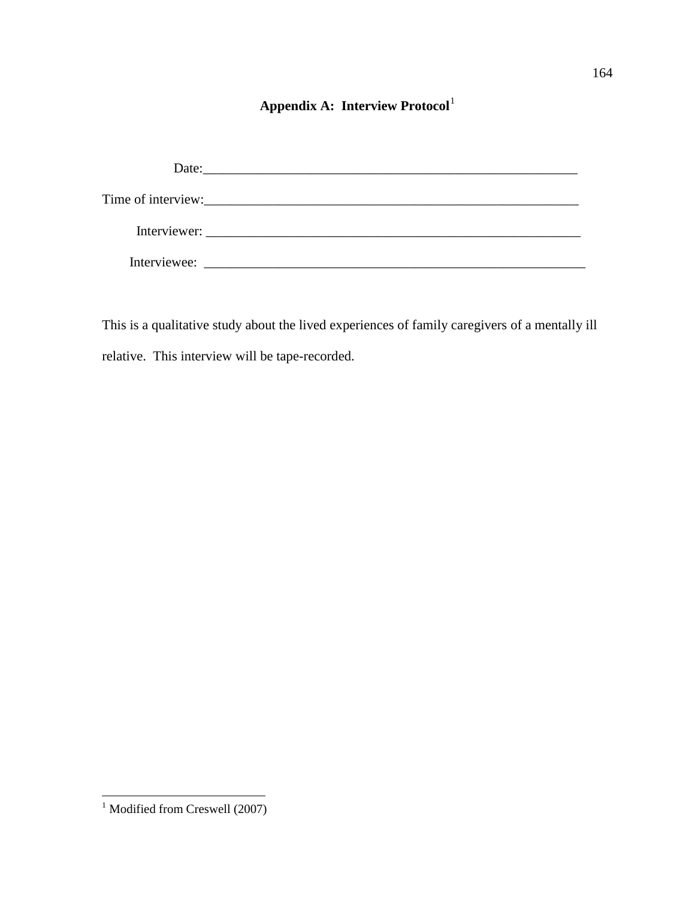# **Appendix A: Interview Protocol**[1](#page-174-0)

| Date: $\frac{1}{2}$ |
|---------------------|
|                     |
| Interviewer:        |
| Interviewee:        |

This is a qualitative study about the lived experiences of family caregivers of a mentally ill relative. This interview will be tape-recorded.

 $\overline{\phantom{a}}$ 

<span id="page-174-0"></span>l <sup>1</sup> Modified from Creswell (2007)